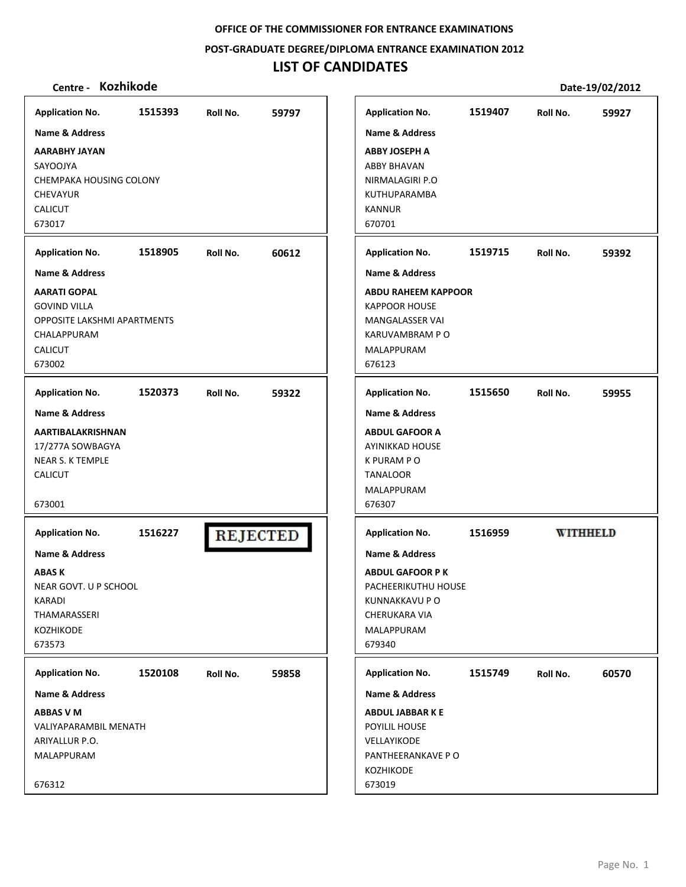**POST‐GRADUATE DEGREE/DIPLOMA ENTRANCE EXAMINATION 2012**

# **LIST OF CANDIDATES**

| <b>Application No.</b>                                                           |                                                                                                                              | 1519407<br>Roll No.        |
|----------------------------------------------------------------------------------|------------------------------------------------------------------------------------------------------------------------------|----------------------------|
|                                                                                  | <b>Name &amp; Address</b>                                                                                                    |                            |
| <b>ABBY JOSEPH A</b><br><b>ABBY BHAVAN</b><br><b>KANNUR</b><br>670701            | NIRMALAGIRI P.O<br>KUTHUPARAMBA                                                                                              |                            |
| <b>Application No.</b>                                                           |                                                                                                                              | 1519715<br>Roll No.        |
| MALAPPURAM<br>676123                                                             | <b>Name &amp; Address</b><br><b>ABDU RAHEEM KAPPOOR</b><br><b>KAPPOOR HOUSE</b><br><b>MANGALASSER VAI</b><br>KARUVAMBRAM P O |                            |
| <b>Application No.</b><br>K PURAM P O<br><b>TANALOOR</b><br>MALAPPURAM<br>676307 | <b>Name &amp; Address</b><br><b>ABDUL GAFOOR A</b><br><b>AYINIKKAD HOUSE</b>                                                 | 1515650<br>Roll No.        |
| <b>Application No.</b><br>CHERUKARA VIA<br>MALAPPURAM<br>679340                  | <b>Name &amp; Address</b><br><b>ABDUL GAFOOR PK</b><br>PACHEERIKUTHU HOUSE<br>KUNNAKKAVU P O                                 | <b>WITHHELD</b><br>1516959 |
| <b>Application No.</b>                                                           |                                                                                                                              | 1515749<br>Roll No.        |
|                                                                                  | Name & Address                                                                                                               |                            |
| <b>ABDUL JABBARKE</b>                                                            | PANTHEERANKAVE PO                                                                                                            |                            |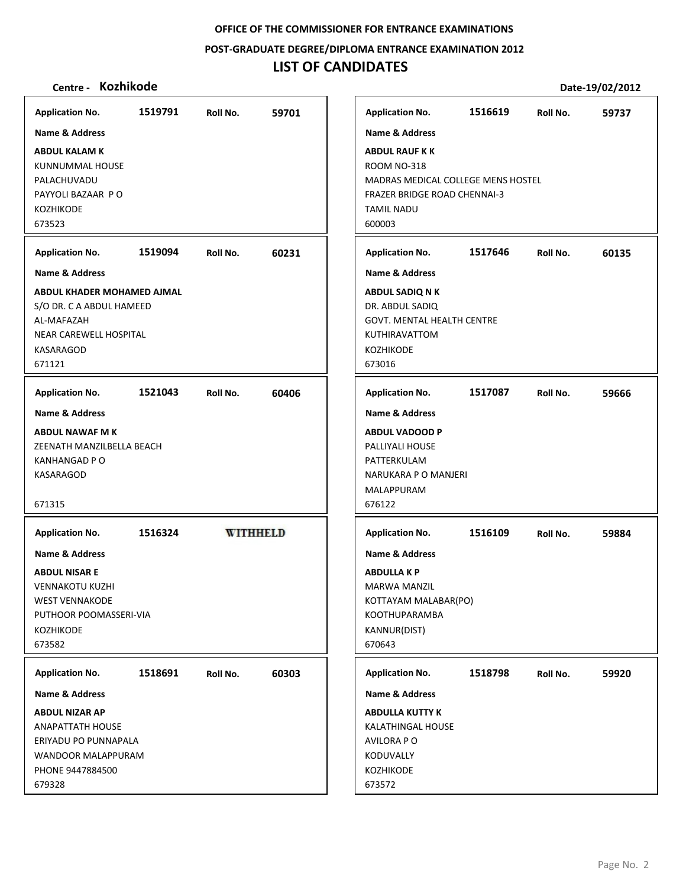**POST‐GRADUATE DEGREE/DIPLOMA ENTRANCE EXAMINATION 2012**

## **LIST OF CANDIDATES**

## **Centre ‐ Kozhikode Date‐19/02/2012**

**ABDUL KALAM K** KUNNUMMAL HOUSE PALACHUVADU PAYYOLI BAZAAR P O

**Application No. Name & Address**

KOZHIKODE 673523

**Application No. Name & Address**

AL‐MAFAZAH

KASARAGOD 671121

**Application No. Name & Address**

**ABDUL NAWAF M K**

KANHANGAD P O KASARAGOD

**ABDUL NISAR E** VENNAKOTU KUZHI WEST VENNAKODE

**Application No. Name & Address**

KOZHIKODE 673582

**ABDUL NIZAR AP** ANAPATTATH HOUSE ERIYADU PO PUNNAPALA WANDOOR MALAPPURAM PHONE 9447884500

**Application No. Name & Address**

679328

671315

NEAR CAREWELL HOSPITAL

**1519791 59701 Application No. 1516619 59737 Name & Address ABDUL RAUF K K** ROOM NO‐318 MADRAS MEDICAL COLLEGE MENS HOSTEL FRAZER BRIDGE ROAD CHENNAI‐3 TAMIL NADU 600003 **1519094 60231 Application No. 1517646 60135 Name & Address ABDUL KHADER MOHAMED AJMAL ABDUL SADIQ N K** S/O DR. C A ABDUL HAMEED DR. ABDUL SADIQ GOVT. MENTAL HEALTH CENTRE KUTHIRAVATTOM KOZHIKODE 673016 **1521043 60406 Application No. 1517087 59666 Name & Address ABDUL VADOOD P** ZEENATH MANZILBELLA BEACH PALLIYALI HOUSE PATTERKULAM NARUKARA P O MANJERI MALAPPURAM 676122 **WITHHELD Application No. 1516324 1516109 59884 Name & Address ABDULLA K P** MARWA MANZIL KOTTAYAM MALABAR(PO) PUTHOOR POOMASSERI‐VIA KOOTHUPARAMBA KANNUR(DIST) 670643 **Application No. 1518798 59920 1518691 60303 Name & Address ABDULLA KUTTY K** KALATHINGAL HOUSE AVILORA P O KODUVALLY KOZHIKODE

673572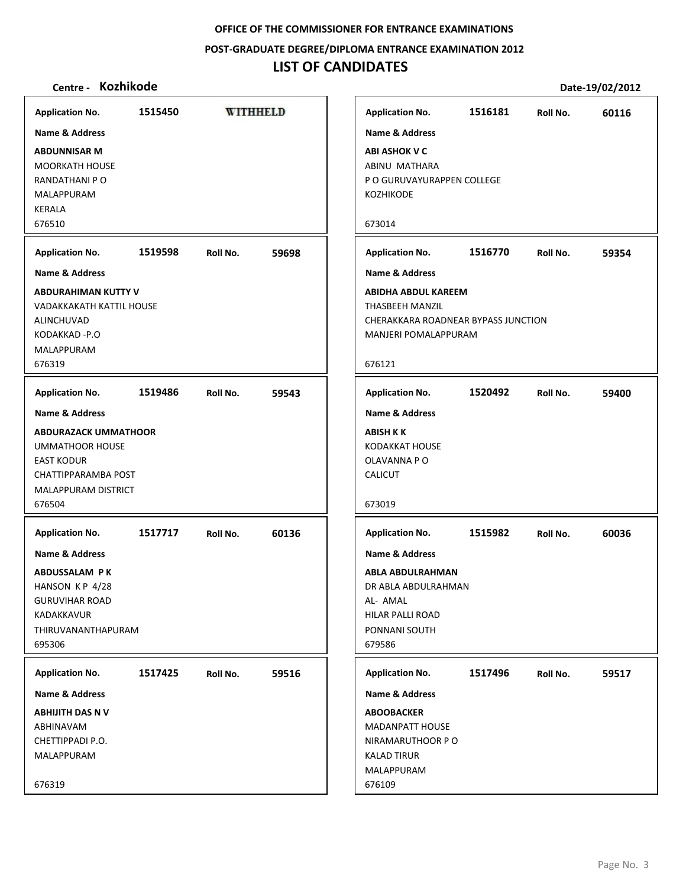**POST‐GRADUATE DEGREE/DIPLOMA ENTRANCE EXAMINATION 2012**

## **LIST OF CANDIDATES**

| Centre -                                                                                                                                                        | Kozhikode |          |                 |                                                                                                                                                                  |         |          | Date-19/02/2012 |
|-----------------------------------------------------------------------------------------------------------------------------------------------------------------|-----------|----------|-----------------|------------------------------------------------------------------------------------------------------------------------------------------------------------------|---------|----------|-----------------|
| <b>Application No.</b>                                                                                                                                          | 1515450   |          | <b>WITHHELD</b> | <b>Application No.</b>                                                                                                                                           | 1516181 | Roll No. | 60116           |
| <b>Name &amp; Address</b><br><b>ABDUNNISAR M</b><br><b>MOORKATH HOUSE</b><br>RANDATHANI P O<br>MALAPPURAM<br><b>KERALA</b><br>676510                            |           |          |                 | <b>Name &amp; Address</b><br><b>ABI ASHOK V C</b><br>ABINU MATHARA<br>P O GURUVAYURAPPEN COLLEGE<br><b>KOZHIKODE</b><br>673014                                   |         |          |                 |
| <b>Application No.</b>                                                                                                                                          | 1519598   | Roll No. | 59698           | <b>Application No.</b>                                                                                                                                           | 1516770 | Roll No. | 59354           |
| <b>Name &amp; Address</b>                                                                                                                                       |           |          |                 | <b>Name &amp; Address</b>                                                                                                                                        |         |          |                 |
| <b>ABDURAHIMAN KUTTY V</b><br>VADAKKAKATH KATTIL HOUSE<br>ALINCHUVAD<br>KODAKKAD-P.O<br>MALAPPURAM<br>676319                                                    |           |          |                 | <b>ABIDHA ABDUL KAREEM</b><br><b>THASBEEH MANZIL</b><br>CHERAKKARA ROADNEAR BYPASS JUNCTION<br>MANJERI POMALAPPURAM<br>676121                                    |         |          |                 |
| <b>Application No.</b>                                                                                                                                          | 1519486   | Roll No. | 59543           | <b>Application No.</b>                                                                                                                                           | 1520492 | Roll No. | 59400           |
| <b>Name &amp; Address</b><br><b>ABDURAZACK UMMATHOOR</b><br><b>UMMATHOOR HOUSE</b><br><b>EAST KODUR</b><br>CHATTIPPARAMBA POST<br>MALAPPURAM DISTRICT<br>676504 |           |          |                 | <b>Name &amp; Address</b><br><b>ABISH K K</b><br><b>KODAKKAT HOUSE</b><br>OLAVANNA PO<br><b>CALICUT</b><br>673019                                                |         |          |                 |
| <b>Application No.</b><br><b>Name &amp; Address</b><br>ABDUSSALAM PK<br>HANSON KP 4/28<br><b>GURUVIHAR ROAD</b><br>KADAKKAVUR<br>THIRUVANANTHAPURAM<br>695306   | 1517717   | Roll No. | 60136           | <b>Application No.</b><br><b>Name &amp; Address</b><br>ABLA ABDULRAHMAN<br>DR ABLA ABDULRAHMAN<br>AL- AMAL<br><b>HILAR PALLI ROAD</b><br>PONNANI SOUTH<br>679586 | 1515982 | Roll No. | 60036           |
| <b>Application No.</b>                                                                                                                                          | 1517425   | Roll No. | 59516           | <b>Application No.</b>                                                                                                                                           | 1517496 | Roll No. | 59517           |
| <b>Name &amp; Address</b>                                                                                                                                       |           |          |                 | <b>Name &amp; Address</b>                                                                                                                                        |         |          |                 |
| <b>ABHIJITH DAS N V</b><br>ABHINAVAM<br>CHETTIPPADI P.O.<br>MALAPPURAM                                                                                          |           |          |                 | <b>ABOOBACKER</b><br><b>MADANPATT HOUSE</b><br>NIRAMARUTHOOR PO<br><b>KALAD TIRUR</b><br>MALAPPURAM                                                              |         |          |                 |
| 676319                                                                                                                                                          |           |          |                 | 676109                                                                                                                                                           |         |          |                 |

**1516770 59354 Application No. Roll No. ASS JUNCTION 1520492 59400 Application No. Roll No.**  $\equiv$ **1515982 60036 Application No. Roll No. 1517496 59517 Application No. Roll No.**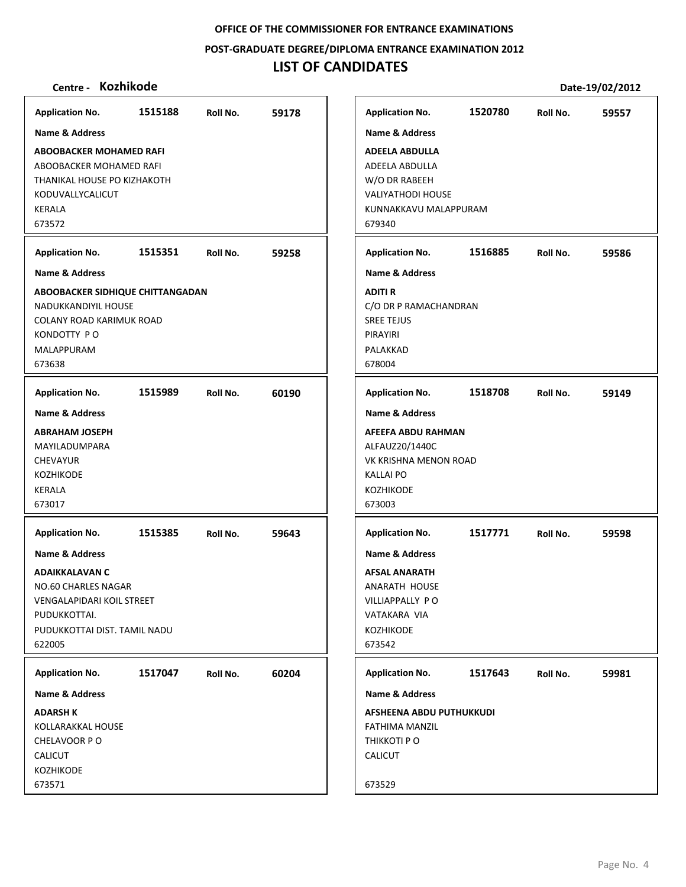**POST‐GRADUATE DEGREE/DIPLOMA ENTRANCE EXAMINATION 2012**

# **LIST OF CANDIDATES**

| <b>Name &amp; Address</b><br><b>Name &amp; Address</b><br><b>ABOOBACKER MOHAMED RAFI</b><br>ABOOBACKER MOHAMED RAFI<br>THANIKAL HOUSE PO KIZHAKOTH<br>KODUVALLYCALICUT<br><b>KERALA</b><br>673572<br>1515351<br>59258<br><b>Application No.</b><br>Roll No.<br><b>Name &amp; Address</b><br>ABOOBACKER SIDHIQUE CHITTANGADAN<br>NADUKKANDIYIL HOUSE<br>COLANY ROAD KARIMUK ROAD<br>KONDOTTY PO<br>MALAPPURAM<br>673638<br><b>Application No.</b><br>1515989<br>60190<br>Roll No.<br>Name & Address<br><b>ABRAHAM JOSEPH</b><br>MAYILADUMPARA<br><b>CHEVAYUR</b><br><b>KOZHIKODE</b><br><b>KERALA</b><br>673017<br><b>Application No.</b><br>1515385<br>59643<br>Roll No.<br><b>Name &amp; Address</b><br><b>ADAIKKALAVAN C</b><br><b>NO.60 CHARLES NAGAR</b><br>VENGALAPIDARI KOIL STREET<br>PUDUKKOTTAI.<br>PUDUKKOTTAI DIST. TAMIL NADU<br>622005<br>1517047<br>60204<br><b>Application No.</b><br>Roll No.<br>Name & Address<br><b>ADARSH K</b><br>KOLLARAKKAL HOUSE<br>CHELAVOOR PO<br><b>CALICUT</b><br>KOZHIKODE | <b>Application No.</b> | 1515188 | Roll No. | 59178 |
|------------------------------------------------------------------------------------------------------------------------------------------------------------------------------------------------------------------------------------------------------------------------------------------------------------------------------------------------------------------------------------------------------------------------------------------------------------------------------------------------------------------------------------------------------------------------------------------------------------------------------------------------------------------------------------------------------------------------------------------------------------------------------------------------------------------------------------------------------------------------------------------------------------------------------------------------------------------------------------------------------------------------|------------------------|---------|----------|-------|
| <b>ADEELA ABDULLA</b><br>ADEELA ABDULLA<br>W/O DR RABEEH<br><b>VALIYATHODI HOUSE</b><br>KUNNAKKAVU MALAPPURAM<br>679340<br><b>ADITI R</b><br><b>SREE TEJUS</b><br>PIRAYIRI<br>PALAKKAD<br>678004<br><b>KALLAI PO</b><br>KOZHIKODE<br>673003<br><b>KOZHIKODE</b><br>673542<br>THIKKOTI PO<br>CALICUT                                                                                                                                                                                                                                                                                                                                                                                                                                                                                                                                                                                                                                                                                                                    |                        |         |          |       |
| <b>Application No.</b><br><b>Name &amp; Address</b><br><b>Application No.</b><br><b>Name &amp; Address</b><br>ALFAUZ20/1440C<br><b>Application No.</b><br><b>Name &amp; Address</b><br><b>AFSAL ANARATH</b><br><b>ANARATH HOUSE</b><br>VILLIAPPALLY PO<br>VATAKARA VIA<br><b>Application No.</b><br><b>Name &amp; Address</b><br>FATHIMA MANZIL                                                                                                                                                                                                                                                                                                                                                                                                                                                                                                                                                                                                                                                                        |                        |         |          |       |
|                                                                                                                                                                                                                                                                                                                                                                                                                                                                                                                                                                                                                                                                                                                                                                                                                                                                                                                                                                                                                        |                        |         |          |       |
| C/O DR P RAMACHANDRAN                                                                                                                                                                                                                                                                                                                                                                                                                                                                                                                                                                                                                                                                                                                                                                                                                                                                                                                                                                                                  |                        |         |          |       |
| AFEEFA ABDU RAHMAN                                                                                                                                                                                                                                                                                                                                                                                                                                                                                                                                                                                                                                                                                                                                                                                                                                                                                                                                                                                                     |                        |         |          |       |
| VK KRISHNA MENON ROAD                                                                                                                                                                                                                                                                                                                                                                                                                                                                                                                                                                                                                                                                                                                                                                                                                                                                                                                                                                                                  |                        |         |          |       |
| 1517771                                                                                                                                                                                                                                                                                                                                                                                                                                                                                                                                                                                                                                                                                                                                                                                                                                                                                                                                                                                                                |                        |         |          |       |
| 1517643<br>AFSHEENA ABDU PUTHUKKUDI                                                                                                                                                                                                                                                                                                                                                                                                                                                                                                                                                                                                                                                                                                                                                                                                                                                                                                                                                                                    |                        |         |          |       |
|                                                                                                                                                                                                                                                                                                                                                                                                                                                                                                                                                                                                                                                                                                                                                                                                                                                                                                                                                                                                                        |                        |         |          |       |
|                                                                                                                                                                                                                                                                                                                                                                                                                                                                                                                                                                                                                                                                                                                                                                                                                                                                                                                                                                                                                        |                        |         |          |       |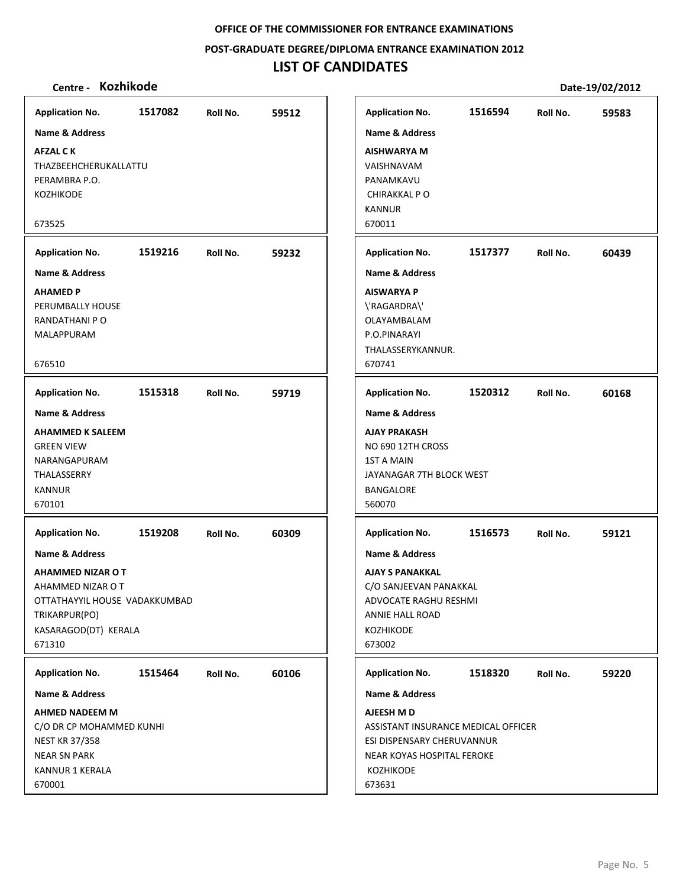## **POST‐GRADUATE DEGREE/DIPLOMA ENTRANCE EXAMINATION 2012**

# **LIST OF CANDIDATES**

| <b>Application No.</b>                                                                                                                                                 | 1517082 | Roll No. | 59512 |
|------------------------------------------------------------------------------------------------------------------------------------------------------------------------|---------|----------|-------|
| <b>Name &amp; Address</b>                                                                                                                                              |         |          |       |
| <b>AFZAL CK</b><br>THAZBEEHCHERUKALLATTU<br>PERAMBRA P.O.<br>KOZHIKODE<br>673525                                                                                       |         |          |       |
| <b>Application No.</b>                                                                                                                                                 | 1519216 | Roll No. | 59232 |
| <b>Name &amp; Address</b>                                                                                                                                              |         |          |       |
| <b>AHAMED P</b><br>PERUMBALLY HOUSE<br>RANDATHANI P O<br>MALAPPURAM<br>676510                                                                                          |         |          |       |
| <b>Application No.</b>                                                                                                                                                 | 1515318 | Roll No. | 59719 |
| <b>Name &amp; Address</b><br><b>AHAMMED K SALEEM</b><br><b>GREEN VIEW</b><br>NARANGAPURAM<br>THALASSERRY<br><b>KANNUR</b><br>670101                                    |         |          |       |
| <b>Application No.</b><br>Name & Address<br>AHAMMED NIZAR O T<br>AHAMMED NIZAR O T<br>OTTATHAYYIL HOUSE VADAKKUMBAD<br>TRIKARPUR(PO)<br>KASARAGOD(DT) KERALA<br>671310 | 1519208 | Roll No. | 60309 |
| <b>Application No.</b>                                                                                                                                                 | 1515464 | Roll No. | 60106 |
| <b>Name &amp; Address</b>                                                                                                                                              |         |          |       |
| <b>AHMED NADEEM M</b><br>C/O DR CP MOHAMMED KUNHI<br><b>NEST KR 37/358</b><br><b>NEAR SN PARK</b><br><b>KANNUR 1 KERALA</b><br>670001                                  |         |          |       |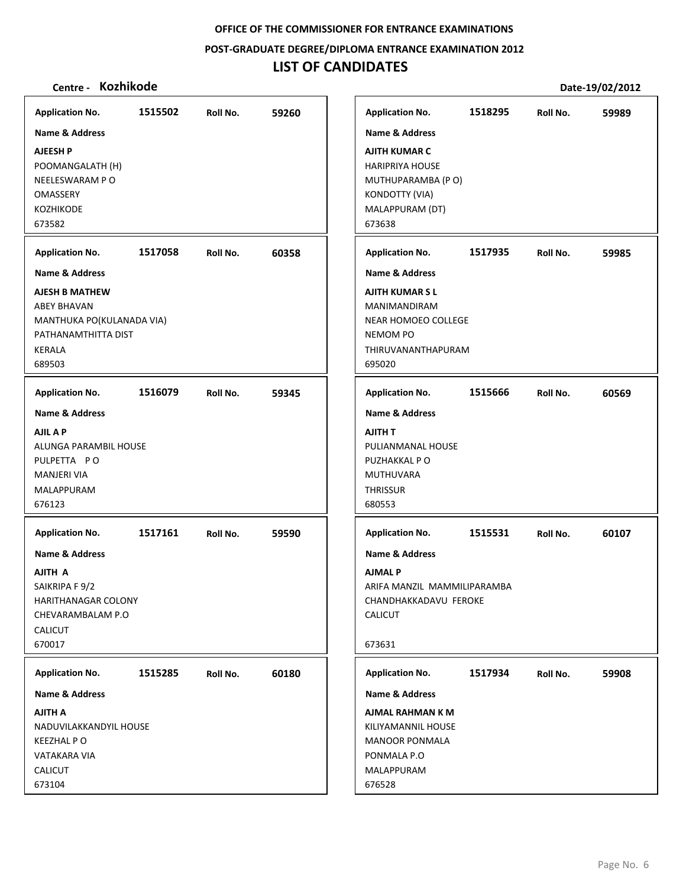**POST‐GRADUATE DEGREE/DIPLOMA ENTRANCE EXAMINATION 2012**

# **LIST OF CANDIDATES**

| <b>Application No.</b>                                                                                                                                        | 1515502 | Roll No. | 59260 | <b>Application No.</b>                                                                                                                                                    | 1518295 | Roll No. | 59989 |
|---------------------------------------------------------------------------------------------------------------------------------------------------------------|---------|----------|-------|---------------------------------------------------------------------------------------------------------------------------------------------------------------------------|---------|----------|-------|
| <b>Name &amp; Address</b><br><b>AJEESH P</b><br>POOMANGALATH (H)<br>NEELESWARAM PO<br><b>OMASSERY</b><br><b>KOZHIKODE</b><br>673582<br><b>Application No.</b> | 1517058 | Roll No. | 60358 | <b>Name &amp; Address</b><br><b>AJITH KUMAR C</b><br><b>HARIPRIYA HOUSE</b><br>MUTHUPARAMBA (PO)<br>KONDOTTY (VIA)<br>MALAPPURAM (DT)<br>673638<br><b>Application No.</b> | 1517935 | Roll No. | 59985 |
| <b>Name &amp; Address</b><br><b>AJESH B MATHEW</b><br><b>ABEY BHAVAN</b><br>MANTHUKA PO(KULANADA VIA)<br>PATHANAMTHITTA DIST<br><b>KERALA</b><br>689503       |         |          |       | Name & Address<br><b>AJITH KUMARSL</b><br>MANIMANDIRAM<br>NEAR HOMOEO COLLEGE<br><b>NEMOM PO</b><br>THIRUVANANTHAPURAM<br>695020                                          |         |          |       |
| <b>Application No.</b>                                                                                                                                        | 1516079 | Roll No. | 59345 | <b>Application No.</b>                                                                                                                                                    | 1515666 | Roll No. | 60569 |
| <b>Name &amp; Address</b><br>AJIL A P<br>ALUNGA PARAMBIL HOUSE<br>PULPETTA PO<br><b>MANJERI VIA</b><br>MALAPPURAM<br>676123                                   |         |          |       | <b>Name &amp; Address</b><br>AJITH T<br>PULIANMANAL HOUSE<br>PUZHAKKAL PO<br><b>MUTHUVARA</b><br><b>THRISSUR</b><br>680553                                                |         |          |       |
| <b>Application No.</b><br><b>Name &amp; Address</b><br>AJITH A<br>SAIKRIPA F 9/2<br>HARITHANAGAR COLONY<br>CHEVARAMBALAM P.O<br><b>CALICUT</b><br>670017      | 1517161 | Roll No. | 59590 | <b>Application No.</b><br><b>Name &amp; Address</b><br><b>AJMAL P</b><br>ARIFA MANZIL MAMMILIPARAMBA<br>CHANDHAKKADAVU FEROKE<br>CALICUT<br>673631                        | 1515531 | Roll No. | 60107 |
| <b>Application No.</b><br>Name & Address<br>AJITH A<br>NADUVILAKKANDYIL HOUSE<br><b>KEEZHAL PO</b><br>VATAKARA VIA<br><b>CALICUT</b><br>673104                | 1515285 | Roll No. | 60180 | <b>Application No.</b><br><b>Name &amp; Address</b><br>AJMAL RAHMAN K M<br>KILIYAMANNIL HOUSE<br><b>MANOOR PONMALA</b><br>PONMALA P.O<br>MALAPPURAM<br>676528             | 1517934 | Roll No. | 59908 |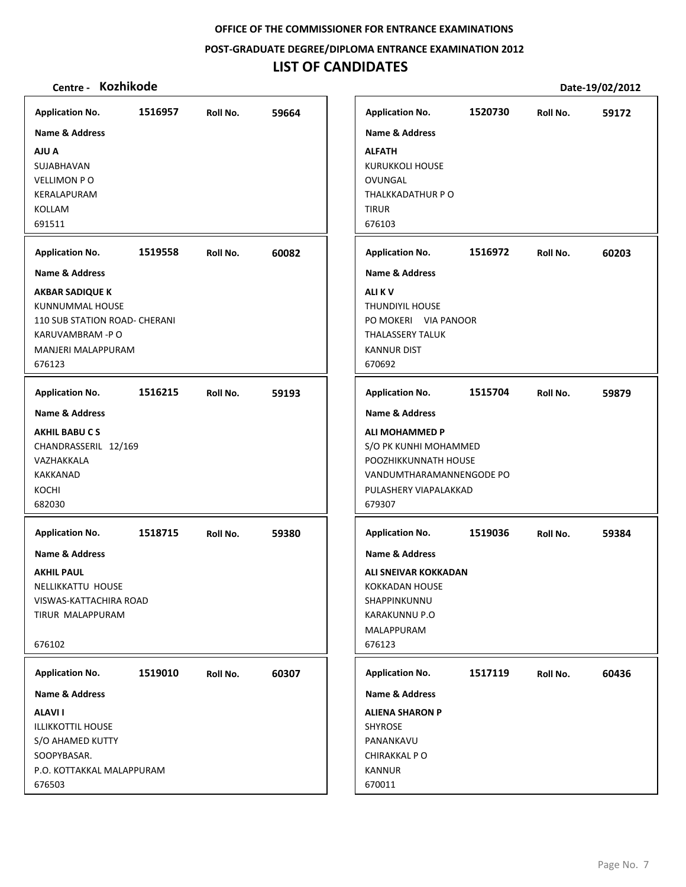**POST‐GRADUATE DEGREE/DIPLOMA ENTRANCE EXAMINATION 2012**

# **LIST OF CANDIDATES**

| <b>Application No.</b>                     | 1516957 | Roll No. | 59664 | <b>Application No.</b>    | 1520730 | Roll No. | 59172 |
|--------------------------------------------|---------|----------|-------|---------------------------|---------|----------|-------|
| <b>Name &amp; Address</b>                  |         |          |       | <b>Name &amp; Address</b> |         |          |       |
| AJU A                                      |         |          |       | <b>ALFATH</b>             |         |          |       |
| SUJABHAVAN                                 |         |          |       | <b>KURUKKOLI HOUSE</b>    |         |          |       |
| <b>VELLIMON PO</b>                         |         |          |       | OVUNGAL                   |         |          |       |
| KERALAPURAM                                |         |          |       | THALKKADATHUR PO          |         |          |       |
| KOLLAM                                     |         |          |       | <b>TIRUR</b>              |         |          |       |
| 691511                                     |         |          |       | 676103                    |         |          |       |
|                                            |         |          |       |                           |         |          |       |
| <b>Application No.</b>                     | 1519558 | Roll No. | 60082 | <b>Application No.</b>    | 1516972 | Roll No. | 60203 |
| <b>Name &amp; Address</b>                  |         |          |       | <b>Name &amp; Address</b> |         |          |       |
| <b>AKBAR SADIQUE K</b>                     |         |          |       | <b>ALIKV</b>              |         |          |       |
| KUNNUMMAL HOUSE                            |         |          |       | THUNDIYIL HOUSE           |         |          |       |
| 110 SUB STATION ROAD- CHERANI              |         |          |       | PO MOKERI VIA PANOOR      |         |          |       |
| KARUVAMBRAM -PO                            |         |          |       | <b>THALASSERY TALUK</b>   |         |          |       |
| <b>MANJERI MALAPPURAM</b>                  |         |          |       | <b>KANNUR DIST</b>        |         |          |       |
| 676123                                     |         |          |       | 670692                    |         |          |       |
|                                            |         |          |       |                           |         |          |       |
| <b>Application No.</b>                     | 1516215 | Roll No. | 59193 | <b>Application No.</b>    | 1515704 | Roll No. | 59879 |
| Name & Address                             |         |          |       | <b>Name &amp; Address</b> |         |          |       |
| <b>AKHIL BABUCS</b>                        |         |          |       | <b>ALI MOHAMMED P</b>     |         |          |       |
| CHANDRASSERIL 12/169                       |         |          |       | S/O PK KUNHI MOHAMMED     |         |          |       |
| VAZHAKKALA                                 |         |          |       | POOZHIKKUNNATH HOUSE      |         |          |       |
| KAKKANAD                                   |         |          |       | VANDUMTHARAMANNENGODE PO  |         |          |       |
| KOCHI                                      |         |          |       | PULASHERY VIAPALAKKAD     |         |          |       |
| 682030                                     |         |          |       | 679307                    |         |          |       |
|                                            |         |          |       |                           |         |          |       |
| <b>Application No.</b>                     | 1518715 | Roll No. | 59380 | <b>Application No.</b>    | 1519036 | Roll No. | 59384 |
| <b>Name &amp; Address</b>                  |         |          |       | <b>Name &amp; Address</b> |         |          |       |
| <b>AKHIL PAUL</b>                          |         |          |       | ALI SNEIVAR KOKKADAN      |         |          |       |
| NELLIKKATTU HOUSE                          |         |          |       | <b>KOKKADAN HOUSE</b>     |         |          |       |
|                                            |         |          |       | SHAPPINKUNNU              |         |          |       |
| VISWAS-KATTACHIRA ROAD<br>TIRUR MALAPPURAM |         |          |       | <b>KARAKUNNU P.O</b>      |         |          |       |
|                                            |         |          |       |                           |         |          |       |
|                                            |         |          |       | MALAPPURAM                |         |          |       |
| 676102                                     |         |          |       | 676123                    |         |          |       |
| <b>Application No.</b>                     | 1519010 | Roll No. | 60307 | <b>Application No.</b>    | 1517119 | Roll No. | 60436 |
| Name & Address                             |         |          |       | <b>Name &amp; Address</b> |         |          |       |
| <b>ALAVII</b>                              |         |          |       | <b>ALIENA SHARON P</b>    |         |          |       |
| <b>ILLIKKOTTIL HOUSE</b>                   |         |          |       | <b>SHYROSE</b>            |         |          |       |
| S/O AHAMED KUTTY                           |         |          |       | PANANKAVU                 |         |          |       |
| SOOPYBASAR.                                |         |          |       | CHIRAKKAL PO              |         |          |       |
| P.O. KOTTAKKAL MALAPPURAM                  |         |          |       | <b>KANNUR</b>             |         |          |       |
| 676503                                     |         |          |       | 670011                    |         |          |       |
|                                            |         |          |       |                           |         |          |       |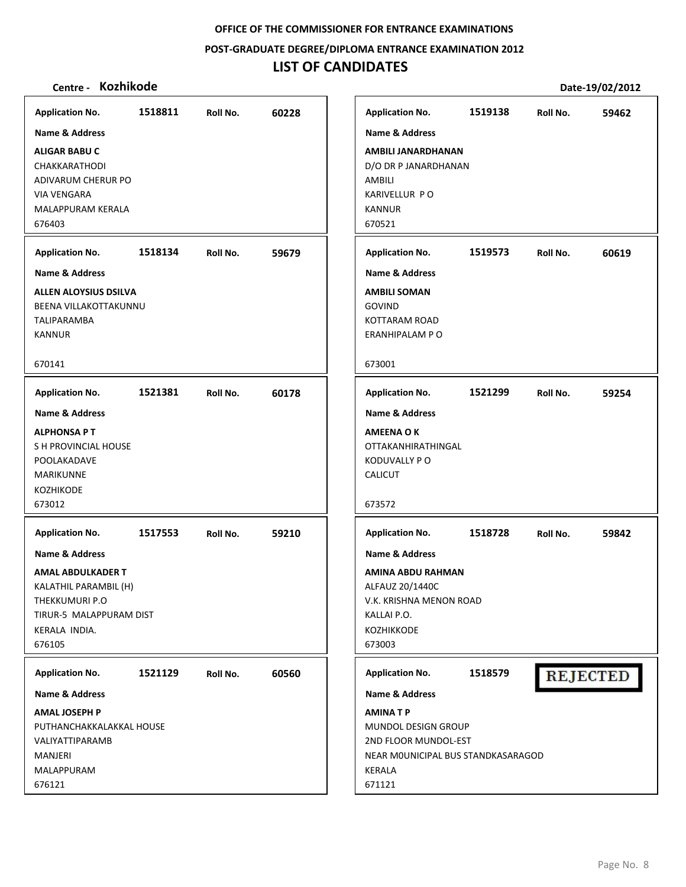**POST‐GRADUATE DEGREE/DIPLOMA ENTRANCE EXAMINATION 2012**

# **LIST OF CANDIDATES**

| <b>Application No.</b>       | 1518811 | Roll No. | 60228 | <b>Application No.</b>             | 1519138 | Roll No. | 59462           |
|------------------------------|---------|----------|-------|------------------------------------|---------|----------|-----------------|
| Name & Address               |         |          |       | <b>Name &amp; Address</b>          |         |          |                 |
| <b>ALIGAR BABU C</b>         |         |          |       | AMBILI JANARDHANAN                 |         |          |                 |
| CHAKKARATHODI                |         |          |       | D/O DR P JANARDHANAN               |         |          |                 |
| ADIVARUM CHERUR PO           |         |          |       | AMBILI                             |         |          |                 |
| <b>VIA VENGARA</b>           |         |          |       | KARIVELLUR PO                      |         |          |                 |
| MALAPPURAM KERALA            |         |          |       | <b>KANNUR</b>                      |         |          |                 |
| 676403                       |         |          |       | 670521                             |         |          |                 |
| <b>Application No.</b>       | 1518134 | Roll No. | 59679 | <b>Application No.</b>             | 1519573 | Roll No. | 60619           |
| <b>Name &amp; Address</b>    |         |          |       | <b>Name &amp; Address</b>          |         |          |                 |
| <b>ALLEN ALOYSIUS DSILVA</b> |         |          |       | <b>AMBILI SOMAN</b>                |         |          |                 |
| BEENA VILLAKOTTAKUNNU        |         |          |       | <b>GOVIND</b>                      |         |          |                 |
| <b>TALIPARAMBA</b>           |         |          |       | <b>KOTTARAM ROAD</b>               |         |          |                 |
| <b>KANNUR</b>                |         |          |       | ERANHIPALAM PO                     |         |          |                 |
| 670141                       |         |          |       | 673001                             |         |          |                 |
| <b>Application No.</b>       | 1521381 | Roll No. | 60178 | <b>Application No.</b>             | 1521299 | Roll No. | 59254           |
| <b>Name &amp; Address</b>    |         |          |       | <b>Name &amp; Address</b>          |         |          |                 |
| <b>ALPHONSA PT</b>           |         |          |       | <b>AMEENA OK</b>                   |         |          |                 |
| S H PROVINCIAL HOUSE         |         |          |       | <b>OTTAKANHIRATHINGAL</b>          |         |          |                 |
| POOLAKADAVE                  |         |          |       | KODUVALLY PO                       |         |          |                 |
| <b>MARIKUNNE</b>             |         |          |       | <b>CALICUT</b>                     |         |          |                 |
| <b>KOZHIKODE</b>             |         |          |       |                                    |         |          |                 |
| 673012                       |         |          |       | 673572                             |         |          |                 |
| <b>Application No.</b>       | 1517553 | Roll No. | 59210 | <b>Application No.</b>             | 1518728 | Roll No. | 59842           |
| <b>Name &amp; Address</b>    |         |          |       | <b>Name &amp; Address</b>          |         |          |                 |
| <b>AMAL ABDULKADER T</b>     |         |          |       | AMINA ABDU RAHMAN                  |         |          |                 |
| KALATHIL PARAMBIL (H)        |         |          |       | ALFAUZ 20/1440C                    |         |          |                 |
| THEKKUMURI P.O               |         |          |       | V.K. KRISHNA MENON ROAD            |         |          |                 |
| TIRUR-5 MALAPPURAM DIST      |         |          |       | KALLAI P.O.                        |         |          |                 |
| KERALA INDIA.                |         |          |       | KOZHIKKODE                         |         |          |                 |
| 676105                       |         |          |       | 673003                             |         |          |                 |
| <b>Application No.</b>       | 1521129 | Roll No. | 60560 | <b>Application No.</b>             | 1518579 |          | <b>REJECTED</b> |
| Name & Address               |         |          |       | <b>Name &amp; Address</b>          |         |          |                 |
| <b>AMAL JOSEPH P</b>         |         |          |       | <b>AMINATP</b>                     |         |          |                 |
| PUTHANCHAKKALAKKAL HOUSE     |         |          |       | MUNDOL DESIGN GROUP                |         |          |                 |
| <b>VALIYATTIPARAMB</b>       |         |          |       | 2ND FLOOR MUNDOL-EST               |         |          |                 |
| MANJERI                      |         |          |       | NEAR MOUNICIPAL BUS STANDKASARAGOD |         |          |                 |
| MALAPPURAM<br>676121         |         |          |       | <b>KERALA</b><br>671121            |         |          |                 |
|                              |         |          |       |                                    |         |          |                 |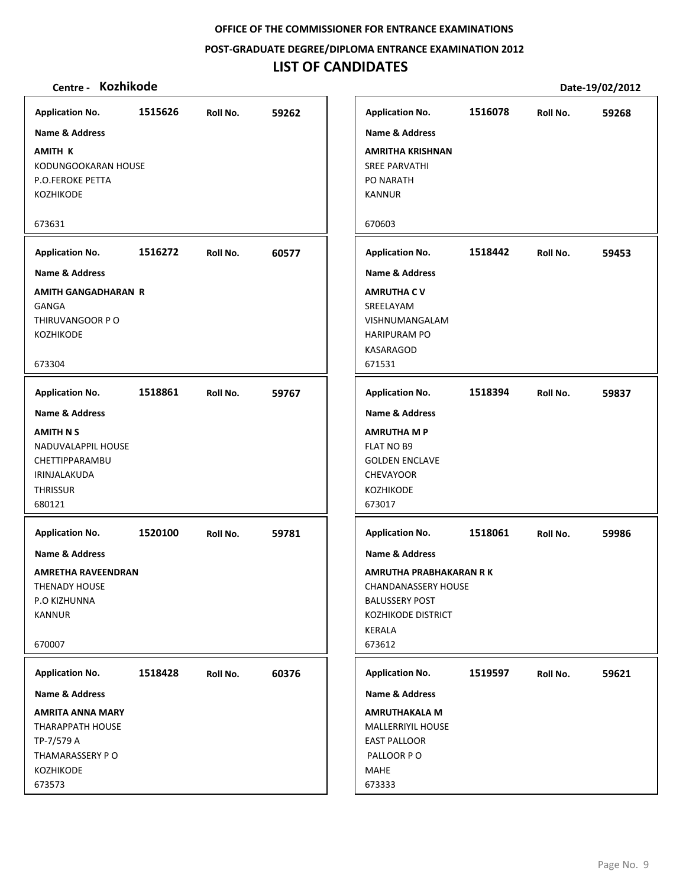**POST‐GRADUATE DEGREE/DIPLOMA ENTRANCE EXAMINATION 2012**

# **LIST OF CANDIDATES**

| Centre - Kozhikode         |         |          |       |                           |         |          | Date-19/02/2012 |
|----------------------------|---------|----------|-------|---------------------------|---------|----------|-----------------|
| <b>Application No.</b>     | 1515626 | Roll No. | 59262 | <b>Application No.</b>    | 1516078 | Roll No. | 59268           |
| <b>Name &amp; Address</b>  |         |          |       | <b>Name &amp; Address</b> |         |          |                 |
| <b>AMITH K</b>             |         |          |       | <b>AMRITHA KRISHNAN</b>   |         |          |                 |
| KODUNGOOKARAN HOUSE        |         |          |       | <b>SREE PARVATHI</b>      |         |          |                 |
| <b>P.O.FEROKE PETTA</b>    |         |          |       | PO NARATH                 |         |          |                 |
| KOZHIKODE                  |         |          |       | <b>KANNUR</b>             |         |          |                 |
|                            |         |          |       |                           |         |          |                 |
| 673631                     |         |          |       | 670603                    |         |          |                 |
| <b>Application No.</b>     | 1516272 | Roll No. | 60577 | <b>Application No.</b>    | 1518442 | Roll No. | 59453           |
| <b>Name &amp; Address</b>  |         |          |       | <b>Name &amp; Address</b> |         |          |                 |
| <b>AMITH GANGADHARAN R</b> |         |          |       | <b>AMRUTHA CV</b>         |         |          |                 |
| <b>GANGA</b>               |         |          |       | SREELAYAM                 |         |          |                 |
| THIRUVANGOOR PO            |         |          |       | VISHNUMANGALAM            |         |          |                 |
| KOZHIKODE                  |         |          |       | <b>HARIPURAM PO</b>       |         |          |                 |
|                            |         |          |       | <b>KASARAGOD</b>          |         |          |                 |
| 673304                     |         |          |       | 671531                    |         |          |                 |
| <b>Application No.</b>     | 1518861 | Roll No. | 59767 | <b>Application No.</b>    | 1518394 | Roll No. | 59837           |
| <b>Name &amp; Address</b>  |         |          |       | <b>Name &amp; Address</b> |         |          |                 |
| <b>AMITH N S</b>           |         |          |       | <b>AMRUTHA M P</b>        |         |          |                 |
| NADUVALAPPIL HOUSE         |         |          |       | FLAT NO B9                |         |          |                 |
| CHETTIPPARAMBU             |         |          |       | <b>GOLDEN ENCLAVE</b>     |         |          |                 |
| IRINJALAKUDA               |         |          |       | <b>CHEVAYOOR</b>          |         |          |                 |
| <b>THRISSUR</b>            |         |          |       | KOZHIKODE                 |         |          |                 |
| 680121                     |         |          |       | 673017                    |         |          |                 |
| <b>Application No.</b>     | 1520100 | Roll No. | 59781 | <b>Application No.</b>    | 1518061 | Roll No. | 59986           |
| Name & Address             |         |          |       | <b>Name &amp; Address</b> |         |          |                 |
| AMRETHA RAVEENDRAN         |         |          |       | AMRUTHA PRABHAKARAN R K   |         |          |                 |
| <b>THENADY HOUSE</b>       |         |          |       | CHANDANASSERY HOUSE       |         |          |                 |
| P.O KIZHUNNA               |         |          |       | <b>BALUSSERY POST</b>     |         |          |                 |
| <b>KANNUR</b>              |         |          |       | KOZHIKODE DISTRICT        |         |          |                 |
|                            |         |          |       | KERALA                    |         |          |                 |
| 670007                     |         |          |       | 673612                    |         |          |                 |
| <b>Application No.</b>     | 1518428 | Roll No. | 60376 | <b>Application No.</b>    | 1519597 | Roll No. | 59621           |
| Name & Address             |         |          |       | Name & Address            |         |          |                 |
| <b>AMRITA ANNA MARY</b>    |         |          |       | <b>AMRUTHAKALA M</b>      |         |          |                 |
| <b>THARAPPATH HOUSE</b>    |         |          |       | <b>MALLERRIYIL HOUSE</b>  |         |          |                 |
| TP-7/579 A                 |         |          |       | <b>EAST PALLOOR</b>       |         |          |                 |
| THAMARASSERY PO            |         |          |       | PALLOOR PO                |         |          |                 |
| <b>KOZHIKODE</b>           |         |          |       | <b>MAHE</b>               |         |          |                 |
| 673573                     |         |          |       | 673333                    |         |          |                 |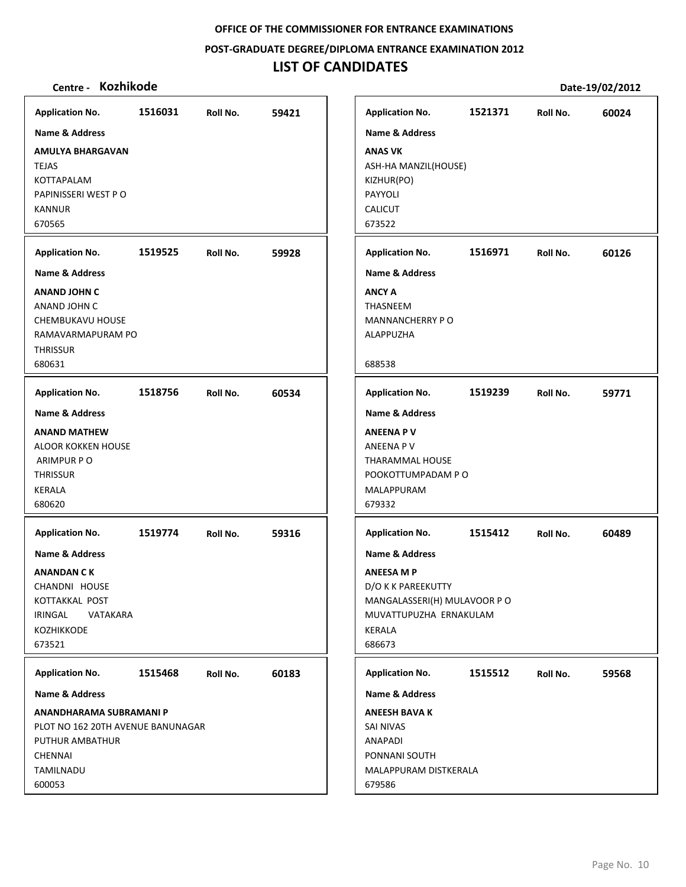**POST‐GRADUATE DEGREE/DIPLOMA ENTRANCE EXAMINATION 2012**

# **LIST OF CANDIDATES**

| <b>Application No.</b>                                                                                                                                        | 1516031 | Roll No. | 59421 | <b>Application No.</b>                                                                                                                                                     | 1521371 | Roll No. | 60024 |
|---------------------------------------------------------------------------------------------------------------------------------------------------------------|---------|----------|-------|----------------------------------------------------------------------------------------------------------------------------------------------------------------------------|---------|----------|-------|
| <b>Name &amp; Address</b><br><b>AMULYA BHARGAVAN</b><br><b>TEJAS</b><br>KOTTAPALAM<br>PAPINISSERI WEST PO                                                     |         |          |       | <b>Name &amp; Address</b><br><b>ANAS VK</b><br>ASH-HA MANZIL(HOUSE)<br>KIZHUR(PO)<br>PAYYOLI                                                                               |         |          |       |
| <b>KANNUR</b><br>670565                                                                                                                                       |         |          |       | <b>CALICUT</b><br>673522                                                                                                                                                   |         |          |       |
| <b>Application No.</b>                                                                                                                                        | 1519525 | Roll No. | 59928 | <b>Application No.</b>                                                                                                                                                     | 1516971 | Roll No. | 60126 |
| <b>Name &amp; Address</b><br><b>ANAND JOHN C</b><br>ANAND JOHN C<br>CHEMBUKAVU HOUSE<br>RAMAVARMAPURAM PO<br><b>THRISSUR</b><br>680631                        |         |          |       | <b>Name &amp; Address</b><br><b>ANCY A</b><br>THASNEEM<br>MANNANCHERRY PO<br>ALAPPUZHA<br>688538                                                                           |         |          |       |
| <b>Application No.</b>                                                                                                                                        | 1518756 | Roll No. | 60534 | <b>Application No.</b>                                                                                                                                                     | 1519239 | Roll No. | 59771 |
| <b>Name &amp; Address</b><br><b>ANAND MATHEW</b><br><b>ALOOR KOKKEN HOUSE</b><br>ARIMPUR PO<br><b>THRISSUR</b><br>KERALA<br>680620                            |         |          |       | <b>Name &amp; Address</b><br><b>ANEENA PV</b><br>ANEENA P V<br>THARAMMAL HOUSE<br>POOKOTTUMPADAM PO<br>MALAPPURAM<br>679332                                                |         |          |       |
| <b>Application No.</b><br><b>Name &amp; Address</b><br>ANANDAN C K<br>CHANDNI HOUSE<br>KOTTAKKAL POST<br>IRINGAL<br>VATAKARA<br><b>KOZHIKKODE</b><br>673521   | 1519774 | Roll No. | 59316 | <b>Application No.</b><br><b>Name &amp; Address</b><br><b>ANEESA MP</b><br>D/O K K PAREEKUTTY<br>MANGALASSERI(H) MULAVOOR PO<br>MUVATTUPUZHA ERNAKULAM<br>KERALA<br>686673 | 1515412 | Roll No. | 60489 |
| <b>Application No.</b><br>Name & Address<br>ANANDHARAMA SUBRAMANI P<br>PLOT NO 162 20TH AVENUE BANUNAGAR<br>PUTHUR AMBATHUR<br>CHENNAI<br>TAMILNADU<br>600053 | 1515468 | Roll No. | 60183 | <b>Application No.</b><br>Name & Address<br><b>ANEESH BAVA K</b><br>SAI NIVAS<br>ANAPADI<br>PONNANI SOUTH<br>MALAPPURAM DISTKERALA<br>679586                               | 1515512 | Roll No. | 59568 |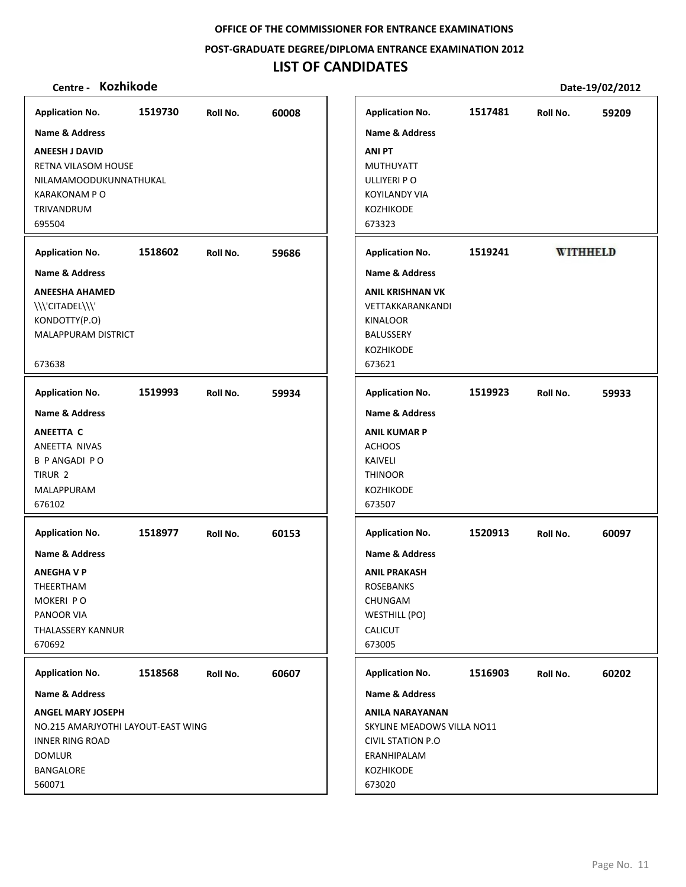**POST‐GRADUATE DEGREE/DIPLOMA ENTRANCE EXAMINATION 2012**

# **LIST OF CANDIDATES**

| <b>Application No.</b>                                                                                                                        | 1519730 | Roll No. | 60008 |                                                                   | <b>Application No.</b>                                                                             | 1517481 | Roll No. | 59209           |
|-----------------------------------------------------------------------------------------------------------------------------------------------|---------|----------|-------|-------------------------------------------------------------------|----------------------------------------------------------------------------------------------------|---------|----------|-----------------|
| Name & Address                                                                                                                                |         |          |       |                                                                   | Name & Address                                                                                     |         |          |                 |
| <b>ANEESH J DAVID</b><br><b>RETNA VILASOM HOUSE</b><br>NILAMAMOODUKUNNATHUKAL<br>KARAKONAM P O<br><b>TRIVANDRUM</b><br>695504                 |         |          |       | <b>ANI PT</b><br>ULLIYERI PO<br><b>KOZHIKODE</b><br>673323        | MUTHUYATT<br>KOYILANDY VIA                                                                         |         |          |                 |
| <b>Application No.</b>                                                                                                                        | 1518602 | Roll No. | 59686 |                                                                   | <b>Application No.</b>                                                                             | 1519241 |          | <b>WITHHELD</b> |
| <b>Name &amp; Address</b>                                                                                                                     |         |          |       |                                                                   | <b>Name &amp; Address</b>                                                                          |         |          |                 |
| <b>ANEESHA AHAMED</b><br>\\\'CITADEL\\\'<br>KONDOTTY(P.O)<br>MALAPPURAM DISTRICT<br>673638                                                    |         |          |       | KINALOOR<br>BALUSSERY<br>KOZHIKODE<br>673621                      | <b>ANIL KRISHNAN VK</b><br>VETTAKKARANKANDI                                                        |         |          |                 |
|                                                                                                                                               |         |          |       |                                                                   |                                                                                                    |         |          |                 |
| <b>Application No.</b>                                                                                                                        | 1519993 | Roll No. | 59934 |                                                                   | <b>Application No.</b>                                                                             | 1519923 | Roll No. | 59933           |
| <b>Name &amp; Address</b><br><b>ANEETTA C</b><br>ANEETTA NIVAS<br><b>B PANGADI PO</b><br>TIRUR <sub>2</sub><br>MALAPPURAM<br>676102           |         |          |       | <b>ACHOOS</b><br>KAIVELI<br><b>THINOOR</b><br>KOZHIKODE<br>673507 | <b>Name &amp; Address</b><br><b>ANIL KUMAR P</b>                                                   |         |          |                 |
| <b>Application No.</b><br><b>Name &amp; Address</b><br><b>ANEGHAVP</b><br>THEERTHAM<br>MOKERI PO<br>PANOOR VIA<br>THALASSERY KANNUR<br>670692 | 1518977 | Roll No. | 60153 | <b>ROSEBANKS</b><br>CHUNGAM<br><b>CALICUT</b><br>673005           | <b>Application No.</b><br><b>Name &amp; Address</b><br><b>ANIL PRAKASH</b><br><b>WESTHILL (PO)</b> | 1520913 | Roll No. | 60097           |
| <b>Application No.</b>                                                                                                                        | 1518568 | Roll No. | 60607 |                                                                   | <b>Application No.</b>                                                                             | 1516903 | Roll No. | 60202           |
| Name & Address                                                                                                                                |         |          |       |                                                                   | Name & Address                                                                                     |         |          |                 |
| <b>ANGEL MARY JOSEPH</b><br>NO.215 AMARJYOTHI LAYOUT-EAST WING<br><b>INNER RING ROAD</b><br><b>DOMLUR</b><br><b>BANGALORE</b><br>560071       |         |          |       | KOZHIKODE<br>673020                                               | <b>ANILA NARAYANAN</b><br>SKYLINE MEADOWS VILLA NO11<br><b>CIVIL STATION P.O</b><br>ERANHIPALAM    |         |          |                 |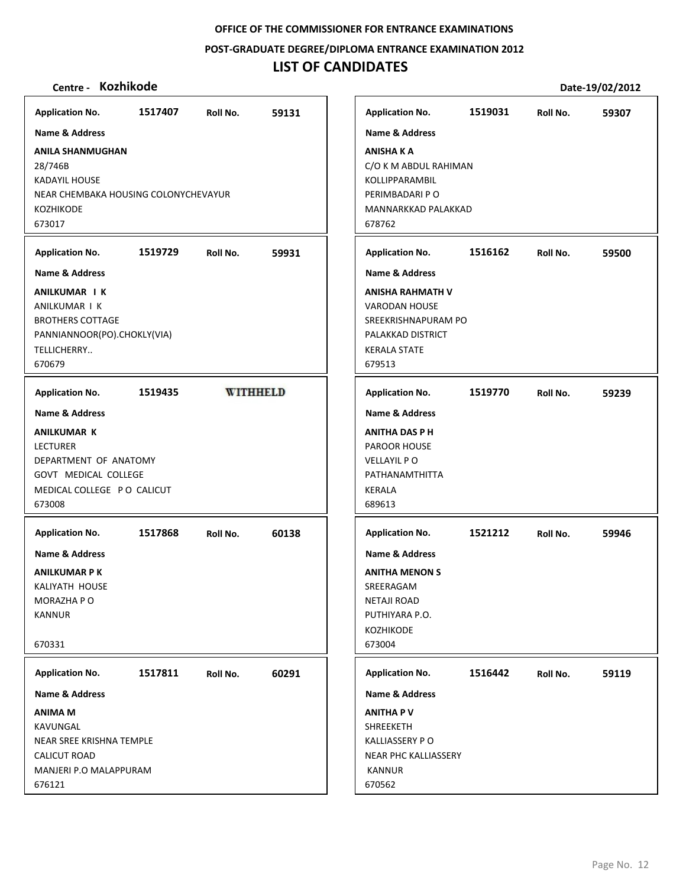**POST‐GRADUATE DEGREE/DIPLOMA ENTRANCE EXAMINATION 2012**

# **LIST OF CANDIDATES**

| Kozhikode<br>Centre -                                                                                                            |         |                 |       |                                                                                                                                       |         |          | Date-19/02/2012 |
|----------------------------------------------------------------------------------------------------------------------------------|---------|-----------------|-------|---------------------------------------------------------------------------------------------------------------------------------------|---------|----------|-----------------|
| <b>Application No.</b>                                                                                                           | 1517407 | Roll No.        | 59131 | <b>Application No.</b>                                                                                                                | 1519031 | Roll No. | 59307           |
| Name & Address                                                                                                                   |         |                 |       | <b>Name &amp; Address</b>                                                                                                             |         |          |                 |
| <b>ANILA SHANMUGHAN</b><br>28/746B<br><b>KADAYIL HOUSE</b><br>NEAR CHEMBAKA HOUSING COLONYCHEVAYUR<br><b>KOZHIKODE</b><br>673017 |         |                 |       | <b>ANISHA K A</b><br>C/O K M ABDUL RAHIMAN<br>KOLLIPPARAMBIL<br>PERIMBADARI P O<br>MANNARKKAD PALAKKAD<br>678762                      |         |          |                 |
| <b>Application No.</b>                                                                                                           | 1519729 | Roll No.        | 59931 | <b>Application No.</b>                                                                                                                | 1516162 | Roll No. | 59500           |
| <b>Name &amp; Address</b>                                                                                                        |         |                 |       | <b>Name &amp; Address</b>                                                                                                             |         |          |                 |
| <b>ANILKUMAR I K</b><br>ANILKUMAR I K<br><b>BROTHERS COTTAGE</b><br>PANNIANNOOR(PO).CHOKLY(VIA)<br>TELLICHERRY<br>670679         |         |                 |       | <b>ANISHA RAHMATH V</b><br><b>VARODAN HOUSE</b><br>SREEKRISHNAPURAM PO<br>PALAKKAD DISTRICT<br><b>KERALA STATE</b><br>679513          |         |          |                 |
| <b>Application No.</b>                                                                                                           | 1519435 | <b>WITHHELD</b> |       | <b>Application No.</b>                                                                                                                | 1519770 | Roll No. | 59239           |
| Name & Address                                                                                                                   |         |                 |       | <b>Name &amp; Address</b>                                                                                                             |         |          |                 |
| <b>ANILKUMAR K</b><br><b>LECTURER</b><br>DEPARTMENT OF ANATOMY<br>GOVT MEDICAL COLLEGE<br>MEDICAL COLLEGE PO CALICUT<br>673008   |         |                 |       | <b>ANITHA DAS P H</b><br>PAROOR HOUSE<br><b>VELLAYIL PO</b><br>PATHANAMTHITTA<br><b>KERALA</b><br>689613                              |         |          |                 |
| <b>Application No.</b>                                                                                                           | 1517868 | Roll No.        | 60138 | <b>Application No.</b>                                                                                                                | 1521212 | Roll No. | 59946           |
| <b>Name &amp; Address</b><br><b>ANILKUMAR P K</b><br>KALIYATH HOUSE<br>MORAZHA P O<br><b>KANNUR</b><br>670331                    |         |                 |       | <b>Name &amp; Address</b><br><b>ANITHA MENON S</b><br>SREERAGAM<br><b>NETAJI ROAD</b><br>PUTHIYARA P.O.<br><b>KOZHIKODE</b><br>673004 |         |          |                 |
| <b>Application No.</b>                                                                                                           | 1517811 | Roll No.        | 60291 | <b>Application No.</b>                                                                                                                | 1516442 | Roll No. | 59119           |
| <b>Name &amp; Address</b>                                                                                                        |         |                 |       | Name & Address                                                                                                                        |         |          |                 |
| ANIMA M<br>KAVUNGAL<br>NEAR SREE KRISHNA TEMPLE<br><b>CALICUT ROAD</b><br>MANJERI P.O MALAPPURAM<br>676121                       |         |                 |       | <b>ANITHA PV</b><br>SHREEKETH<br><b>KALLIASSERY PO</b><br>NEAR PHC KALLIASSERY<br>KANNUR<br>670562                                    |         |          |                 |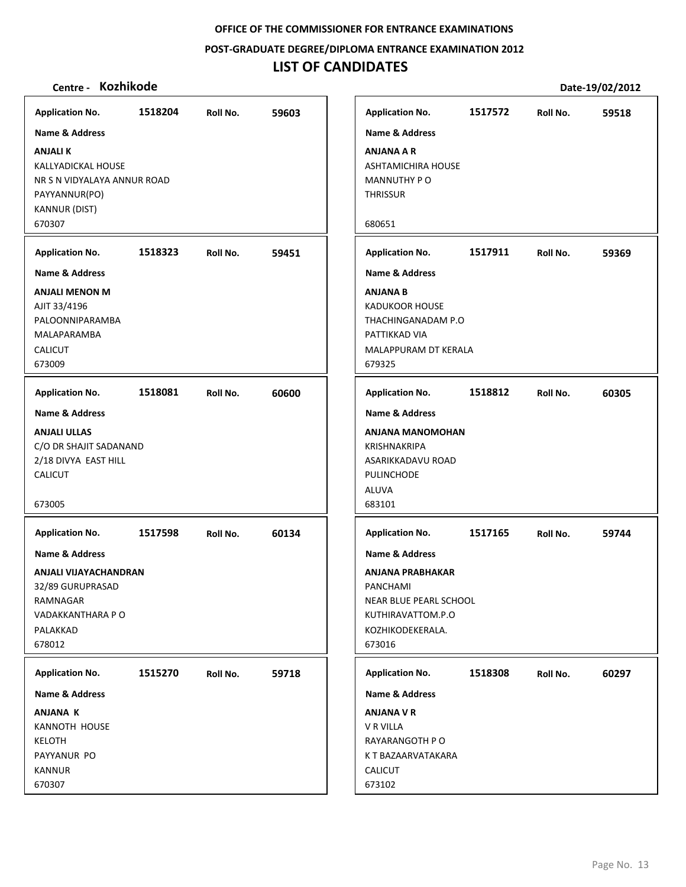**POST‐GRADUATE DEGREE/DIPLOMA ENTRANCE EXAMINATION 2012**

# **LIST OF CANDIDATES**

| Kozhikode<br>Centre -                                                                                                  |         |          |       |                                                                                                                   |         |          | Date-19/02/2012 |
|------------------------------------------------------------------------------------------------------------------------|---------|----------|-------|-------------------------------------------------------------------------------------------------------------------|---------|----------|-----------------|
| <b>Application No.</b>                                                                                                 | 1518204 | Roll No. | 59603 | <b>Application No.</b>                                                                                            | 1517572 | Roll No. | 59518           |
| <b>Name &amp; Address</b>                                                                                              |         |          |       | <b>Name &amp; Address</b>                                                                                         |         |          |                 |
| <b>ANJALIK</b><br>KALLYADICKAL HOUSE<br>NR S N VIDYALAYA ANNUR ROAD<br>PAYYANNUR(PO)<br><b>KANNUR (DIST)</b><br>670307 |         |          |       | <b>ANJANA A R</b><br>ASHTAMICHIRA HOUSE<br>MANNUTHY PO<br><b>THRISSUR</b><br>680651                               |         |          |                 |
| <b>Application No.</b>                                                                                                 | 1518323 | Roll No. | 59451 | <b>Application No.</b>                                                                                            | 1517911 | Roll No. | 59369           |
| Name & Address                                                                                                         |         |          |       | <b>Name &amp; Address</b>                                                                                         |         |          |                 |
| <b>ANJALI MENON M</b><br>AJIT 33/4196<br>PALOONNIPARAMBA<br>MALAPARAMBA<br><b>CALICUT</b><br>673009                    |         |          |       | <b>ANJANA B</b><br><b>KADUKOOR HOUSE</b><br>THACHINGANADAM P.O<br>PATTIKKAD VIA<br>MALAPPURAM DT KERALA<br>679325 |         |          |                 |
| <b>Application No.</b>                                                                                                 | 1518081 | Roll No. | 60600 | <b>Application No.</b>                                                                                            | 1518812 | Roll No. | 60305           |
| <b>Name &amp; Address</b>                                                                                              |         |          |       | <b>Name &amp; Address</b>                                                                                         |         |          |                 |
| <b>ANJALI ULLAS</b><br>C/O DR SHAJIT SADANAND<br>2/18 DIVYA EAST HILL<br>CALICUT<br>673005                             |         |          |       | <b>ANJANA MANOMOHAN</b><br>KRISHNAKRIPA<br>ASARIKKADAVU ROAD<br>PULINCHODE<br>ALUVA<br>683101                     |         |          |                 |
| <b>Application No.</b>                                                                                                 | 1517598 | Roll No. | 60134 | <b>Application No.</b>                                                                                            | 1517165 | Roll No. | 59744           |
| <b>Name &amp; Address</b>                                                                                              |         |          |       | <b>Name &amp; Address</b>                                                                                         |         |          |                 |
| ANJALI VIJAYACHANDRAN<br>32/89 GURUPRASAD<br>RAMNAGAR<br>VADAKKANTHARA P O<br>PALAKKAD<br>678012                       |         |          |       | <b>ANJANA PRABHAKAR</b><br>PANCHAMI<br>NEAR BLUE PEARL SCHOOL<br>KUTHIRAVATTOM.P.O<br>KOZHIKODEKERALA.<br>673016  |         |          |                 |
| <b>Application No.</b>                                                                                                 | 1515270 | Roll No. | 59718 | <b>Application No.</b>                                                                                            | 1518308 | Roll No. | 60297           |
| Name & Address                                                                                                         |         |          |       | <b>Name &amp; Address</b>                                                                                         |         |          |                 |
| <b>ANJANA K</b><br><b>KANNOTH HOUSE</b><br>KELOTH<br>PAYYANUR PO<br><b>KANNUR</b><br>670307                            |         |          |       | <b>ANJANA V R</b><br>V R VILLA<br>RAYARANGOTH P O<br>K T BAZAARVATAKARA<br><b>CALICUT</b><br>673102               |         |          |                 |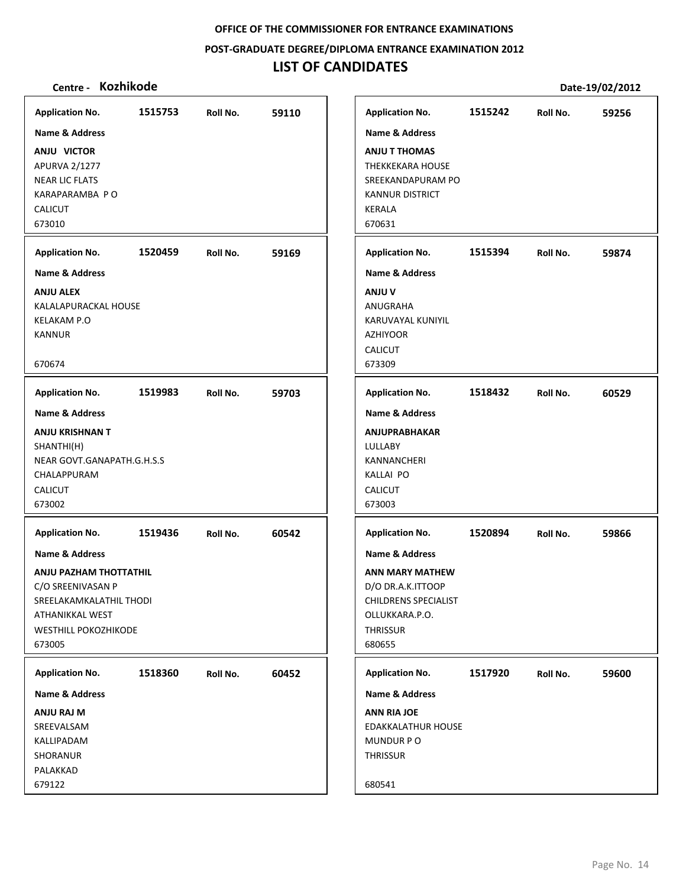**POST‐GRADUATE DEGREE/DIPLOMA ENTRANCE EXAMINATION 2012**

# **LIST OF CANDIDATES**

| <b>Application No.</b>      | 1515753 | Roll No. | 59110 |
|-----------------------------|---------|----------|-------|
| <b>Name &amp; Address</b>   |         |          |       |
| ANJU VICTOR                 |         |          |       |
| APURVA 2/1277               |         |          |       |
| <b>NEAR LIC FLATS</b>       |         |          |       |
| KARAPARAMBA PO              |         |          |       |
| <b>CALICUT</b>              |         |          |       |
| 673010                      |         |          |       |
| <b>Application No.</b>      | 1520459 | Roll No. | 59169 |
| <b>Name &amp; Address</b>   |         |          |       |
| <b>ANJU ALEX</b>            |         |          |       |
| KALALAPURACKAL HOUSE        |         |          |       |
| <b>KELAKAM P.O</b>          |         |          |       |
| <b>KANNUR</b>               |         |          |       |
| 670674                      |         |          |       |
|                             |         |          |       |
| <b>Application No.</b>      | 1519983 | Roll No. | 59703 |
| <b>Name &amp; Address</b>   |         |          |       |
| <b>ANJU KRISHNAN T</b>      |         |          |       |
| SHANTHI(H)                  |         |          |       |
| NEAR GOVT.GANAPATH.G.H.S.S  |         |          |       |
| CHALAPPURAM                 |         |          |       |
| <b>CALICUT</b>              |         |          |       |
| 673002                      |         |          |       |
| <b>Application No.</b>      | 1519436 | Roll No. | 60542 |
| <b>Name &amp; Address</b>   |         |          |       |
| ANJU PAZHAM THOTTATHIL      |         |          |       |
| C/O SREENIVASAN P           |         |          |       |
| SREELAKAMKALATHIL THODI     |         |          |       |
| ATHANIKKAL WEST             |         |          |       |
| <b>WESTHILL POKOZHIKODE</b> |         |          |       |
| 673005                      |         |          |       |
| <b>Application No.</b>      | 1518360 | Roll No. | 60452 |
| <b>Name &amp; Address</b>   |         |          |       |
| ANJU RAJ M                  |         |          |       |
| SREEVALSAM                  |         |          |       |
| KALLIPADAM                  |         |          |       |
| SHORANUR                    |         |          |       |
| PALAKKAD                    |         |          |       |
| 679122                      |         |          |       |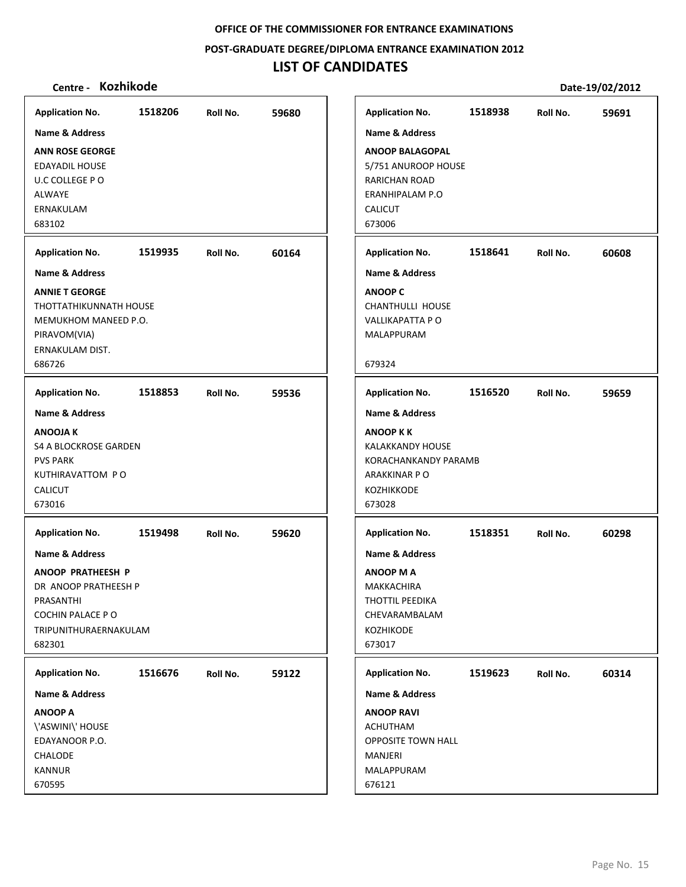**POST‐GRADUATE DEGREE/DIPLOMA ENTRANCE EXAMINATION 2012**

# **LIST OF CANDIDATES**

| <b>Application No.</b>                                                                                                                                    | 1518206 | Roll No. | 59680 | <b>Application No.</b>                                                                                                                           | 1518938 | Roll No. | 59691 |
|-----------------------------------------------------------------------------------------------------------------------------------------------------------|---------|----------|-------|--------------------------------------------------------------------------------------------------------------------------------------------------|---------|----------|-------|
| <b>Name &amp; Address</b><br><b>ANN ROSE GEORGE</b><br><b>EDAYADIL HOUSE</b><br>U.C COLLEGE PO<br><b>ALWAYE</b><br>ERNAKULAM<br>683102                    |         |          |       | Name & Address<br><b>ANOOP BALAGOPAL</b><br>5/751 ANUROOP HOUSE<br>RARICHAN ROAD<br>ERANHIPALAM P.O<br><b>CALICUT</b><br>673006                  |         |          |       |
| <b>Application No.</b>                                                                                                                                    | 1519935 | Roll No. | 60164 | <b>Application No.</b>                                                                                                                           | 1518641 | Roll No. | 60608 |
| <b>Name &amp; Address</b><br><b>ANNIE T GEORGE</b><br>THOTTATHIKUNNATH HOUSE<br>MEMUKHOM MANEED P.O.<br>PIRAVOM(VIA)<br>ERNAKULAM DIST.<br>686726         |         |          |       | <b>Name &amp; Address</b><br><b>ANOOP C</b><br><b>CHANTHULLI HOUSE</b><br>VALLIKAPATTA P O<br>MALAPPURAM<br>679324                               |         |          |       |
| <b>Application No.</b>                                                                                                                                    | 1518853 | Roll No. | 59536 | <b>Application No.</b>                                                                                                                           | 1516520 | Roll No. | 59659 |
| <b>Name &amp; Address</b><br><b>ANOOJAK</b><br><b>S4 A BLOCKROSE GARDEN</b><br><b>PVS PARK</b><br>KUTHIRAVATTOM PO<br><b>CALICUT</b><br>673016            |         |          |       | <b>Name &amp; Address</b><br><b>ANOOP KK</b><br>KALAKKANDY HOUSE<br>KORACHANKANDY PARAMB<br>ARAKKINAR P O<br>KOZHIKKODE<br>673028                |         |          |       |
| <b>Application No.</b><br>Name & Address<br>ANOOP PRATHEESH P<br>DR ANOOP PRATHEESH P<br>PRASANTHI<br>COCHIN PALACE PO<br>TRIPUNITHURAERNAKULAM<br>682301 | 1519498 | Roll No. | 59620 | <b>Application No.</b><br><b>Name &amp; Address</b><br>ANOOP M A<br>MAKKACHIRA<br>THOTTIL PEEDIKA<br>CHEVARAMBALAM<br><b>KOZHIKODE</b><br>673017 | 1518351 | Roll No. | 60298 |
| <b>Application No.</b><br><b>Name &amp; Address</b><br><b>ANOOP A</b><br>\'ASWINI\' HOUSE<br>EDAYANOOR P.O.<br><b>CHALODE</b><br><b>KANNUR</b><br>670595  | 1516676 | Roll No. | 59122 | <b>Application No.</b><br>Name & Address<br><b>ANOOP RAVI</b><br>ACHUTHAM<br>OPPOSITE TOWN HALL<br>MANJERI<br>MALAPPURAM<br>676121               | 1519623 | Roll No. | 60314 |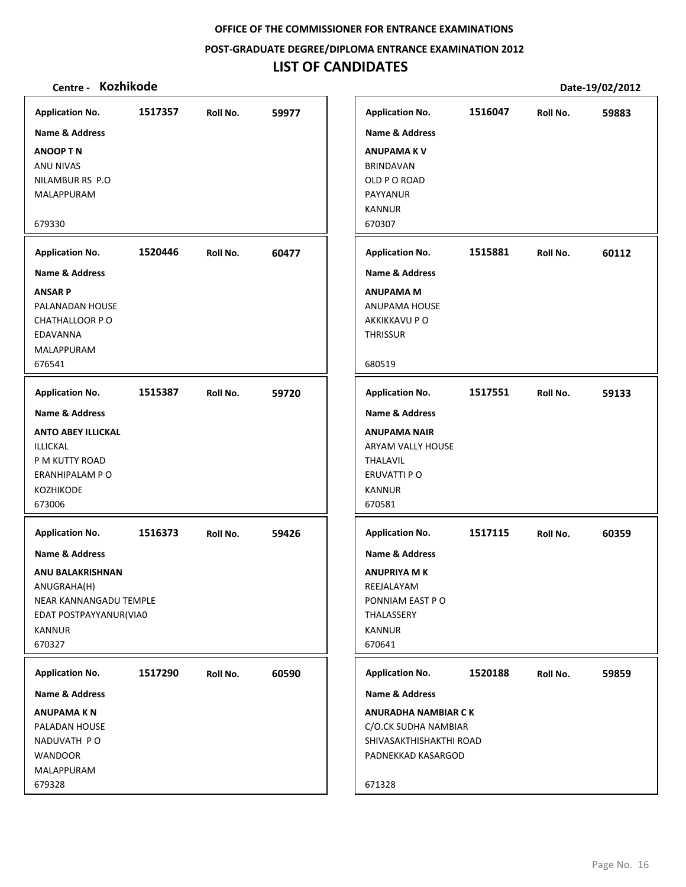## **POST‐GRADUATE DEGREE/DIPLOMA ENTRANCE EXAMINATION 2012**

# **LIST OF CANDIDATES**

| <b>Application No.</b><br><b>Name &amp; Address</b><br><b>ANOOP TN</b><br>ANU NIVAS<br>NILAMBUR RS P.O<br>MALAPPURAM                                              | 1517357 | Roll No. | 59977 | <b>Application No.</b><br><b>Name &amp; Address</b><br><b>ANUPAMAKV</b><br><b>BRINDAVAN</b><br>OLD P O ROAD<br>PAYYANUR<br><b>KANNUR</b>             | 1516047 | Roll No. | 59883 |
|-------------------------------------------------------------------------------------------------------------------------------------------------------------------|---------|----------|-------|------------------------------------------------------------------------------------------------------------------------------------------------------|---------|----------|-------|
| 679330                                                                                                                                                            |         |          |       | 670307                                                                                                                                               |         |          |       |
| <b>Application No.</b>                                                                                                                                            | 1520446 | Roll No. | 60477 | <b>Application No.</b>                                                                                                                               | 1515881 | Roll No. | 60112 |
| Name & Address<br><b>ANSAR P</b><br>PALANADAN HOUSE<br><b>CHATHALLOOR PO</b><br>EDAVANNA<br>MALAPPURAM<br>676541                                                  |         |          |       | <b>Name &amp; Address</b><br><b>ANUPAMA M</b><br>ANUPAMA HOUSE<br>AKKIKKAVU P O<br><b>THRISSUR</b><br>680519                                         |         |          |       |
| <b>Application No.</b>                                                                                                                                            | 1515387 | Roll No. | 59720 | <b>Application No.</b>                                                                                                                               | 1517551 | Roll No. | 59133 |
| <b>Name &amp; Address</b><br><b>ANTO ABEY ILLICKAL</b><br>ILLICKAL<br>P M KUTTY ROAD<br>ERANHIPALAM P O<br><b>KOZHIKODE</b><br>673006                             |         |          |       | <b>Name &amp; Address</b><br><b>ANUPAMA NAIR</b><br>ARYAM VALLY HOUSE<br><b>THALAVIL</b><br>ERUVATTI P O<br><b>KANNUR</b><br>670581                  |         |          |       |
| <b>Application No.</b><br>Name & Address<br><b>ANU BALAKRISHNAN</b><br>ANUGRAHA(H)<br>NEAR KANNANGADU TEMPLE<br>EDAT POSTPAYYANUR(VIA0<br><b>KANNUR</b><br>670327 | 1516373 | Roll No. | 59426 | <b>Application No.</b><br><b>Name &amp; Address</b><br><b>ANUPRIYA M K</b><br>REEJALAYAM<br>PONNIAM EAST PO<br>THALASSERY<br><b>KANNUR</b><br>670641 | 1517115 | Roll No. | 60359 |
| <b>Application No.</b>                                                                                                                                            | 1517290 | Roll No. | 60590 | <b>Application No.</b>                                                                                                                               | 1520188 | Roll No. | 59859 |
| <b>Name &amp; Address</b><br><b>ANUPAMAKN</b><br>PALADAN HOUSE<br>NADUVATH PO<br><b>WANDOOR</b><br>MALAPPURAM<br>679328                                           |         |          |       | <b>Name &amp; Address</b><br><b>ANURADHA NAMBIAR CK</b><br>C/O.CK SUDHA NAMBIAR<br>SHIVASAKTHISHAKTHI ROAD<br>PADNEKKAD KASARGOD<br>671328           |         |          |       |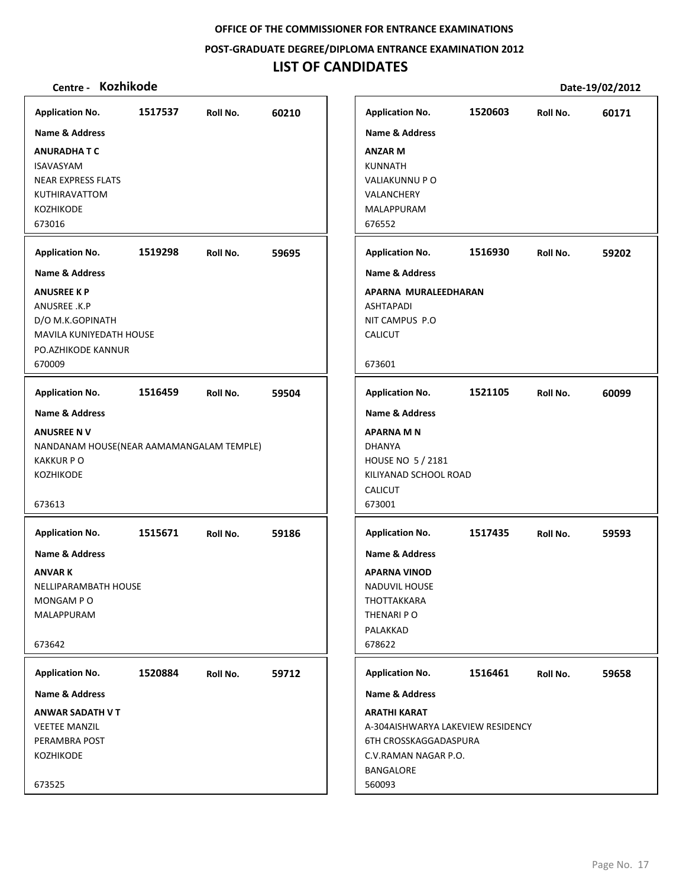**POST‐GRADUATE DEGREE/DIPLOMA ENTRANCE EXAMINATION 2012**

# **LIST OF CANDIDATES**

| <b>Application No.</b>                   | 1517537 | Roll No. | 60210 | <b>Application No.</b>            | 1520603 | Roll No. | 60171 |
|------------------------------------------|---------|----------|-------|-----------------------------------|---------|----------|-------|
| <b>Name &amp; Address</b>                |         |          |       | Name & Address                    |         |          |       |
| <b>ANURADHATC</b>                        |         |          |       | <b>ANZAR M</b>                    |         |          |       |
| <b>ISAVASYAM</b>                         |         |          |       | <b>KUNNATH</b>                    |         |          |       |
| <b>NEAR EXPRESS FLATS</b>                |         |          |       | VALIAKUNNU PO                     |         |          |       |
| KUTHIRAVATTOM                            |         |          |       | VALANCHERY                        |         |          |       |
| <b>KOZHIKODE</b>                         |         |          |       | MALAPPURAM                        |         |          |       |
| 673016                                   |         |          |       | 676552                            |         |          |       |
| <b>Application No.</b>                   | 1519298 | Roll No. | 59695 | <b>Application No.</b>            | 1516930 | Roll No. | 59202 |
| <b>Name &amp; Address</b>                |         |          |       | <b>Name &amp; Address</b>         |         |          |       |
| <b>ANUSREE K P</b>                       |         |          |       | APARNA MURALEEDHARAN              |         |          |       |
| ANUSREE .K.P                             |         |          |       | <b>ASHTAPADI</b>                  |         |          |       |
| D/O M.K.GOPINATH                         |         |          |       | NIT CAMPUS P.O                    |         |          |       |
| MAVILA KUNIYEDATH HOUSE                  |         |          |       | CALICUT                           |         |          |       |
| PO.AZHIKODE KANNUR                       |         |          |       |                                   |         |          |       |
| 670009                                   |         |          |       | 673601                            |         |          |       |
| <b>Application No.</b>                   | 1516459 | Roll No. | 59504 | <b>Application No.</b>            | 1521105 | Roll No. | 60099 |
| <b>Name &amp; Address</b>                |         |          |       | <b>Name &amp; Address</b>         |         |          |       |
| <b>ANUSREE NV</b>                        |         |          |       | <b>APARNA M N</b>                 |         |          |       |
| NANDANAM HOUSE(NEAR AAMAMANGALAM TEMPLE) |         |          |       | <b>DHANYA</b>                     |         |          |       |
| <b>KAKKURPO</b>                          |         |          |       | HOUSE NO 5 / 2181                 |         |          |       |
| <b>KOZHIKODE</b>                         |         |          |       | KILIYANAD SCHOOL ROAD             |         |          |       |
|                                          |         |          |       | <b>CALICUT</b>                    |         |          |       |
| 673613                                   |         |          |       | 673001                            |         |          |       |
| <b>Application No.</b>                   | 1515671 | Roll No. | 59186 | <b>Application No.</b>            | 1517435 | Roll No. | 59593 |
| Name & Address                           |         |          |       | <b>Name &amp; Address</b>         |         |          |       |
| <b>ANVARK</b>                            |         |          |       | <b>APARNA VINOD</b>               |         |          |       |
| NELLIPARAMBATH HOUSE                     |         |          |       | <b>NADUVIL HOUSE</b>              |         |          |       |
| MONGAM PO                                |         |          |       | THOTTAKKARA                       |         |          |       |
| MALAPPURAM                               |         |          |       | THENARI PO                        |         |          |       |
|                                          |         |          |       | PALAKKAD                          |         |          |       |
| 673642                                   |         |          |       | 678622                            |         |          |       |
| <b>Application No.</b>                   | 1520884 | Roll No. | 59712 | <b>Application No.</b>            | 1516461 | Roll No. | 59658 |
| Name & Address                           |         |          |       | <b>Name &amp; Address</b>         |         |          |       |
| <b>ANWAR SADATH V T</b>                  |         |          |       | <b>ARATHI KARAT</b>               |         |          |       |
| <b>VEETEE MANZIL</b>                     |         |          |       | A-304AISHWARYA LAKEVIEW RESIDENCY |         |          |       |
| PERAMBRA POST                            |         |          |       | 6TH CROSSKAGGADASPURA             |         |          |       |
| <b>KOZHIKODE</b>                         |         |          |       | C.V.RAMAN NAGAR P.O.              |         |          |       |
|                                          |         |          |       | BANGALORE                         |         |          |       |
| 673525                                   |         |          |       | 560093                            |         |          |       |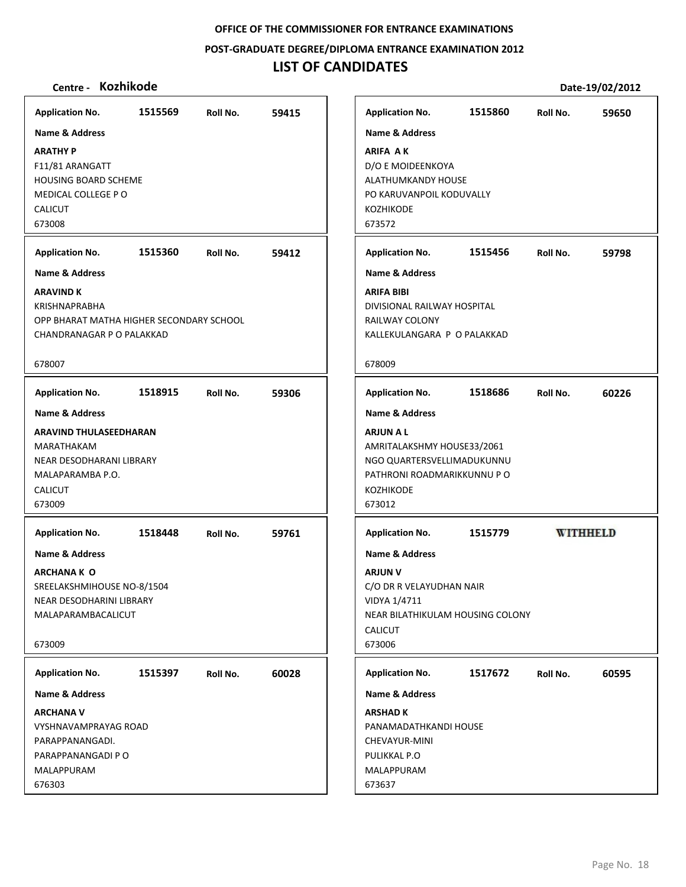**POST‐GRADUATE DEGREE/DIPLOMA ENTRANCE EXAMINATION 2012**

# **LIST OF CANDIDATES**

| <b>Application No.</b>                                                                                                                        | 1515569 | Roll No. | 59415 | <b>Application No.</b>                                                                                                                                                | 1515860 | Roll No. | 59650           |
|-----------------------------------------------------------------------------------------------------------------------------------------------|---------|----------|-------|-----------------------------------------------------------------------------------------------------------------------------------------------------------------------|---------|----------|-----------------|
| <b>Name &amp; Address</b>                                                                                                                     |         |          |       | <b>Name &amp; Address</b>                                                                                                                                             |         |          |                 |
| <b>ARATHY P</b><br>F11/81 ARANGATT<br><b>HOUSING BOARD SCHEME</b><br>MEDICAL COLLEGE PO<br><b>CALICUT</b><br>673008                           |         |          |       | <b>ARIFA AK</b><br>D/O E MOIDEENKOYA<br>ALATHUMKANDY HOUSE<br>PO KARUVANPOIL KODUVALLY<br>KOZHIKODE<br>673572                                                         |         |          |                 |
| <b>Application No.</b>                                                                                                                        | 1515360 | Roll No. | 59412 | <b>Application No.</b>                                                                                                                                                | 1515456 | Roll No. | 59798           |
| <b>Name &amp; Address</b>                                                                                                                     |         |          |       | <b>Name &amp; Address</b>                                                                                                                                             |         |          |                 |
| <b>ARAVIND K</b><br><b>KRISHNAPRABHA</b><br>OPP BHARAT MATHA HIGHER SECONDARY SCHOOL<br>CHANDRANAGAR P O PALAKKAD                             |         |          |       | <b>ARIFA BIBI</b><br>DIVISIONAL RAILWAY HOSPITAL<br>RAILWAY COLONY<br>KALLEKULANGARA P O PALAKKAD                                                                     |         |          |                 |
| 678007                                                                                                                                        |         |          |       | 678009                                                                                                                                                                |         |          |                 |
| <b>Application No.</b>                                                                                                                        | 1518915 | Roll No. | 59306 | <b>Application No.</b>                                                                                                                                                | 1518686 | Roll No. | 60226           |
| <b>Name &amp; Address</b><br>ARAVIND THULASEEDHARAN<br>MARATHAKAM<br>NEAR DESODHARANI LIBRARY<br>MALAPARAMBA P.O.<br><b>CALICUT</b><br>673009 |         |          |       | <b>Name &amp; Address</b><br><b>ARJUN A L</b><br>AMRITALAKSHMY HOUSE33/2061<br>NGO QUARTERSVELLIMADUKUNNU<br>PATHRONI ROADMARIKKUNNU PO<br><b>KOZHIKODE</b><br>673012 |         |          |                 |
| <b>Application No.</b>                                                                                                                        | 1518448 | Roll No. | 59761 | <b>Application No.</b>                                                                                                                                                | 1515779 |          | <b>WITHHELD</b> |
| <b>Name &amp; Address</b><br><b>ARCHANA K O</b><br>SREELAKSHMIHOUSE NO-8/1504<br>NEAR DESODHARINI LIBRARY<br>MALAPARAMBACALICUT<br>673009     |         |          |       | <b>Name &amp; Address</b><br><b>ARJUN V</b><br>C/O DR R VELAYUDHAN NAIR<br>VIDYA 1/4711<br>NEAR BILATHIKULAM HOUSING COLONY<br><b>CALICUT</b><br>673006               |         |          |                 |
| <b>Application No.</b>                                                                                                                        | 1515397 | Roll No. | 60028 | <b>Application No.</b>                                                                                                                                                | 1517672 | Roll No. | 60595           |
| <b>Name &amp; Address</b>                                                                                                                     |         |          |       | <b>Name &amp; Address</b>                                                                                                                                             |         |          |                 |
| <b>ARCHANA V</b><br><b>VYSHNAVAMPRAYAG ROAD</b><br>PARAPPANANGADI.<br>PARAPPANANGADI P O<br>MALAPPURAM<br>676303                              |         |          |       | <b>ARSHAD K</b><br>PANAMADATHKANDI HOUSE<br>CHEVAYUR-MINI<br>PULIKKAL P.O<br>MALAPPURAM<br>673637                                                                     |         |          |                 |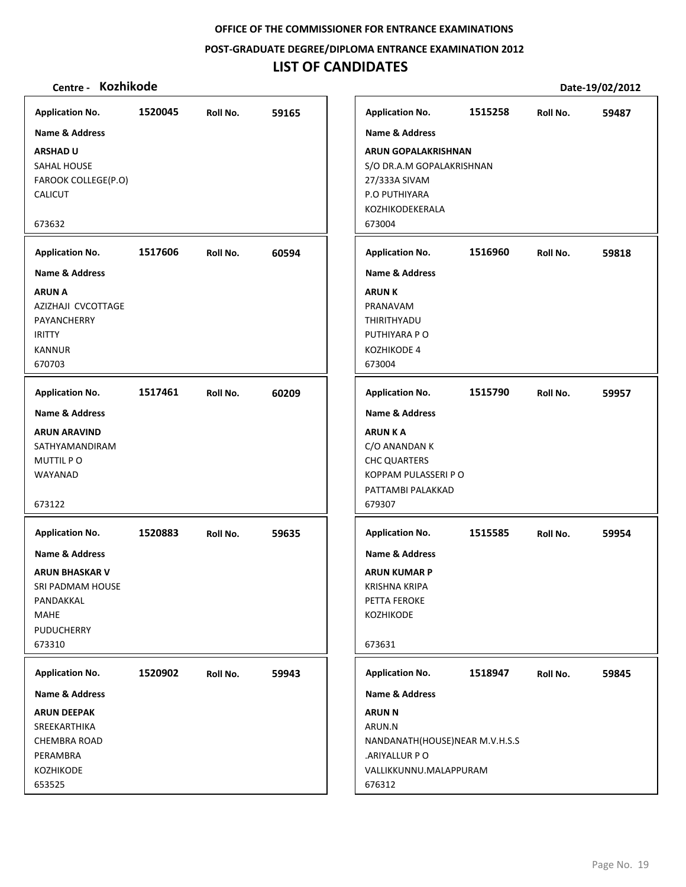## **POST‐GRADUATE DEGREE/DIPLOMA ENTRANCE EXAMINATION 2012**

# **LIST OF CANDIDATES**

| <b>Application No.</b>                                                                                                     | 1520045 | Roll No. | 59165 | <b>Application No.</b>                                                                                                                    | 1515258 | Roll No. | 59487 |
|----------------------------------------------------------------------------------------------------------------------------|---------|----------|-------|-------------------------------------------------------------------------------------------------------------------------------------------|---------|----------|-------|
| <b>Name &amp; Address</b>                                                                                                  |         |          |       | <b>Name &amp; Address</b>                                                                                                                 |         |          |       |
| <b>ARSHAD U</b><br>SAHAL HOUSE<br>FAROOK COLLEGE(P.O)<br><b>CALICUT</b><br>673632                                          |         |          |       | <b>ARUN GOPALAKRISHNAN</b><br>S/O DR.A.M GOPALAKRISHNAN<br>27/333A SIVAM<br>P.O PUTHIYARA<br>KOZHIKODEKERALA<br>673004                    |         |          |       |
| <b>Application No.</b>                                                                                                     | 1517606 | Roll No. | 60594 | <b>Application No.</b>                                                                                                                    | 1516960 | Roll No. | 59818 |
| <b>Name &amp; Address</b>                                                                                                  |         |          |       | <b>Name &amp; Address</b>                                                                                                                 |         |          |       |
| <b>ARUN A</b><br>AZIZHAJI CVCOTTAGE<br>PAYANCHERRY<br><b>IRITTY</b><br><b>KANNUR</b><br>670703                             |         |          |       | <b>ARUNK</b><br>PRANAVAM<br>THIRITHYADU<br>PUTHIYARA P O<br>KOZHIKODE 4<br>673004                                                         |         |          |       |
| <b>Application No.</b>                                                                                                     | 1517461 | Roll No. | 60209 | <b>Application No.</b>                                                                                                                    | 1515790 | Roll No. | 59957 |
| <b>Name &amp; Address</b><br><b>ARUN ARAVIND</b><br>SATHYAMANDIRAM<br><b>MUTTIL PO</b><br>WAYANAD<br>673122                |         |          |       | <b>Name &amp; Address</b><br><b>ARUNKA</b><br>C/O ANANDAN K<br><b>CHC QUARTERS</b><br>KOPPAM PULASSERI P O<br>PATTAMBI PALAKKAD<br>679307 |         |          |       |
| <b>Application No.</b>                                                                                                     | 1520883 | Roll No. | 59635 | <b>Application No.</b>                                                                                                                    | 1515585 | Roll No. | 59954 |
| <b>Name &amp; Address</b><br><b>ARUN BHASKAR V</b><br>SRI PADMAM HOUSE<br>PANDAKKAL<br><b>MAHE</b><br>PUDUCHERRY<br>673310 |         |          |       | <b>Name &amp; Address</b><br><b>ARUN KUMAR P</b><br><b>KRISHNA KRIPA</b><br>PETTA FEROKE<br>KOZHIKODE<br>673631                           |         |          |       |
| <b>Application No.</b>                                                                                                     | 1520902 | Roll No. | 59943 | <b>Application No.</b>                                                                                                                    | 1518947 | Roll No. | 59845 |
| Name & Address                                                                                                             |         |          |       | Name & Address                                                                                                                            |         |          |       |
| <b>ARUN DEEPAK</b><br>SREEKARTHIKA<br><b>CHEMBRA ROAD</b><br>PERAMBRA<br>KOZHIKODE<br>653525                               |         |          |       | <b>ARUN N</b><br>ARUN.N<br>NANDANATH(HOUSE)NEAR M.V.H.S.S<br>.ARIYALLUR PO<br>VALLIKKUNNU.MALAPPURAM<br>676312                            |         |          |       |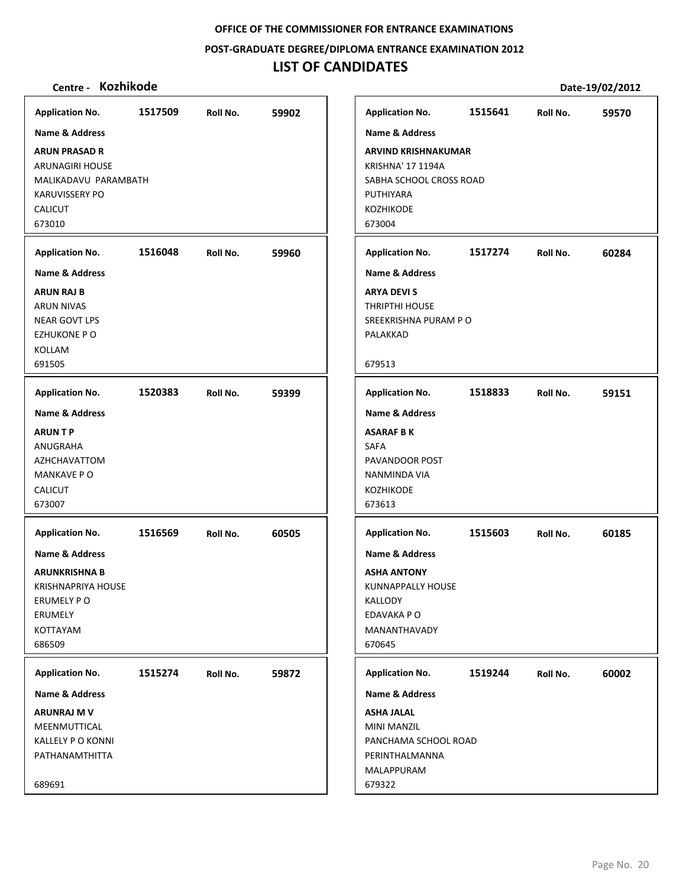**POST‐GRADUATE DEGREE/DIPLOMA ENTRANCE EXAMINATION 2012**

# **LIST OF CANDIDATES**

| Name & Address<br>Name & Address<br><b>ARUN PRASAD R</b><br><b>ARVIND KRISHNAKUMAR</b><br>KRISHNA' 17 1194A<br><b>ARUNAGIRI HOUSE</b><br>SABHA SCHOOL CROSS ROAD<br>MALIKADAVU PARAMBATH<br>PUTHIYARA<br><b>KARUVISSERY PO</b><br><b>CALICUT</b><br><b>KOZHIKODE</b><br>673010<br>673004<br>1516048<br><b>Application No.</b><br>59960<br><b>Application No.</b><br>1517274<br>Roll No.<br>Roll No.<br>Name & Address<br><b>Name &amp; Address</b><br><b>ARUN RAJ B</b><br><b>ARYA DEVI S</b><br>THRIPTHI HOUSE<br><b>ARUN NIVAS</b><br>SREEKRISHNA PURAM P O<br><b>NEAR GOVT LPS</b><br><b>EZHUKONE P O</b><br>PALAKKAD<br>KOLLAM<br>691505<br>679513<br><b>Application No.</b><br>1520383<br><b>Application No.</b><br>1518833<br>Roll No.<br>59399<br>Roll No.<br><b>Name &amp; Address</b><br><b>Name &amp; Address</b><br><b>ARUNTP</b><br><b>ASARAF BK</b><br>ANUGRAHA<br><b>SAFA</b><br>PAVANDOOR POST<br>AZHCHAVATTOM<br><b>MANKAVE PO</b><br>NANMINDA VIA<br><b>CALICUT</b><br><b>KOZHIKODE</b><br>673007<br>673613<br><b>Application No.</b><br>1516569<br>60505<br><b>Application No.</b><br>1515603<br>Roll No.<br>Roll No.<br><b>Name &amp; Address</b><br><b>Name &amp; Address</b><br><b>ARUNKRISHNA B</b><br><b>ASHA ANTONY</b><br><b>KRISHNAPRIYA HOUSE</b><br>KUNNAPPALLY HOUSE<br>ERUMELY PO<br>KALLODY<br>ERUMELY<br>EDAVAKA PO<br>KOTTAYAM<br>MANANTHAVADY<br>686509<br>670645<br>1515274<br>1519244<br><b>Application No.</b><br>Roll No.<br>59872<br><b>Application No.</b><br>Roll No.<br>Name & Address<br>Name & Address<br><b>ASHA JALAL</b><br><b>ARUNRAJ M V</b><br><b>MINI MANZIL</b><br>MEENMUTTICAL<br><b>KALLELY P O KONNI</b><br>PANCHAMA SCHOOL ROAD<br>PATHANAMTHITTA<br>PERINTHALMANNA<br>MALAPPURAM<br>679322 | <b>Application No.</b> | 1517509 | Roll No. | 59902 |
|-----------------------------------------------------------------------------------------------------------------------------------------------------------------------------------------------------------------------------------------------------------------------------------------------------------------------------------------------------------------------------------------------------------------------------------------------------------------------------------------------------------------------------------------------------------------------------------------------------------------------------------------------------------------------------------------------------------------------------------------------------------------------------------------------------------------------------------------------------------------------------------------------------------------------------------------------------------------------------------------------------------------------------------------------------------------------------------------------------------------------------------------------------------------------------------------------------------------------------------------------------------------------------------------------------------------------------------------------------------------------------------------------------------------------------------------------------------------------------------------------------------------------------------------------------------------------------------------------------------------------------------------------------------------------------------------------------------------------------------------------------|------------------------|---------|----------|-------|
| 60284<br>59151<br>60185<br>60002                                                                                                                                                                                                                                                                                                                                                                                                                                                                                                                                                                                                                                                                                                                                                                                                                                                                                                                                                                                                                                                                                                                                                                                                                                                                                                                                                                                                                                                                                                                                                                                                                                                                                                                    |                        |         |          |       |
|                                                                                                                                                                                                                                                                                                                                                                                                                                                                                                                                                                                                                                                                                                                                                                                                                                                                                                                                                                                                                                                                                                                                                                                                                                                                                                                                                                                                                                                                                                                                                                                                                                                                                                                                                     |                        |         |          |       |
|                                                                                                                                                                                                                                                                                                                                                                                                                                                                                                                                                                                                                                                                                                                                                                                                                                                                                                                                                                                                                                                                                                                                                                                                                                                                                                                                                                                                                                                                                                                                                                                                                                                                                                                                                     |                        |         |          |       |
|                                                                                                                                                                                                                                                                                                                                                                                                                                                                                                                                                                                                                                                                                                                                                                                                                                                                                                                                                                                                                                                                                                                                                                                                                                                                                                                                                                                                                                                                                                                                                                                                                                                                                                                                                     |                        |         |          |       |
|                                                                                                                                                                                                                                                                                                                                                                                                                                                                                                                                                                                                                                                                                                                                                                                                                                                                                                                                                                                                                                                                                                                                                                                                                                                                                                                                                                                                                                                                                                                                                                                                                                                                                                                                                     |                        |         |          |       |
|                                                                                                                                                                                                                                                                                                                                                                                                                                                                                                                                                                                                                                                                                                                                                                                                                                                                                                                                                                                                                                                                                                                                                                                                                                                                                                                                                                                                                                                                                                                                                                                                                                                                                                                                                     |                        |         |          |       |
|                                                                                                                                                                                                                                                                                                                                                                                                                                                                                                                                                                                                                                                                                                                                                                                                                                                                                                                                                                                                                                                                                                                                                                                                                                                                                                                                                                                                                                                                                                                                                                                                                                                                                                                                                     |                        |         |          |       |
|                                                                                                                                                                                                                                                                                                                                                                                                                                                                                                                                                                                                                                                                                                                                                                                                                                                                                                                                                                                                                                                                                                                                                                                                                                                                                                                                                                                                                                                                                                                                                                                                                                                                                                                                                     |                        |         |          |       |
|                                                                                                                                                                                                                                                                                                                                                                                                                                                                                                                                                                                                                                                                                                                                                                                                                                                                                                                                                                                                                                                                                                                                                                                                                                                                                                                                                                                                                                                                                                                                                                                                                                                                                                                                                     |                        |         |          |       |
|                                                                                                                                                                                                                                                                                                                                                                                                                                                                                                                                                                                                                                                                                                                                                                                                                                                                                                                                                                                                                                                                                                                                                                                                                                                                                                                                                                                                                                                                                                                                                                                                                                                                                                                                                     |                        |         |          |       |
|                                                                                                                                                                                                                                                                                                                                                                                                                                                                                                                                                                                                                                                                                                                                                                                                                                                                                                                                                                                                                                                                                                                                                                                                                                                                                                                                                                                                                                                                                                                                                                                                                                                                                                                                                     |                        |         |          |       |
|                                                                                                                                                                                                                                                                                                                                                                                                                                                                                                                                                                                                                                                                                                                                                                                                                                                                                                                                                                                                                                                                                                                                                                                                                                                                                                                                                                                                                                                                                                                                                                                                                                                                                                                                                     |                        |         |          |       |
|                                                                                                                                                                                                                                                                                                                                                                                                                                                                                                                                                                                                                                                                                                                                                                                                                                                                                                                                                                                                                                                                                                                                                                                                                                                                                                                                                                                                                                                                                                                                                                                                                                                                                                                                                     |                        |         |          |       |
|                                                                                                                                                                                                                                                                                                                                                                                                                                                                                                                                                                                                                                                                                                                                                                                                                                                                                                                                                                                                                                                                                                                                                                                                                                                                                                                                                                                                                                                                                                                                                                                                                                                                                                                                                     |                        |         |          |       |
|                                                                                                                                                                                                                                                                                                                                                                                                                                                                                                                                                                                                                                                                                                                                                                                                                                                                                                                                                                                                                                                                                                                                                                                                                                                                                                                                                                                                                                                                                                                                                                                                                                                                                                                                                     |                        |         |          |       |
|                                                                                                                                                                                                                                                                                                                                                                                                                                                                                                                                                                                                                                                                                                                                                                                                                                                                                                                                                                                                                                                                                                                                                                                                                                                                                                                                                                                                                                                                                                                                                                                                                                                                                                                                                     |                        |         |          |       |
|                                                                                                                                                                                                                                                                                                                                                                                                                                                                                                                                                                                                                                                                                                                                                                                                                                                                                                                                                                                                                                                                                                                                                                                                                                                                                                                                                                                                                                                                                                                                                                                                                                                                                                                                                     |                        |         |          |       |
|                                                                                                                                                                                                                                                                                                                                                                                                                                                                                                                                                                                                                                                                                                                                                                                                                                                                                                                                                                                                                                                                                                                                                                                                                                                                                                                                                                                                                                                                                                                                                                                                                                                                                                                                                     |                        |         |          |       |
|                                                                                                                                                                                                                                                                                                                                                                                                                                                                                                                                                                                                                                                                                                                                                                                                                                                                                                                                                                                                                                                                                                                                                                                                                                                                                                                                                                                                                                                                                                                                                                                                                                                                                                                                                     |                        |         |          |       |
|                                                                                                                                                                                                                                                                                                                                                                                                                                                                                                                                                                                                                                                                                                                                                                                                                                                                                                                                                                                                                                                                                                                                                                                                                                                                                                                                                                                                                                                                                                                                                                                                                                                                                                                                                     |                        |         |          |       |
|                                                                                                                                                                                                                                                                                                                                                                                                                                                                                                                                                                                                                                                                                                                                                                                                                                                                                                                                                                                                                                                                                                                                                                                                                                                                                                                                                                                                                                                                                                                                                                                                                                                                                                                                                     |                        |         |          |       |
|                                                                                                                                                                                                                                                                                                                                                                                                                                                                                                                                                                                                                                                                                                                                                                                                                                                                                                                                                                                                                                                                                                                                                                                                                                                                                                                                                                                                                                                                                                                                                                                                                                                                                                                                                     |                        |         |          |       |
|                                                                                                                                                                                                                                                                                                                                                                                                                                                                                                                                                                                                                                                                                                                                                                                                                                                                                                                                                                                                                                                                                                                                                                                                                                                                                                                                                                                                                                                                                                                                                                                                                                                                                                                                                     |                        |         |          |       |
|                                                                                                                                                                                                                                                                                                                                                                                                                                                                                                                                                                                                                                                                                                                                                                                                                                                                                                                                                                                                                                                                                                                                                                                                                                                                                                                                                                                                                                                                                                                                                                                                                                                                                                                                                     |                        |         |          |       |
|                                                                                                                                                                                                                                                                                                                                                                                                                                                                                                                                                                                                                                                                                                                                                                                                                                                                                                                                                                                                                                                                                                                                                                                                                                                                                                                                                                                                                                                                                                                                                                                                                                                                                                                                                     |                        |         |          |       |
|                                                                                                                                                                                                                                                                                                                                                                                                                                                                                                                                                                                                                                                                                                                                                                                                                                                                                                                                                                                                                                                                                                                                                                                                                                                                                                                                                                                                                                                                                                                                                                                                                                                                                                                                                     |                        |         |          |       |
|                                                                                                                                                                                                                                                                                                                                                                                                                                                                                                                                                                                                                                                                                                                                                                                                                                                                                                                                                                                                                                                                                                                                                                                                                                                                                                                                                                                                                                                                                                                                                                                                                                                                                                                                                     |                        |         |          |       |
|                                                                                                                                                                                                                                                                                                                                                                                                                                                                                                                                                                                                                                                                                                                                                                                                                                                                                                                                                                                                                                                                                                                                                                                                                                                                                                                                                                                                                                                                                                                                                                                                                                                                                                                                                     |                        |         |          |       |
|                                                                                                                                                                                                                                                                                                                                                                                                                                                                                                                                                                                                                                                                                                                                                                                                                                                                                                                                                                                                                                                                                                                                                                                                                                                                                                                                                                                                                                                                                                                                                                                                                                                                                                                                                     |                        |         |          |       |
|                                                                                                                                                                                                                                                                                                                                                                                                                                                                                                                                                                                                                                                                                                                                                                                                                                                                                                                                                                                                                                                                                                                                                                                                                                                                                                                                                                                                                                                                                                                                                                                                                                                                                                                                                     |                        |         |          |       |
|                                                                                                                                                                                                                                                                                                                                                                                                                                                                                                                                                                                                                                                                                                                                                                                                                                                                                                                                                                                                                                                                                                                                                                                                                                                                                                                                                                                                                                                                                                                                                                                                                                                                                                                                                     |                        |         |          |       |
|                                                                                                                                                                                                                                                                                                                                                                                                                                                                                                                                                                                                                                                                                                                                                                                                                                                                                                                                                                                                                                                                                                                                                                                                                                                                                                                                                                                                                                                                                                                                                                                                                                                                                                                                                     |                        |         |          |       |
|                                                                                                                                                                                                                                                                                                                                                                                                                                                                                                                                                                                                                                                                                                                                                                                                                                                                                                                                                                                                                                                                                                                                                                                                                                                                                                                                                                                                                                                                                                                                                                                                                                                                                                                                                     |                        |         |          |       |
|                                                                                                                                                                                                                                                                                                                                                                                                                                                                                                                                                                                                                                                                                                                                                                                                                                                                                                                                                                                                                                                                                                                                                                                                                                                                                                                                                                                                                                                                                                                                                                                                                                                                                                                                                     |                        |         |          |       |
|                                                                                                                                                                                                                                                                                                                                                                                                                                                                                                                                                                                                                                                                                                                                                                                                                                                                                                                                                                                                                                                                                                                                                                                                                                                                                                                                                                                                                                                                                                                                                                                                                                                                                                                                                     |                        |         |          |       |
|                                                                                                                                                                                                                                                                                                                                                                                                                                                                                                                                                                                                                                                                                                                                                                                                                                                                                                                                                                                                                                                                                                                                                                                                                                                                                                                                                                                                                                                                                                                                                                                                                                                                                                                                                     |                        |         |          |       |
|                                                                                                                                                                                                                                                                                                                                                                                                                                                                                                                                                                                                                                                                                                                                                                                                                                                                                                                                                                                                                                                                                                                                                                                                                                                                                                                                                                                                                                                                                                                                                                                                                                                                                                                                                     |                        |         |          |       |
|                                                                                                                                                                                                                                                                                                                                                                                                                                                                                                                                                                                                                                                                                                                                                                                                                                                                                                                                                                                                                                                                                                                                                                                                                                                                                                                                                                                                                                                                                                                                                                                                                                                                                                                                                     | 689691                 |         |          |       |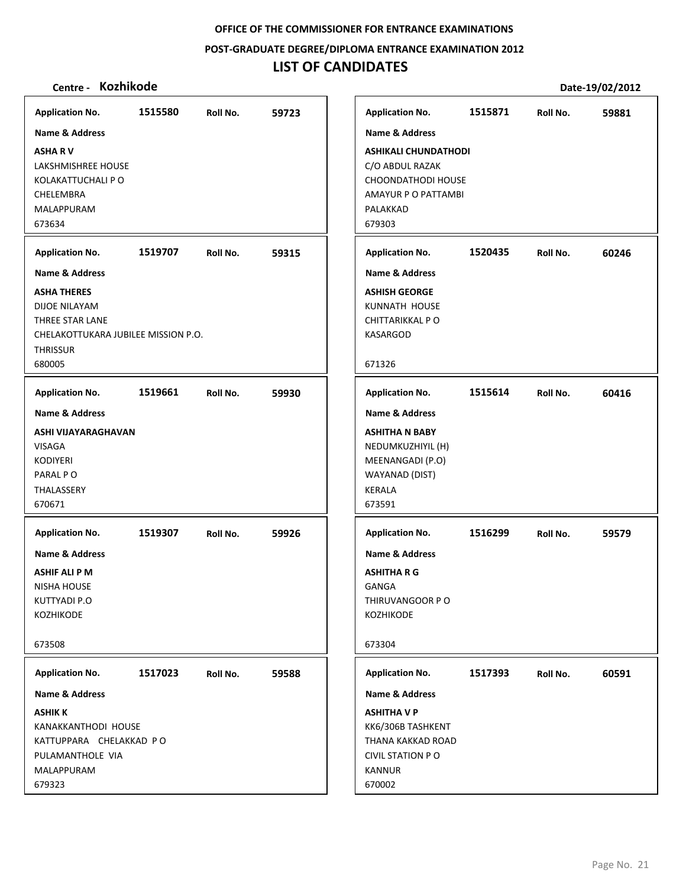**POST‐GRADUATE DEGREE/DIPLOMA ENTRANCE EXAMINATION 2012**

# **LIST OF CANDIDATES**

| <b>Application No.</b>                                                                                                         | 1515580 | Roll No. | 59723 | <b>Application No.</b>                                                                                                                    | 1515871 | Roll No. | 59881 |
|--------------------------------------------------------------------------------------------------------------------------------|---------|----------|-------|-------------------------------------------------------------------------------------------------------------------------------------------|---------|----------|-------|
| <b>Name &amp; Address</b>                                                                                                      |         |          |       | Name & Address                                                                                                                            |         |          |       |
| <b>ASHARV</b><br><b>LAKSHMISHREE HOUSE</b><br>KOLAKATTUCHALI P O<br>CHELEMBRA<br>MALAPPURAM<br>673634                          |         |          |       | <b>ASHIKALI CHUNDATHODI</b><br>C/O ABDUL RAZAK<br>CHOONDATHODI HOUSE<br>AMAYUR P O PATTAMBI<br>PALAKKAD<br>679303                         |         |          |       |
|                                                                                                                                |         |          |       |                                                                                                                                           |         |          |       |
| <b>Application No.</b>                                                                                                         | 1519707 | Roll No. | 59315 | <b>Application No.</b>                                                                                                                    | 1520435 | Roll No. | 60246 |
| Name & Address                                                                                                                 |         |          |       | <b>Name &amp; Address</b>                                                                                                                 |         |          |       |
| <b>ASHA THERES</b><br><b>DIJOE NILAYAM</b><br>THREE STAR LANE<br>CHELAKOTTUKARA JUBILEE MISSION P.O.<br><b>THRISSUR</b>        |         |          |       | <b>ASHISH GEORGE</b><br>KUNNATH HOUSE<br>CHITTARIKKAL PO<br><b>KASARGOD</b>                                                               |         |          |       |
| 680005                                                                                                                         |         |          |       | 671326                                                                                                                                    |         |          |       |
| <b>Application No.</b>                                                                                                         | 1519661 | Roll No. | 59930 | <b>Application No.</b>                                                                                                                    | 1515614 | Roll No. | 60416 |
| <b>Name &amp; Address</b>                                                                                                      |         |          |       | <b>Name &amp; Address</b>                                                                                                                 |         |          |       |
| ASHI VIJAYARAGHAVAN<br><b>VISAGA</b><br><b>KODIYERI</b><br>PARAL PO<br>THALASSERY<br>670671                                    |         |          |       | <b>ASHITHA N BABY</b><br>NEDUMKUZHIYIL (H)<br>MEENANGADI (P.O)<br>WAYANAD (DIST)<br><b>KERALA</b><br>673591                               |         |          |       |
| <b>Application No.</b>                                                                                                         | 1519307 | Roll No. | 59926 | <b>Application No.</b>                                                                                                                    | 1516299 | Roll No. | 59579 |
| Name & Address<br><b>ASHIF ALI P M</b><br><b>NISHA HOUSE</b><br>KUTTYADI P.O<br>KOZHIKODE<br>673508                            |         |          |       | <b>Name &amp; Address</b><br><b>ASHITHA R G</b><br><b>GANGA</b><br>THIRUVANGOOR PO<br>KOZHIKODE<br>673304                                 |         |          |       |
|                                                                                                                                |         |          |       |                                                                                                                                           |         |          |       |
| <b>Application No.</b>                                                                                                         | 1517023 | Roll No. | 59588 | <b>Application No.</b>                                                                                                                    | 1517393 | Roll No. | 60591 |
| Name & Address<br><b>ASHIK K</b><br>KANAKKANTHODI HOUSE<br>KATTUPPARA CHELAKKAD PO<br>PULAMANTHOLE VIA<br>MALAPPURAM<br>679323 |         |          |       | <b>Name &amp; Address</b><br><b>ASHITHA V P</b><br>KK6/306B TASHKENT<br>THANA KAKKAD ROAD<br><b>CIVIL STATION P O</b><br>KANNUR<br>670002 |         |          |       |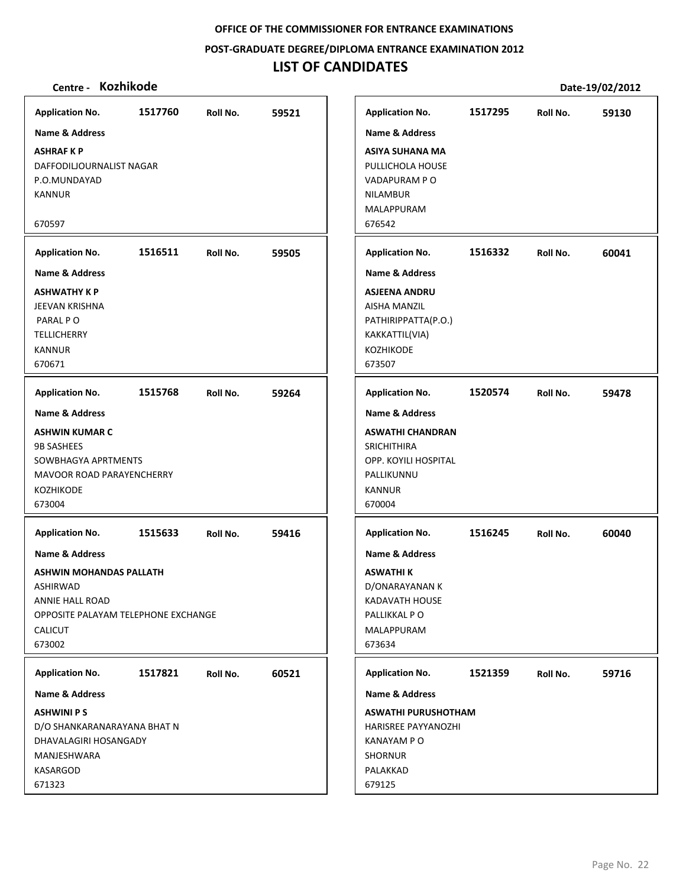## **POST‐GRADUATE DEGREE/DIPLOMA ENTRANCE EXAMINATION 2012**

# **LIST OF CANDIDATES**

| <b>Application No.</b>                                                                                                                                           | 1517760 | Roll No. | 59521 | <b>Application No.</b>                                                                                                                      | 1517295 | Roll No. | 59130 |
|------------------------------------------------------------------------------------------------------------------------------------------------------------------|---------|----------|-------|---------------------------------------------------------------------------------------------------------------------------------------------|---------|----------|-------|
| <b>Name &amp; Address</b>                                                                                                                                        |         |          |       | <b>Name &amp; Address</b>                                                                                                                   |         |          |       |
| <b>ASHRAFKP</b><br>DAFFODILJOURNALIST NAGAR<br>P.O.MUNDAYAD<br><b>KANNUR</b><br>670597                                                                           |         |          |       | <b>ASIYA SUHANA MA</b><br>PULLICHOLA HOUSE<br>VADAPURAM P O<br><b>NILAMBUR</b><br>MALAPPURAM<br>676542                                      |         |          |       |
| <b>Application No.</b>                                                                                                                                           | 1516511 | Roll No. | 59505 | <b>Application No.</b>                                                                                                                      | 1516332 | Roll No. | 60041 |
| <b>Name &amp; Address</b>                                                                                                                                        |         |          |       | <b>Name &amp; Address</b>                                                                                                                   |         |          |       |
| <b>ASHWATHY K P</b><br>JEEVAN KRISHNA<br>PARAL PO<br><b>TELLICHERRY</b><br><b>KANNUR</b><br>670671                                                               |         |          |       | <b>ASJEENA ANDRU</b><br>AISHA MANZIL<br>PATHIRIPPATTA(P.O.)<br>KAKKATTIL(VIA)<br>KOZHIKODE<br>673507                                        |         |          |       |
| <b>Application No.</b>                                                                                                                                           | 1515768 | Roll No. | 59264 | <b>Application No.</b>                                                                                                                      | 1520574 | Roll No. | 59478 |
| <b>Name &amp; Address</b><br><b>ASHWIN KUMAR C</b><br><b>9B SASHEES</b><br>SOWBHAGYA APRTMENTS<br><b>MAVOOR ROAD PARAYENCHERRY</b><br><b>KOZHIKODE</b><br>673004 |         |          |       | <b>Name &amp; Address</b><br><b>ASWATHI CHANDRAN</b><br><b>SRICHITHIRA</b><br>OPP. KOYILI HOSPITAL<br>PALLIKUNNU<br><b>KANNUR</b><br>670004 |         |          |       |
| <b>Application No.</b>                                                                                                                                           | 1515633 | Roll No. | 59416 | <b>Application No.</b>                                                                                                                      | 1516245 | Roll No. | 60040 |
| <b>Name &amp; Address</b><br><b>ASHWIN MOHANDAS PALLATH</b><br>ASHIRWAD<br>ANNIE HALL ROAD<br>OPPOSITE PALAYAM TELEPHONE EXCHANGE<br><b>CALICUT</b><br>673002    |         |          |       | <b>Name &amp; Address</b><br><b>ASWATHI K</b><br>D/ONARAYANAN K<br><b>KADAVATH HOUSE</b><br>PALLIKKAL PO<br>MALAPPURAM<br>673634            |         |          |       |
| <b>Application No.</b>                                                                                                                                           | 1517821 | Roll No. | 60521 | <b>Application No.</b>                                                                                                                      | 1521359 | Roll No. | 59716 |
| <b>Name &amp; Address</b>                                                                                                                                        |         |          |       | <b>Name &amp; Address</b>                                                                                                                   |         |          |       |
| <b>ASHWINI PS</b><br>D/O SHANKARANARAYANA BHAT N<br>DHAVALAGIRI HOSANGADY<br>MANJESHWARA<br>KASARGOD<br>671323                                                   |         |          |       | <b>ASWATHI PURUSHOTHAM</b><br>HARISREE PAYYANOZHI<br>KANAYAM P O<br><b>SHORNUR</b><br>PALAKKAD<br>679125                                    |         |          |       |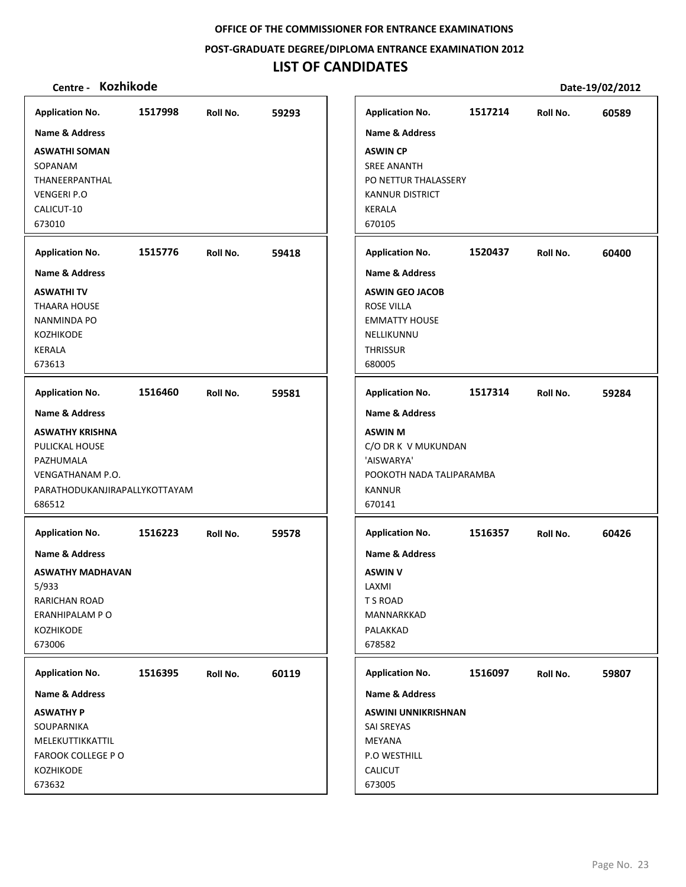**POST‐GRADUATE DEGREE/DIPLOMA ENTRANCE EXAMINATION 2012**

# **LIST OF CANDIDATES**

| <b>Application No.</b>                                                                                                                            | 1517998 | Roll No. | 59293 | <b>Application No.</b>                                                                                                                      | 1517214 | Roll No. | 60589 |
|---------------------------------------------------------------------------------------------------------------------------------------------------|---------|----------|-------|---------------------------------------------------------------------------------------------------------------------------------------------|---------|----------|-------|
| Name & Address                                                                                                                                    |         |          |       | <b>Name &amp; Address</b>                                                                                                                   |         |          |       |
| <b>ASWATHI SOMAN</b><br>SOPANAM<br>THANEERPANTHAL<br><b>VENGERI P.O</b><br>CALICUT-10<br>673010                                                   |         |          |       | <b>ASWIN CP</b><br><b>SREE ANANTH</b><br>PO NETTUR THALASSERY<br><b>KANNUR DISTRICT</b><br>KERALA<br>670105                                 |         |          |       |
| <b>Application No.</b>                                                                                                                            | 1515776 | Roll No. | 59418 | <b>Application No.</b>                                                                                                                      | 1520437 | Roll No. | 60400 |
| Name & Address<br><b>ASWATHITV</b><br><b>THAARA HOUSE</b><br><b>NANMINDA PO</b><br><b>KOZHIKODE</b><br><b>KERALA</b><br>673613                    |         |          |       | <b>Name &amp; Address</b><br><b>ASWIN GEO JACOB</b><br><b>ROSE VILLA</b><br><b>EMMATTY HOUSE</b><br>NELLIKUNNU<br><b>THRISSUR</b><br>680005 |         |          |       |
| <b>Application No.</b>                                                                                                                            | 1516460 | Roll No. | 59581 | <b>Application No.</b>                                                                                                                      | 1517314 | Roll No. | 59284 |
| <b>Name &amp; Address</b><br><b>ASWATHY KRISHNA</b><br>PULICKAL HOUSE<br>PAZHUMALA<br>VENGATHANAM P.O.<br>PARATHODUKANJIRAPALLYKOTTAYAM<br>686512 |         |          |       | <b>Name &amp; Address</b><br><b>ASWIN M</b><br>C/O DR K V MUKUNDAN<br>'AISWARYA'<br>POOKOTH NADA TALIPARAMBA<br><b>KANNUR</b><br>670141     |         |          |       |
| <b>Application No.</b><br>Name & Address<br><b>ASWATHY MADHAVAN</b><br>5/933<br>RARICHAN ROAD<br>ERANHIPALAM PO<br><b>KOZHIKODE</b><br>673006     | 1516223 | Roll No. | 59578 | <b>Application No.</b><br><b>Name &amp; Address</b><br><b>ASWIN V</b><br>LAXMI<br>T S ROAD<br>MANNARKKAD<br>PALAKKAD<br>678582              | 1516357 | Roll No. | 60426 |
| <b>Application No.</b>                                                                                                                            | 1516395 | Roll No. | 60119 | <b>Application No.</b>                                                                                                                      | 1516097 | Roll No. | 59807 |
| Name & Address<br><b>ASWATHY P</b><br>SOUPARNIKA<br>MELEKUTTIKKATTIL<br>FAROOK COLLEGE PO<br><b>KOZHIKODE</b><br>673632                           |         |          |       | Name & Address<br><b>ASWINI UNNIKRISHNAN</b><br><b>SAI SREYAS</b><br>MEYANA<br>P.O WESTHILL<br><b>CALICUT</b><br>673005                     |         |          |       |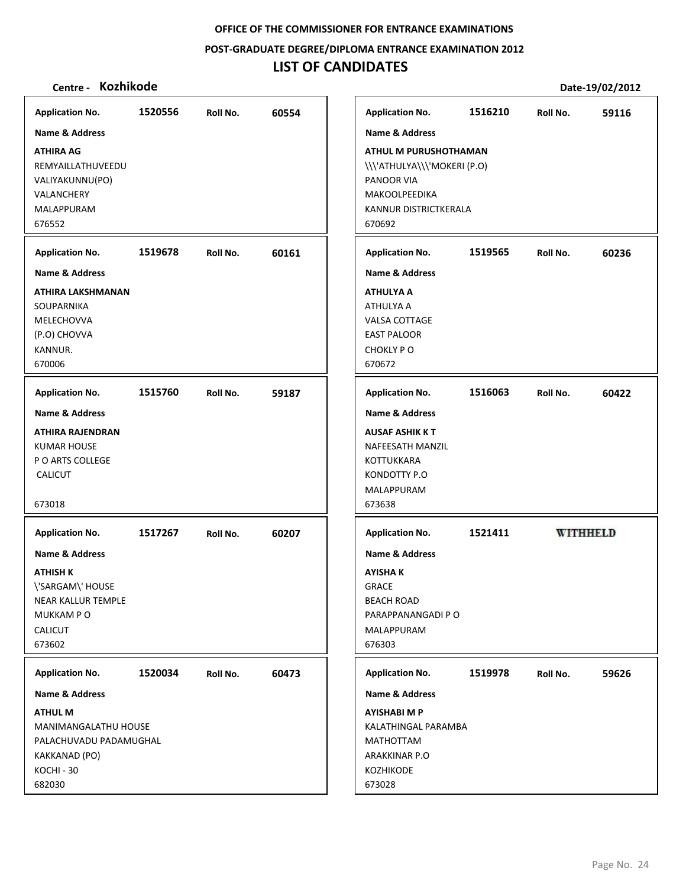**POST‐GRADUATE DEGREE/DIPLOMA ENTRANCE EXAMINATION 2012**

# **LIST OF CANDIDATES**

| <b>Application No.</b>                                                                                                                | 1520556 | Roll No. | 60554 | <b>Application No.</b>                                                                                                               | 1516210 | Roll No.        | 59116 |
|---------------------------------------------------------------------------------------------------------------------------------------|---------|----------|-------|--------------------------------------------------------------------------------------------------------------------------------------|---------|-----------------|-------|
| Name & Address                                                                                                                        |         |          |       | <b>Name &amp; Address</b>                                                                                                            |         |                 |       |
| <b>ATHIRA AG</b><br>REMYAILLATHUVEEDU<br>VALIYAKUNNU(PO)<br>VALANCHERY<br><b>MALAPPURAM</b><br>676552                                 |         |          |       | <b>ATHUL M PURUSHOTHAMAN</b><br>\\\'ATHULYA\\\'MOKERI (P.O)<br>PANOOR VIA<br><b>MAKOOLPEEDIKA</b><br>KANNUR DISTRICTKERALA<br>670692 |         |                 |       |
| <b>Application No.</b>                                                                                                                | 1519678 | Roll No. | 60161 | <b>Application No.</b>                                                                                                               | 1519565 | Roll No.        | 60236 |
| <b>Name &amp; Address</b>                                                                                                             |         |          |       | <b>Name &amp; Address</b>                                                                                                            |         |                 |       |
| ATHIRA LAKSHMANAN<br>SOUPARNIKA<br>MELECHOVVA<br>(P.O) CHOVVA<br>KANNUR.<br>670006                                                    |         |          |       | <b>ATHULYA A</b><br>ATHULYA A<br><b>VALSA COTTAGE</b><br><b>EAST PALOOR</b><br>CHOKLY PO<br>670672                                   |         |                 |       |
| <b>Application No.</b>                                                                                                                | 1515760 | Roll No. | 59187 | <b>Application No.</b>                                                                                                               | 1516063 | Roll No.        | 60422 |
| Name & Address                                                                                                                        |         |          |       | <b>Name &amp; Address</b>                                                                                                            |         |                 |       |
| <b>ATHIRA RAJENDRAN</b><br><b>KUMAR HOUSE</b><br>P O ARTS COLLEGE<br><b>CALICUT</b><br>673018                                         |         |          |       | <b>AUSAF ASHIK K T</b><br>NAFEESATH MANZIL<br><b>KOTTUKKARA</b><br>KONDOTTY P.O<br>MALAPPURAM<br>673638                              |         |                 |       |
| <b>Application No.</b>                                                                                                                | 1517267 | Roll No. | 60207 | <b>Application No.</b>                                                                                                               | 1521411 | <b>WITHHELD</b> |       |
| <b>Name &amp; Address</b><br><b>ATHISH K</b><br>\'SARGAM\' HOUSE<br>NEAR KALLUR TEMPLE<br><b>MUKKAMPO</b><br><b>CALICUT</b><br>673602 |         |          |       | <b>Name &amp; Address</b><br>AYISHA K<br><b>GRACE</b><br><b>BEACH ROAD</b><br>PARAPPANANGADI P O<br>MALAPPURAM<br>676303             |         |                 |       |
| <b>Application No.</b>                                                                                                                | 1520034 | Roll No. | 60473 | <b>Application No.</b>                                                                                                               | 1519978 | Roll No.        | 59626 |
| Name & Address                                                                                                                        |         |          |       | <b>Name &amp; Address</b>                                                                                                            |         |                 |       |
| <b>ATHUL M</b><br><b>MANIMANGALATHU HOUSE</b><br>PALACHUVADU PADAMUGHAL<br>KAKKANAD (PO)<br>KOCHI-30<br>682030                        |         |          |       | <b>AYISHABI M P</b><br>KALATHINGAL PARAMBA<br>MATHOTTAM<br>ARAKKINAR P.O<br>KOZHIKODE<br>673028                                      |         |                 |       |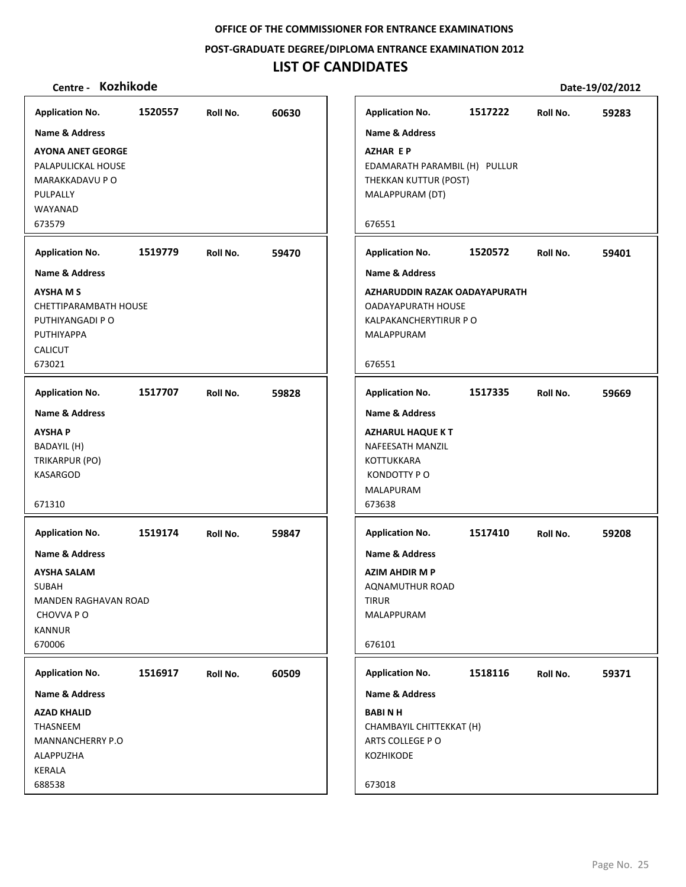**POST‐GRADUATE DEGREE/DIPLOMA ENTRANCE EXAMINATION 2012**

# **LIST OF CANDIDATES**

| Centre - Kozhikode           |         |          |       |                               |         |          | Date-19/02/2012 |
|------------------------------|---------|----------|-------|-------------------------------|---------|----------|-----------------|
| <b>Application No.</b>       | 1520557 | Roll No. | 60630 | <b>Application No.</b>        | 1517222 | Roll No. | 59283           |
| <b>Name &amp; Address</b>    |         |          |       | <b>Name &amp; Address</b>     |         |          |                 |
| <b>AYONA ANET GEORGE</b>     |         |          |       | <b>AZHAR EP</b>               |         |          |                 |
| PALAPULICKAL HOUSE           |         |          |       | EDAMARATH PARAMBIL (H) PULLUR |         |          |                 |
| MARAKKADAVU P O              |         |          |       | THEKKAN KUTTUR (POST)         |         |          |                 |
| PULPALLY                     |         |          |       | MALAPPURAM (DT)               |         |          |                 |
| WAYANAD                      |         |          |       |                               |         |          |                 |
| 673579                       |         |          |       | 676551                        |         |          |                 |
| <b>Application No.</b>       | 1519779 | Roll No. | 59470 | <b>Application No.</b>        | 1520572 | Roll No. | 59401           |
| <b>Name &amp; Address</b>    |         |          |       | <b>Name &amp; Address</b>     |         |          |                 |
| <b>AYSHA M S</b>             |         |          |       | AZHARUDDIN RAZAK OADAYAPURATH |         |          |                 |
| <b>CHETTIPARAMBATH HOUSE</b> |         |          |       | <b>OADAYAPURATH HOUSE</b>     |         |          |                 |
| PUTHIYANGADI P O             |         |          |       | KALPAKANCHERYTIRUR P O        |         |          |                 |
| PUTHIYAPPA                   |         |          |       | MALAPPURAM                    |         |          |                 |
| CALICUT<br>673021            |         |          |       | 676551                        |         |          |                 |
| <b>Application No.</b>       | 1517707 | Roll No. | 59828 | <b>Application No.</b>        | 1517335 | Roll No. | 59669           |
| <b>Name &amp; Address</b>    |         |          |       | <b>Name &amp; Address</b>     |         |          |                 |
| <b>AYSHAP</b>                |         |          |       | <b>AZHARUL HAQUE KT</b>       |         |          |                 |
| BADAYIL (H)                  |         |          |       | NAFEESATH MANZIL              |         |          |                 |
| TRIKARPUR (PO)               |         |          |       | KOTTUKKARA                    |         |          |                 |
| KASARGOD                     |         |          |       | KONDOTTY P O                  |         |          |                 |
|                              |         |          |       | MALAPURAM                     |         |          |                 |
| 671310                       |         |          |       | 673638                        |         |          |                 |
| <b>Application No.</b>       | 1519174 | Roll No. | 59847 | <b>Application No.</b>        | 1517410 | Roll No. | 59208           |
| <b>Name &amp; Address</b>    |         |          |       | <b>Name &amp; Address</b>     |         |          |                 |
| AYSHA SALAM                  |         |          |       | <b>AZIM AHDIR M P</b>         |         |          |                 |
| SUBAH                        |         |          |       | AQNAMUTHUR ROAD               |         |          |                 |
| <b>MANDEN RAGHAVAN ROAD</b>  |         |          |       | TIRUR                         |         |          |                 |
| CHOVVA P O                   |         |          |       | MALAPPURAM                    |         |          |                 |
| <b>KANNUR</b>                |         |          |       |                               |         |          |                 |
| 670006                       |         |          |       | 676101                        |         |          |                 |
| <b>Application No.</b>       | 1516917 | Roll No. | 60509 | <b>Application No.</b>        | 1518116 | Roll No. | 59371           |
| <b>Name &amp; Address</b>    |         |          |       | Name & Address                |         |          |                 |
| <b>AZAD KHALID</b>           |         |          |       | <b>BABINH</b>                 |         |          |                 |
| THASNEEM                     |         |          |       | CHAMBAYIL CHITTEKKAT (H)      |         |          |                 |
| <b>MANNANCHERRY P.O</b>      |         |          |       | ARTS COLLEGE PO               |         |          |                 |
| ALAPPUZHA<br>KERALA          |         |          |       | KOZHIKODE                     |         |          |                 |
| 688538                       |         |          |       | 673018                        |         |          |                 |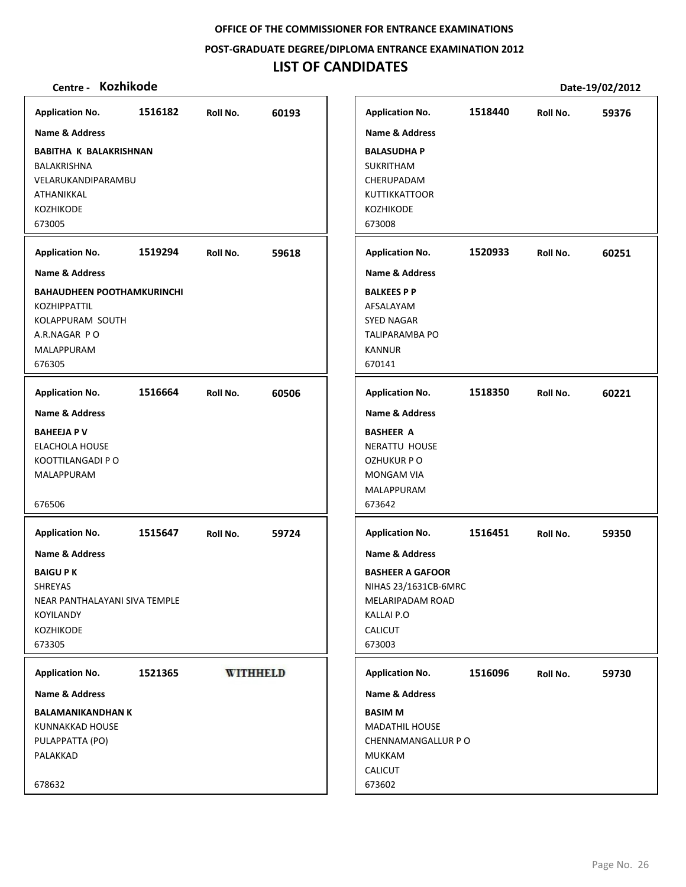**POST‐GRADUATE DEGREE/DIPLOMA ENTRANCE EXAMINATION 2012**

# **LIST OF CANDIDATES**

| <b>Application No.</b>            | 1516182 | Roll No. | 60193           | <b>Application No.</b>    | 1518440 | Roll No. | 59376 |
|-----------------------------------|---------|----------|-----------------|---------------------------|---------|----------|-------|
| Name & Address                    |         |          |                 | <b>Name &amp; Address</b> |         |          |       |
| <b>BABITHA K BALAKRISHNAN</b>     |         |          |                 | <b>BALASUDHA P</b>        |         |          |       |
| BALAKRISHNA                       |         |          |                 | SUKRITHAM                 |         |          |       |
| VELARUKANDIPARAMBU                |         |          |                 | CHERUPADAM                |         |          |       |
| ATHANIKKAL                        |         |          |                 | <b>KUTTIKKATTOOR</b>      |         |          |       |
| KOZHIKODE                         |         |          |                 | KOZHIKODE                 |         |          |       |
| 673005                            |         |          |                 | 673008                    |         |          |       |
| <b>Application No.</b>            | 1519294 | Roll No. | 59618           | <b>Application No.</b>    | 1520933 | Roll No. | 60251 |
| <b>Name &amp; Address</b>         |         |          |                 | <b>Name &amp; Address</b> |         |          |       |
| <b>BAHAUDHEEN POOTHAMKURINCHI</b> |         |          |                 | <b>BALKEES P P</b>        |         |          |       |
| KOZHIPPATTIL                      |         |          |                 | AFSALAYAM                 |         |          |       |
| <b>KOLAPPURAM SOUTH</b>           |         |          |                 | <b>SYED NAGAR</b>         |         |          |       |
| A.R.NAGAR PO                      |         |          |                 | <b>TALIPARAMBA PO</b>     |         |          |       |
| MALAPPURAM                        |         |          |                 | <b>KANNUR</b>             |         |          |       |
| 676305                            |         |          |                 | 670141                    |         |          |       |
| <b>Application No.</b>            | 1516664 | Roll No. | 60506           | <b>Application No.</b>    | 1518350 | Roll No. | 60221 |
| <b>Name &amp; Address</b>         |         |          |                 | <b>Name &amp; Address</b> |         |          |       |
| <b>BAHEEJA P V</b>                |         |          |                 | <b>BASHEER A</b>          |         |          |       |
| <b>ELACHOLA HOUSE</b>             |         |          |                 | <b>NERATTU HOUSE</b>      |         |          |       |
| KOOTTILANGADI P O                 |         |          |                 | <b>OZHUKUR P O</b>        |         |          |       |
| MALAPPURAM                        |         |          |                 | <b>MONGAM VIA</b>         |         |          |       |
|                                   |         |          |                 | MALAPPURAM                |         |          |       |
| 676506                            |         |          |                 | 673642                    |         |          |       |
| <b>Application No.</b>            | 1515647 | Roll No. | 59724           | <b>Application No.</b>    | 1516451 | Roll No. | 59350 |
| <b>Name &amp; Address</b>         |         |          |                 | <b>Name &amp; Address</b> |         |          |       |
| <b>BAIGU PK</b>                   |         |          |                 | <b>BASHEER A GAFOOR</b>   |         |          |       |
| <b>SHREYAS</b>                    |         |          |                 | NIHAS 23/1631CB-6MRC      |         |          |       |
| NEAR PANTHALAYANI SIVA TEMPLE     |         |          |                 | MELARIPADAM ROAD          |         |          |       |
| KOYILANDY                         |         |          |                 | KALLAI P.O                |         |          |       |
| KOZHIKODE                         |         |          |                 | CALICUT                   |         |          |       |
| 673305                            |         |          |                 | 673003                    |         |          |       |
| <b>Application No.</b>            | 1521365 |          | <b>WITHHELD</b> | <b>Application No.</b>    | 1516096 | Roll No. | 59730 |
| Name & Address                    |         |          |                 | <b>Name &amp; Address</b> |         |          |       |
| <b>BALAMANIKANDHAN K</b>          |         |          |                 | <b>BASIM M</b>            |         |          |       |
| KUNNAKKAD HOUSE                   |         |          |                 | <b>MADATHIL HOUSE</b>     |         |          |       |
| PULAPPATTA (PO)                   |         |          |                 | CHENNAMANGALLUR P O       |         |          |       |
| PALAKKAD                          |         |          |                 | <b>MUKKAM</b>             |         |          |       |
|                                   |         |          |                 | <b>CALICUT</b>            |         |          |       |
| 678632                            |         |          |                 | 673602                    |         |          |       |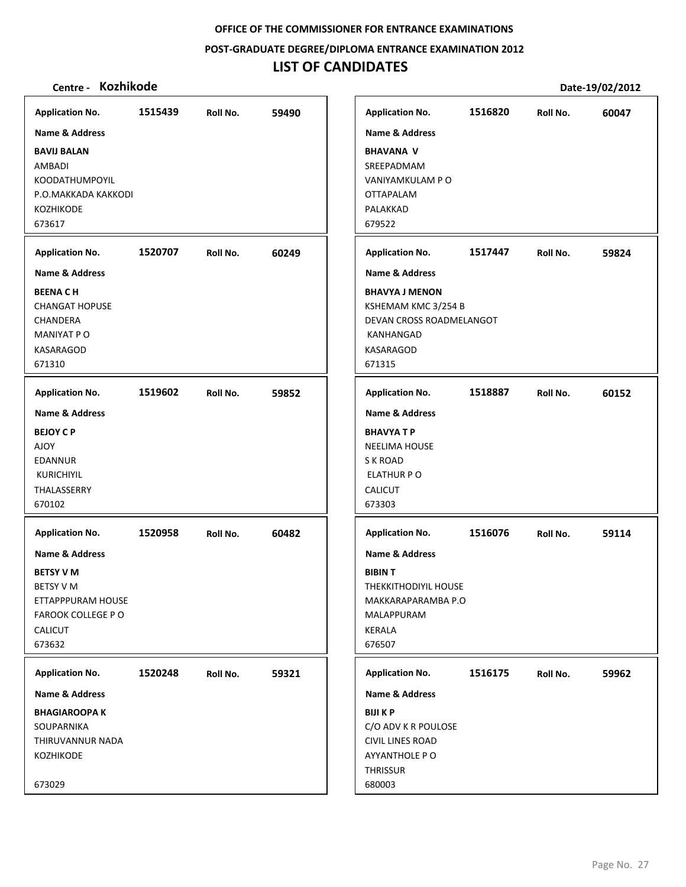**POST‐GRADUATE DEGREE/DIPLOMA ENTRANCE EXAMINATION 2012**

# **LIST OF CANDIDATES**

| <b>Application No.</b>    | 1515439 | Roll No. | 59490 | <b>Application No.</b>      | 1516820 | Roll No. | 60047 |
|---------------------------|---------|----------|-------|-----------------------------|---------|----------|-------|
| <b>Name &amp; Address</b> |         |          |       | <b>Name &amp; Address</b>   |         |          |       |
| <b>BAVIJ BALAN</b>        |         |          |       | <b>BHAVANA V</b>            |         |          |       |
| AMBADI                    |         |          |       | SREEPADMAM                  |         |          |       |
| <b>KOODATHUMPOYIL</b>     |         |          |       | VANIYAMKULAM P O            |         |          |       |
| P.O.MAKKADA KAKKODI       |         |          |       | OTTAPALAM                   |         |          |       |
| KOZHIKODE                 |         |          |       | PALAKKAD                    |         |          |       |
| 673617                    |         |          |       | 679522                      |         |          |       |
| <b>Application No.</b>    | 1520707 | Roll No. | 60249 | <b>Application No.</b>      | 1517447 | Roll No. | 59824 |
| <b>Name &amp; Address</b> |         |          |       | <b>Name &amp; Address</b>   |         |          |       |
| <b>BEENACH</b>            |         |          |       | <b>BHAVYA J MENON</b>       |         |          |       |
| <b>CHANGAT HOPUSE</b>     |         |          |       | KSHEMAM KMC 3/254 B         |         |          |       |
| CHANDERA                  |         |          |       | DEVAN CROSS ROADMELANGOT    |         |          |       |
| MANIYAT P O               |         |          |       | KANHANGAD                   |         |          |       |
| <b>KASARAGOD</b>          |         |          |       | KASARAGOD                   |         |          |       |
| 671310                    |         |          |       | 671315                      |         |          |       |
| <b>Application No.</b>    | 1519602 | Roll No. | 59852 | <b>Application No.</b>      | 1518887 | Roll No. | 60152 |
| <b>Name &amp; Address</b> |         |          |       | <b>Name &amp; Address</b>   |         |          |       |
| <b>BEJOY CP</b>           |         |          |       | <b>BHAVYATP</b>             |         |          |       |
| <b>AJOY</b>               |         |          |       | <b>NEELIMA HOUSE</b>        |         |          |       |
| <b>EDANNUR</b>            |         |          |       | S K ROAD                    |         |          |       |
| <b>KURICHIYIL</b>         |         |          |       | <b>ELATHUR PO</b>           |         |          |       |
| THALASSERRY               |         |          |       | CALICUT                     |         |          |       |
| 670102                    |         |          |       | 673303                      |         |          |       |
|                           |         |          |       |                             |         |          |       |
| <b>Application No.</b>    | 1520958 | Roll No. | 60482 | <b>Application No.</b>      | 1516076 | Roll No. | 59114 |
| <b>Name &amp; Address</b> |         |          |       | <b>Name &amp; Address</b>   |         |          |       |
| <b>BETSY V M</b>          |         |          |       | <b>BIBINT</b>               |         |          |       |
| <b>BETSY V M</b>          |         |          |       | <b>THEKKITHODIYIL HOUSE</b> |         |          |       |
| ETTAPPPURAM HOUSE         |         |          |       | MAKKARAPARAMBA P.O          |         |          |       |
| <b>FAROOK COLLEGE PO</b>  |         |          |       | MALAPPURAM                  |         |          |       |
| <b>CALICUT</b>            |         |          |       | KERALA                      |         |          |       |
| 673632                    |         |          |       | 676507                      |         |          |       |
| <b>Application No.</b>    | 1520248 | Roll No. | 59321 | <b>Application No.</b>      | 1516175 | Roll No. | 59962 |
| Name & Address            |         |          |       | Name & Address              |         |          |       |
| <b>BHAGIAROOPA K</b>      |         |          |       | <b>BIJI K P</b>             |         |          |       |
| SOUPARNIKA                |         |          |       | C/O ADV K R POULOSE         |         |          |       |
| THIRUVANNUR NADA          |         |          |       | <b>CIVIL LINES ROAD</b>     |         |          |       |
| KOZHIKODE                 |         |          |       | AYYANTHOLE P O              |         |          |       |
|                           |         |          |       | THRISSUR                    |         |          |       |
| 673029                    |         |          |       | 680003                      |         |          |       |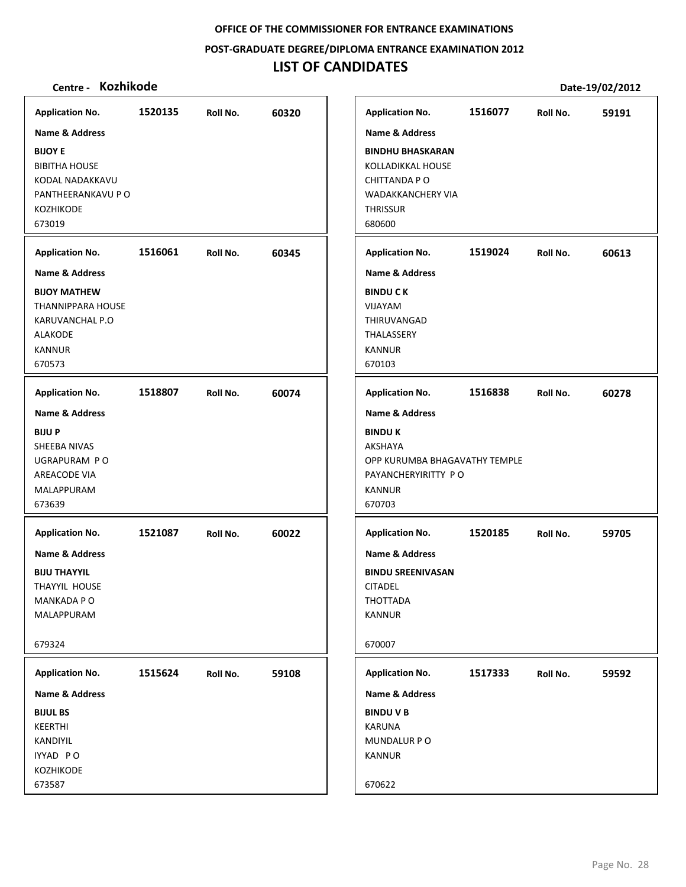**POST‐GRADUATE DEGREE/DIPLOMA ENTRANCE EXAMINATION 2012**

# **LIST OF CANDIDATES**

| <b>Application No.</b>                                                                                                         | 1520135 | Roll No. | 60320 |
|--------------------------------------------------------------------------------------------------------------------------------|---------|----------|-------|
| Name & Address<br><b>BIJOY E</b><br><b>BIBITHA HOUSE</b><br>KODAL NADAKKAVU<br>PANTHEERANKAVU P O                              |         |          |       |
| <b>KOZHIKODE</b><br>673019                                                                                                     |         |          |       |
| <b>Application No.</b>                                                                                                         | 1516061 | Roll No. | 60345 |
| Name & Address<br><b>BIJOY MATHEW</b><br>THANNIPPARA HOUSE<br>KARUVANCHAL P.O<br><b>ALAKODE</b><br><b>KANNUR</b><br>670573     |         |          |       |
| <b>Application No.</b>                                                                                                         | 1518807 | Roll No. | 60074 |
| <b>Name &amp; Address</b><br><b>BIJUP</b><br>SHEEBA NIVAS<br>UGRAPURAM PO<br>AREACODE VIA<br>MALAPPURAM<br>673639              |         |          |       |
| <b>Application No.</b><br>Name & Address<br><b>BIJU THAYYIL</b><br><b>THAYYIL HOUSE</b><br>MANKADA P O<br>MALAPPURAM<br>679324 | 1521087 | Roll No. | 60022 |
| <b>Application No.</b>                                                                                                         | 1515624 | Roll No. | 59108 |
| Name & Address                                                                                                                 |         |          |       |
| <b>BIJUL BS</b><br>KEERTHI<br>KANDIYIL<br>IYYAD PO<br>KOZHIKODE<br>673587                                                      |         |          |       |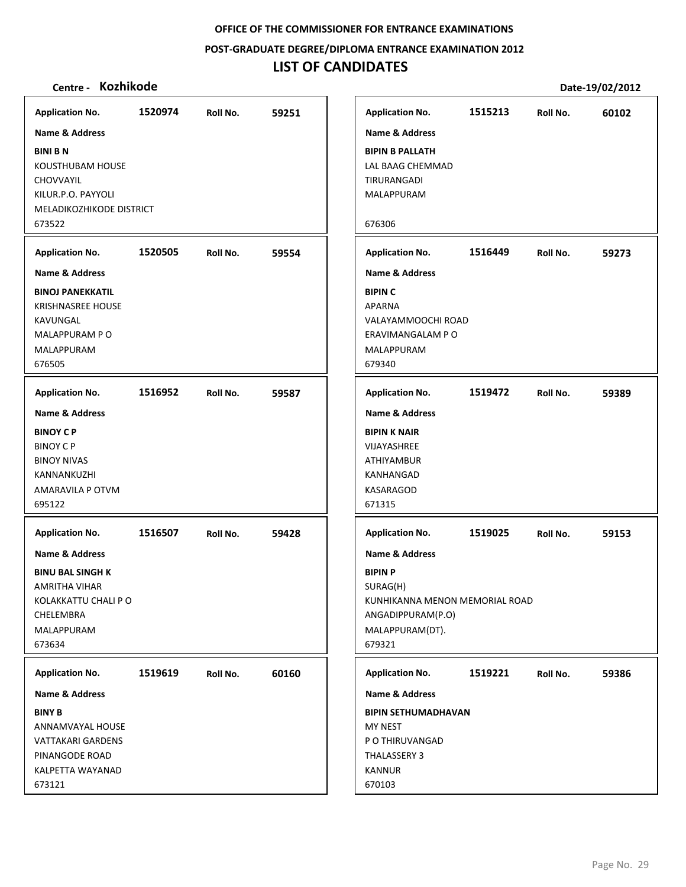**POST‐GRADUATE DEGREE/DIPLOMA ENTRANCE EXAMINATION 2012**

# **LIST OF CANDIDATES**

| <b>Application No.</b>                                                                                         | 59251                                                                 | Roll No. | 1520974 | <b>Application No.</b>                                                                                             |
|----------------------------------------------------------------------------------------------------------------|-----------------------------------------------------------------------|----------|---------|--------------------------------------------------------------------------------------------------------------------|
| <b>Name &amp; Address</b>                                                                                      |                                                                       |          |         | <b>Name &amp; Address</b>                                                                                          |
| <b>BIPIN B PALLATH</b><br>LAL BAAG CHEMMAD<br>TIRURANGADI<br>MALAPPURAM<br>676306                              |                                                                       |          |         | <b>BINI BN</b><br>KOUSTHUBAM HOUSE<br><b>CHOVVAYIL</b><br>KILUR.P.O. PAYYOLI<br>MELADIKOZHIKODE DISTRICT<br>673522 |
|                                                                                                                |                                                                       |          |         |                                                                                                                    |
| <b>Application No.</b>                                                                                         | 59554                                                                 | Roll No. | 1520505 | <b>Application No.</b>                                                                                             |
| <b>Name &amp; Address</b><br><b>BIPIN C</b>                                                                    |                                                                       |          |         | <b>Name &amp; Address</b><br><b>BINOJ PANEKKATIL</b>                                                               |
| <b>APARNA</b><br>VALAYAMMOOCHI ROAD<br>ERAVIMANGALAM P O<br>MALAPPURAM<br>679340                               |                                                                       |          |         | <b>KRISHNASREE HOUSE</b><br>KAVUNGAL<br>MALAPPURAM PO<br>MALAPPURAM                                                |
| <b>Application No.</b>                                                                                         | 59587                                                                 | Roll No. | 1516952 | <b>Application No.</b>                                                                                             |
| <b>Name &amp; Address</b>                                                                                      |                                                                       |          |         | <b>Name &amp; Address</b>                                                                                          |
| <b>BIPIN K NAIR</b><br>VIJAYASHREE<br>ATHIYAMBUR<br>KANHANGAD<br>KASARAGOD<br>671315                           |                                                                       |          |         | <b>BINOY CP</b><br><b>BINOY CP</b><br><b>BINOY NIVAS</b><br>KANNANKUZHI<br>AMARAVILA P OTVM                        |
| <b>Application No.</b>                                                                                         | 59428                                                                 | Roll No. | 1516507 | <b>Application No.</b>                                                                                             |
| <b>Name &amp; Address</b>                                                                                      |                                                                       |          |         | Name & Address                                                                                                     |
| <b>BIPIN P</b><br>SURAG(H)<br>KUNHIKANNA MENON MEMORIAL ROAD<br>ANGADIPPURAM(P.O)<br>MALAPPURAM(DT).<br>679321 |                                                                       |          |         | <b>BINU BAL SINGH K</b><br><b>AMRITHA VIHAR</b><br>KOLAKKATTU CHALI P O<br>CHELEMBRA<br>MALAPPURAM<br>673634       |
|                                                                                                                | 60160                                                                 | Roll No. | 1519619 | <b>Application No.</b>                                                                                             |
|                                                                                                                | <b>Application No.</b><br>Name & Address                              |          |         | <b>Name &amp; Address</b>                                                                                          |
|                                                                                                                | <b>BIPIN SETHUMADHAVAN</b>                                            |          |         |                                                                                                                    |
|                                                                                                                | MY NEST<br>P O THIRUVANGAD<br>THALASSERY 3<br><b>KANNUR</b><br>670103 |          |         | ANNAMVAYAL HOUSE<br><b>VATTAKARI GARDENS</b><br>PINANGODE ROAD<br>KALPETTA WAYANAD<br>673121                       |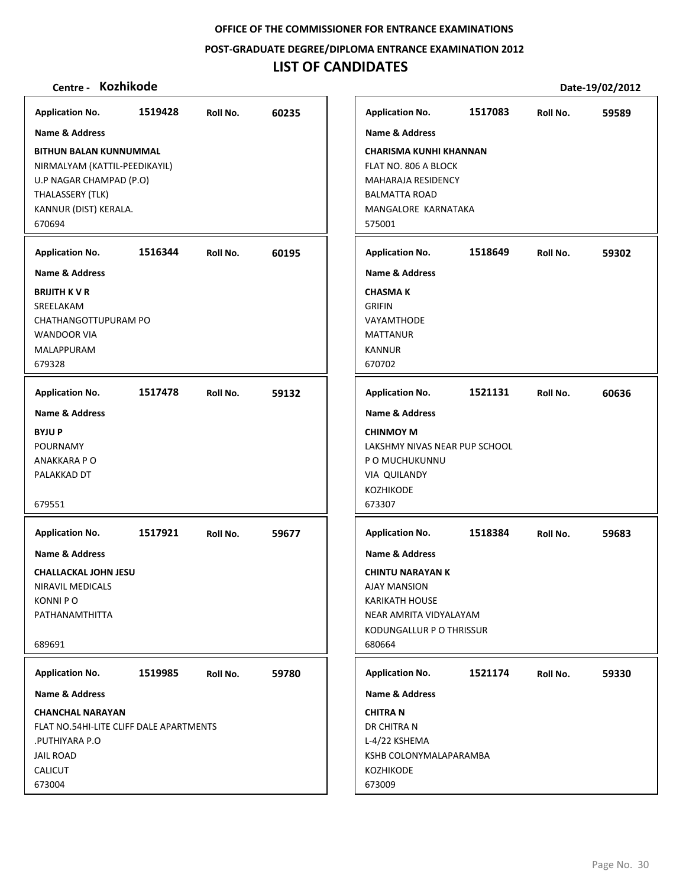**POST‐GRADUATE DEGREE/DIPLOMA ENTRANCE EXAMINATION 2012**

# **LIST OF CANDIDATES**

| <b>Application No.</b>                                                                                                                           | 1519428 | Roll No. | 60235 | <b>Application No.</b>                                                                                                                                               | 1517083 | Roll No. | 59589 |
|--------------------------------------------------------------------------------------------------------------------------------------------------|---------|----------|-------|----------------------------------------------------------------------------------------------------------------------------------------------------------------------|---------|----------|-------|
| <b>Name &amp; Address</b>                                                                                                                        |         |          |       | <b>Name &amp; Address</b>                                                                                                                                            |         |          |       |
| <b>BITHUN BALAN KUNNUMMAL</b><br>NIRMALYAM (KATTIL-PEEDIKAYIL)<br>U.P NAGAR CHAMPAD (P.O)<br>THALASSERY (TLK)<br>KANNUR (DIST) KERALA.<br>670694 |         |          |       | <b>CHARISMA KUNHI KHANNAN</b><br>FLAT NO. 806 A BLOCK<br>MAHARAJA RESIDENCY<br><b>BALMATTA ROAD</b><br>MANGALORE KARNATAKA<br>575001                                 |         |          |       |
| <b>Application No.</b>                                                                                                                           | 1516344 | Roll No. | 60195 | <b>Application No.</b>                                                                                                                                               | 1518649 | Roll No. | 59302 |
| <b>Name &amp; Address</b>                                                                                                                        |         |          |       | <b>Name &amp; Address</b>                                                                                                                                            |         |          |       |
| <b>BRIJITH KVR</b><br>SREELAKAM<br>CHATHANGOTTUPURAM PO<br><b>WANDOOR VIA</b><br>MALAPPURAM<br>679328                                            |         |          |       | <b>CHASMA K</b><br><b>GRIFIN</b><br>VAYAMTHODE<br><b>MATTANUR</b><br><b>KANNUR</b><br>670702                                                                         |         |          |       |
| <b>Application No.</b>                                                                                                                           | 1517478 | Roll No. | 59132 | <b>Application No.</b>                                                                                                                                               | 1521131 | Roll No. | 60636 |
| <b>Name &amp; Address</b>                                                                                                                        |         |          |       | <b>Name &amp; Address</b>                                                                                                                                            |         |          |       |
| <b>BYJUP</b><br><b>POURNAMY</b><br>ANAKKARA P O<br>PALAKKAD DT<br>679551                                                                         |         |          |       | <b>CHINMOY M</b><br>LAKSHMY NIVAS NEAR PUP SCHOOL<br>P O MUCHUKUNNU<br><b>VIA QUILANDY</b><br>KOZHIKODE<br>673307                                                    |         |          |       |
| <b>Application No.</b>                                                                                                                           | 1517921 | Roll No. | 59677 | <b>Application No.</b>                                                                                                                                               | 1518384 | Roll No. | 59683 |
| <b>Name &amp; Address</b><br><b>CHALLACKAL JOHN JESU</b><br>NIRAVIL MEDICALS<br><b>KONNIPO</b><br>PATHANAMTHITTA<br>689691                       |         |          |       | <b>Name &amp; Address</b><br><b>CHINTU NARAYAN K</b><br><b>AJAY MANSION</b><br><b>KARIKATH HOUSE</b><br>NEAR AMRITA VIDYALAYAM<br>KODUNGALLUR P O THRISSUR<br>680664 |         |          |       |
| <b>Application No.</b>                                                                                                                           | 1519985 | Roll No. | 59780 | <b>Application No.</b>                                                                                                                                               | 1521174 | Roll No. | 59330 |
| <b>Name &amp; Address</b>                                                                                                                        |         |          |       | <b>Name &amp; Address</b>                                                                                                                                            |         |          |       |
| <b>CHANCHAL NARAYAN</b><br>FLAT NO.54HI-LITE CLIFF DALE APARTMENTS<br>PUTHIYARA P.O.<br><b>JAIL ROAD</b><br>CALICUT<br>673004                    |         |          |       | <b>CHITRA N</b><br>DR CHITRA N<br>L-4/22 KSHEMA<br>KSHB COLONYMALAPARAMBA<br>KOZHIKODE<br>673009                                                                     |         |          |       |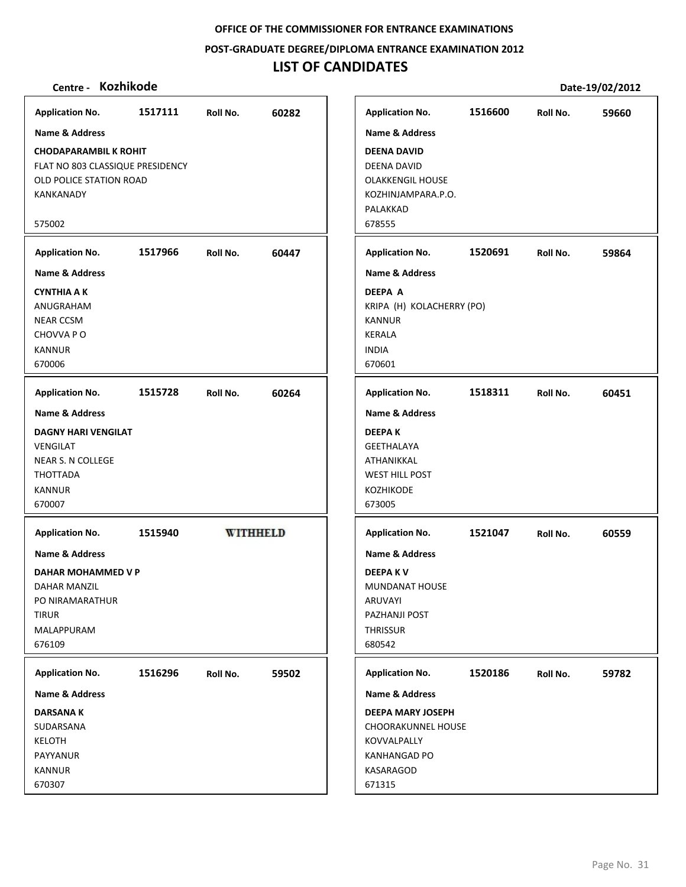## **POST‐GRADUATE DEGREE/DIPLOMA ENTRANCE EXAMINATION 2012**

# **LIST OF CANDIDATES**

| <b>Application No.</b>                                                                                                     | 1517111 | Roll No.        | 60282 | <b>Application No.</b>                                                                                                               | 1516600 | Roll No. | 59660 |
|----------------------------------------------------------------------------------------------------------------------------|---------|-----------------|-------|--------------------------------------------------------------------------------------------------------------------------------------|---------|----------|-------|
| <b>Name &amp; Address</b>                                                                                                  |         |                 |       | <b>Name &amp; Address</b>                                                                                                            |         |          |       |
| <b>CHODAPARAMBIL K ROHIT</b><br>FLAT NO 803 CLASSIQUE PRESIDENCY<br>OLD POLICE STATION ROAD<br>KANKANADY<br>575002         |         |                 |       | <b>DEENA DAVID</b><br>DEENA DAVID<br><b>OLAKKENGIL HOUSE</b><br>KOZHINJAMPARA.P.O.<br>PALAKKAD<br>678555                             |         |          |       |
| <b>Application No.</b>                                                                                                     | 1517966 | Roll No.        | 60447 | <b>Application No.</b>                                                                                                               | 1520691 | Roll No. | 59864 |
| <b>Name &amp; Address</b><br><b>CYNTHIA A K</b><br>ANUGRAHAM<br><b>NEAR CCSM</b><br>CHOVVA PO<br><b>KANNUR</b><br>670006   |         |                 |       | <b>Name &amp; Address</b><br><b>DEEPA A</b><br>KRIPA (H) KOLACHERRY (PO)<br><b>KANNUR</b><br><b>KERALA</b><br><b>INDIA</b><br>670601 |         |          |       |
| <b>Application No.</b>                                                                                                     | 1515728 | Roll No.        | 60264 | <b>Application No.</b>                                                                                                               | 1518311 | Roll No. | 60451 |
| <b>Name &amp; Address</b>                                                                                                  |         |                 |       | <b>Name &amp; Address</b>                                                                                                            |         |          |       |
| <b>DAGNY HARI VENGILAT</b><br>VENGILAT<br>NEAR S. N COLLEGE<br>THOTTADA<br><b>KANNUR</b><br>670007                         |         |                 |       | <b>DEEPAK</b><br><b>GEETHALAYA</b><br>ATHANIKKAL<br><b>WEST HILL POST</b><br>KOZHIKODE<br>673005                                     |         |          |       |
| <b>Application No.</b>                                                                                                     | 1515940 | <b>WITHHELD</b> |       | <b>Application No.</b>                                                                                                               | 1521047 | Roll No. | 60559 |
| <b>Name &amp; Address</b><br>DAHAR MOHAMMED V P<br>DAHAR MANZIL<br>PO NIRAMARATHUR<br><b>TIRUR</b><br>MALAPPURAM<br>676109 |         |                 |       | <b>Name &amp; Address</b><br><b>DEEPAKV</b><br>MUNDANAT HOUSE<br>ARUVAYI<br>PAZHANJI POST<br><b>THRISSUR</b><br>680542               |         |          |       |
| <b>Application No.</b>                                                                                                     | 1516296 | Roll No.        | 59502 | <b>Application No.</b>                                                                                                               | 1520186 | Roll No. | 59782 |
| Name & Address                                                                                                             |         |                 |       | Name & Address                                                                                                                       |         |          |       |
| <b>DARSANAK</b><br>SUDARSANA<br><b>KELOTH</b><br>PAYYANUR<br>KANNUR<br>670307                                              |         |                 |       | <b>DEEPA MARY JOSEPH</b><br><b>CHOORAKUNNEL HOUSE</b><br>KOVVALPALLY<br><b>KANHANGAD PO</b><br>KASARAGOD<br>671315                   |         |          |       |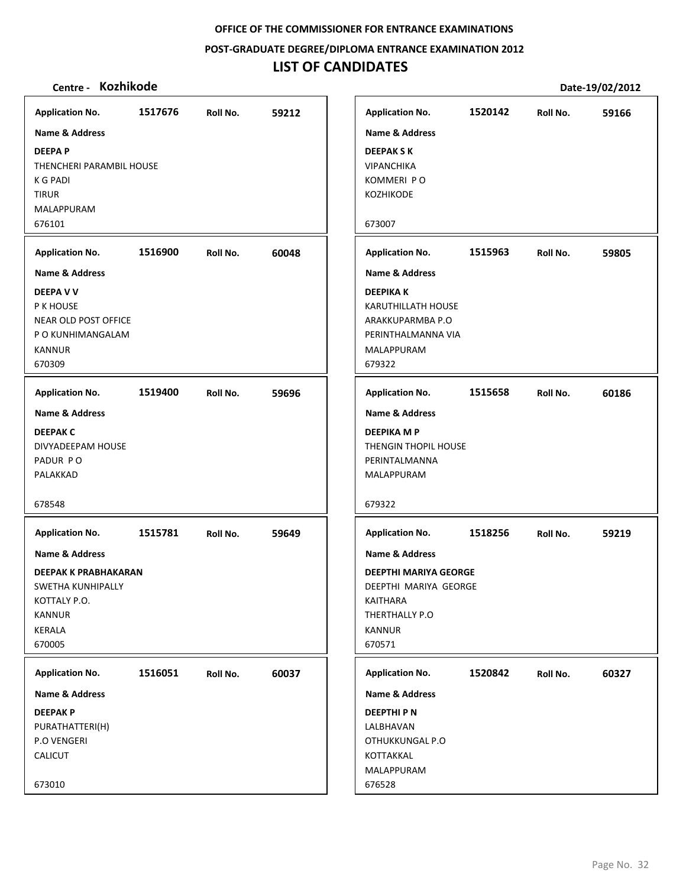**POST‐GRADUATE DEGREE/DIPLOMA ENTRANCE EXAMINATION 2012**

# **LIST OF CANDIDATES**

| <b>Kozhikode</b><br>Centre - |         |          |       |                           |         |          | Date-19/02/2012 |
|------------------------------|---------|----------|-------|---------------------------|---------|----------|-----------------|
| <b>Application No.</b>       | 1517676 | Roll No. | 59212 | <b>Application No.</b>    | 1520142 | Roll No. | 59166           |
| <b>Name &amp; Address</b>    |         |          |       | <b>Name &amp; Address</b> |         |          |                 |
| <b>DEEPAP</b>                |         |          |       | <b>DEEPAKSK</b>           |         |          |                 |
| THENCHERI PARAMBIL HOUSE     |         |          |       | <b>VIPANCHIKA</b>         |         |          |                 |
| K G PADI                     |         |          |       | KOMMERI PO                |         |          |                 |
| <b>TIRUR</b>                 |         |          |       | KOZHIKODE                 |         |          |                 |
| MALAPPURAM                   |         |          |       |                           |         |          |                 |
| 676101                       |         |          |       | 673007                    |         |          |                 |
| <b>Application No.</b>       | 1516900 | Roll No. | 60048 | <b>Application No.</b>    | 1515963 | Roll No. | 59805           |
| Name & Address               |         |          |       | <b>Name &amp; Address</b> |         |          |                 |
| <b>DEEPA V V</b>             |         |          |       | <b>DEEPIKAK</b>           |         |          |                 |
| P K HOUSE                    |         |          |       | KARUTHILLATH HOUSE        |         |          |                 |
| NEAR OLD POST OFFICE         |         |          |       | ARAKKUPARMBA P.O          |         |          |                 |
| P O KUNHIMANGALAM            |         |          |       | PERINTHALMANNA VIA        |         |          |                 |
| <b>KANNUR</b>                |         |          |       | MALAPPURAM                |         |          |                 |
| 670309                       |         |          |       | 679322                    |         |          |                 |
| <b>Application No.</b>       | 1519400 | Roll No. | 59696 | <b>Application No.</b>    | 1515658 | Roll No. | 60186           |
| <b>Name &amp; Address</b>    |         |          |       | <b>Name &amp; Address</b> |         |          |                 |
| <b>DEEPAK C</b>              |         |          |       | <b>DEEPIKA M P</b>        |         |          |                 |
| DIVYADEEPAM HOUSE            |         |          |       | THENGIN THOPIL HOUSE      |         |          |                 |
| PADUR PO                     |         |          |       | PERINTALMANNA             |         |          |                 |
| PALAKKAD                     |         |          |       | MALAPPURAM                |         |          |                 |
| 678548                       |         |          |       | 679322                    |         |          |                 |
| <b>Application No.</b>       | 1515781 | Roll No. | 59649 | <b>Application No.</b>    | 1518256 | Roll No. | 59219           |
| Name & Address               |         |          |       | <b>Name &amp; Address</b> |         |          |                 |
| <b>DEEPAK K PRABHAKARAN</b>  |         |          |       | DEEPTHI MARIYA GEORGE     |         |          |                 |
| SWETHA KUNHIPALLY            |         |          |       | DEEPTHI MARIYA GEORGE     |         |          |                 |
| KOTTALY P.O.                 |         |          |       | KAITHARA                  |         |          |                 |
| KANNUR                       |         |          |       | THERTHALLY P.O            |         |          |                 |
| KERALA<br>670005             |         |          |       | <b>KANNUR</b><br>670571   |         |          |                 |
|                              |         |          |       |                           |         |          |                 |
| <b>Application No.</b>       | 1516051 | Roll No. | 60037 | <b>Application No.</b>    | 1520842 | Roll No. | 60327           |
| Name & Address               |         |          |       | <b>Name &amp; Address</b> |         |          |                 |
| <b>DEEPAKP</b>               |         |          |       | <b>DEEPTHIPN</b>          |         |          |                 |
| PURATHATTERI(H)              |         |          |       | LALBHAVAN                 |         |          |                 |
| P.O VENGERI                  |         |          |       | OTHUKKUNGAL P.O           |         |          |                 |
| <b>CALICUT</b>               |         |          |       | KOTTAKKAL                 |         |          |                 |
| 673010                       |         |          |       | MALAPPURAM<br>676528      |         |          |                 |
|                              |         |          |       |                           |         |          |                 |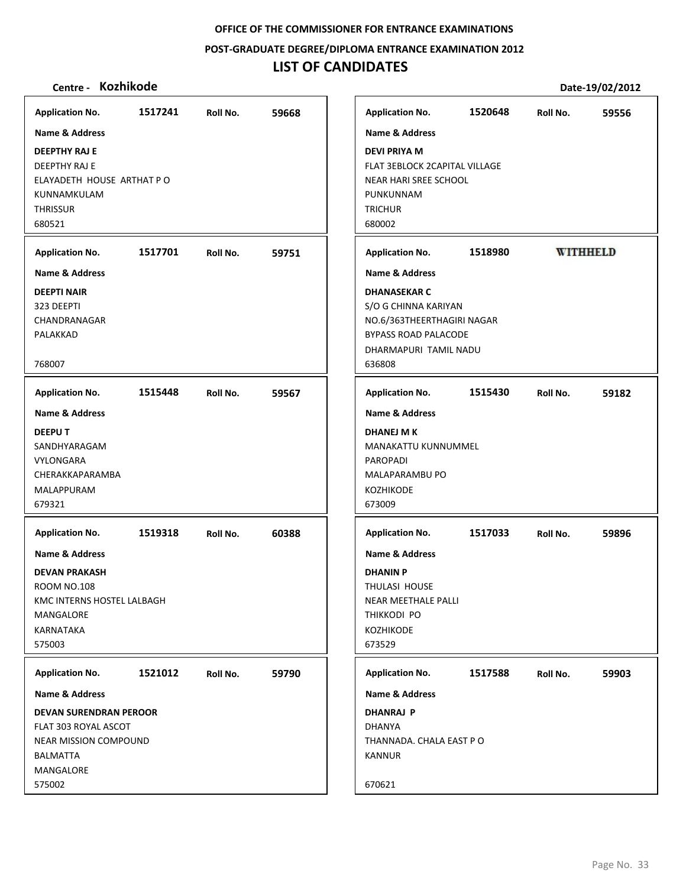#### **POST‐GRADUATE DEGREE/DIPLOMA ENTRANCE EXAMINATION 2012**

## **LIST OF CANDIDATES**

## **Centre ‐ Kozhikode Date‐19/02/2012**

**Application No. 1517241 59668 Application No. 1520648 59556 Name & Address Name & Address DEEPTHY RAJ E DEVI PRIYA M** DEEPTHY RAJ E FLAT 3EBLOCK 2CAPITAL VILLAGE ELAYADETH HOUSE ARTHAT P O NEAR HARI SREE SCHOOL PUNKUNNAM KUNNAMKULAM **THRISSUR TRICHUR** 680521 680002 **Application No. 1517701 59751 Application No. 1518980 WITHHELD Name & Address Name & Address DEEPTI NAIR DHANASEKAR C** 323 DEEPTI S/O G CHINNA KARIYAN CHANDRANAGAR NO.6/363THEERTHAGIRI NAGAR PALAKKAD BYPASS ROAD PALACODE DHARMAPURI TAMIL NADU 768007 636808 **Application No. 1515448 59567 Application No. 1515430 59182 Name & Address Name & Address DEEPU T DHANEJ M K** MANAKATTU KUNNUMMEL SANDHYARAGAM VYLONGARA PAROPADI CHERAKKAPARAMBA MALAPARAMBU PO MALAPPURAM KOZHIKODE 679321 673009 **Application No. Application No. 1519318 60388 1517033 59896 Name & Address Name & Address DEVAN PRAKASH DHANIN P** ROOM NO.108 THULASI HOUSE KMC INTERNS HOSTEL LALBAGH NEAR MEETHALE PALLI MANGALORE THIKKODI PO KARNATAKA KOZHIKODE 575003 673529 **Application No. Application No. 1521012 59790 1517588 59903 Name & Address Name & Address DEVAN SURENDRAN PEROOR DHANRAJ P** FLAT 303 ROYAL ASCOT DHANYA NEAR MISSION COMPOUND THANNADA. CHALA EAST P O **BALMATTA** KANNUR MANGALORE 575002 670621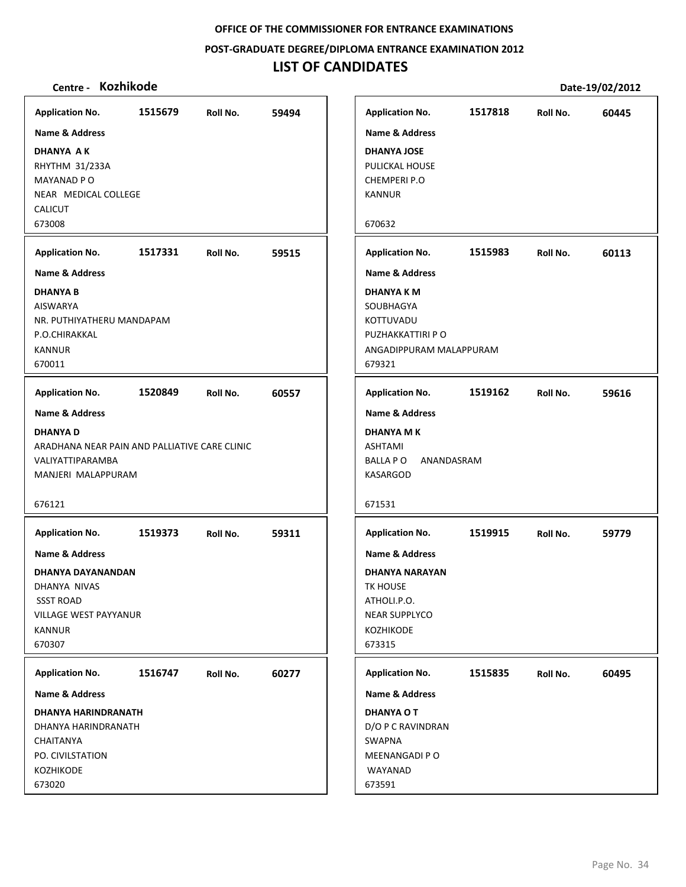**POST‐GRADUATE DEGREE/DIPLOMA ENTRANCE EXAMINATION 2012**

# **LIST OF CANDIDATES**

| <b>Application No.</b>                        | 1515679 | Roll No. | 59494 | <b>Application No.</b>    | 1517818    | Roll No. | 60445 |
|-----------------------------------------------|---------|----------|-------|---------------------------|------------|----------|-------|
| Name & Address                                |         |          |       | <b>Name &amp; Address</b> |            |          |       |
| <b>DHANYA AK</b>                              |         |          |       | <b>DHANYA JOSE</b>        |            |          |       |
| RHYTHM 31/233A                                |         |          |       | PULICKAL HOUSE            |            |          |       |
| MAYANAD PO                                    |         |          |       | CHEMPERI P.O              |            |          |       |
| NEAR MEDICAL COLLEGE<br><b>CALICUT</b>        |         |          |       | <b>KANNUR</b>             |            |          |       |
| 673008                                        |         |          |       | 670632                    |            |          |       |
| <b>Application No.</b>                        | 1517331 | Roll No. | 59515 | <b>Application No.</b>    | 1515983    | Roll No. | 60113 |
|                                               |         |          |       |                           |            |          |       |
| <b>Name &amp; Address</b>                     |         |          |       | <b>Name &amp; Address</b> |            |          |       |
| <b>DHANYA B</b>                               |         |          |       | <b>DHANYA KM</b>          |            |          |       |
| <b>AISWARYA</b><br>NR. PUTHIYATHERU MANDAPAM  |         |          |       | SOUBHAGYA<br>KOTTUVADU    |            |          |       |
| P.O.CHIRAKKAL                                 |         |          |       | PUZHAKKATTIRI P O         |            |          |       |
| <b>KANNUR</b>                                 |         |          |       | ANGADIPPURAM MALAPPURAM   |            |          |       |
| 670011                                        |         |          |       | 679321                    |            |          |       |
|                                               |         |          |       |                           |            |          |       |
| <b>Application No.</b>                        | 1520849 | Roll No. | 60557 | <b>Application No.</b>    | 1519162    | Roll No. | 59616 |
| Name & Address                                |         |          |       | <b>Name &amp; Address</b> |            |          |       |
| <b>DHANYAD</b>                                |         |          |       | <b>DHANYA MK</b>          |            |          |       |
| ARADHANA NEAR PAIN AND PALLIATIVE CARE CLINIC |         |          |       | ASHTAMI                   |            |          |       |
| VALIYATTIPARAMBA                              |         |          |       | BALLA P O                 | ANANDASRAM |          |       |
| MANJERI MALAPPURAM                            |         |          |       | KASARGOD                  |            |          |       |
|                                               |         |          |       |                           |            |          |       |
| 676121                                        |         |          |       | 671531                    |            |          |       |
| <b>Application No.</b>                        | 1519373 | Roll No. | 59311 | <b>Application No.</b>    | 1519915    | Roll No. | 59779 |
| Name & Address                                |         |          |       | <b>Name &amp; Address</b> |            |          |       |
| <b>DHANYA DAYANANDAN</b>                      |         |          |       | <b>DHANYA NARAYAN</b>     |            |          |       |
| DHANYA NIVAS                                  |         |          |       | TK HOUSE                  |            |          |       |
| <b>SSST ROAD</b>                              |         |          |       | ATHOLI.P.O.               |            |          |       |
| VILLAGE WEST PAYYANUR                         |         |          |       | <b>NEAR SUPPLYCO</b>      |            |          |       |
| <b>KANNUR</b>                                 |         |          |       | KOZHIKODE                 |            |          |       |
| 670307                                        |         |          |       | 673315                    |            |          |       |
| <b>Application No.</b>                        | 1516747 | Roll No. | 60277 | <b>Application No.</b>    | 1515835    | Roll No. | 60495 |
| Name & Address                                |         |          |       | Name & Address            |            |          |       |
| <b>DHANYA HARINDRANATH</b>                    |         |          |       | <b>DHANYA O T</b>         |            |          |       |
| DHANYA HARINDRANATH                           |         |          |       | D/O P C RAVINDRAN         |            |          |       |
| <b>CHAITANYA</b>                              |         |          |       | <b>SWAPNA</b>             |            |          |       |
| PO. CIVILSTATION                              |         |          |       | MEENANGADI P O            |            |          |       |
| KOZHIKODE                                     |         |          |       | WAYANAD                   |            |          |       |
| 673020                                        |         |          |       | 673591                    |            |          |       |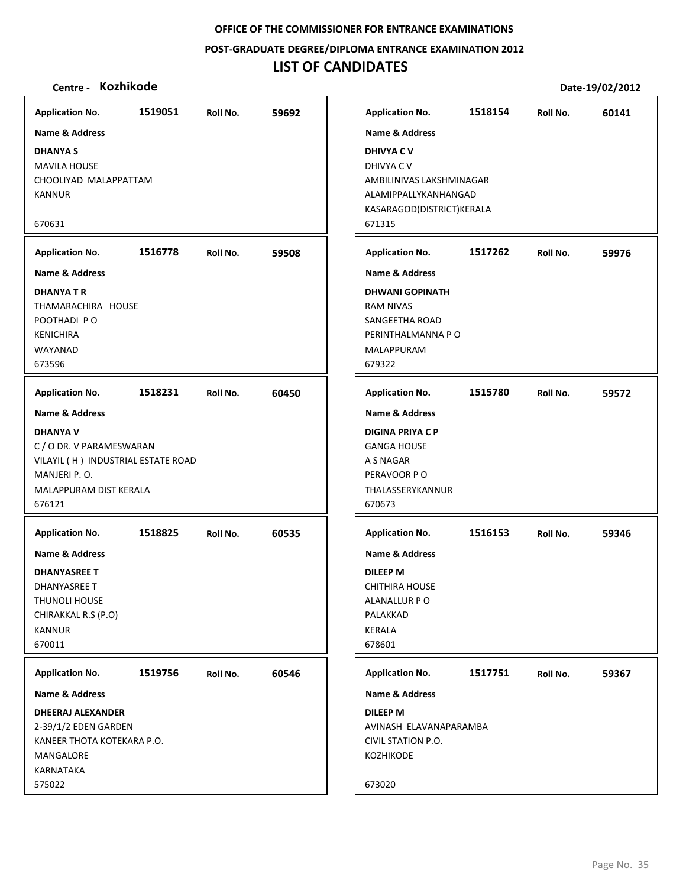**POST‐GRADUATE DEGREE/DIPLOMA ENTRANCE EXAMINATION 2012**

## **LIST OF CANDIDATES**

## **Centre ‐ Kozhikode Date‐19/02/2012**

**1519051 59692 DHANYA S** MAVILA HOUSE CHOOLIYAD MALAPPATTAM KANNUR 670631 **Application No. Name & Address 1516778 59508 DHANYA T R** THAMARACHIRA HOUSE POOTHADI P O KENICHIRA WAYANAD 673596 **Application No. Name & Address 1518231 60450 DHANYA V** C / O DR. V PARAMESWARAN VILAYIL ( H ) INDUSTRIAL ESTATE ROAD MANJERI P. O. MALAPPURAM DIST KERALA 676121 **Application No. Name & Address 1518825 60535 DHANYASREE T** DHANYASREE T THUNOLI HOUSE CHIRAKKAL R.S (P.O) KANNUR 670011 **Application No. Name & Address 1519756 60546 DHEERAJ ALEXANDER** 2‐39/1/2 EDEN GARDEN KANEER THOTA KOTEKARA P.O. MANGALORE KARNATAKA 575022 **Application No. Name & Address 1518154 60141 DHIVYA C V** DHIVYA C V AMBILINIVAS LAKSHMINAGAR ALAMIPPALLYKANHANGAD KASARAGOD(DISTRICT)KERALA 671315 **Application No. Name & Address 1517262 59976 DHWANI GOPINATH** RAM NIVAS SANGEETHA ROAD PERINTHALMANNA P O MALAPPURAM 679322 **Application No. Name & Address 1515780 59572 DIGINA PRIYA C P** GANGA HOUSE A S NAGAR PERAVOOR P O THALASSERYKANNUR 670673 **Application No. Name & Address 1516153 59346 DILEEP M** CHITHIRA HOUSE ALANALLUR P O PALAKKAD KERALA 678601 **Application No. Name & Address 1517751 59367 DILEEP M** AVINASH ELAVANAPARAMBA CIVIL STATION P.O. KOZHIKODE 673020 **Application No. Name & Address**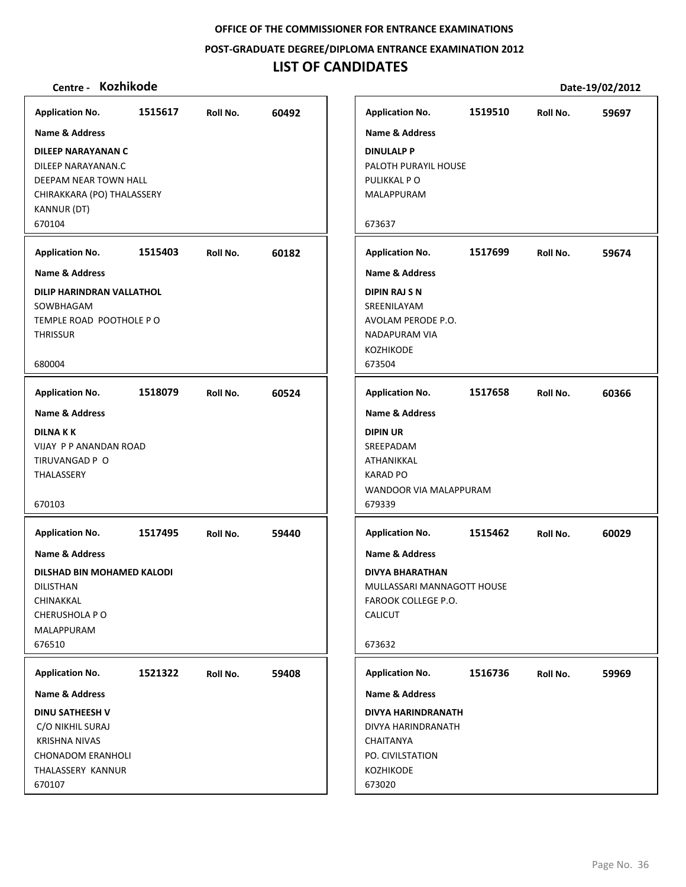**POST‐GRADUATE DEGREE/DIPLOMA ENTRANCE EXAMINATION 2012**

# **LIST OF CANDIDATES**

| <b>Application No.</b>                                                                                                                                                               | 1515617 | Roll No. | 60492 |
|--------------------------------------------------------------------------------------------------------------------------------------------------------------------------------------|---------|----------|-------|
| <b>Name &amp; Address</b><br>DILEEP NARAYANAN C<br>DILEEP NARAYANAN.C<br>DEEPAM NEAR TOWN HALL<br>CHIRAKKARA (PO) THALASSERY<br>KANNUR (DT)<br>670104                                |         |          |       |
| <b>Application No.</b>                                                                                                                                                               | 1515403 | Roll No. | 60182 |
| <b>Name &amp; Address</b><br>DILIP HARINDRAN VALLATHOL<br>SOWBHAGAM<br>TEMPLE ROAD POOTHOLE PO<br><b>THRISSUR</b><br>680004                                                          |         |          |       |
| <b>Application No.</b>                                                                                                                                                               | 1518079 | Roll No. | 60524 |
| <b>Name &amp; Address</b><br><b>DILNAKK</b><br><b>VIJAY P P ANANDAN ROAD</b><br>TIRUVANGAD P O<br>THALASSERY<br>670103                                                               |         |          |       |
| <b>Application No.</b><br>Name & Address<br>DILSHAD BIN MOHAMED KALODI<br>DILISTHAN<br>CHINAKKAL<br>CHERUSHOLA PO<br>MALAPPURAM<br>676510                                            | 1517495 | Roll No. | 59440 |
|                                                                                                                                                                                      |         |          |       |
| <b>Application No.</b><br><b>Name &amp; Address</b><br><b>DINU SATHEESH V</b><br>C/O NIKHIL SURAJ<br><b>KRISHNA NIVAS</b><br><b>CHONADOM ERANHOLI</b><br>THALASSERY KANNUR<br>670107 | 1521322 | Roll No. | 59408 |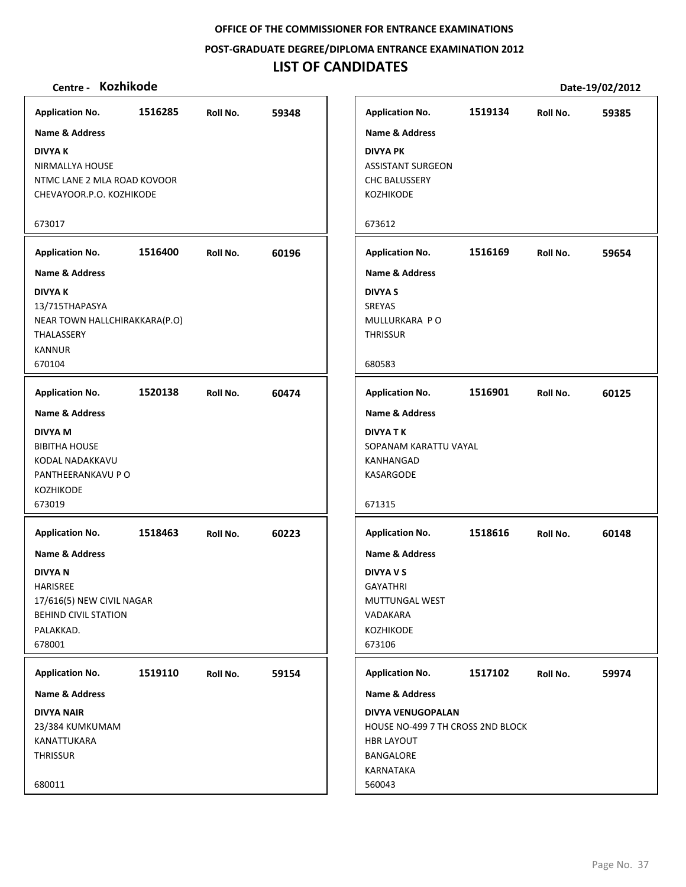**POST‐GRADUATE DEGREE/DIPLOMA ENTRANCE EXAMINATION 2012**

# **LIST OF CANDIDATES**

| <b>Application No.</b>                                                                                                         | 1516285 | Roll No. | 59348 |
|--------------------------------------------------------------------------------------------------------------------------------|---------|----------|-------|
| <b>Name &amp; Address</b>                                                                                                      |         |          |       |
| <b>DIVYAK</b><br>NIRMALLYA HOUSE<br>NTMC LANE 2 MLA ROAD KOVOOR<br>CHEVAYOOR.P.O. KOZHIKODE                                    |         |          |       |
| 673017                                                                                                                         |         |          |       |
| <b>Application No.</b>                                                                                                         | 1516400 | Roll No. | 60196 |
| <b>Name &amp; Address</b>                                                                                                      |         |          |       |
| <b>DIVYAK</b><br>13/715THAPASYA<br>NEAR TOWN HALLCHIRAKKARA(P.O)<br>THALASSERY<br><b>KANNUR</b><br>670104                      |         |          |       |
| <b>Application No.</b>                                                                                                         | 1520138 | Roll No. | 60474 |
| <b>Name &amp; Address</b>                                                                                                      |         |          |       |
| <b>DIVYA M</b><br><b>BIBITHA HOUSE</b><br>KODAL NADAKKAVU<br>PANTHEERANKAVU P O<br><b>KOZHIKODE</b><br>673019                  |         |          |       |
| <b>Application No.</b>                                                                                                         | 1518463 | Roll No. | 60223 |
| Name & Address<br><b>DIVYAN</b><br>HARISREE<br>17/616(5) NEW CIVIL NAGAR<br><b>BEHIND CIVIL STATION</b><br>PALAKKAD.<br>678001 |         |          |       |
| <b>Application No.</b>                                                                                                         | 1519110 | Roll No. | 59154 |
| Name & Address                                                                                                                 |         |          |       |
| <b>DIVYA NAIR</b><br>23/384 KUMKUMAM<br>KANATTUKARA<br><b>THRISSUR</b><br>680011                                               |         |          |       |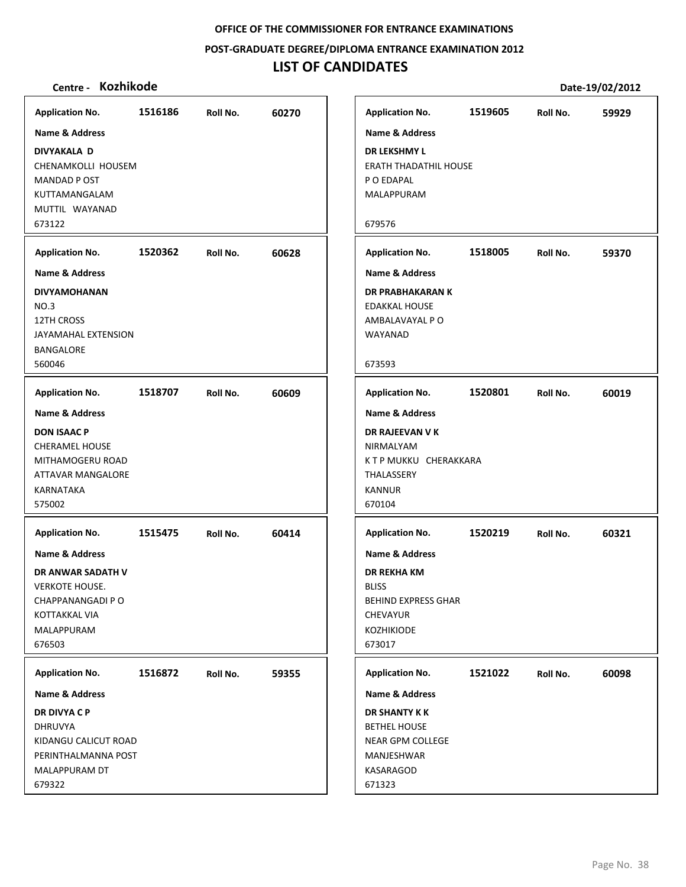**POST‐GRADUATE DEGREE/DIPLOMA ENTRANCE EXAMINATION 2012**

# **LIST OF CANDIDATES**

| <b>Application No.</b>                                                                                                                   | 1516186 | Roll No. | 60270 | <b>Application No.</b>                                                                                                                          | 1519605 | Roll No. | 59929 |
|------------------------------------------------------------------------------------------------------------------------------------------|---------|----------|-------|-------------------------------------------------------------------------------------------------------------------------------------------------|---------|----------|-------|
| Name & Address                                                                                                                           |         |          |       | Name & Address                                                                                                                                  |         |          |       |
| DIVYAKALA D<br>CHENAMKOLLI HOUSEM<br>MANDAD P OST<br>KUTTAMANGALAM<br>MUTTIL WAYANAD<br>673122                                           |         |          |       | <b>DR LEKSHMY L</b><br><b>ERATH THADATHIL HOUSE</b><br>P O EDAPAL<br>MALAPPURAM<br>679576                                                       |         |          |       |
|                                                                                                                                          |         |          |       |                                                                                                                                                 |         |          |       |
| <b>Application No.</b>                                                                                                                   | 1520362 | Roll No. | 60628 | <b>Application No.</b>                                                                                                                          | 1518005 | Roll No. | 59370 |
| <b>Name &amp; Address</b>                                                                                                                |         |          |       | <b>Name &amp; Address</b>                                                                                                                       |         |          |       |
| <b>DIVYAMOHANAN</b><br>NO.3<br>12TH CROSS<br>JAYAMAHAL EXTENSION<br>BANGALORE<br>560046                                                  |         |          |       | <b>DR PRABHAKARAN K</b><br><b>EDAKKAL HOUSE</b><br>AMBALAVAYAL P O<br>WAYANAD<br>673593                                                         |         |          |       |
|                                                                                                                                          |         |          |       |                                                                                                                                                 |         |          |       |
| <b>Application No.</b>                                                                                                                   | 1518707 | Roll No. | 60609 | <b>Application No.</b>                                                                                                                          | 1520801 | Roll No. | 60019 |
| <b>Name &amp; Address</b><br><b>DON ISAAC P</b><br><b>CHERAMEL HOUSE</b><br>MITHAMOGERU ROAD<br>ATTAVAR MANGALORE<br>KARNATAKA<br>575002 |         |          |       | Name & Address<br>DR RAJEEVAN V K<br>NIRMALYAM<br>KTP MUKKU CHERAKKARA<br>THALASSERY<br><b>KANNUR</b><br>670104                                 |         |          |       |
| <b>Application No.</b>                                                                                                                   | 1515475 | Roll No. | 60414 | <b>Application No.</b>                                                                                                                          | 1520219 | Roll No. | 60321 |
| <b>Name &amp; Address</b><br>DR ANWAR SADATH V<br><b>VERKOTE HOUSE.</b><br>CHAPPANANGADI PO<br>KOTTAKKAL VIA<br>MALAPPURAM<br>676503     |         |          |       | <b>Name &amp; Address</b><br><b>DR REKHA KM</b><br><b>BLISS</b><br><b>BEHIND EXPRESS GHAR</b><br><b>CHEVAYUR</b><br><b>KOZHIKIODE</b><br>673017 |         |          |       |
| <b>Application No.</b>                                                                                                                   | 1516872 | Roll No. | 59355 | <b>Application No.</b>                                                                                                                          | 1521022 | Roll No. | 60098 |
| Name & Address                                                                                                                           |         |          |       | Name & Address                                                                                                                                  |         |          |       |
| DR DIVYA C P<br><b>DHRUVYA</b><br>KIDANGU CALICUT ROAD<br>PERINTHALMANNA POST<br>MALAPPURAM DT<br>679322                                 |         |          |       | <b>DR SHANTY K K</b><br><b>BETHEL HOUSE</b><br><b>NEAR GPM COLLEGE</b><br>MANJESHWAR<br>KASARAGOD<br>671323                                     |         |          |       |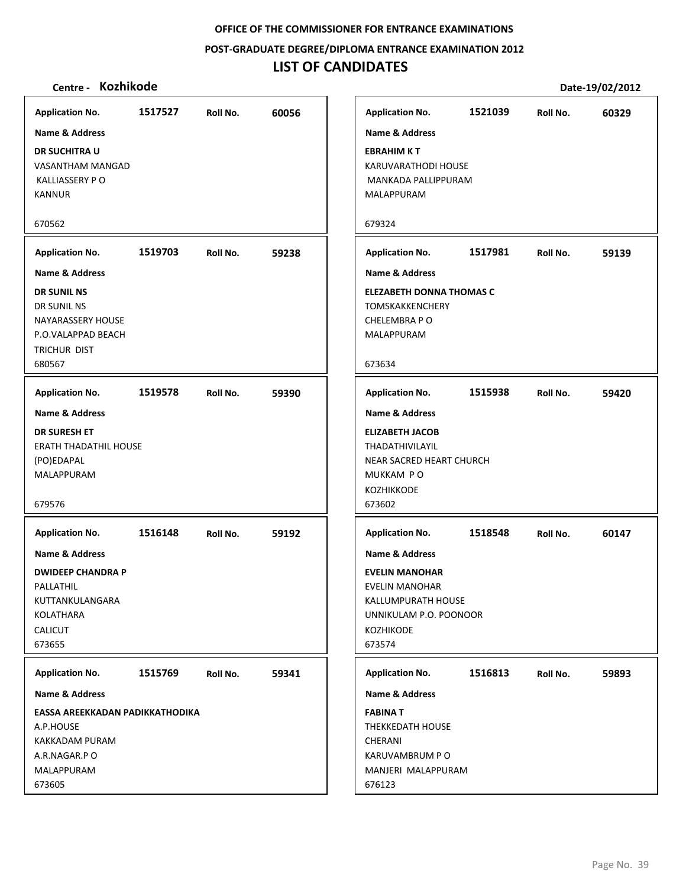**POST‐GRADUATE DEGREE/DIPLOMA ENTRANCE EXAMINATION 2012**

# **LIST OF CANDIDATES**

| Application No. 1517527 Roll No.<br><b>Name &amp; Address</b><br><b>DR SUCHITRA U</b><br>VASANTHAM MANGAD<br><b>KALLIASSERY PO</b><br><b>KANNUR</b><br>670562        |         |          | 60056 | <b>Application No.</b><br>Name & Addres<br><b>EBRAHIM KT</b><br>KARUVARATHOI<br><b>MANKADA PALL</b><br>MALAPPURAM<br>679324                                  |
|----------------------------------------------------------------------------------------------------------------------------------------------------------------------|---------|----------|-------|--------------------------------------------------------------------------------------------------------------------------------------------------------------|
| <b>Application No.</b><br><b>Name &amp; Address</b><br><b>DR SUNIL NS</b><br>DR SUNIL NS<br><b>NAYARASSERY HOUSE</b><br>P.O.VALAPPAD BEACH<br>TRICHUR DIST<br>680567 | 1519703 | Roll No. | 59238 | <b>Application No.</b><br><b>Name &amp; Addres</b><br><b>ELEZABETH DON</b><br><b>TOMSKAKKENCH</b><br><b>CHELEMBRA P O</b><br>MALAPPURAM<br>673634            |
| Application No. 1519578 Roll No.<br><b>Name &amp; Address</b><br><b>DR SURESH ET</b><br><b>ERATH THADATHIL HOUSE</b><br>(PO)EDAPAL<br>MALAPPURAM<br>679576           |         |          | 59390 | <b>Application No.</b><br>Name & Addres<br><b>ELIZABETH JACC</b><br><b>THADATHIVILAY</b><br><b>NEAR SACRED H</b><br>MUKKAM PO<br><b>KOZHIKKODE</b><br>673602 |
| <b>Application No.</b><br><b>Name &amp; Address</b><br><b>DWIDEEP CHANDRA P</b><br>PALLATHIL<br>KUTTANKULANGARA<br>KOLATHARA<br><b>CALICUT</b><br>673655             | 1516148 | Roll No. | 59192 | <b>Application No.</b><br>Name & Addres<br><b>EVELIN MANOH</b><br><b>EVELIN MANOH</b><br>KALLUMPURATH<br>UNNIKULAM P.C<br><b>KOZHIKODE</b><br>673574         |
| <b>Application No.</b><br><b>Name &amp; Address</b><br>EASSA AREEKKADAN PADIKKATHODIKA<br>A.P.HOUSE<br>KAKKADAM PURAM<br>A.R.NAGAR.P O<br>MALAPPURAM<br>673605       | 1515769 | Roll No. | 59341 | <b>Application No.</b><br>Name & Addres<br><b>FABINA T</b><br>THEKKEDATH HO<br>CHERANI<br>KARUVAMBRUN<br>MANJERI MALA<br>676123                              |

| <b>Application No.</b>                                                                                                                                | 1521039 | Roll No. | 60329 |
|-------------------------------------------------------------------------------------------------------------------------------------------------------|---------|----------|-------|
| <b>Name &amp; Address</b><br><b>EBRAHIM KT</b><br>KARUVARATHODI HOUSE<br>MANKADA PALLIPPURAM<br><b>MALAPPURAM</b><br>679324                           |         |          |       |
| <b>Application No.</b>                                                                                                                                | 1517981 | Roll No. | 59139 |
| <b>Name &amp; Address</b>                                                                                                                             |         |          |       |
| <b>ELEZABETH DONNA THOMAS C</b><br><b>TOMSKAKKENCHERY</b><br>CHELEMBRA P O<br><b>MALAPPURAM</b><br>673634                                             |         |          |       |
|                                                                                                                                                       |         |          |       |
| <b>Application No.</b>                                                                                                                                | 1515938 | Roll No. | 59420 |
| <b>Name &amp; Address</b><br><b>ELIZABETH JACOB</b><br><b>THADATHIVILAYIL</b><br>NEAR SACRED HEART CHURCH<br>MUKKAM PO<br><b>KOZHIKKODE</b><br>673602 |         |          |       |
| <b>Application No.</b>                                                                                                                                | 1518548 | Roll No. | 60147 |
| <b>Name &amp; Address</b>                                                                                                                             |         |          |       |
| <b>EVELIN MANOHAR</b><br>EVELIN MANOHAR<br>KALLUMPURATH HOUSE<br>UNNIKULAM P.O. POONOOR<br><b>KOZHIKODE</b><br>673574                                 |         |          |       |
| <b>Application No.</b>                                                                                                                                | 1516813 | Roll No. | 59893 |
| <b>Name &amp; Address</b>                                                                                                                             |         |          |       |
| <b>FABINAT</b><br><b>THEKKEDATH HOUSE</b><br><b>CHERANI</b><br>KARUVAMBRUM P O<br>MANJERI MALAPPURAM<br>676123                                        |         |          |       |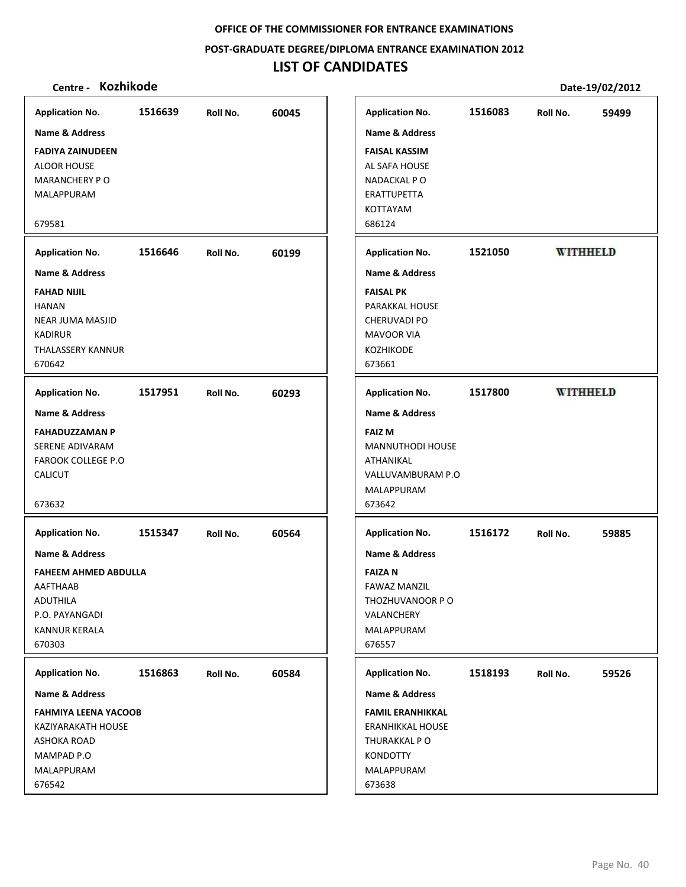**POST‐GRADUATE DEGREE/DIPLOMA ENTRANCE EXAMINATION 2012**

# **LIST OF CANDIDATES**

| <b>Application No.</b>      | 1516639 | Roll No. | 60045 | <b>Application No.</b>    | 1516083 | Roll No.        | 59499           |
|-----------------------------|---------|----------|-------|---------------------------|---------|-----------------|-----------------|
| <b>Name &amp; Address</b>   |         |          |       | <b>Name &amp; Address</b> |         |                 |                 |
| <b>FADIYA ZAINUDEEN</b>     |         |          |       | <b>FAISAL KASSIM</b>      |         |                 |                 |
| <b>ALOOR HOUSE</b>          |         |          |       | AL SAFA HOUSE             |         |                 |                 |
| <b>MARANCHERY PO</b>        |         |          |       | NADACKAL PO               |         |                 |                 |
| MALAPPURAM                  |         |          |       | ERATTUPETTA               |         |                 |                 |
|                             |         |          |       | KOTTAYAM                  |         |                 |                 |
| 679581                      |         |          |       | 686124                    |         |                 |                 |
| <b>Application No.</b>      | 1516646 | Roll No. | 60199 | <b>Application No.</b>    | 1521050 |                 | <b>WITHHELD</b> |
| <b>Name &amp; Address</b>   |         |          |       | <b>Name &amp; Address</b> |         |                 |                 |
| <b>FAHAD NIJIL</b>          |         |          |       | <b>FAISAL PK</b>          |         |                 |                 |
| <b>HANAN</b>                |         |          |       | PARAKKAL HOUSE            |         |                 |                 |
| <b>NEAR JUMA MASJID</b>     |         |          |       | CHERUVADI PO              |         |                 |                 |
| <b>KADIRUR</b>              |         |          |       | <b>MAVOOR VIA</b>         |         |                 |                 |
| <b>THALASSERY KANNUR</b>    |         |          |       | KOZHIKODE                 |         |                 |                 |
| 670642                      |         |          |       | 673661                    |         |                 |                 |
| <b>Application No.</b>      | 1517951 | Roll No. | 60293 | <b>Application No.</b>    | 1517800 | <b>WITHHELD</b> |                 |
| <b>Name &amp; Address</b>   |         |          |       | <b>Name &amp; Address</b> |         |                 |                 |
| <b>FAHADUZZAMAN P</b>       |         |          |       | <b>FAIZ M</b>             |         |                 |                 |
| SERENE ADIVARAM             |         |          |       | <b>MANNUTHODI HOUSE</b>   |         |                 |                 |
| <b>FAROOK COLLEGE P.O</b>   |         |          |       | ATHANIKAL                 |         |                 |                 |
| <b>CALICUT</b>              |         |          |       | VALLUVAMBURAM P.O         |         |                 |                 |
|                             |         |          |       | MALAPPURAM                |         |                 |                 |
| 673632                      |         |          |       | 673642                    |         |                 |                 |
| <b>Application No.</b>      | 1515347 | Roll No. | 60564 | <b>Application No.</b>    | 1516172 | Roll No.        | 59885           |
| Name & Address              |         |          |       | <b>Name &amp; Address</b> |         |                 |                 |
| <b>FAHEEM AHMED ABDULLA</b> |         |          |       | <b>FAIZAN</b>             |         |                 |                 |
| AAFTHAAB                    |         |          |       | <b>FAWAZ MANZIL</b>       |         |                 |                 |
| ADUTHILA                    |         |          |       | THOZHUVANOOR P O          |         |                 |                 |
| P.O. PAYANGADI              |         |          |       | VALANCHERY                |         |                 |                 |
| <b>KANNUR KERALA</b>        |         |          |       | MALAPPURAM                |         |                 |                 |
| 670303                      |         |          |       | 676557                    |         |                 |                 |
| <b>Application No.</b>      | 1516863 | Roll No. | 60584 | <b>Application No.</b>    | 1518193 | Roll No.        | 59526           |
| <b>Name &amp; Address</b>   |         |          |       | <b>Name &amp; Address</b> |         |                 |                 |
| <b>FAHMIYA LEENA YACOOB</b> |         |          |       | <b>FAMIL ERANHIKKAL</b>   |         |                 |                 |
| KAZIYARAKATH HOUSE          |         |          |       | <b>ERANHIKKAL HOUSE</b>   |         |                 |                 |
| ASHOKA ROAD                 |         |          |       | THURAKKAL PO              |         |                 |                 |
| MAMPAD P.O                  |         |          |       | <b>KONDOTTY</b>           |         |                 |                 |
| MALAPPURAM                  |         |          |       | MALAPPURAM                |         |                 |                 |
| 676542                      |         |          |       | 673638                    |         |                 |                 |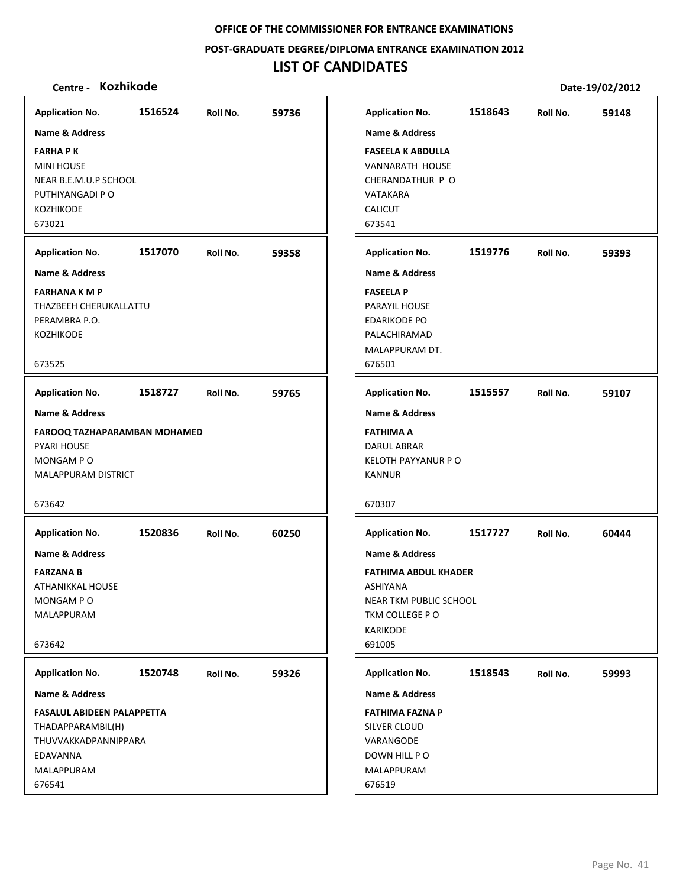**POST‐GRADUATE DEGREE/DIPLOMA ENTRANCE EXAMINATION 2012**

# **LIST OF CANDIDATES**

| <b>Application No.</b>                                                                                             | 1516524 | Roll No. | 59736 | <b>Application No.</b>                                                                                                                 | 1518643 | Roll No. | 59148 |
|--------------------------------------------------------------------------------------------------------------------|---------|----------|-------|----------------------------------------------------------------------------------------------------------------------------------------|---------|----------|-------|
| <b>Name &amp; Address</b>                                                                                          |         |          |       | Name & Address                                                                                                                         |         |          |       |
| <b>FARHAPK</b><br><b>MINI HOUSE</b><br>NEAR B.E.M.U.P SCHOOL<br>PUTHIYANGADI P O<br><b>KOZHIKODE</b><br>673021     |         |          |       | <b>FASEELA K ABDULLA</b><br>VANNARATH HOUSE<br>CHERANDATHUR P O<br>VATAKARA<br><b>CALICUT</b><br>673541                                |         |          |       |
| <b>Application No.</b>                                                                                             | 1517070 | Roll No. | 59358 | <b>Application No.</b>                                                                                                                 | 1519776 | Roll No. | 59393 |
| Name & Address                                                                                                     |         |          |       | <b>Name &amp; Address</b>                                                                                                              |         |          |       |
| <b>FARHANA K M P</b><br>THAZBEEH CHERUKALLATTU<br>PERAMBRA P.O.<br><b>KOZHIKODE</b><br>673525                      |         |          |       | <b>FASEELA P</b><br>PARAYIL HOUSE<br><b>EDARIKODE PO</b><br>PALACHIRAMAD<br>MALAPPURAM DT.<br>676501                                   |         |          |       |
| <b>Application No.</b>                                                                                             | 1518727 | Roll No. | 59765 | <b>Application No.</b>                                                                                                                 | 1515557 | Roll No. | 59107 |
| <b>Name &amp; Address</b>                                                                                          |         |          |       | <b>Name &amp; Address</b>                                                                                                              |         |          |       |
| <b>FAROOQ TAZHAPARAMBAN MOHAMED</b><br>PYARI HOUSE<br>MONGAM PO<br>MALAPPURAM DISTRICT<br>673642                   |         |          |       | <b>FATHIMA A</b><br><b>DARUL ABRAR</b><br><b>KELOTH PAYYANUR P O</b><br>KANNUR<br>670307                                               |         |          |       |
| <b>Application No.</b>                                                                                             | 1520836 | Roll No. | 60250 | <b>Application No.</b>                                                                                                                 | 1517727 | Roll No. | 60444 |
| Name & Address<br><b>FARZANA B</b><br>ATHANIKKAL HOUSE<br>MONGAM PO<br>MALAPPURAM<br>673642                        |         |          |       | <b>Name &amp; Address</b><br><b>FATHIMA ABDUL KHADER</b><br>ASHIYANA<br>NEAR TKM PUBLIC SCHOOL<br>TKM COLLEGE PO<br>KARIKODE<br>691005 |         |          |       |
| <b>Application No.</b>                                                                                             | 1520748 | Roll No. | 59326 | <b>Application No.</b>                                                                                                                 | 1518543 | Roll No. | 59993 |
| Name & Address                                                                                                     |         |          |       | <b>Name &amp; Address</b>                                                                                                              |         |          |       |
| <b>FASALUL ABIDEEN PALAPPETTA</b><br>THADAPPARAMBIL(H)<br>THUVVAKKADPANNIPPARA<br>EDAVANNA<br>MALAPPURAM<br>676541 |         |          |       | <b>FATHIMA FAZNA P</b><br>SILVER CLOUD<br>VARANGODE<br>DOWN HILL PO<br>MALAPPURAM<br>676519                                            |         |          |       |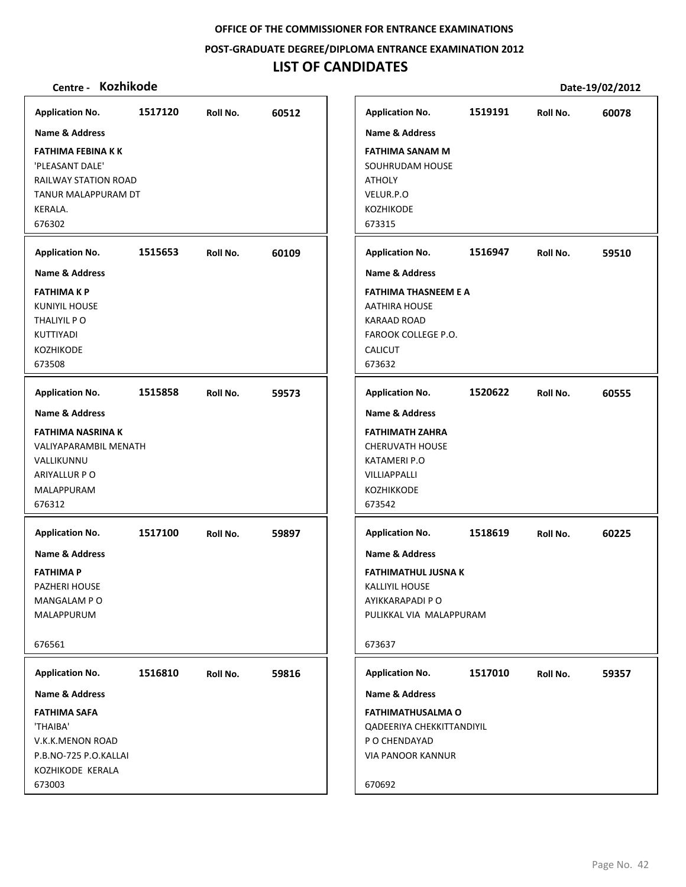**POST‐GRADUATE DEGREE/DIPLOMA ENTRANCE EXAMINATION 2012**

# **LIST OF CANDIDATES**

| <b>Application No.</b>                                                       | 1517120 | Roll No. | 60512 | <b>Application No.</b>                                                                             | 1519191 | Roll No. | 60078 |
|------------------------------------------------------------------------------|---------|----------|-------|----------------------------------------------------------------------------------------------------|---------|----------|-------|
| <b>Name &amp; Address</b>                                                    |         |          |       | <b>Name &amp; Address</b>                                                                          |         |          |       |
| FATHIMA FEBINA K K<br>'PLEASANT DALE'<br>RAILWAY STATION ROAD                |         |          |       | <b>FATHIMA SANAM M</b><br>SOUHRUDAM HOUSE<br><b>ATHOLY</b>                                         |         |          |       |
| TANUR MALAPPURAM DT                                                          |         |          |       | VELUR.P.O                                                                                          |         |          |       |
| KERALA.<br>676302                                                            |         |          |       | KOZHIKODE<br>673315                                                                                |         |          |       |
|                                                                              |         |          |       |                                                                                                    |         |          |       |
| <b>Application No.</b>                                                       | 1515653 | Roll No. | 60109 | <b>Application No.</b>                                                                             | 1516947 | Roll No. | 59510 |
| <b>Name &amp; Address</b>                                                    |         |          |       | <b>Name &amp; Address</b>                                                                          |         |          |       |
| <b>FATHIMAKP</b><br>KUNIYIL HOUSE                                            |         |          |       | <b>FATHIMA THASNEEM E A</b><br><b>AATHIRA HOUSE</b>                                                |         |          |       |
| THALIYIL P O                                                                 |         |          |       | <b>KARAAD ROAD</b>                                                                                 |         |          |       |
| KUTTIYADI                                                                    |         |          |       | FAROOK COLLEGE P.O.                                                                                |         |          |       |
| KOZHIKODE                                                                    |         |          |       | <b>CALICUT</b>                                                                                     |         |          |       |
| 673508                                                                       |         |          |       | 673632                                                                                             |         |          |       |
| <b>Application No.</b>                                                       | 1515858 | Roll No. | 59573 | <b>Application No.</b>                                                                             | 1520622 | Roll No. | 60555 |
| <b>Name &amp; Address</b>                                                    |         |          |       | <b>Name &amp; Address</b>                                                                          |         |          |       |
| <b>FATHIMA NASRINA K</b>                                                     |         |          |       | <b>FATHIMATH ZAHRA</b>                                                                             |         |          |       |
| VALIYAPARAMBIL MENATH                                                        |         |          |       | <b>CHERUVATH HOUSE</b>                                                                             |         |          |       |
| VALLIKUNNU                                                                   |         |          |       | KATAMERI P.O                                                                                       |         |          |       |
| ARIYALLUR P O<br>MALAPPURAM                                                  |         |          |       | VILLIAPPALLI<br>KOZHIKKODE                                                                         |         |          |       |
| 676312                                                                       |         |          |       | 673542                                                                                             |         |          |       |
| <b>Application No.</b>                                                       | 1517100 | Roll No. | 59897 | <b>Application No.</b>                                                                             | 1518619 | Roll No. | 60225 |
| <b>Name &amp; Address</b>                                                    |         |          |       | <b>Name &amp; Address</b>                                                                          |         |          |       |
| FATHIMA P                                                                    |         |          |       | FATHIMATHUL JUSNA K                                                                                |         |          |       |
| PAZHERI HOUSE                                                                |         |          |       | <b>KALLIYIL HOUSE</b>                                                                              |         |          |       |
| MANGALAM PO                                                                  |         |          |       | AYIKKARAPADI P O                                                                                   |         |          |       |
| MALAPPURUM                                                                   |         |          |       | PULIKKAL VIA MALAPPURAM                                                                            |         |          |       |
| 676561                                                                       |         |          |       | 673637                                                                                             |         |          |       |
| <b>Application No.</b>                                                       | 1516810 | Roll No. | 59816 | <b>Application No.</b>                                                                             | 1517010 | Roll No. | 59357 |
| <b>Name &amp; Address</b>                                                    |         |          |       | Name & Address                                                                                     |         |          |       |
| <b>FATHIMA SAFA</b><br>'THAIBA'<br>V.K.K.MENON ROAD<br>P.B.NO-725 P.O.KALLAI |         |          |       | <b>FATHIMATHUSALMA O</b><br>QADEERIYA CHEKKITTANDIYIL<br>P O CHENDAYAD<br><b>VIA PANOOR KANNUR</b> |         |          |       |
| KOZHIKODE KERALA<br>673003                                                   |         |          |       | 670692                                                                                             |         |          |       |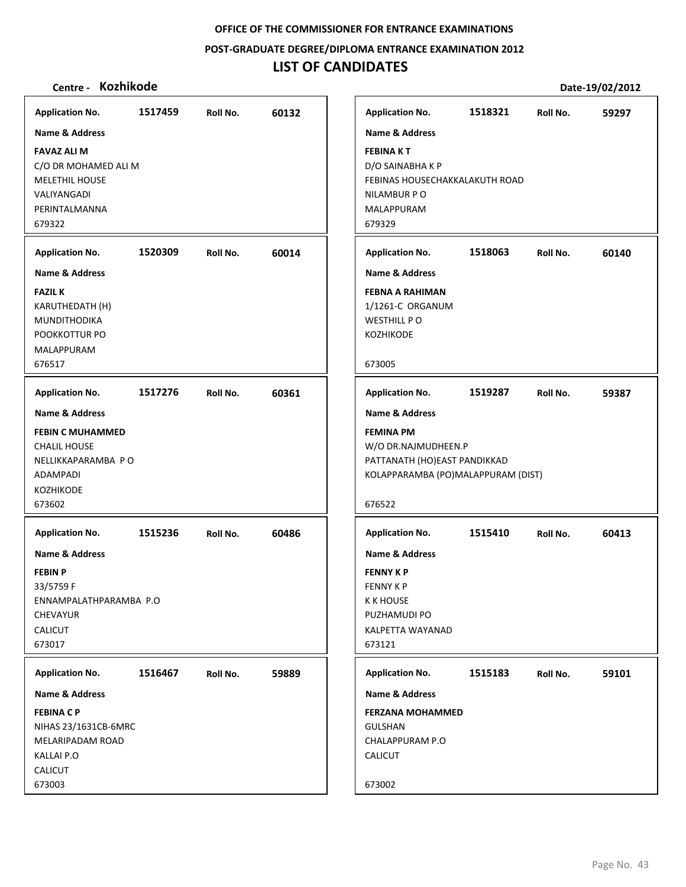**POST‐GRADUATE DEGREE/DIPLOMA ENTRANCE EXAMINATION 2012**

## **LIST OF CANDIDATES**

### **Centre ‐ Kozhikode Date‐19/02/2012**

**1517459 60132 FAVAZ ALI M** C/O DR MOHAMED ALI M MELETHIL HOUSE VALIYANGADI PERINTALMANNA 679322 **Application No. Name & Address 1520309 60014 FAZIL K** KARUTHEDATH (H) MUNDITHODIKA POOKKOTTUR PO MALAPPURAM 676517 **Application No. Name & Address 1517276 60361 FEBIN C MUHAMMED** CHALIL HOUSE NELLIKKAPARAMBA P O ADAMPADI KOZHIKODE 673602 **Application No. Name & Address 1515236 60486 FEBIN P** 33/5759 F ENNAMPALATHPARAMBA P.O CHEVAYUR CALICUT 673017 **Application No. Name & Address 1516467 59889 FEBINA C P** NIHAS 23/1631CB‐6MRC MELARIPADAM ROAD KALLAI P.O CALICUT 673003 **Application No. Name & Address 1518321 59297 FEBINA K T** D/O SAINABHA K P FEBINAS HOUSECHAKKALAKUTH ROAD NILAMBUR P O MALAPPURAM 679329 **Application No. Name & Address 1518063 60140 FEBNA A RAHIMAN** 1/1261‐C ORGANUM WESTHILL P O KOZHIKODE 673005 **Application No. Name & Address 1519287 59387 FEMINA PM** W/O DR.NAJMUDHEEN.P PATTANATH (HO)EAST PANDIKKAD KOLAPPARAMBA (PO)MALAPPURAM (DIST) 676522 **Application No. Name & Address 1515410 60413 FENNY K P** FENNY K P K K HOUSE PUZHAMUDI PO KALPETTA WAYANAD 673121 **Application No. Name & Address 1515183 59101 FERZANA MOHAMMED GULSHAN** CHALAPPURAM P.O CALICUT 673002 **Application No. Name & Address**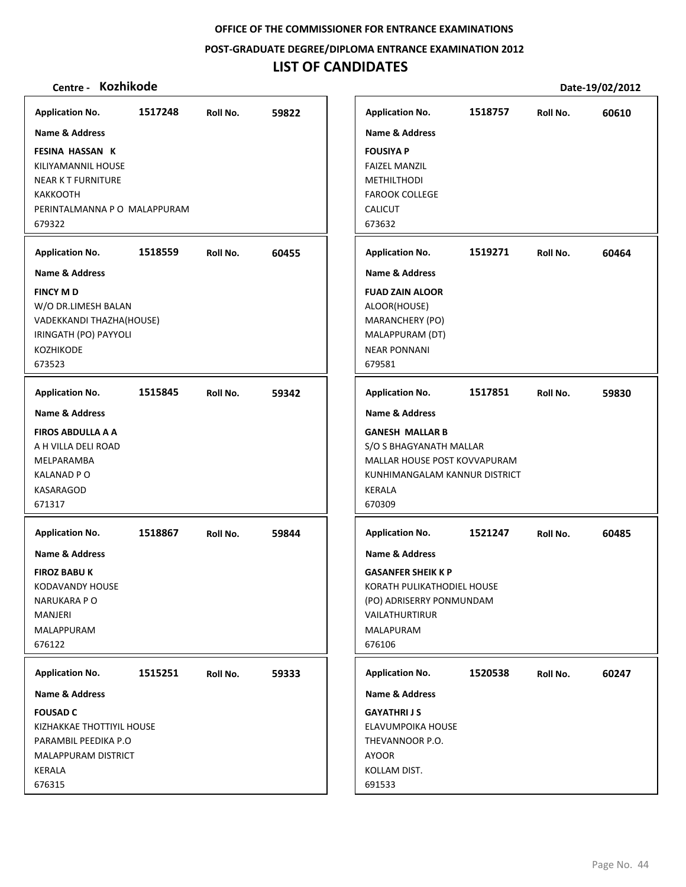**POST‐GRADUATE DEGREE/DIPLOMA ENTRANCE EXAMINATION 2012**

# **LIST OF CANDIDATES**

| <b>Application No.</b>                                                                                                                 | 1517248 | Roll No. | 59822 |
|----------------------------------------------------------------------------------------------------------------------------------------|---------|----------|-------|
| Name & Address                                                                                                                         |         |          |       |
| <b>FESINA HASSAN K</b><br>KILIYAMANNIL HOUSE<br><b>NEAR K T FURNITURE</b><br><b>KAKKOOTH</b><br>PERINTALMANNA P O MALAPPURAM<br>679322 |         |          |       |
| <b>Application No.</b>                                                                                                                 | 1518559 | Roll No. | 60455 |
| <b>Name &amp; Address</b>                                                                                                              |         |          |       |
| <b>FINCY MD</b><br>W/O DR.LIMESH BALAN<br>VADEKKANDI THAZHA(HOUSE)<br>IRINGATH (PO) PAYYOLI<br><b>KOZHIKODE</b><br>673523              |         |          |       |
| <b>Application No.</b>                                                                                                                 | 1515845 | Roll No. | 59342 |
| <b>Name &amp; Address</b><br><b>FIROS ABDULLA A A</b><br>A H VILLA DELI ROAD<br>MELPARAMBA<br>KALANAD P O<br>KASARAGOD<br>671317       |         |          |       |
| <b>Application No.</b><br>Name & Address<br><b>FIROZ BABU K</b><br>KODAVANDY HOUSE<br>NARUKARA PO<br>MANJERI<br>MALAPPURAM<br>676122   | 1518867 | Roll No. | 59844 |
|                                                                                                                                        |         |          |       |
| <b>Application No.</b><br>Name & Address                                                                                               | 1515251 | Roll No. | 59333 |
| <b>FOUSAD C</b><br>KIZHAKKAE THOTTIYIL HOUSE<br>PARAMBIL PEEDIKA P.O<br>MALAPPURAM DISTRICT<br>KERALA<br>676315                        |         |          |       |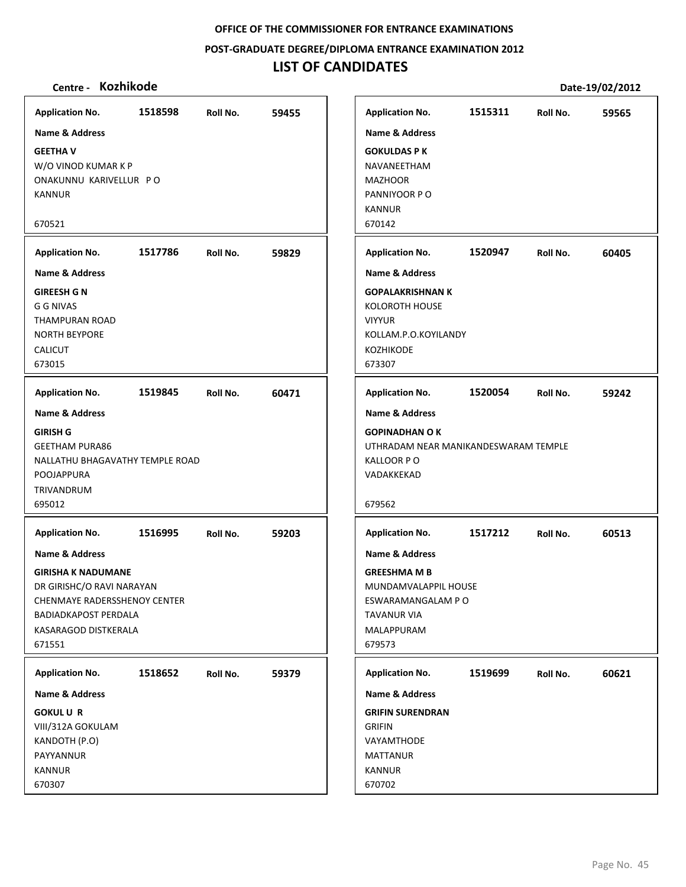#### **POST‐GRADUATE DEGREE/DIPLOMA ENTRANCE EXAMINATION 2012**

# **LIST OF CANDIDATES**

|                                                                                                                                                                                             | 1518598 |          |       |
|---------------------------------------------------------------------------------------------------------------------------------------------------------------------------------------------|---------|----------|-------|
| <b>Application No.</b><br><b>Name &amp; Address</b>                                                                                                                                         |         | Roll No. | 59455 |
| <b>GEETHAV</b><br>W/O VINOD KUMAR K P<br>ONAKUNNU KARIVELLUR PO<br><b>KANNUR</b><br>670521                                                                                                  |         |          |       |
| <b>Application No.</b>                                                                                                                                                                      | 1517786 | Roll No. | 59829 |
| <b>Name &amp; Address</b>                                                                                                                                                                   |         |          |       |
| <b>GIREESH G N</b><br><b>G G NIVAS</b><br><b>THAMPURAN ROAD</b><br><b>NORTH BEYPORE</b><br><b>CALICUT</b><br>673015                                                                         |         |          |       |
| <b>Application No.</b>                                                                                                                                                                      | 1519845 | Roll No. | 60471 |
| <b>GIRISH G</b><br><b>GEETHAM PURA86</b><br>NALLATHU BHAGAVATHY TEMPLE ROAD<br>POOJAPPURA<br>TRIVANDRUM<br>695012                                                                           |         |          |       |
| <b>Application No.</b>                                                                                                                                                                      | 1516995 | Roll No. | 59203 |
| <b>Name &amp; Address</b><br><b>GIRISHA K NADUMANE</b><br>DR GIRISHC/O RAVI NARAYAN<br><b>CHENMAYE RADERSSHENOY CENTER</b><br><b>BADIADKAPOST PERDALA</b><br>KASARAGOD DISTKERALA<br>671551 |         |          |       |
| <b>Application No.</b>                                                                                                                                                                      | 1518652 | Roll No. | 59379 |
| <b>Name &amp; Address</b>                                                                                                                                                                   |         |          |       |
| <b>GOKULUR</b><br>VIII/312A GOKULAM<br>KANDOTH (P.O)<br>PAYYANNUR<br><b>KANNUR</b><br>670307                                                                                                |         |          |       |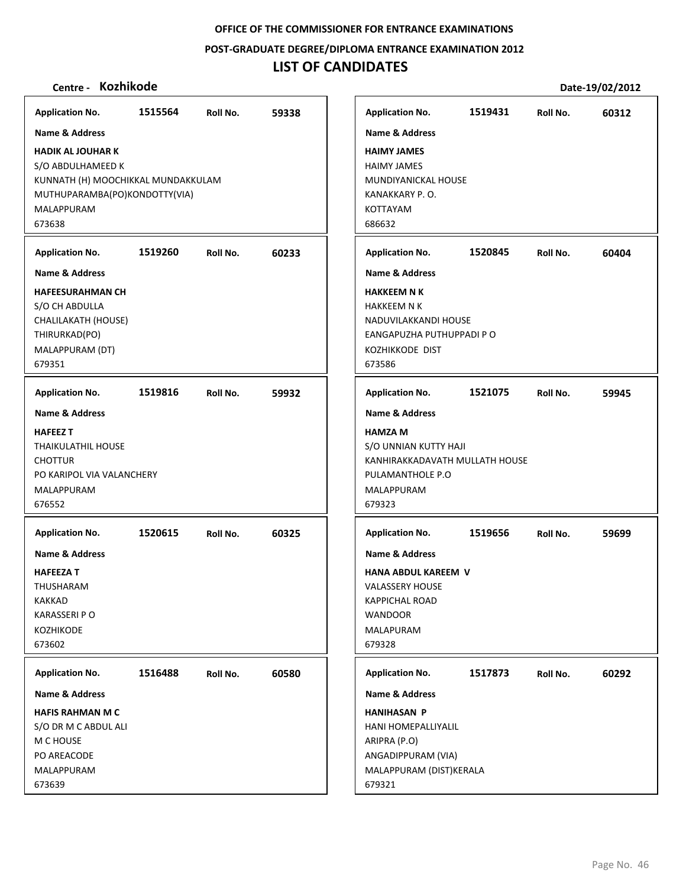**POST‐GRADUATE DEGREE/DIPLOMA ENTRANCE EXAMINATION 2012**

# **LIST OF CANDIDATES**

| <b>Application No.</b>                                                                                                                                                     | 1515564 | Roll No. | 59338 |
|----------------------------------------------------------------------------------------------------------------------------------------------------------------------------|---------|----------|-------|
| <b>Name &amp; Address</b><br><b>HADIK AL JOUHAR K</b><br>S/O ABDULHAMEED K<br>KUNNATH (H) MOOCHIKKAL MUNDAKKULAM<br>MUTHUPARAMBA(PO)KONDOTTY(VIA)<br>MALAPPURAM<br>673638  |         |          |       |
| <b>Application No.</b><br><b>Name &amp; Address</b><br><b>HAFEESURAHMAN CH</b><br>S/O CH ABDULLA<br>CHALILAKATH (HOUSE)<br>THIRURKAD(PO)<br>MALAPPURAM (DT)<br>679351      | 1519260 | Roll No. | 60233 |
| <b>Application No.</b><br><b>Name &amp; Address</b><br><b>HAFEEZ T</b><br><b>THAIKULATHIL HOUSE</b><br><b>CHOTTUR</b><br>PO KARIPOL VIA VALANCHERY<br>MALAPPURAM<br>676552 | 1519816 | Roll No. | 59932 |
| <b>Application No.</b><br><b>Name &amp; Address</b><br><b>HAFEEZAT</b><br>THUSHARAM<br><b>KAKKAD</b><br><b>KARASSERI P O</b><br>KOZHIKODE<br>673602                        | 1520615 | Roll No. | 60325 |
| <b>Application No.</b><br><b>Name &amp; Address</b><br><b>HAFIS RAHMAN M C</b><br>S/O DR M C ABDUL ALI<br>M C HOUSE<br>PO AREACODE<br>MALAPPURAM<br>673639                 | 1516488 | Roll No. | 60580 |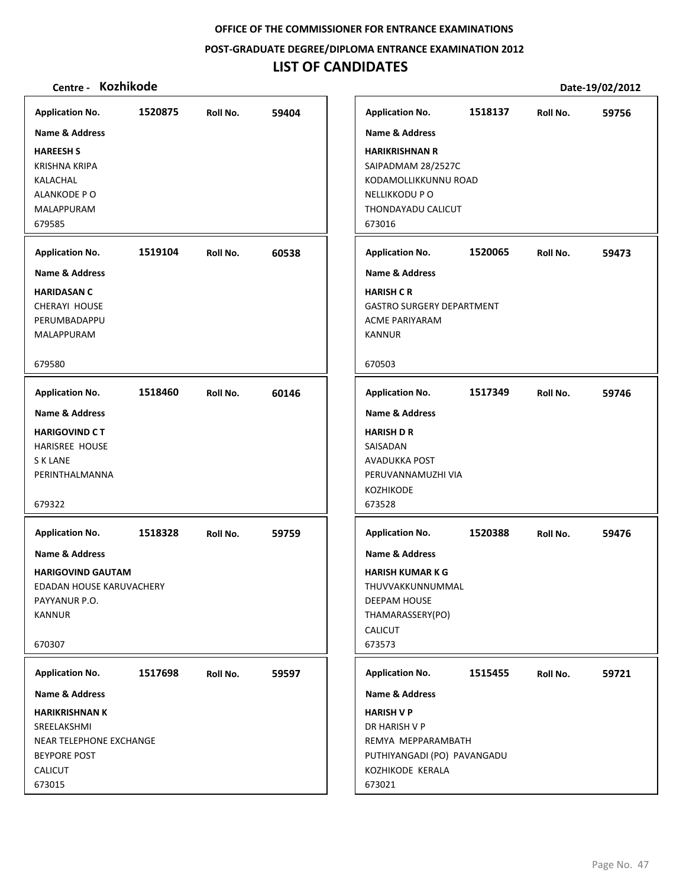#### **POST‐GRADUATE DEGREE/DIPLOMA ENTRANCE EXAMINATION 2012**

# **LIST OF CANDIDATES**

| <b>Application No.</b>    | 1520875 | Roll No. | 59404 | <b>Application No.</b>           | 1518137 | Roll No. | 59756 |
|---------------------------|---------|----------|-------|----------------------------------|---------|----------|-------|
| <b>Name &amp; Address</b> |         |          |       | Name & Address                   |         |          |       |
| <b>HAREESH S</b>          |         |          |       | <b>HARIKRISHNAN R</b>            |         |          |       |
| <b>KRISHNA KRIPA</b>      |         |          |       | SAIPADMAM 28/2527C               |         |          |       |
| KALACHAL                  |         |          |       | KODAMOLLIKKUNNU ROAD             |         |          |       |
| ALANKODE PO               |         |          |       | NELLIKKODU P O                   |         |          |       |
| MALAPPURAM                |         |          |       | THONDAYADU CALICUT               |         |          |       |
| 679585                    |         |          |       | 673016                           |         |          |       |
| <b>Application No.</b>    | 1519104 | Roll No. | 60538 | <b>Application No.</b>           | 1520065 | Roll No. | 59473 |
| <b>Name &amp; Address</b> |         |          |       | <b>Name &amp; Address</b>        |         |          |       |
| <b>HARIDASAN C</b>        |         |          |       | <b>HARISH CR</b>                 |         |          |       |
| CHERAYI HOUSE             |         |          |       | <b>GASTRO SURGERY DEPARTMENT</b> |         |          |       |
| PERUMBADAPPU              |         |          |       | <b>ACME PARIYARAM</b>            |         |          |       |
| MALAPPURAM                |         |          |       | <b>KANNUR</b>                    |         |          |       |
| 679580                    |         |          |       | 670503                           |         |          |       |
| <b>Application No.</b>    | 1518460 | Roll No. | 60146 | <b>Application No.</b>           | 1517349 | Roll No. | 59746 |
| <b>Name &amp; Address</b> |         |          |       | <b>Name &amp; Address</b>        |         |          |       |
| <b>HARIGOVIND CT</b>      |         |          |       | <b>HARISH D R</b>                |         |          |       |
| <b>HARISREE HOUSE</b>     |         |          |       | SAISADAN                         |         |          |       |
| S K LANE                  |         |          |       | AVADUKKA POST                    |         |          |       |
| PERINTHALMANNA            |         |          |       | PERUVANNAMUZHI VIA               |         |          |       |
|                           |         |          |       | KOZHIKODE                        |         |          |       |
| 679322                    |         |          |       | 673528                           |         |          |       |
| <b>Application No.</b>    | 1518328 | Roll No. | 59759 | <b>Application No.</b>           | 1520388 | Roll No. | 59476 |
| Name & Address            |         |          |       | <b>Name &amp; Address</b>        |         |          |       |
| <b>HARIGOVIND GAUTAM</b>  |         |          |       | <b>HARISH KUMAR K G</b>          |         |          |       |
| EDADAN HOUSE KARUVACHERY  |         |          |       | THUVVAKKUNNUMMAL                 |         |          |       |
| PAYYANUR P.O.             |         |          |       | DEEPAM HOUSE                     |         |          |       |
| <b>KANNUR</b>             |         |          |       | THAMARASSERY(PO)                 |         |          |       |
|                           |         |          |       | <b>CALICUT</b>                   |         |          |       |
| 670307                    |         |          |       | 673573                           |         |          |       |
| <b>Application No.</b>    | 1517698 | Roll No. | 59597 | <b>Application No.</b>           | 1515455 | Roll No. | 59721 |
| Name & Address            |         |          |       | Name & Address                   |         |          |       |
| <b>HARIKRISHNAN K</b>     |         |          |       | <b>HARISH V P</b>                |         |          |       |
| SREELAKSHMI               |         |          |       | DR HARISH V P                    |         |          |       |
| NEAR TELEPHONE EXCHANGE   |         |          |       | REMYA MEPPARAMBATH               |         |          |       |
| <b>BEYPORE POST</b>       |         |          |       | PUTHIYANGADI (PO) PAVANGADU      |         |          |       |
| <b>CALICUT</b>            |         |          |       | KOZHIKODE KERALA                 |         |          |       |
| 673015                    |         |          |       | 673021                           |         |          |       |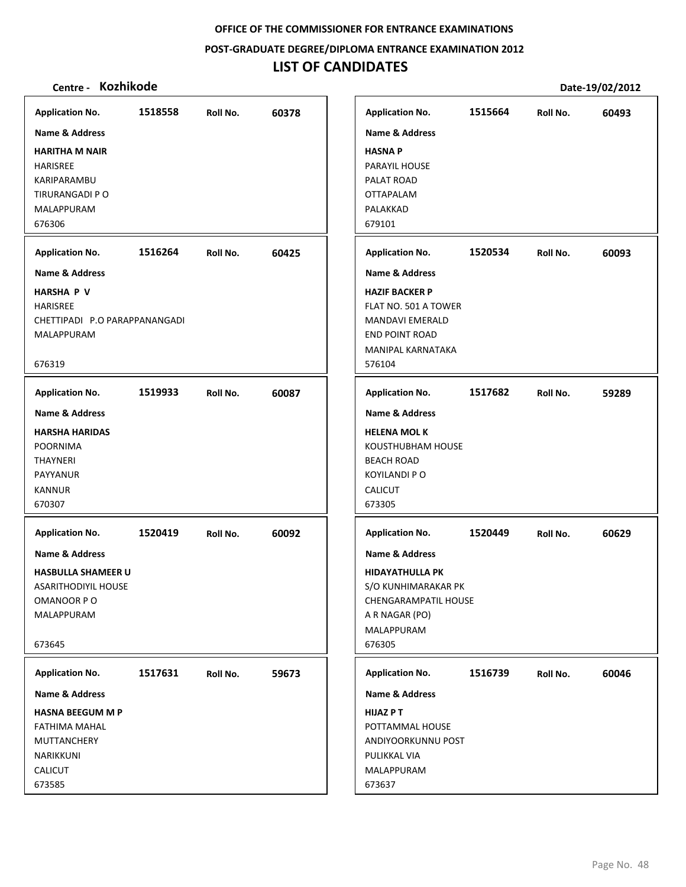**POST‐GRADUATE DEGREE/DIPLOMA ENTRANCE EXAMINATION 2012**

# **LIST OF CANDIDATES**

| <b>Application No.</b>             | 1518558 | Roll No. | 60378 | <b>Application No.</b>                     | 1515664 | Roll No. | 60493 |
|------------------------------------|---------|----------|-------|--------------------------------------------|---------|----------|-------|
| <b>Name &amp; Address</b>          |         |          |       | <b>Name &amp; Address</b>                  |         |          |       |
| <b>HARITHA M NAIR</b>              |         |          |       | <b>HASNAP</b>                              |         |          |       |
| HARISREE                           |         |          |       | PARAYIL HOUSE                              |         |          |       |
| KARIPARAMBU                        |         |          |       | PALAT ROAD                                 |         |          |       |
| TIRURANGADI P O                    |         |          |       | <b>OTTAPALAM</b>                           |         |          |       |
| MALAPPURAM                         |         |          |       | PALAKKAD                                   |         |          |       |
| 676306                             |         |          |       | 679101                                     |         |          |       |
| <b>Application No.</b>             | 1516264 | Roll No. | 60425 | <b>Application No.</b>                     | 1520534 | Roll No. | 60093 |
| Name & Address                     |         |          |       | <b>Name &amp; Address</b>                  |         |          |       |
| <b>HARSHA P V</b>                  |         |          |       | <b>HAZIF BACKER P</b>                      |         |          |       |
| <b>HARISREE</b>                    |         |          |       | FLAT NO. 501 A TOWER                       |         |          |       |
| CHETTIPADI P.O PARAPPANANGADI      |         |          |       | <b>MANDAVI EMERALD</b>                     |         |          |       |
| MALAPPURAM                         |         |          |       | <b>END POINT ROAD</b><br>MANIPAL KARNATAKA |         |          |       |
| 676319                             |         |          |       | 576104                                     |         |          |       |
|                                    |         |          |       |                                            |         |          |       |
| <b>Application No.</b>             | 1519933 | Roll No. | 60087 | <b>Application No.</b>                     | 1517682 | Roll No. | 59289 |
| <b>Name &amp; Address</b>          |         |          |       | <b>Name &amp; Address</b>                  |         |          |       |
| <b>HARSHA HARIDAS</b>              |         |          |       | <b>HELENA MOLK</b>                         |         |          |       |
| <b>POORNIMA</b><br><b>THAYNERI</b> |         |          |       | KOUSTHUBHAM HOUSE<br><b>BEACH ROAD</b>     |         |          |       |
| PAYYANUR                           |         |          |       | <b>KOYILANDI P O</b>                       |         |          |       |
| <b>KANNUR</b>                      |         |          |       | CALICUT                                    |         |          |       |
| 670307                             |         |          |       | 673305                                     |         |          |       |
| <b>Application No.</b>             | 1520419 | Roll No. | 60092 | <b>Application No.</b>                     | 1520449 | Roll No. | 60629 |
| Name & Address                     |         |          |       | Name & Address                             |         |          |       |
| <b>HASBULLA SHAMEER U</b>          |         |          |       | <b>HIDAYATHULLA PK</b>                     |         |          |       |
| <b>ASARITHODIYIL HOUSE</b>         |         |          |       | S/O KUNHIMARAKAR PK                        |         |          |       |
| OMANOOR PO                         |         |          |       | CHENGARAMPATIL HOUSE                       |         |          |       |
| MALAPPURAM                         |         |          |       | A R NAGAR (PO)                             |         |          |       |
|                                    |         |          |       | MALAPPURAM                                 |         |          |       |
| 673645                             |         |          |       | 676305                                     |         |          |       |
| <b>Application No.</b>             | 1517631 | Roll No. | 59673 | <b>Application No.</b>                     | 1516739 | Roll No. | 60046 |
| Name & Address                     |         |          |       | <b>Name &amp; Address</b>                  |         |          |       |
| <b>HASNA BEEGUM M P</b>            |         |          |       | <b>HIJAZ P T</b>                           |         |          |       |
| FATHIMA MAHAL                      |         |          |       | POTTAMMAL HOUSE                            |         |          |       |
| MUTTANCHERY                        |         |          |       | ANDIYOORKUNNU POST                         |         |          |       |
| NARIKKUNI<br>CALICUT               |         |          |       | PULIKKAL VIA<br>MALAPPURAM                 |         |          |       |
|                                    |         |          |       | 673637                                     |         |          |       |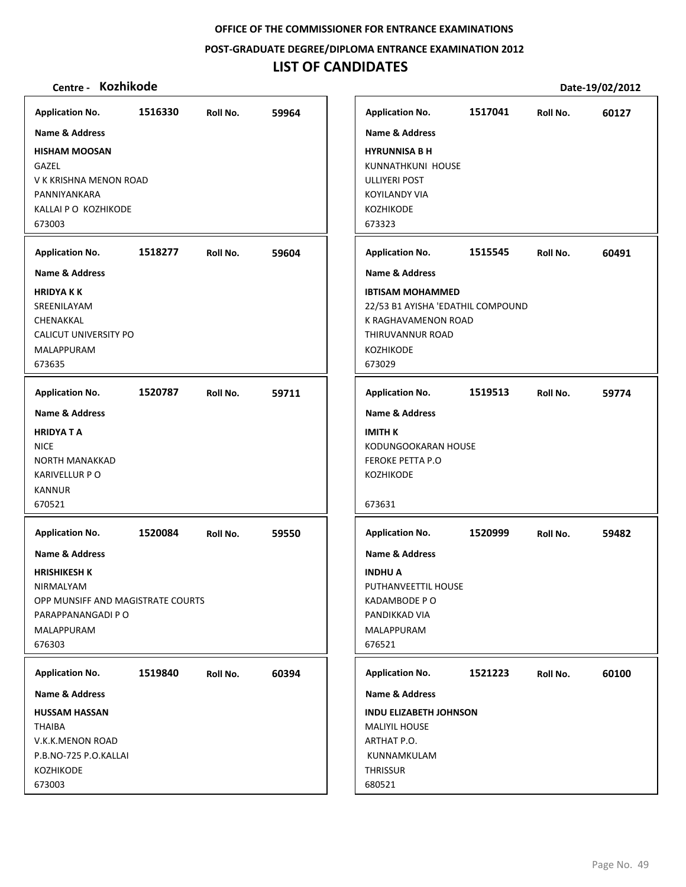**POST‐GRADUATE DEGREE/DIPLOMA ENTRANCE EXAMINATION 2012**

# **LIST OF CANDIDATES**

| <b>Application No.</b>                                                                                                                           | 1516330 | Roll No. | 59964 |
|--------------------------------------------------------------------------------------------------------------------------------------------------|---------|----------|-------|
| <b>Name &amp; Address</b>                                                                                                                        |         |          |       |
| <b>HISHAM MOOSAN</b><br>GAZEL<br>V K KRISHNA MENON ROAD<br>PANNIYANKARA<br>KALLAI P O KOZHIKODE<br>673003                                        |         |          |       |
| <b>Application No.</b>                                                                                                                           | 1518277 | Roll No. | 59604 |
| <b>Name &amp; Address</b>                                                                                                                        |         |          |       |
| <b>HRIDYAKK</b><br>SREENILAYAM<br>CHENAKKAL<br>CALICUT UNIVERSITY PO<br>MALAPPURAM<br>673635                                                     |         |          |       |
| <b>Application No.</b>                                                                                                                           | 1520787 | Roll No. | 59711 |
| <b>Name &amp; Address</b><br><b>HRIDYATA</b><br><b>NICE</b><br><b>NORTH MANAKKAD</b><br><b>KARIVELLUR PO</b><br><b>KANNUR</b><br>670521          |         |          |       |
| <b>Application No.</b>                                                                                                                           | 1520084 | Roll No. | 59550 |
| <b>Name &amp; Address</b><br><b>HRISHIKESH K</b><br>NIRMALYAM<br>OPP MUNSIFF AND MAGISTRATE COURTS<br>PARAPPANANGADI P O<br>MALAPPURAM<br>676303 |         |          |       |
| <b>Application No.</b>                                                                                                                           | 1519840 | Roll No. | 60394 |
| <b>Name &amp; Address</b>                                                                                                                        |         |          |       |
| <b>HUSSAM HASSAN</b><br>THAIBA<br>V.K.K.MENON ROAD<br>P.B.NO-725 P.O.KALLAI<br><b>KOZHIKODE</b><br>673003                                        |         |          |       |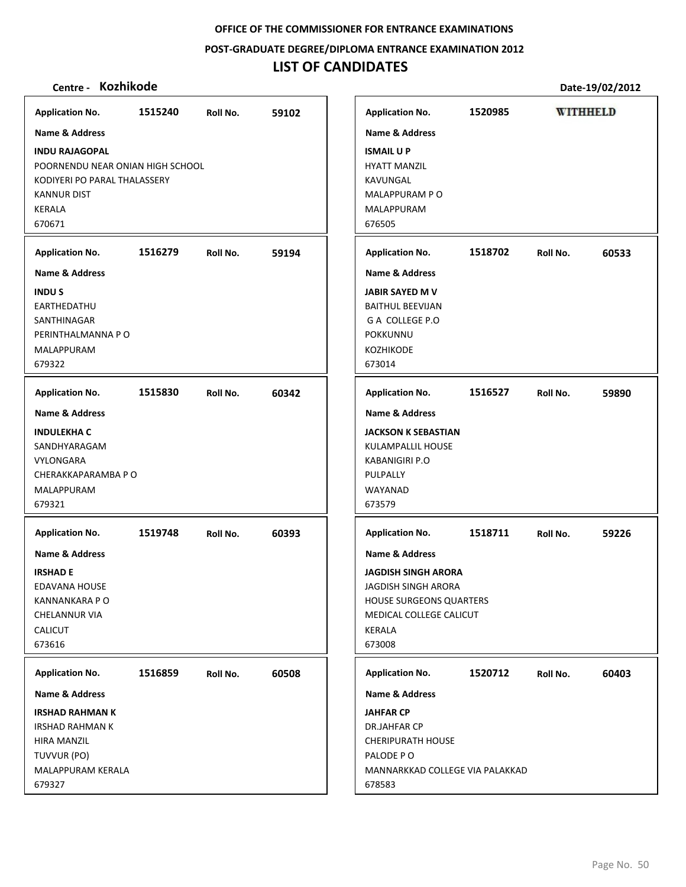**POST‐GRADUATE DEGREE/DIPLOMA ENTRANCE EXAMINATION 2012**

## **LIST OF CANDIDATES**

**Centre ‐ Kozhikode Date‐19/02/2012 Application No. 1515240 59102 Application No. 1520985 WITHHELD Name & Address Name & Address INDU RAJAGOPAL ISMAIL U P** POORNENDU NEAR ONIAN HIGH SCHOOL HYATT MANZIL KODIYERI PO PARAL THALASSERY KAVUNGAL MALAPPURAM P O KANNUR DIST KERALA MALAPPURAM 670671 676505 **Application No. Application No. 1516279 59194 1518702 60533 Name & Address Name & Address JABIR SAYED M V INDU S FARTHFDATHU** BAITHUL BEEVIJAN SANTHINAGAR G A COLLEGE P.O PERINTHALMANNA P O POKKUNNU MALAPPURAM KOZHIKODE 679322 673014 **Application No. 1515830 60342 Application No. 1516527 59890 Name & Address Name & Address INDULEKHA C JACKSON K SEBASTIAN** SANDHYARAGAM KULAMPALLIL HOUSE VYLONGARA KABANIGIRI P.O CHERAKKAPARAMBA P O PULPALLY MALAPPURAM WAYANAD 679321 673579 **Application No. Application No. 1519748 60393 1518711 59226 Name & Address Name & Address IRSHAD E JAGDISH SINGH ARORA** EDAVANA HOUSE JAGDISH SINGH ARORA KANNANKARA P O HOUSE SURGEONS QUARTERS CHELANNUR VIA MEDICAL COLLEGE CALICUT CALICUT KERALA 673616 673008 **Application No. Application No. 1520712 60403 1516859 60508 Name & Address Name & Address IRSHAD RAHMAN K JAHFAR CP** IRSHAD RAHMAN K DR.JAHFAR CP CHERIPURATH HOUSE HIRA MANZIL PALODE P O TUVVUR (PO) MALAPPURAM KERALA MANNARKKAD COLLEGE VIA PALAKKAD 679327 678583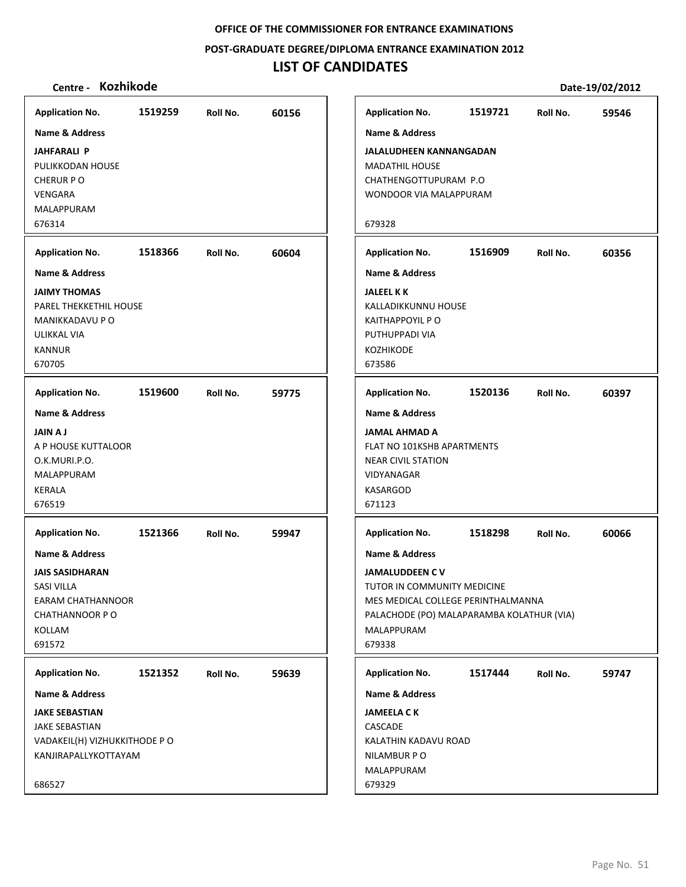**POST‐GRADUATE DEGREE/DIPLOMA ENTRANCE EXAMINATION 2012**

# **LIST OF CANDIDATES**

| <b>Application No.</b>       | 1519259 | Roll No. | 60156 | <b>Application No.</b>                    | 1519721 | Roll No. | 59546 |
|------------------------------|---------|----------|-------|-------------------------------------------|---------|----------|-------|
| Name & Address               |         |          |       | Name & Address                            |         |          |       |
| <b>JAHFARALI P</b>           |         |          |       | JALALUDHEEN KANNANGADAN                   |         |          |       |
| PULIKKODAN HOUSE             |         |          |       | <b>MADATHIL HOUSE</b>                     |         |          |       |
| <b>CHERUR PO</b>             |         |          |       | CHATHENGOTTUPURAM P.O                     |         |          |       |
| VENGARA                      |         |          |       | WONDOOR VIA MALAPPURAM                    |         |          |       |
| MALAPPURAM                   |         |          |       |                                           |         |          |       |
| 676314                       |         |          |       | 679328                                    |         |          |       |
| <b>Application No.</b>       | 1518366 | Roll No. | 60604 | <b>Application No.</b>                    | 1516909 | Roll No. | 60356 |
| <b>Name &amp; Address</b>    |         |          |       | <b>Name &amp; Address</b>                 |         |          |       |
| <b>JAIMY THOMAS</b>          |         |          |       | <b>JALEEL K K</b>                         |         |          |       |
| PAREL THEKKETHIL HOUSE       |         |          |       | KALLADIKKUNNU HOUSE                       |         |          |       |
| MANIKKADAVU P O              |         |          |       | <b>KAITHAPPOYIL P O</b>                   |         |          |       |
| ULIKKAL VIA                  |         |          |       | PUTHUPPADI VIA                            |         |          |       |
| <b>KANNUR</b>                |         |          |       | KOZHIKODE                                 |         |          |       |
| 670705                       |         |          |       | 673586                                    |         |          |       |
| <b>Application No.</b>       | 1519600 | Roll No. | 59775 | <b>Application No.</b>                    | 1520136 | Roll No. | 60397 |
| <b>Name &amp; Address</b>    |         |          |       | Name & Address                            |         |          |       |
| <b>JAIN AJ</b>               |         |          |       | <b>JAMAL AHMAD A</b>                      |         |          |       |
| A P HOUSE KUTTALOOR          |         |          |       | FLAT NO 101KSHB APARTMENTS                |         |          |       |
| O.K.MURI.P.O.                |         |          |       | <b>NEAR CIVIL STATION</b>                 |         |          |       |
| MALAPPURAM                   |         |          |       | VIDYANAGAR                                |         |          |       |
| KERALA                       |         |          |       | <b>KASARGOD</b>                           |         |          |       |
| 676519                       |         |          |       | 671123                                    |         |          |       |
| <b>Application No.</b>       | 1521366 | Roll No. | 59947 | <b>Application No.</b>                    | 1518298 | Roll No. | 60066 |
| Name & Address               |         |          |       | Name & Address                            |         |          |       |
| <b>JAIS SASIDHARAN</b>       |         |          |       | <b>JAMALUDDEEN CV</b>                     |         |          |       |
| <b>SASI VILLA</b>            |         |          |       | TUTOR IN COMMUNITY MEDICINE               |         |          |       |
| <b>EARAM CHATHANNOOR</b>     |         |          |       | MES MEDICAL COLLEGE PERINTHALMANNA        |         |          |       |
| CHATHANNOOR PO               |         |          |       | PALACHODE (PO) MALAPARAMBA KOLATHUR (VIA) |         |          |       |
| KOLLAM                       |         |          |       | MALAPPURAM                                |         |          |       |
| 691572                       |         |          |       | 679338                                    |         |          |       |
| <b>Application No.</b>       | 1521352 | Roll No. | 59639 | <b>Application No.</b>                    | 1517444 | Roll No. | 59747 |
| Name & Address               |         |          |       | Name & Address                            |         |          |       |
| <b>JAKE SEBASTIAN</b>        |         |          |       | <b>JAMEELA C K</b>                        |         |          |       |
| <b>JAKE SEBASTIAN</b>        |         |          |       | CASCADE                                   |         |          |       |
| VADAKEIL(H) VIZHUKKITHODE PO |         |          |       | KALATHIN KADAVU ROAD                      |         |          |       |
| KANJIRAPALLYKOTTAYAM         |         |          |       | NILAMBUR PO                               |         |          |       |
|                              |         |          |       | MALAPPURAM                                |         |          |       |
| 686527                       |         |          |       | 679329                                    |         |          |       |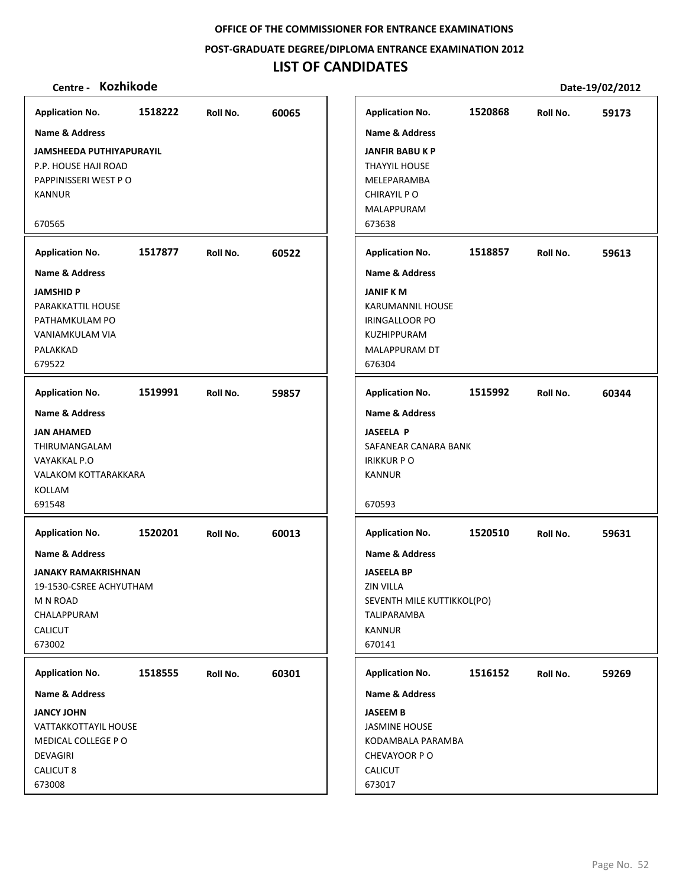#### **POST‐GRADUATE DEGREE/DIPLOMA ENTRANCE EXAMINATION 2012**

# **LIST OF CANDIDATES**

| <b>Application No.</b>                                                                                                  | 1518222 | Roll No. | 60065 |
|-------------------------------------------------------------------------------------------------------------------------|---------|----------|-------|
| <b>Name &amp; Address</b>                                                                                               |         |          |       |
| <b>JAMSHEEDA PUTHIYAPURAYIL</b><br>P.P. HOUSE HAJI ROAD<br>PAPPINISSERI WEST PO<br><b>KANNUR</b>                        |         |          |       |
| 670565                                                                                                                  |         |          |       |
| <b>Application No.</b>                                                                                                  | 1517877 | Roll No. | 60522 |
| Name & Address                                                                                                          |         |          |       |
| <b>JAMSHID P</b><br>PARAKKATTIL HOUSE<br>PATHAMKULAM PO<br><b>VANIAMKULAM VIA</b><br>PALAKKAD<br>679522                 |         |          |       |
| <b>Application No.</b>                                                                                                  | 1519991 | Roll No. | 59857 |
| <b>Name &amp; Address</b>                                                                                               |         |          |       |
| <b>JAN AHAMED</b><br>THIRUMANGALAM<br>VAYAKKAL P.O<br>VALAKOM KOTTARAKKARA<br>KOLLAM<br>691548                          |         |          |       |
| <b>Application No.</b>                                                                                                  | 1520201 | Roll No. | 60013 |
| Name & Address<br>JANAKY RAMAKRISHNAN<br>19-1530-CSREE ACHYUTHAM<br>M N ROAD<br>CHALAPPURAM<br><b>CALICUT</b><br>673002 |         |          |       |
| <b>Application No.</b>                                                                                                  | 1518555 | Roll No. | 60301 |
| Name & Address                                                                                                          |         |          |       |
| <b>JANCY JOHN</b><br>VATTAKKOTTAYIL HOUSE<br>MEDICAL COLLEGE PO<br>DEVAGIRI<br>CALICUT 8<br>673008                      |         |          |       |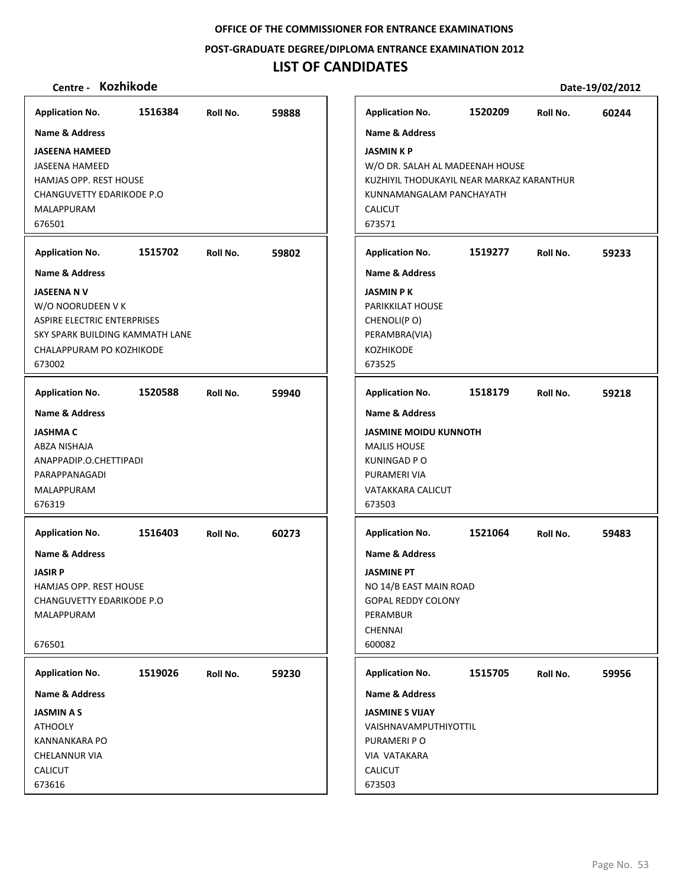**POST‐GRADUATE DEGREE/DIPLOMA ENTRANCE EXAMINATION 2012**

# **LIST OF CANDIDATES**

| <b>Application No.</b>             | 1516384 | Roll No. | 59888 | <b>Application No.</b>                    | 1520209 | Roll No. | 60244 |
|------------------------------------|---------|----------|-------|-------------------------------------------|---------|----------|-------|
| <b>Name &amp; Address</b>          |         |          |       | <b>Name &amp; Address</b>                 |         |          |       |
| <b>JASEENA HAMEED</b>              |         |          |       | <b>JASMIN K P</b>                         |         |          |       |
| <b>JASEENA HAMEED</b>              |         |          |       | W/O DR. SALAH AL MADEENAH HOUSE           |         |          |       |
| <b>HAMJAS OPP. REST HOUSE</b>      |         |          |       | KUZHIYIL THODUKAYIL NEAR MARKAZ KARANTHUR |         |          |       |
| CHANGUVETTY EDARIKODE P.O          |         |          |       | KUNNAMANGALAM PANCHAYATH                  |         |          |       |
| <b>MALAPPURAM</b>                  |         |          |       | <b>CALICUT</b>                            |         |          |       |
| 676501                             |         |          |       | 673571                                    |         |          |       |
| <b>Application No.</b>             | 1515702 | Roll No. | 59802 | <b>Application No.</b>                    | 1519277 | Roll No. | 59233 |
| <b>Name &amp; Address</b>          |         |          |       | <b>Name &amp; Address</b>                 |         |          |       |
| <b>JASEENA NV</b>                  |         |          |       | <b>JASMIN PK</b>                          |         |          |       |
| W/O NOORUDEEN V K                  |         |          |       | <b>PARIKKILAT HOUSE</b>                   |         |          |       |
| <b>ASPIRE ELECTRIC ENTERPRISES</b> |         |          |       | CHENOLI(PO)                               |         |          |       |
| SKY SPARK BUILDING KAMMATH LANE    |         |          |       | PERAMBRA(VIA)                             |         |          |       |
| CHALAPPURAM PO KOZHIKODE           |         |          |       | KOZHIKODE                                 |         |          |       |
| 673002                             |         |          |       | 673525                                    |         |          |       |
| <b>Application No.</b>             | 1520588 | Roll No. | 59940 | <b>Application No.</b>                    | 1518179 | Roll No. | 59218 |
| <b>Name &amp; Address</b>          |         |          |       | <b>Name &amp; Address</b>                 |         |          |       |
| <b>JASHMA C</b>                    |         |          |       | <b>JASMINE MOIDU KUNNOTH</b>              |         |          |       |
| ABZA NISHAJA                       |         |          |       | <b>MAJLIS HOUSE</b>                       |         |          |       |
| ANAPPADIP.O.CHETTIPADI             |         |          |       | <b>KUNINGAD P O</b>                       |         |          |       |
| PARAPPANAGADI                      |         |          |       | PURAMERI VIA                              |         |          |       |
| MALAPPURAM                         |         |          |       | VATAKKARA CALICUT                         |         |          |       |
| 676319                             |         |          |       | 673503                                    |         |          |       |
| <b>Application No.</b>             | 1516403 | Roll No. | 60273 | <b>Application No.</b>                    | 1521064 | Roll No. | 59483 |
| <b>Name &amp; Address</b>          |         |          |       | <b>Name &amp; Address</b>                 |         |          |       |
| <b>JASIR P</b>                     |         |          |       | <b>JASMINE PT</b>                         |         |          |       |
| <b>HAMJAS OPP. REST HOUSE</b>      |         |          |       | NO 14/B EAST MAIN ROAD                    |         |          |       |
| CHANGUVETTY EDARIKODE P.O          |         |          |       | <b>GOPAL REDDY COLONY</b>                 |         |          |       |
| MALAPPURAM                         |         |          |       | PERAMBUR                                  |         |          |       |
|                                    |         |          |       | <b>CHENNAI</b>                            |         |          |       |
| 676501                             |         |          |       | 600082                                    |         |          |       |
| <b>Application No.</b>             | 1519026 | Roll No. | 59230 | <b>Application No.</b>                    | 1515705 | Roll No. | 59956 |
| <b>Name &amp; Address</b>          |         |          |       | <b>Name &amp; Address</b>                 |         |          |       |
| <b>JASMIN A S</b>                  |         |          |       | <b>JASMINE S VIJAY</b>                    |         |          |       |
| <b>ATHOOLY</b>                     |         |          |       | VAISHNAVAMPUTHIYOTTIL                     |         |          |       |
| <b>KANNANKARA PO</b>               |         |          |       | PURAMERI PO                               |         |          |       |
| CHELANNUR VIA                      |         |          |       | VIA VATAKARA                              |         |          |       |
| <b>CALICUT</b>                     |         |          |       | <b>CALICUT</b>                            |         |          |       |
| 673616                             |         |          |       | 673503                                    |         |          |       |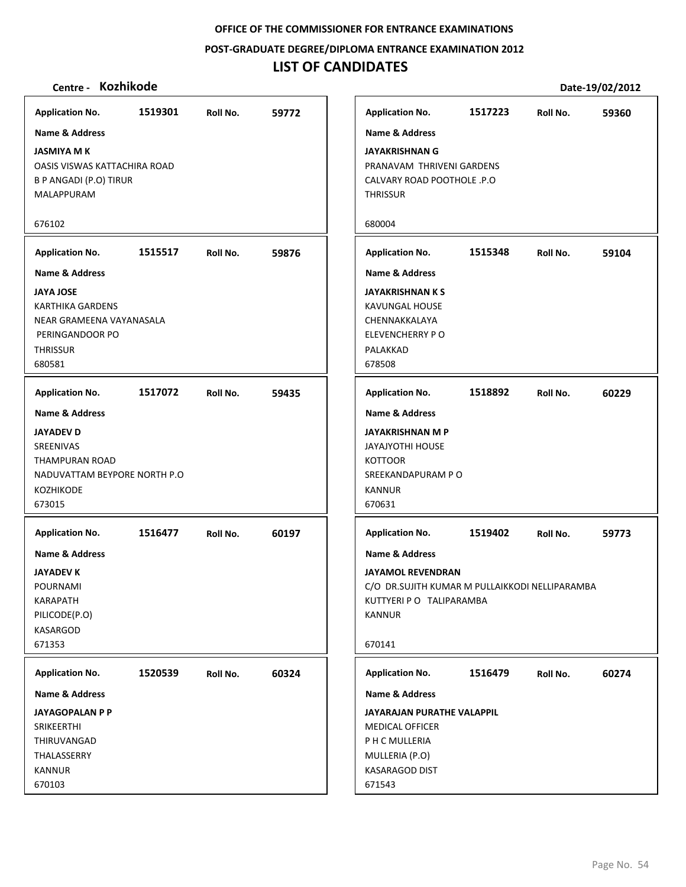**POST‐GRADUATE DEGREE/DIPLOMA ENTRANCE EXAMINATION 2012**

## **LIST OF CANDIDATES**

## **Centre ‐ Kozhikode Date‐19/02/2012**

**1519301 59772 JASMIYA M K** OASIS VISWAS KATTACHIRA ROAD B P ANGADI (P.O) TIRUR MALAPPURAM 676102 **Application No. Name & Address 1515517 59876 JAYA JOSE** KARTHIKA GARDENS NEAR GRAMEENA VAYANASALA PERINGANDOOR PO **THRISSUR** 680581 **Application No. Name & Address 1517072 59435 JAYADEV D** SREENIVAS THAMPURAN ROAD NADUVATTAM BEYPORE NORTH P.O KOZHIKODE 673015 **Application No. Name & Address 1516477 60197 JAYADEV K** POURNAMI KARAPATH PILICODE(P.O) **KASARGOD** 671353 **Application No. Name & Address 1520539 60324 JAYAGOPALAN P P** SRIKEERTHI THIRUVANGAD THALASSERRY KANNUR 670103 **Application No. Name & Address 1517223 59360 JAYAKRISHNAN G** PRANAVAM THRIVENI GARDENS CALVARY ROAD POOTHOLE .P.O **THRISSUR** 680004 **Application No. Name & Address 1515348 59104 JAYAKRISHNAN K S** KAVUNGAL HOUSE CHENNAKKALAYA ELEVENCHERRY P O PALAKKAD 678508 **Application No. Name & Address 1518892 60229 JAYAKRISHNAN M P** JAYAJYOTHI HOUSE **KOTTOOR** SREEKANDAPURAM P O **KANNUR** 670631 **Application No. Name & Address 1519402 59773 JAYAMOL REVENDRAN** C/O DR.SUJITH KUMAR M PULLAIKKODI NELLIPARAMBA KUTTYERI P O TALIPARAMBA KANNUR 670141 **Application No. Name & Address 1516479 60274 JAYARAJAN PURATHE VALAPPIL** MEDICAL OFFICER P H C MULLERIA MULLERIA (P.O) KASARAGOD DIST 671543 **Application No. Name & Address**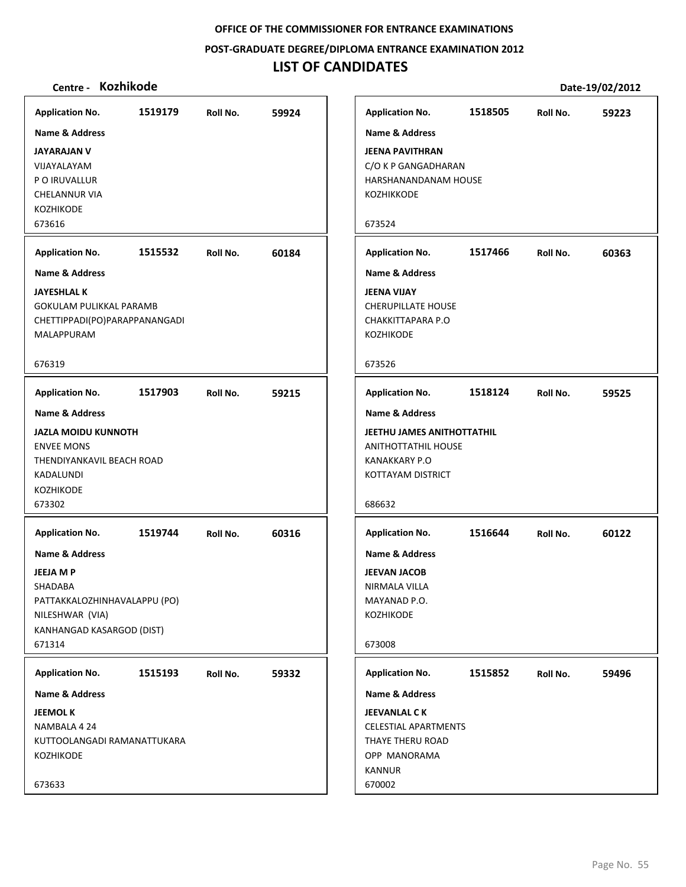**POST‐GRADUATE DEGREE/DIPLOMA ENTRANCE EXAMINATION 2012**

## **LIST OF CANDIDATES**

| Application No. 1519179 Roll No.                                                                                        |                  |                  | 59924 | <b>Application</b>                                                              |
|-------------------------------------------------------------------------------------------------------------------------|------------------|------------------|-------|---------------------------------------------------------------------------------|
| Name & Address                                                                                                          |                  |                  |       | Name & A                                                                        |
| <b>JAYARAJAN V</b><br>VIJAYALAYAM<br>P O IRUVALLUR<br><b>CHELANNUR VIA</b><br><b>KOZHIKODE</b><br>673616                |                  |                  |       | <b>JEENA PAV</b><br>C/O K P GA<br><b>HARSHANA</b><br><b>KOZHIKKOI</b><br>673524 |
| <b>Application No.</b>                                                                                                  | 1515532 Roll No. |                  | 60184 | Applicatio                                                                      |
| Name & Address                                                                                                          |                  |                  |       | Name & A                                                                        |
| <b>JAYESHLAL K</b><br>GOKULAM PULIKKAL PARAMB<br>CHETTIPPADI(PO)PARAPPANANGADI<br>MALAPPURAM                            |                  |                  |       | <b>JEENA VIJA</b><br><b>CHERUPILL</b><br><b>CHAKKITTA</b><br><b>KOZHIKOD</b>    |
| 676319                                                                                                                  |                  |                  |       | 673526                                                                          |
| <b>Application No.</b>                                                                                                  |                  | 1517903 Roll No. | 59215 | Applicatio                                                                      |
| <b>Name &amp; Address</b>                                                                                               |                  |                  |       | Name & A                                                                        |
| <b>JAZLA MOIDU KUNNOTH</b><br><b>ENVEE MONS</b><br>THENDIYANKAVIL BEACH ROAD<br>KADALUNDI<br><b>KOZHIKODE</b><br>673302 |                  |                  |       | <b>JEETHU JAI</b><br>ANITHOTT/<br><b>KANAKKAR</b><br>KOTTAYAN<br>686632         |
| <b>Application No.</b>                                                                                                  |                  | 1519744 Roll No. | 60316 | Applicatio                                                                      |
| <b>Name &amp; Address</b>                                                                                               |                  |                  |       | Name & A                                                                        |
| <b>JEEJA M P</b><br><b>SHADABA</b><br>PATTAKKALOZHINHAVALAPPU (PO)<br>NILESHWAR (VIA)<br>KANHANGAD KASARGOD (DIST)      |                  |                  |       | <b>JEEVAN JA</b><br><b>NIRMALA \</b><br><b>MAYANAD</b><br><b>KOZHIKOD</b>       |
| 671314                                                                                                                  |                  |                  |       | 673008                                                                          |
| <b>Application No.</b>                                                                                                  | 1515193          | Roll No.         | 59332 | Applicatio                                                                      |
| <b>Name &amp; Address</b>                                                                                               |                  |                  |       | Name & A                                                                        |
| <b>JEEMOL K</b><br>NAMBALA 4 24<br>KUTTOOLANGADI RAMANATTUKARA<br><b>KOZHIKODE</b>                                      |                  |                  |       | <b>JEEVANLAI</b><br>CELESTIAL.<br>THAYE THE<br><b>OPP MAN</b><br>KANNUR         |
| 673633                                                                                                                  |                  |                  |       | 670002                                                                          |

| Centre - Kozhikode                                                                    |         |          |       |                                                                                                              |         |          | Date-19/02/2012 |
|---------------------------------------------------------------------------------------|---------|----------|-------|--------------------------------------------------------------------------------------------------------------|---------|----------|-----------------|
| olication No.                                                                         | 1519179 | Roll No. | 59924 | <b>Application No.</b>                                                                                       | 1518505 | Roll No. | 59223           |
| ne & Address                                                                          |         |          |       | <b>Name &amp; Address</b>                                                                                    |         |          |                 |
| ARAJAN V<br><i>\YALAYAM</i><br><b>IRUVALLUR</b><br>LANNUR VIA<br><b>HIKODE</b><br>616 |         |          |       | <b>JEENA PAVITHRAN</b><br>C/O K P GANGADHARAN<br>HARSHANANDANAM HOUSE<br>KOZHIKKODE<br>673524                |         |          |                 |
| olication No.                                                                         | 1515532 | Roll No. | 60184 | <b>Application No.</b>                                                                                       | 1517466 | Roll No. | 60363           |
| ne & Address                                                                          |         |          |       | <b>Name &amp; Address</b>                                                                                    |         |          |                 |
| ESHLAL K<br>(ULAM PULIKKAL PARAMB<br>TTIPPADI(PO)PARAPPANANGADI<br>LAPPURAM           |         |          |       | <b>JEENA VIJAY</b><br><b>CHERUPILLATE HOUSE</b><br>CHAKKITTAPARA P.O<br><b>KOZHIKODE</b>                     |         |          |                 |
| 319                                                                                   |         |          |       | 673526                                                                                                       |         |          |                 |
| olication No.                                                                         | 1517903 | Roll No. | 59215 | <b>Application No.</b>                                                                                       | 1518124 | Roll No. | 59525           |
| ne & Address                                                                          |         |          |       | <b>Name &amp; Address</b>                                                                                    |         |          |                 |
| LA MOIDU KUNNOTH<br>EE MONS<br>NDIYANKAVIL BEACH ROAD<br>ALUNDI<br>'HIKODE            |         |          |       | <b>JEETHU JAMES ANITHOTTATHIL</b><br><b>ANITHOTTATHIL HOUSE</b><br><b>KANAKKARY P.O</b><br>KOTTAYAM DISTRICT |         |          |                 |
| 302                                                                                   |         |          |       | 686632                                                                                                       |         |          |                 |
| <b>plication No.</b>                                                                  | 1519744 | Roll No. | 60316 | <b>Application No.</b>                                                                                       | 1516644 | Roll No. | 60122           |
| ne & Address                                                                          |         |          |       | Name & Address                                                                                               |         |          |                 |
| A M P                                                                                 |         |          |       | <b>JEEVAN JACOB</b>                                                                                          |         |          |                 |
| DABA،                                                                                 |         |          |       | NIRMALA VILLA                                                                                                |         |          |                 |
| TAKKALOZHINHAVALAPPU (PO)                                                             |         |          |       | MAYANAD P.O.                                                                                                 |         |          |                 |
| ESHWAR (VIA)                                                                          |         |          |       | KOZHIKODE                                                                                                    |         |          |                 |
| IHANGAD KASARGOD (DIST)<br>314                                                        |         |          |       | 673008                                                                                                       |         |          |                 |
| <b>plication No.</b>                                                                  | 1515193 | Roll No. | 59332 | <b>Application No.</b>                                                                                       | 1515852 | Roll No. | 59496           |
| ne & Address                                                                          |         |          |       | <b>Name &amp; Address</b>                                                                                    |         |          |                 |
| VIOL K                                                                                |         |          |       | <b>JEEVANLAL C K</b>                                                                                         |         |          |                 |
| MBALA 4 24                                                                            |         |          |       | <b>CELESTIAL APARTMENTS</b>                                                                                  |         |          |                 |
| TOOLANGADI RAMANATTUKARA                                                              |         |          |       | THAYE THERU ROAD                                                                                             |         |          |                 |
| <b>HIKODE</b>                                                                         |         |          |       | OPP MANORAMA                                                                                                 |         |          |                 |
|                                                                                       |         |          |       | <b>KANNUR</b>                                                                                                |         |          |                 |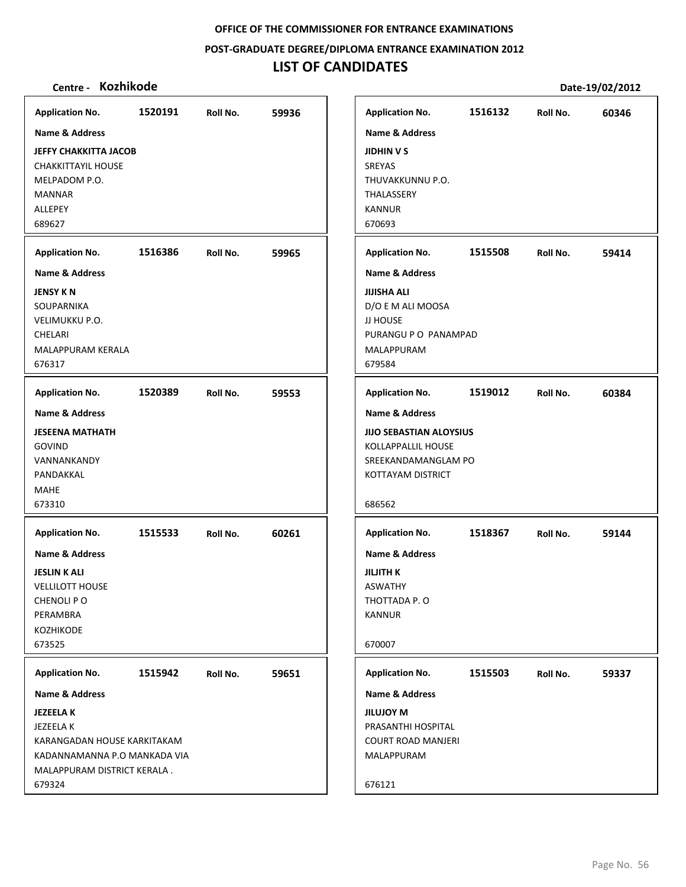**POST‐GRADUATE DEGREE/DIPLOMA ENTRANCE EXAMINATION 2012**

# **LIST OF CANDIDATES**

| <b>Application No.</b>                                                                                                                                       | 1520191 | Roll No. | 59936 |
|--------------------------------------------------------------------------------------------------------------------------------------------------------------|---------|----------|-------|
| Name & Address<br><b>JEFFY CHAKKITTA JACOB</b><br><b>CHAKKITTAYIL HOUSE</b><br>MELPADOM P.O.<br><b>MANNAR</b><br>ALLEPEY<br>689627                           |         |          |       |
| <b>Application No.</b>                                                                                                                                       | 1516386 | Roll No. | 59965 |
| <b>Name &amp; Address</b><br><b>JENSY KN</b><br>SOUPARNIKA<br>VELIMUKKU P.O.<br>CHELARI<br><b>MALAPPURAM KERALA</b><br>676317                                |         |          |       |
| <b>Application No.</b>                                                                                                                                       | 1520389 | Roll No. | 59553 |
| Name & Address<br><b>JESEENA MATHATH</b><br>GOVIND<br>VANNANKANDY<br>PANDAKKAL<br><b>MAHE</b><br>673310                                                      |         |          |       |
| <b>Application No.</b><br><b>Name &amp; Address</b><br><b>JESLIN K ALI</b><br><b>VELLILOTT HOUSE</b><br>CHENOLI PO<br>PERAMBRA<br><b>KOZHIKODE</b><br>673525 | 1515533 | Roll No. | 60261 |
| <b>Application No.</b>                                                                                                                                       | 1515942 | Roll No. | 59651 |
| Name & Address<br><b>JEZEELAK</b><br>JEZEELA K<br>KARANGADAN HOUSE KARKITAKAM<br>KADANNAMANNA P.O MANKADA VIA<br>MALAPPURAM DISTRICT KERALA.<br>679324       |         |          |       |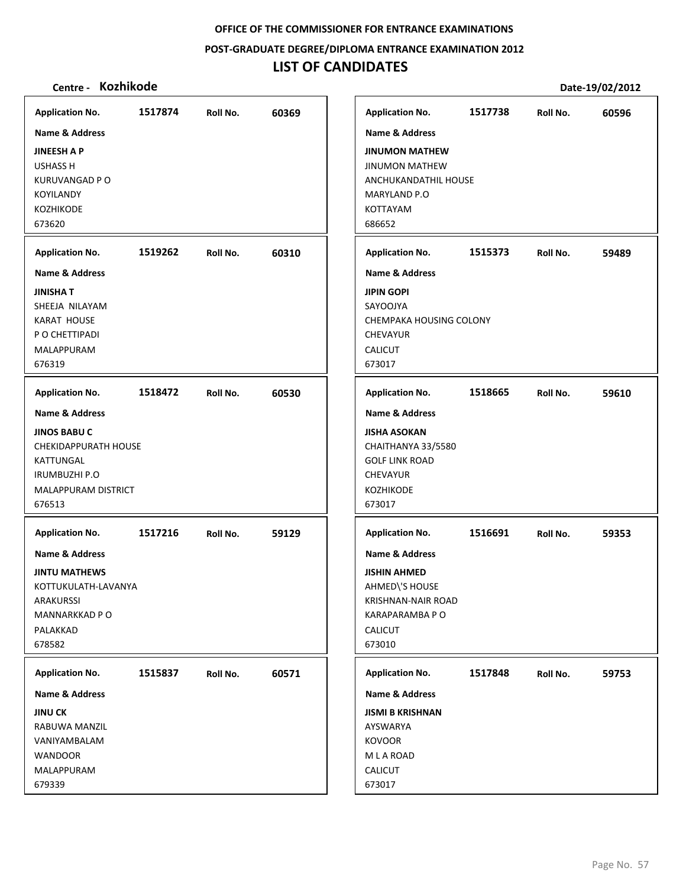**POST‐GRADUATE DEGREE/DIPLOMA ENTRANCE EXAMINATION 2012**

# **LIST OF CANDIDATES**

| <b>Application No.</b>      | 1517874 | Roll No. | 60369 | <b>Application No.</b>    | 1517738 | Roll No. | 60596 |
|-----------------------------|---------|----------|-------|---------------------------|---------|----------|-------|
| Name & Address              |         |          |       | Name & Address            |         |          |       |
| <b>JINEESH A P</b>          |         |          |       | <b>JINUMON MATHEW</b>     |         |          |       |
| <b>USHASS H</b>             |         |          |       | <b>JINUMON MATHEW</b>     |         |          |       |
| <b>KURUVANGAD P O</b>       |         |          |       | ANCHUKANDATHIL HOUSE      |         |          |       |
| <b>KOYILANDY</b>            |         |          |       | MARYLAND P.O              |         |          |       |
| <b>KOZHIKODE</b>            |         |          |       | KOTTAYAM                  |         |          |       |
| 673620                      |         |          |       | 686652                    |         |          |       |
| <b>Application No.</b>      | 1519262 | Roll No. | 60310 | <b>Application No.</b>    | 1515373 | Roll No. | 59489 |
| <b>Name &amp; Address</b>   |         |          |       | <b>Name &amp; Address</b> |         |          |       |
| <b>JINISHA T</b>            |         |          |       | <b>JIPIN GOPI</b>         |         |          |       |
| SHEEJA NILAYAM              |         |          |       | SAYOOJYA                  |         |          |       |
| <b>KARAT HOUSE</b>          |         |          |       | CHEMPAKA HOUSING COLONY   |         |          |       |
| P O CHETTIPADI              |         |          |       | <b>CHEVAYUR</b>           |         |          |       |
| MALAPPURAM                  |         |          |       | <b>CALICUT</b>            |         |          |       |
| 676319                      |         |          |       | 673017                    |         |          |       |
| <b>Application No.</b>      | 1518472 | Roll No. | 60530 | <b>Application No.</b>    | 1518665 | Roll No. | 59610 |
| <b>Name &amp; Address</b>   |         |          |       | <b>Name &amp; Address</b> |         |          |       |
| <b>JINOS BABU C</b>         |         |          |       | <b>JISHA ASOKAN</b>       |         |          |       |
| <b>CHEKIDAPPURATH HOUSE</b> |         |          |       | CHAITHANYA 33/5580        |         |          |       |
| KATTUNGAL                   |         |          |       | <b>GOLF LINK ROAD</b>     |         |          |       |
| <b>IRUMBUZHI P.O</b>        |         |          |       | <b>CHEVAYUR</b>           |         |          |       |
| MALAPPURAM DISTRICT         |         |          |       | <b>KOZHIKODE</b>          |         |          |       |
| 676513                      |         |          |       | 673017                    |         |          |       |
| <b>Application No.</b>      | 1517216 | Roll No. | 59129 | <b>Application No.</b>    | 1516691 | Roll No. | 59353 |
| <b>Name &amp; Address</b>   |         |          |       | <b>Name &amp; Address</b> |         |          |       |
| <b>JINTU MATHEWS</b>        |         |          |       | <b>JISHIN AHMED</b>       |         |          |       |
| KOTTUKULATH-LAVANYA         |         |          |       | AHMED\'S HOUSE            |         |          |       |
| ARAKURSSI                   |         |          |       | KRISHNAN-NAIR ROAD        |         |          |       |
| MANNARKKAD P O              |         |          |       | KARAPARAMBA P O           |         |          |       |
| PALAKKAD                    |         |          |       | <b>CALICUT</b>            |         |          |       |
| 678582                      |         |          |       | 673010                    |         |          |       |
| <b>Application No.</b>      | 1515837 | Roll No. | 60571 | <b>Application No.</b>    | 1517848 | Roll No. | 59753 |
| Name & Address              |         |          |       | <b>Name &amp; Address</b> |         |          |       |
| <b>JINU CK</b>              |         |          |       | <b>JISMI B KRISHNAN</b>   |         |          |       |
| RABUWA MANZIL               |         |          |       | AYSWARYA                  |         |          |       |
| VANIYAMBALAM                |         |          |       | <b>KOVOOR</b>             |         |          |       |
| <b>WANDOOR</b>              |         |          |       | M L A ROAD                |         |          |       |
| MALAPPURAM                  |         |          |       | CALICUT                   |         |          |       |
| 679339                      |         |          |       | 673017                    |         |          |       |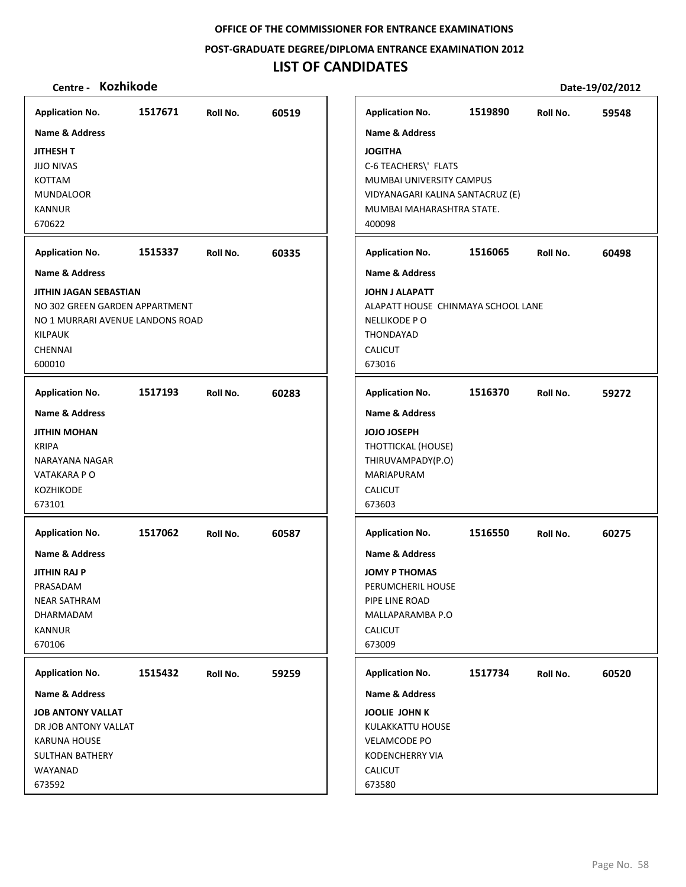**POST‐GRADUATE DEGREE/DIPLOMA ENTRANCE EXAMINATION 2012**

# **LIST OF CANDIDATES**

| <b>Application No.</b>                                                                                                                                | 1517671 | Roll No. | 60519 | <b>Application No.</b>                                                                                                                                  | 1519890 | Roll No. | 59548 |
|-------------------------------------------------------------------------------------------------------------------------------------------------------|---------|----------|-------|---------------------------------------------------------------------------------------------------------------------------------------------------------|---------|----------|-------|
| <b>Name &amp; Address</b>                                                                                                                             |         |          |       | Name & Address                                                                                                                                          |         |          |       |
| <b>JITHESH T</b><br><b>JIJO NIVAS</b><br><b>KOTTAM</b><br><b>MUNDALOOR</b><br><b>KANNUR</b><br>670622                                                 |         |          |       | <b>JOGITHA</b><br>C-6 TEACHERS\' FLATS<br>MUMBAI UNIVERSITY CAMPUS<br>VIDYANAGARI KALINA SANTACRUZ (E)<br>MUMBAI MAHARASHTRA STATE.<br>400098           |         |          |       |
| <b>Application No.</b>                                                                                                                                | 1515337 | Roll No. | 60335 | <b>Application No.</b>                                                                                                                                  | 1516065 | Roll No. | 60498 |
| <b>Name &amp; Address</b>                                                                                                                             |         |          |       | <b>Name &amp; Address</b>                                                                                                                               |         |          |       |
| <b>JITHIN JAGAN SEBASTIAN</b><br>NO 302 GREEN GARDEN APPARTMENT<br>NO 1 MURRARI AVENUE LANDONS ROAD<br><b>KILPAUK</b><br><b>CHENNAI</b><br>600010     |         |          |       | <b>JOHN J ALAPATT</b><br>ALAPATT HOUSE CHINMAYA SCHOOL LANE<br>NELLIKODE PO<br>THONDAYAD<br><b>CALICUT</b><br>673016                                    |         |          |       |
| <b>Application No.</b>                                                                                                                                | 1517193 | Roll No. | 60283 | <b>Application No.</b>                                                                                                                                  | 1516370 | Roll No. | 59272 |
| <b>Name &amp; Address</b><br><b>JITHIN MOHAN</b><br><b>KRIPA</b><br>NARAYANA NAGAR<br>VATAKARA P O<br><b>KOZHIKODE</b><br>673101                      |         |          |       | <b>Name &amp; Address</b><br><b>JOJO JOSEPH</b><br>THOTTICKAL (HOUSE)<br>THIRUVAMPADY(P.O)<br>MARIAPURAM<br><b>CALICUT</b><br>673603                    |         |          |       |
| <b>Application No.</b><br><b>Name &amp; Address</b><br>JITHIN RAJ P<br>PRASADAM<br><b>NEAR SATHRAM</b><br><b>DHARMADAM</b><br><b>KANNUR</b><br>670106 | 1517062 | Roll No. | 60587 | <b>Application No.</b><br>Name & Address<br><b>JOMY P THOMAS</b><br>PERUMCHERIL HOUSE<br>PIPE LINE ROAD<br>MALLAPARAMBA P.O<br><b>CALICUT</b><br>673009 | 1516550 | Roll No. | 60275 |
| <b>Application No.</b>                                                                                                                                | 1515432 | Roll No. | 59259 | <b>Application No.</b>                                                                                                                                  | 1517734 | Roll No. | 60520 |
| <b>Name &amp; Address</b>                                                                                                                             |         |          |       | Name & Address                                                                                                                                          |         |          |       |
| <b>JOB ANTONY VALLAT</b><br>DR JOB ANTONY VALLAT<br><b>KARUNA HOUSE</b><br><b>SULTHAN BATHERY</b><br>WAYANAD<br>673592                                |         |          |       | <b>JOOLIE JOHN K</b><br>KULAKKATTU HOUSE<br><b>VELAMCODE PO</b><br><b>KODENCHERRY VIA</b><br><b>CALICUT</b><br>673580                                   |         |          |       |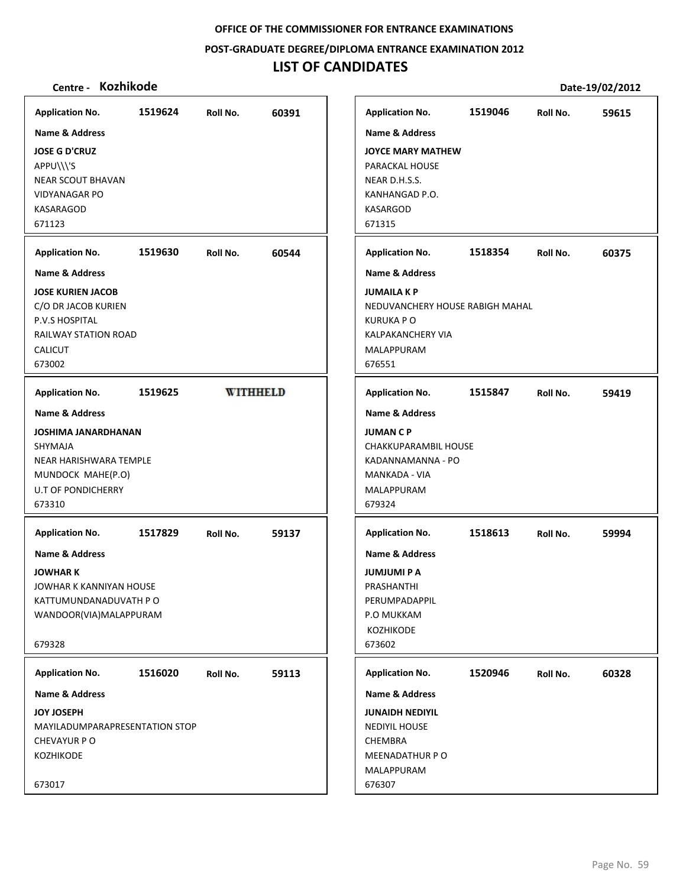**POST‐GRADUATE DEGREE/DIPLOMA ENTRANCE EXAMINATION 2012**

# **LIST OF CANDIDATES**

| <b>Name &amp; Address</b><br><b>Name &amp; Address</b><br><b>JOSE G D'CRUZ</b><br><b>JOYCE MARY MATHEW</b><br>APPU\\\'S<br><b>PARACKAL HOUSE</b><br>NEAR D.H.S.S.<br><b>NEAR SCOUT BHAVAN</b><br><b>VIDYANAGAR PO</b><br>KANHANGAD P.O.<br><b>KASARGOD</b><br><b>KASARAGOD</b><br>671315<br>671123<br>1519630<br>60544<br>Roll No.<br><b>Name &amp; Address</b><br><b>JOSE KURIEN JACOB</b><br>C/O DR JACOB KURIEN<br>P.V.S HOSPITAL<br><b>RAILWAY STATION ROAD</b><br><b>CALICUT</b><br>673002<br>1519625<br><b>WITHHELD</b><br><b>Application No.</b><br><b>Name &amp; Address</b><br><b>JOSHIMA JANARDHANAN</b><br>SHYMAJA<br>NEAR HARISHWARA TEMPLE<br>MUNDOCK MAHE(P.O)<br><b>U.T OF PONDICHERRY</b><br>673310<br>1517829<br>Roll No.<br>59137<br>JOWHAR K KANNIYAN HOUSE<br>KATTUMUNDANADUVATH P O<br>WANDOOR(VIA)MALAPPURAM<br>1516020<br>Roll No.<br>59113<br>MAYILADUMPARAPRESENTATION STOP | <b>Application No.</b>                                                                                              | 1519624 | Roll No. | 60391 |
|------------------------------------------------------------------------------------------------------------------------------------------------------------------------------------------------------------------------------------------------------------------------------------------------------------------------------------------------------------------------------------------------------------------------------------------------------------------------------------------------------------------------------------------------------------------------------------------------------------------------------------------------------------------------------------------------------------------------------------------------------------------------------------------------------------------------------------------------------------------------------------------------------|---------------------------------------------------------------------------------------------------------------------|---------|----------|-------|
| <b>Application No.</b>                                                                                                                                                                                                                                                                                                                                                                                                                                                                                                                                                                                                                                                                                                                                                                                                                                                                               |                                                                                                                     |         |          |       |
| <b>Name &amp; Address</b><br><b>JUMAILA K P</b><br>NEDUVANCHERY HOUSE RABIGH MAHAL<br><b>KURUKA PO</b><br><b>KALPAKANCHERY VIA</b><br><b>MALAPPURAM</b><br>676551<br><b>JUMAN C P</b><br>679324<br><b>JUMJUMI P A</b><br>PRASHANTHI<br>P.O MUKKAM<br>KOZHIKODE<br>673602<br><b>CHEMBRA</b>                                                                                                                                                                                                                                                                                                                                                                                                                                                                                                                                                                                                           | <b>Application No.</b>                                                                                              |         |          |       |
| <b>Application No.</b><br><b>Name &amp; Address</b><br><b>MANKADA - VIA</b><br>MALAPPURAM<br><b>Application No.</b><br><b>Name &amp; Address</b><br>PERUMPADAPPIL<br><b>Application No.</b><br><b>Name &amp; Address</b><br><b>JUNAIDH NEDIYIL</b><br>NEDIYIL HOUSE<br>MEENADATHUR PO                                                                                                                                                                                                                                                                                                                                                                                                                                                                                                                                                                                                                |                                                                                                                     |         |          |       |
| CHAKKUPARAMBIL HOUSE<br>KADANNAMANNA - PO                                                                                                                                                                                                                                                                                                                                                                                                                                                                                                                                                                                                                                                                                                                                                                                                                                                            |                                                                                                                     |         |          |       |
| 1518613                                                                                                                                                                                                                                                                                                                                                                                                                                                                                                                                                                                                                                                                                                                                                                                                                                                                                              |                                                                                                                     |         |          |       |
| 1520946                                                                                                                                                                                                                                                                                                                                                                                                                                                                                                                                                                                                                                                                                                                                                                                                                                                                                              | <b>Application No.</b><br><b>Name &amp; Address</b><br><b>JOWHAR K</b><br>679328                                    |         |          |       |
| MALAPPURAM                                                                                                                                                                                                                                                                                                                                                                                                                                                                                                                                                                                                                                                                                                                                                                                                                                                                                           | <b>Application No.</b><br><b>Name &amp; Address</b><br><b>JOY JOSEPH</b><br><b>CHEVAYUR P O</b><br><b>KOZHIKODE</b> |         |          |       |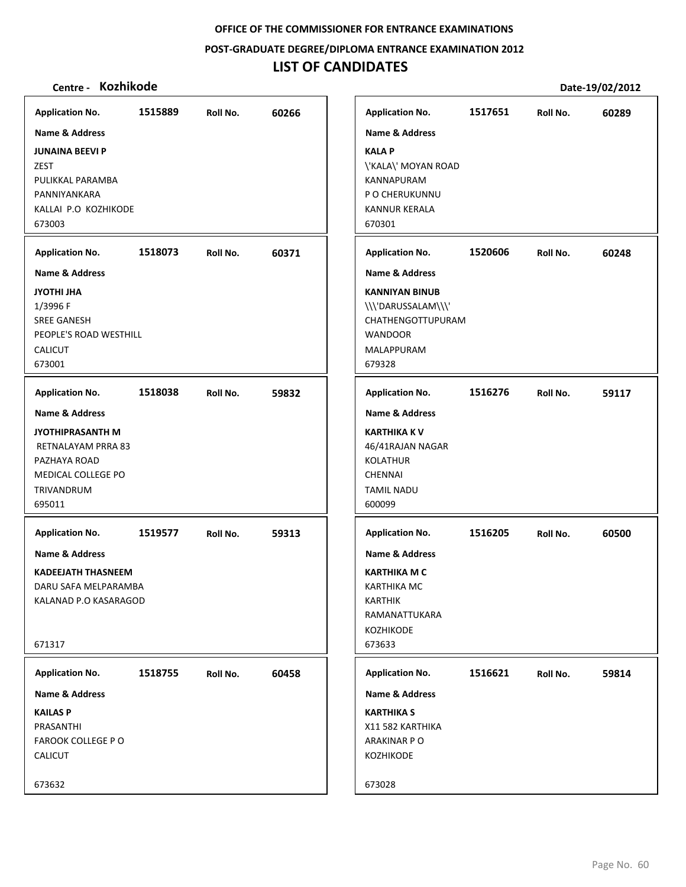**POST‐GRADUATE DEGREE/DIPLOMA ENTRANCE EXAMINATION 2012**

# **LIST OF CANDIDATES**

| <b>Application No.</b>    | 1515889 | Roll No. | 60266 | <b>Application No.</b>    | 1517651 | Roll No. | 60289 |
|---------------------------|---------|----------|-------|---------------------------|---------|----------|-------|
| Name & Address            |         |          |       | <b>Name &amp; Address</b> |         |          |       |
| <b>JUNAINA BEEVI P</b>    |         |          |       | <b>KALA P</b>             |         |          |       |
| <b>ZEST</b>               |         |          |       | \'KALA\' MOYAN ROAD       |         |          |       |
| PULIKKAL PARAMBA          |         |          |       | KANNAPURAM                |         |          |       |
| PANNIYANKARA              |         |          |       | P O CHERUKUNNU            |         |          |       |
| KALLAI P.O KOZHIKODE      |         |          |       | <b>KANNUR KERALA</b>      |         |          |       |
| 673003                    |         |          |       | 670301                    |         |          |       |
| <b>Application No.</b>    | 1518073 | Roll No. | 60371 | <b>Application No.</b>    | 1520606 | Roll No. | 60248 |
| Name & Address            |         |          |       | <b>Name &amp; Address</b> |         |          |       |
| <b>JYOTHI JHA</b>         |         |          |       | <b>KANNIYAN BINUB</b>     |         |          |       |
| 1/3996 F                  |         |          |       | \\\'DARUSSALAM\\\'        |         |          |       |
| <b>SREE GANESH</b>        |         |          |       | CHATHENGOTTUPURAM         |         |          |       |
| PEOPLE'S ROAD WESTHILL    |         |          |       | <b>WANDOOR</b>            |         |          |       |
| <b>CALICUT</b>            |         |          |       | MALAPPURAM                |         |          |       |
| 673001                    |         |          |       | 679328                    |         |          |       |
| <b>Application No.</b>    | 1518038 | Roll No. | 59832 | <b>Application No.</b>    | 1516276 | Roll No. | 59117 |
| <b>Name &amp; Address</b> |         |          |       | <b>Name &amp; Address</b> |         |          |       |
| <b>JYOTHIPRASANTH M</b>   |         |          |       | <b>KARTHIKA K V</b>       |         |          |       |
| RETNALAYAM PRRA 83        |         |          |       | 46/41RAJAN NAGAR          |         |          |       |
| PAZHAYA ROAD              |         |          |       | <b>KOLATHUR</b>           |         |          |       |
| MEDICAL COLLEGE PO        |         |          |       | <b>CHENNAI</b>            |         |          |       |
| TRIVANDRUM                |         |          |       | <b>TAMIL NADU</b>         |         |          |       |
| 695011                    |         |          |       | 600099                    |         |          |       |
| <b>Application No.</b>    | 1519577 | Roll No. | 59313 | <b>Application No.</b>    | 1516205 | Roll No. | 60500 |
| <b>Name &amp; Address</b> |         |          |       | <b>Name &amp; Address</b> |         |          |       |
| <b>KADEEJATH THASNEEM</b> |         |          |       | <b>KARTHIKA M C</b>       |         |          |       |
| DARU SAFA MELPARAMBA      |         |          |       | <b>KARTHIKA MC</b>        |         |          |       |
| KALANAD P.O KASARAGOD     |         |          |       | <b>KARTHIK</b>            |         |          |       |
|                           |         |          |       | RAMANATTUKARA             |         |          |       |
|                           |         |          |       | KOZHIKODE                 |         |          |       |
| 671317                    |         |          |       | 673633                    |         |          |       |
| <b>Application No.</b>    | 1518755 | Roll No. | 60458 | <b>Application No.</b>    | 1516621 | Roll No. | 59814 |
| Name & Address            |         |          |       | <b>Name &amp; Address</b> |         |          |       |
| <b>KAILAS P</b>           |         |          |       | <b>KARTHIKA S</b>         |         |          |       |
| PRASANTHI                 |         |          |       | X11 582 KARTHIKA          |         |          |       |
| <b>FAROOK COLLEGE P O</b> |         |          |       | ARAKINAR P O              |         |          |       |
| <b>CALICUT</b>            |         |          |       | KOZHIKODE                 |         |          |       |
|                           |         |          |       |                           |         |          |       |
| 673632                    |         |          |       | 673028                    |         |          |       |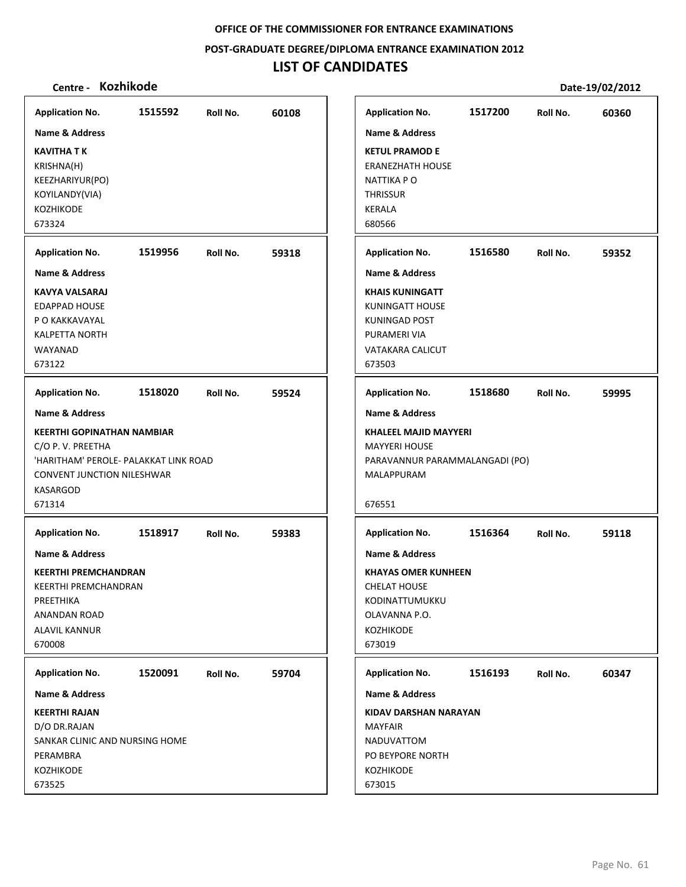#### **POST‐GRADUATE DEGREE/DIPLOMA ENTRANCE EXAMINATION 2012**

# **LIST OF CANDIDATES**

| <b>Application No.</b>                | 1515592 | Roll No. | 60108 | <b>Application No.</b>         | 1517200 | Roll No. | 60360 |
|---------------------------------------|---------|----------|-------|--------------------------------|---------|----------|-------|
| Name & Address                        |         |          |       | <b>Name &amp; Address</b>      |         |          |       |
| <b>KAVITHA T K</b>                    |         |          |       | <b>KETUL PRAMOD E</b>          |         |          |       |
| KRISHNA(H)                            |         |          |       | <b>ERANEZHATH HOUSE</b>        |         |          |       |
| KEEZHARIYUR(PO)                       |         |          |       | NATTIKA P O                    |         |          |       |
| KOYILANDY(VIA)                        |         |          |       | <b>THRISSUR</b>                |         |          |       |
| KOZHIKODE                             |         |          |       | <b>KERALA</b>                  |         |          |       |
| 673324                                |         |          |       | 680566                         |         |          |       |
| <b>Application No.</b>                | 1519956 | Roll No. | 59318 | <b>Application No.</b>         | 1516580 | Roll No. | 59352 |
|                                       |         |          |       |                                |         |          |       |
| <b>Name &amp; Address</b>             |         |          |       | <b>Name &amp; Address</b>      |         |          |       |
| <b>KAVYA VALSARAJ</b>                 |         |          |       | <b>KHAIS KUNINGATT</b>         |         |          |       |
| <b>EDAPPAD HOUSE</b>                  |         |          |       | <b>KUNINGATT HOUSE</b>         |         |          |       |
| P O KAKKAVAYAL                        |         |          |       | <b>KUNINGAD POST</b>           |         |          |       |
| <b>KALPETTA NORTH</b>                 |         |          |       | PURAMERI VIA                   |         |          |       |
| WAYANAD<br>673122                     |         |          |       | <b>VATAKARA CALICUT</b>        |         |          |       |
|                                       |         |          |       | 673503                         |         |          |       |
| <b>Application No.</b>                | 1518020 | Roll No. | 59524 | <b>Application No.</b>         | 1518680 | Roll No. | 59995 |
| <b>Name &amp; Address</b>             |         |          |       | <b>Name &amp; Address</b>      |         |          |       |
| <b>KEERTHI GOPINATHAN NAMBIAR</b>     |         |          |       | <b>KHALEEL MAJID MAYYERI</b>   |         |          |       |
| C/O P. V. PREETHA                     |         |          |       | <b>MAYYERI HOUSE</b>           |         |          |       |
| 'HARITHAM' PEROLE- PALAKKAT LINK ROAD |         |          |       | PARAVANNUR PARAMMALANGADI (PO) |         |          |       |
| CONVENT JUNCTION NILESHWAR            |         |          |       | MALAPPURAM                     |         |          |       |
| <b>KASARGOD</b>                       |         |          |       |                                |         |          |       |
| 671314                                |         |          |       | 676551                         |         |          |       |
| <b>Application No.</b>                | 1518917 | Roll No. | 59383 | <b>Application No.</b>         | 1516364 | Roll No. | 59118 |
| Name & Address                        |         |          |       | <b>Name &amp; Address</b>      |         |          |       |
|                                       |         |          |       |                                |         |          |       |
| <b>KEERTHI PREMCHANDRAN</b>           |         |          |       | <b>KHAYAS OMER KUNHEEN</b>     |         |          |       |
| KEERTHI PREMCHANDRAN                  |         |          |       | <b>CHELAT HOUSE</b>            |         |          |       |
| PREETHIKA                             |         |          |       | KODINATTUMUKKU                 |         |          |       |
| <b>ANANDAN ROAD</b>                   |         |          |       | OLAVANNA P.O.                  |         |          |       |
| ALAVIL KANNUR                         |         |          |       | <b>KOZHIKODE</b>               |         |          |       |
| 670008                                |         |          |       | 673019                         |         |          |       |
| <b>Application No.</b>                | 1520091 | Roll No. | 59704 | <b>Application No.</b>         | 1516193 | Roll No. | 60347 |
| <b>Name &amp; Address</b>             |         |          |       | <b>Name &amp; Address</b>      |         |          |       |
| <b>KEERTHI RAJAN</b>                  |         |          |       | KIDAV DARSHAN NARAYAN          |         |          |       |
| D/O DR.RAJAN                          |         |          |       | <b>MAYFAIR</b>                 |         |          |       |
| SANKAR CLINIC AND NURSING HOME        |         |          |       | NADUVATTOM                     |         |          |       |
| PERAMBRA                              |         |          |       | PO BEYPORE NORTH               |         |          |       |
| <b>KOZHIKODE</b>                      |         |          |       | KOZHIKODE                      |         |          |       |
| 673525                                |         |          |       | 673015                         |         |          |       |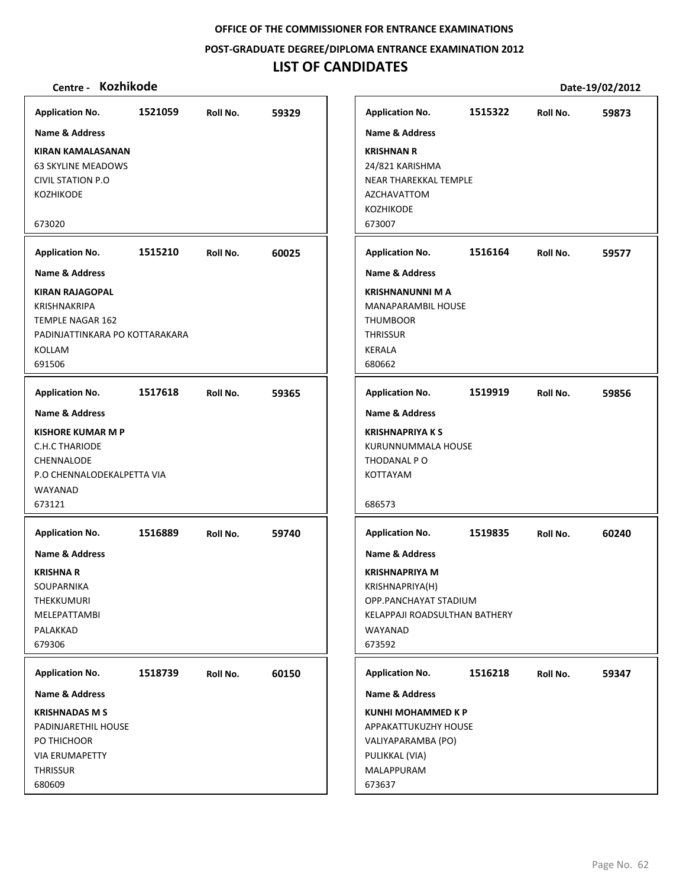**POST‐GRADUATE DEGREE/DIPLOMA ENTRANCE EXAMINATION 2012**

# **LIST OF CANDIDATES**

| <b>Application No.</b>                                                                                                                                                    | 1521059 | Roll No. | 59329 |
|---------------------------------------------------------------------------------------------------------------------------------------------------------------------------|---------|----------|-------|
| <b>Name &amp; Address</b>                                                                                                                                                 |         |          |       |
| <b>KIRAN KAMALASANAN</b><br><b>63 SKYLINE MEADOWS</b><br>CIVIL STATION P.O<br>KOZHIKODE                                                                                   |         |          |       |
| 673020                                                                                                                                                                    |         |          |       |
| <b>Application No.</b>                                                                                                                                                    | 1515210 | Roll No. | 60025 |
| Name & Address                                                                                                                                                            |         |          |       |
| <b>KIRAN RAJAGOPAL</b><br>KRISHNAKRIPA<br><b>TEMPLE NAGAR 162</b><br>PADINJATTINKARA PO KOTTARAKARA<br>KOLLAM<br>691506                                                   |         |          |       |
| <b>Application No.</b>                                                                                                                                                    | 1517618 | Roll No. | 59365 |
| <b>Name &amp; Address</b><br><b>KISHORE KUMAR M P</b><br><b>C.H.C THARIODE</b><br>CHENNALODE<br>P.O CHENNALODEKALPETTA VIA<br>WAYANAD<br>673121<br><b>Application No.</b> | 1516889 | Roll No. | 59740 |
| <b>Name &amp; Address</b><br><b>KRISHNA R</b><br>SOUPARNIKA<br>THEKKUMURI<br>MELEPATTAMBI<br>PALAKKAD<br>679306                                                           |         |          |       |
| <b>Application No.</b>                                                                                                                                                    |         |          |       |
| Name & Address                                                                                                                                                            | 1518739 | Roll No. | 60150 |
| <b>KRISHNADAS M S</b><br>PADINJARETHIL HOUSE<br>PO THICHOOR<br><b>VIA ERUMAPETTY</b><br>THRISSUR<br>680609                                                                |         |          |       |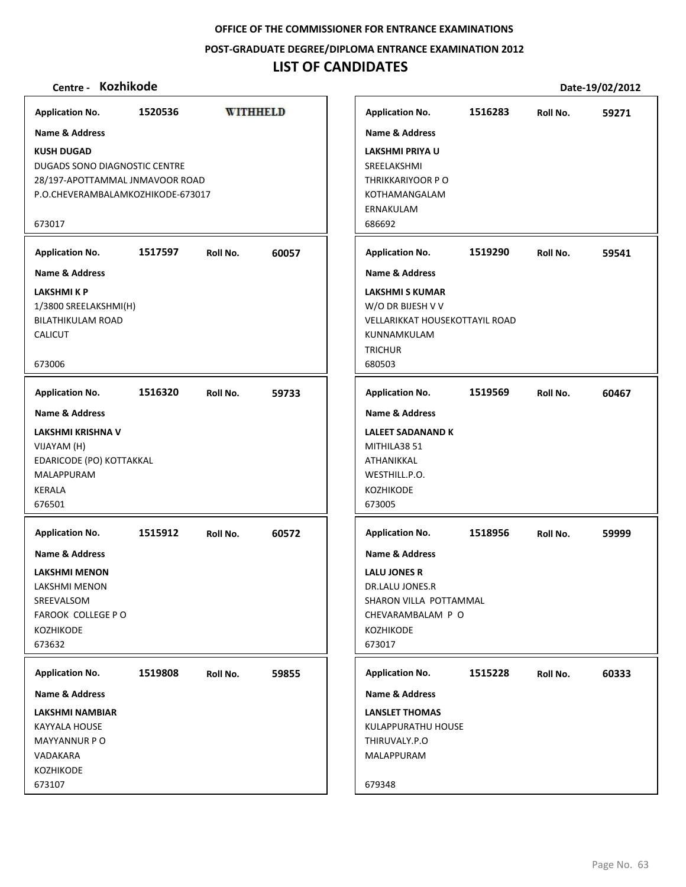#### **POST‐GRADUATE DEGREE/DIPLOMA ENTRANCE EXAMINATION 2012**

# **LIST OF CANDIDATES**

| Centre - Kozhikode                                                                                                                                                    |         |          |                 |                                                                                                                                                                            |         |          | Date-19/02/2012 |
|-----------------------------------------------------------------------------------------------------------------------------------------------------------------------|---------|----------|-----------------|----------------------------------------------------------------------------------------------------------------------------------------------------------------------------|---------|----------|-----------------|
| <b>Application No.</b>                                                                                                                                                | 1520536 |          | <b>WITHHELD</b> | <b>Application No.</b>                                                                                                                                                     | 1516283 | Roll No. | 59271           |
| <b>Name &amp; Address</b><br><b>KUSH DUGAD</b><br>DUGADS SONO DIAGNOSTIC CENTRE<br>28/197-APOTTAMMAL JNMAVOOR ROAD<br>P.O.CHEVERAMBALAMKOZHIKODE-673017<br>673017     |         |          |                 | <b>Name &amp; Address</b><br>LAKSHMI PRIYA U<br>SREELAKSHMI<br>THRIKKARIYOOR PO<br>KOTHAMANGALAM<br>ERNAKULAM<br>686692                                                    |         |          |                 |
| <b>Application No.</b>                                                                                                                                                | 1517597 | Roll No. | 60057           | <b>Application No.</b>                                                                                                                                                     | 1519290 | Roll No. | 59541           |
| <b>Name &amp; Address</b><br>LAKSHMI K P<br>1/3800 SREELAKSHMI(H)<br><b>BILATHIKULAM ROAD</b><br><b>CALICUT</b><br>673006                                             |         |          |                 | <b>Name &amp; Address</b><br><b>LAKSHMI S KUMAR</b><br>W/O DR BIJESH V V<br><b>VELLARIKKAT HOUSEKOTTAYIL ROAD</b><br>KUNNAMKULAM<br><b>TRICHUR</b><br>680503               |         |          |                 |
| <b>Application No.</b>                                                                                                                                                | 1516320 | Roll No. | 59733           | <b>Application No.</b>                                                                                                                                                     | 1519569 | Roll No. | 60467           |
| Name & Address<br>LAKSHMI KRISHNA V<br>VIJAYAM (H)<br>EDARICODE (PO) KOTTAKKAL<br>MALAPPURAM<br><b>KERALA</b><br>676501                                               |         |          |                 | <b>Name &amp; Address</b><br><b>LALEET SADANAND K</b><br>MITHILA38 51<br>ATHANIKKAL<br>WESTHILL.P.O.<br>KOZHIKODE<br>673005                                                |         |          |                 |
| <b>Application No.</b><br><b>Name &amp; Address</b><br><b>LAKSHMI MENON</b><br>LAKSHMI MENON<br>SREEVALSOM<br><b>FAROOK COLLEGE P O</b><br><b>KOZHIKODE</b><br>673632 | 1515912 | Roll No. | 60572           | <b>Application No.</b><br><b>Name &amp; Address</b><br><b>LALU JONES R</b><br>DR.LALU JONES.R<br>SHARON VILLA POTTAMMAL<br>CHEVARAMBALAM P O<br><b>KOZHIKODE</b><br>673017 | 1518956 | Roll No. | 59999           |
| <b>Application No.</b><br><b>Name &amp; Address</b><br>LAKSHMI NAMBIAR<br>KAYYALA HOUSE<br>MAYYANNUR PO<br>VADAKARA<br><b>KOZHIKODE</b><br>673107                     | 1519808 | Roll No. | 59855           | <b>Application No.</b><br>Name & Address<br><b>LANSLET THOMAS</b><br>KULAPPURATHU HOUSE<br>THIRUVALY.P.O<br>MALAPPURAM<br>679348                                           | 1515228 | Roll No. | 60333           |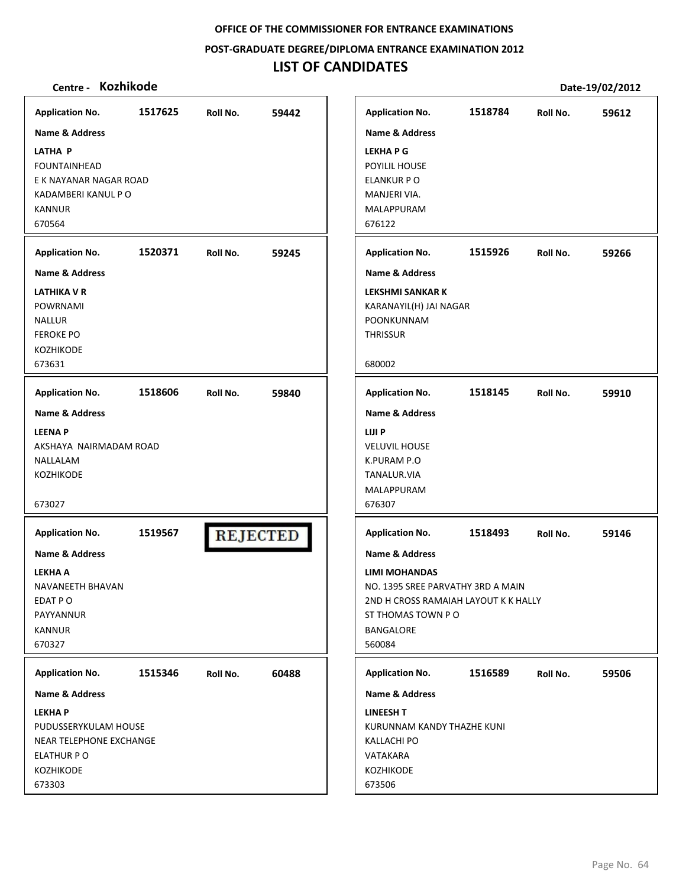**POST‐GRADUATE DEGREE/DIPLOMA ENTRANCE EXAMINATION 2012**

# **LIST OF CANDIDATES**

| <b>Application No.</b>    | 1517625 | Roll No.        | 59442 | <b>Application No.</b>               | 1518784 | Roll No. | 59612 |
|---------------------------|---------|-----------------|-------|--------------------------------------|---------|----------|-------|
| Name & Address            |         |                 |       | <b>Name &amp; Address</b>            |         |          |       |
| <b>LATHA P</b>            |         |                 |       | <b>LEKHAPG</b>                       |         |          |       |
| <b>FOUNTAINHEAD</b>       |         |                 |       | POYILIL HOUSE                        |         |          |       |
| E K NAYANAR NAGAR ROAD    |         |                 |       | ELANKUR P O                          |         |          |       |
| KADAMBERI KANUL P O       |         |                 |       | MANJERI VIA.                         |         |          |       |
| <b>KANNUR</b>             |         |                 |       | MALAPPURAM                           |         |          |       |
| 670564                    |         |                 |       | 676122                               |         |          |       |
|                           |         |                 |       |                                      |         |          |       |
| <b>Application No.</b>    | 1520371 | Roll No.        | 59245 | <b>Application No.</b>               | 1515926 | Roll No. | 59266 |
| <b>Name &amp; Address</b> |         |                 |       | <b>Name &amp; Address</b>            |         |          |       |
| <b>LATHIKA V R</b>        |         |                 |       | <b>LEKSHMI SANKAR K</b>              |         |          |       |
| POWRNAMI                  |         |                 |       | KARANAYIL(H) JAI NAGAR               |         |          |       |
| <b>NALLUR</b>             |         |                 |       | POONKUNNAM                           |         |          |       |
| <b>FEROKE PO</b>          |         |                 |       | <b>THRISSUR</b>                      |         |          |       |
| <b>KOZHIKODE</b>          |         |                 |       |                                      |         |          |       |
| 673631                    |         |                 |       | 680002                               |         |          |       |
| <b>Application No.</b>    | 1518606 | Roll No.        | 59840 | <b>Application No.</b>               | 1518145 | Roll No. | 59910 |
|                           |         |                 |       |                                      |         |          |       |
| Name & Address            |         |                 |       | Name & Address                       |         |          |       |
| <b>LEENAP</b>             |         |                 |       | LIJI P                               |         |          |       |
| AKSHAYA NAIRMADAM ROAD    |         |                 |       | <b>VELUVIL HOUSE</b>                 |         |          |       |
| NALLALAM                  |         |                 |       | K.PURAM P.O                          |         |          |       |
| KOZHIKODE                 |         |                 |       | TANALUR.VIA                          |         |          |       |
|                           |         |                 |       | MALAPPURAM                           |         |          |       |
| 673027                    |         |                 |       | 676307                               |         |          |       |
| <b>Application No.</b>    | 1519567 |                 |       | <b>Application No.</b>               | 1518493 | Roll No. | 59146 |
|                           |         | <b>REJECTED</b> |       |                                      |         |          |       |
| <b>Name &amp; Address</b> |         |                 |       | <b>Name &amp; Address</b>            |         |          |       |
| <b>LEKHA A</b>            |         |                 |       | <b>LIMI MOHANDAS</b>                 |         |          |       |
| NAVANEETH BHAVAN          |         |                 |       | NO. 1395 SREE PARVATHY 3RD A MAIN    |         |          |       |
| EDAT PO                   |         |                 |       | 2ND H CROSS RAMAIAH LAYOUT K K HALLY |         |          |       |
| PAYYANNUR                 |         |                 |       | ST THOMAS TOWN PO                    |         |          |       |
| <b>KANNUR</b>             |         |                 |       | <b>BANGALORE</b>                     |         |          |       |
| 670327                    |         |                 |       | 560084                               |         |          |       |
| <b>Application No.</b>    | 1515346 | Roll No.        | 60488 | <b>Application No.</b>               | 1516589 | Roll No. | 59506 |
| Name & Address            |         |                 |       | Name & Address                       |         |          |       |
| <b>LEKHAP</b>             |         |                 |       | <b>LINEESH T</b>                     |         |          |       |
|                           |         |                 |       | KURUNNAM KANDY THAZHE KUNI           |         |          |       |
| PUDUSSERYKULAM HOUSE      |         |                 |       |                                      |         |          |       |
| NEAR TELEPHONE EXCHANGE   |         |                 |       | <b>KALLACHI PO</b>                   |         |          |       |
| ELATHUR P O               |         |                 |       | VATAKARA                             |         |          |       |
| KOZHIKODE                 |         |                 |       | KOZHIKODE                            |         |          |       |
| 673303                    |         |                 |       | 673506                               |         |          |       |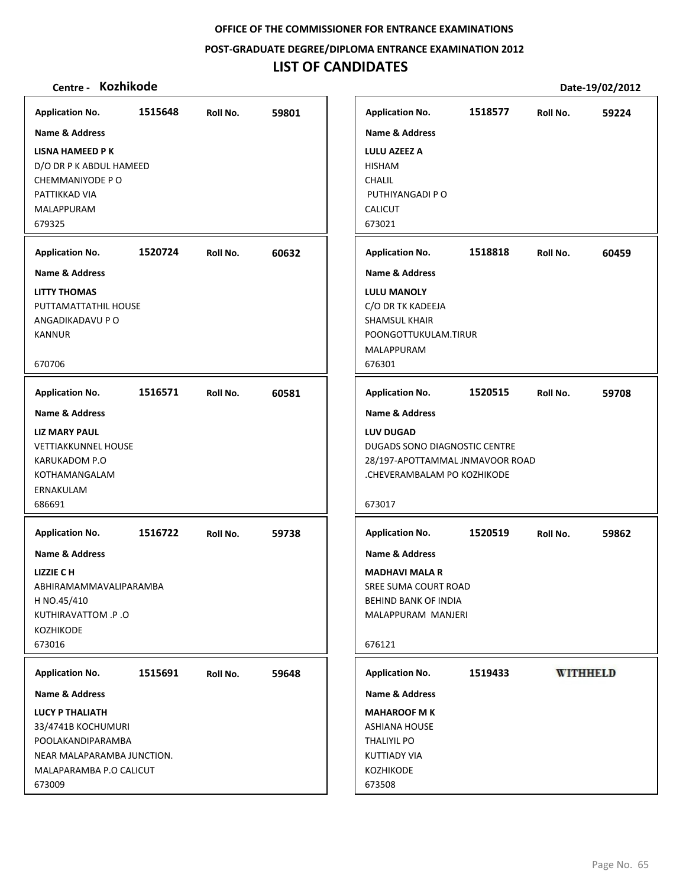**POST‐GRADUATE DEGREE/DIPLOMA ENTRANCE EXAMINATION 2012**

# **LIST OF CANDIDATES**

| <b>Application No.</b>                                                                                                                                                           | 1515648 | Roll No. | 59801 | <b>Application No.</b>                                                                                                                                                | 1518577 | Roll No. | 59224           |
|----------------------------------------------------------------------------------------------------------------------------------------------------------------------------------|---------|----------|-------|-----------------------------------------------------------------------------------------------------------------------------------------------------------------------|---------|----------|-----------------|
| <b>Name &amp; Address</b><br><b>LISNA HAMEED PK</b><br>D/O DR P K ABDUL HAMEED<br>CHEMMANIYODE PO<br>PATTIKKAD VIA<br>MALAPPURAM<br>679325                                       |         |          |       | <b>Name &amp; Address</b><br><b>LULU AZEEZ A</b><br><b>HISHAM</b><br>CHALIL<br>PUTHIYANGADI P O<br><b>CALICUT</b><br>673021                                           |         |          |                 |
| <b>Application No.</b>                                                                                                                                                           | 1520724 | Roll No. | 60632 | <b>Application No.</b>                                                                                                                                                | 1518818 | Roll No. | 60459           |
| <b>Name &amp; Address</b><br><b>LITTY THOMAS</b><br>PUTTAMATTATHIL HOUSE<br>ANGADIKADAVU P O<br><b>KANNUR</b><br>670706                                                          |         |          |       | <b>Name &amp; Address</b><br><b>LULU MANOLY</b><br>C/O DR TK KADEEJA<br><b>SHAMSUL KHAIR</b><br>POONGOTTUKULAM.TIRUR<br>MALAPPURAM<br>676301                          |         |          |                 |
| <b>Application No.</b>                                                                                                                                                           | 1516571 | Roll No. | 60581 | <b>Application No.</b>                                                                                                                                                | 1520515 | Roll No. | 59708           |
| Name & Address<br><b>LIZ MARY PAUL</b><br><b>VETTIAKKUNNEL HOUSE</b><br>KARUKADOM P.O<br>KOTHAMANGALAM<br>ERNAKULAM<br>686691                                                    |         |          |       | <b>Name &amp; Address</b><br><b>LUV DUGAD</b><br>DUGADS SONO DIAGNOSTIC CENTRE<br>28/197-APOTTAMMAL JNMAVOOR ROAD<br>.CHEVERAMBALAM PO KOZHIKODE<br>673017            |         |          |                 |
| <b>Application No.</b><br><b>Name &amp; Address</b><br>LIZZIE CH<br>ABHIRAMAMMAVALIPARAMBA<br>H NO.45/410<br>KUTHIRAVATTOM .P .O<br><b>KOZHIKODE</b><br>673016                   | 1516722 | Roll No. | 59738 | <b>Application No.</b><br><b>Name &amp; Address</b><br><b>MADHAVI MALA R</b><br>SREE SUMA COURT ROAD<br><b>BEHIND BANK OF INDIA</b><br>MALAPPURAM MANJERI<br>676121   | 1520519 | Roll No. | 59862           |
| <b>Application No.</b><br>Name & Address<br><b>LUCY P THALIATH</b><br>33/4741B KOCHUMURI<br>POOLAKANDIPARAMBA<br>NEAR MALAPARAMBA JUNCTION.<br>MALAPARAMBA P.O CALICUT<br>673009 | 1515691 | Roll No. | 59648 | <b>Application No.</b><br><b>Name &amp; Address</b><br><b>MAHAROOF MK</b><br><b>ASHIANA HOUSE</b><br><b>THALIYIL PO</b><br><b>KUTTIADY VIA</b><br>KOZHIKODE<br>673508 | 1519433 |          | <b>WITHHELD</b> |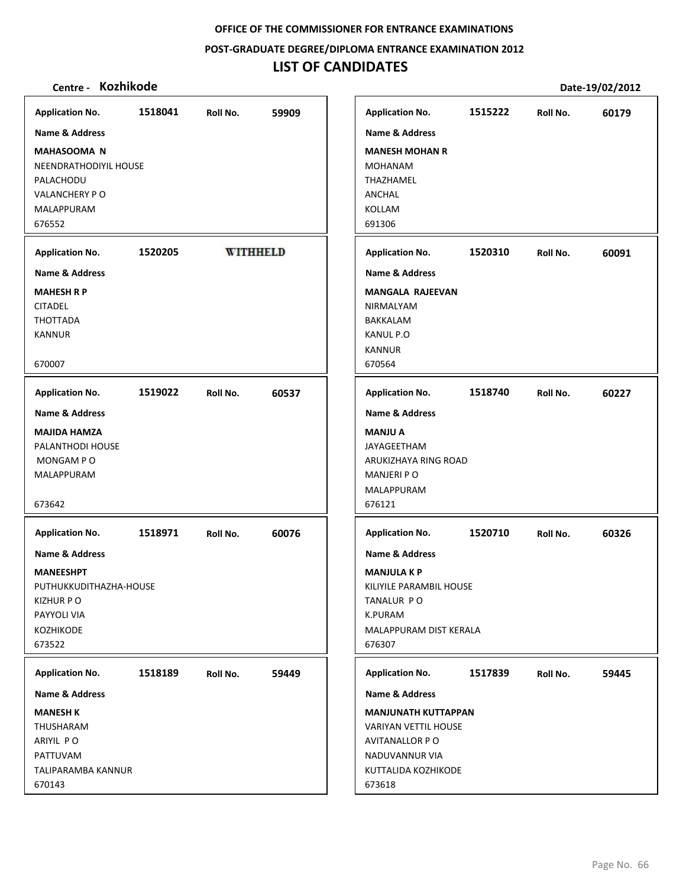**POST‐GRADUATE DEGREE/DIPLOMA ENTRANCE EXAMINATION 2012**

# **LIST OF CANDIDATES**

| <b>Application No.</b>    | 1518041 | Roll No.        | 59909 | <b>Application No.</b>      | 1515222 | Roll No. | 60179 |
|---------------------------|---------|-----------------|-------|-----------------------------|---------|----------|-------|
| Name & Address            |         |                 |       | <b>Name &amp; Address</b>   |         |          |       |
| <b>MAHASOOMA N</b>        |         |                 |       | <b>MANESH MOHAN R</b>       |         |          |       |
| NEENDRATHODIYIL HOUSE     |         |                 |       | <b>MOHANAM</b>              |         |          |       |
| PALACHODU                 |         |                 |       | THAZHAMEL                   |         |          |       |
| <b>VALANCHERY PO</b>      |         |                 |       | <b>ANCHAL</b>               |         |          |       |
| MALAPPURAM                |         |                 |       | <b>KOLLAM</b>               |         |          |       |
| 676552                    |         |                 |       | 691306                      |         |          |       |
|                           |         |                 |       |                             |         |          |       |
| <b>Application No.</b>    | 1520205 | <b>WITHHELD</b> |       | <b>Application No.</b>      | 1520310 | Roll No. | 60091 |
| <b>Name &amp; Address</b> |         |                 |       | <b>Name &amp; Address</b>   |         |          |       |
| <b>MAHESH R P</b>         |         |                 |       | <b>MANGALA RAJEEVAN</b>     |         |          |       |
| <b>CITADEL</b>            |         |                 |       | NIRMALYAM                   |         |          |       |
| THOTTADA                  |         |                 |       | BAKKALAM                    |         |          |       |
| <b>KANNUR</b>             |         |                 |       | KANUL P.O                   |         |          |       |
|                           |         |                 |       | <b>KANNUR</b>               |         |          |       |
| 670007                    |         |                 |       | 670564                      |         |          |       |
| <b>Application No.</b>    | 1519022 | Roll No.        | 60537 | <b>Application No.</b>      | 1518740 | Roll No. | 60227 |
| Name & Address            |         |                 |       | Name & Address              |         |          |       |
| <b>MAJIDA HAMZA</b>       |         |                 |       | <b>MANJU A</b>              |         |          |       |
| PALANTHODI HOUSE          |         |                 |       | JAYAGEETHAM                 |         |          |       |
| MONGAM PO                 |         |                 |       | ARUKIZHAYA RING ROAD        |         |          |       |
| MALAPPURAM                |         |                 |       | <b>MANJERI P O</b>          |         |          |       |
|                           |         |                 |       | MALAPPURAM                  |         |          |       |
| 673642                    |         |                 |       | 676121                      |         |          |       |
|                           |         |                 |       |                             |         |          |       |
| <b>Application No.</b>    | 1518971 | Roll No.        | 60076 | <b>Application No.</b>      | 1520710 | Roll No. | 60326 |
| <b>Name &amp; Address</b> |         |                 |       | <b>Name &amp; Address</b>   |         |          |       |
| <b>MANEESHPT</b>          |         |                 |       | <b>MANJULA K P</b>          |         |          |       |
| PUTHUKKUDITHAZHA-HOUSE    |         |                 |       | KILIYILE PARAMBIL HOUSE     |         |          |       |
| <b>KIZHUR PO</b>          |         |                 |       | TANALUR PO                  |         |          |       |
| PAYYOLI VIA               |         |                 |       | K.PURAM                     |         |          |       |
| <b>KOZHIKODE</b>          |         |                 |       | MALAPPURAM DIST KERALA      |         |          |       |
| 673522                    |         |                 |       | 676307                      |         |          |       |
| <b>Application No.</b>    | 1518189 | Roll No.        | 59449 | <b>Application No.</b>      | 1517839 | Roll No. | 59445 |
| Name & Address            |         |                 |       | Name & Address              |         |          |       |
| <b>MANESH K</b>           |         |                 |       | <b>MANJUNATH KUTTAPPAN</b>  |         |          |       |
| THUSHARAM                 |         |                 |       | <b>VARIYAN VETTIL HOUSE</b> |         |          |       |
| ARIYIL PO                 |         |                 |       | AVITANALLOR P O             |         |          |       |
| PATTUVAM                  |         |                 |       | NADUVANNUR VIA              |         |          |       |
| TALIPARAMBA KANNUR        |         |                 |       | KUTTALIDA KOZHIKODE         |         |          |       |
| 670143                    |         |                 |       | 673618                      |         |          |       |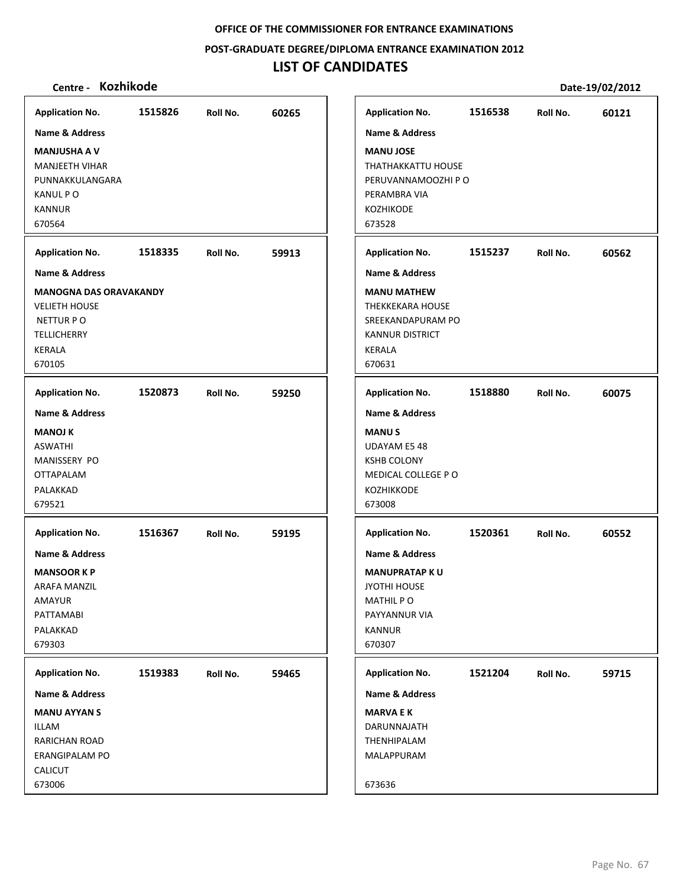**POST‐GRADUATE DEGREE/DIPLOMA ENTRANCE EXAMINATION 2012**

# **LIST OF CANDIDATES**

| <b>Application No.</b>        | 1515826 | Roll No. | 60265 | <b>Application No.</b>    | 1516538 | Roll No. | 60121 |
|-------------------------------|---------|----------|-------|---------------------------|---------|----------|-------|
| Name & Address                |         |          |       | <b>Name &amp; Address</b> |         |          |       |
| <b>MANJUSHA A V</b>           |         |          |       | <b>MANU JOSE</b>          |         |          |       |
| <b>MANJEETH VIHAR</b>         |         |          |       | THATHAKKATTU HOUSE        |         |          |       |
| PUNNAKKULANGARA               |         |          |       | PERUVANNAMOOZHI P O       |         |          |       |
| KANUL P O                     |         |          |       | PERAMBRA VIA              |         |          |       |
|                               |         |          |       |                           |         |          |       |
| <b>KANNUR</b>                 |         |          |       | KOZHIKODE                 |         |          |       |
| 670564                        |         |          |       | 673528                    |         |          |       |
| <b>Application No.</b>        | 1518335 | Roll No. | 59913 | <b>Application No.</b>    | 1515237 | Roll No. | 60562 |
| <b>Name &amp; Address</b>     |         |          |       | <b>Name &amp; Address</b> |         |          |       |
| <b>MANOGNA DAS ORAVAKANDY</b> |         |          |       | <b>MANU MATHEW</b>        |         |          |       |
| <b>VELIETH HOUSE</b>          |         |          |       | <b>THEKKEKARA HOUSE</b>   |         |          |       |
| NETTUR PO                     |         |          |       | SREEKANDAPURAM PO         |         |          |       |
| <b>TELLICHERRY</b>            |         |          |       | <b>KANNUR DISTRICT</b>    |         |          |       |
| KERALA                        |         |          |       | <b>KERALA</b>             |         |          |       |
| 670105                        |         |          |       | 670631                    |         |          |       |
|                               |         |          |       |                           |         |          |       |
| <b>Application No.</b>        | 1520873 | Roll No. | 59250 | <b>Application No.</b>    | 1518880 | Roll No. | 60075 |
| <b>Name &amp; Address</b>     |         |          |       | <b>Name &amp; Address</b> |         |          |       |
| <b>MANOJ K</b>                |         |          |       | <b>MANUS</b>              |         |          |       |
| <b>ASWATHI</b>                |         |          |       | <b>UDAYAM E5 48</b>       |         |          |       |
| MANISSERY PO                  |         |          |       | <b>KSHB COLONY</b>        |         |          |       |
| <b>OTTAPALAM</b>              |         |          |       | MEDICAL COLLEGE PO        |         |          |       |
| PALAKKAD                      |         |          |       | KOZHIKKODE                |         |          |       |
| 679521                        |         |          |       | 673008                    |         |          |       |
|                               |         |          |       |                           |         |          |       |
| <b>Application No.</b>        | 1516367 | Roll No. | 59195 | <b>Application No.</b>    | 1520361 | Roll No. | 60552 |
| <b>Name &amp; Address</b>     |         |          |       | <b>Name &amp; Address</b> |         |          |       |
|                               |         |          |       |                           |         |          |       |
| <b>MANSOOR KP</b>             |         |          |       | <b>MANUPRATAP KU</b>      |         |          |       |
| <b>ARAFA MANZIL</b>           |         |          |       | <b>JYOTHI HOUSE</b>       |         |          |       |
| AMAYUR                        |         |          |       | <b>MATHIL PO</b>          |         |          |       |
| PATTAMABI                     |         |          |       | PAYYANNUR VIA             |         |          |       |
| PALAKKAD                      |         |          |       | <b>KANNUR</b>             |         |          |       |
| 679303                        |         |          |       | 670307                    |         |          |       |
| <b>Application No.</b>        | 1519383 | Roll No. | 59465 | <b>Application No.</b>    | 1521204 | Roll No. | 59715 |
| <b>Name &amp; Address</b>     |         |          |       | <b>Name &amp; Address</b> |         |          |       |
| <b>MANU AYYAN S</b>           |         |          |       | <b>MARVA E K</b>          |         |          |       |
| ILLAM                         |         |          |       | DARUNNAJATH               |         |          |       |
| RARICHAN ROAD                 |         |          |       | THENHIPALAM               |         |          |       |
| <b>ERANGIPALAM PO</b>         |         |          |       | MALAPPURAM                |         |          |       |
| <b>CALICUT</b>                |         |          |       |                           |         |          |       |
|                               |         |          |       |                           |         |          |       |
| 673006                        |         |          |       | 673636                    |         |          |       |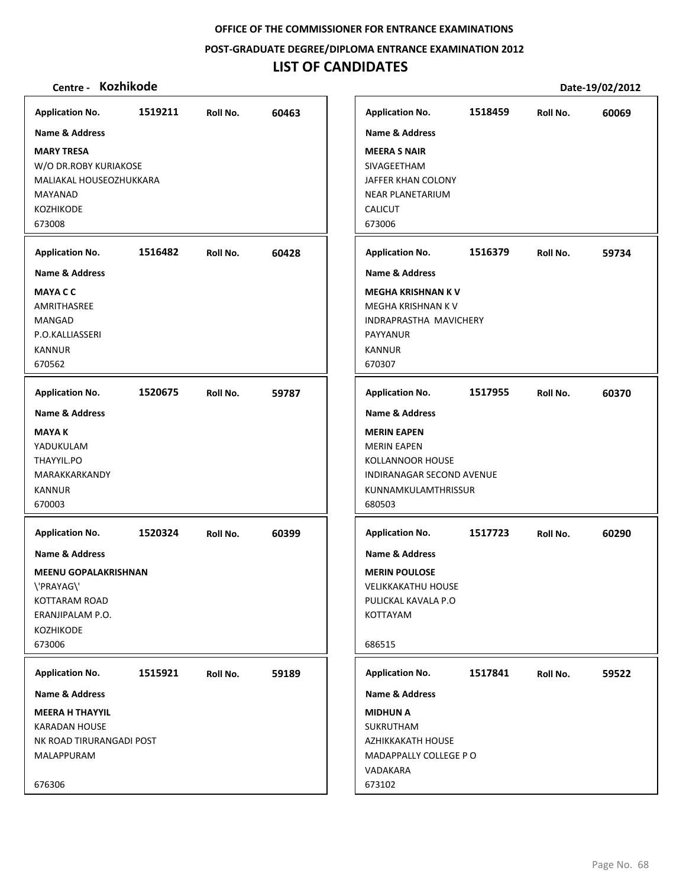**POST‐GRADUATE DEGREE/DIPLOMA ENTRANCE EXAMINATION 2012**

# **LIST OF CANDIDATES**

| <b>Application No.</b>      | 1519211 | Roll No. | 60463 |
|-----------------------------|---------|----------|-------|
| <b>Name &amp; Address</b>   |         |          |       |
| <b>MARY TRESA</b>           |         |          |       |
| W/O DR.ROBY KURIAKOSE       |         |          |       |
| MALIAKAL HOUSEOZHUKKARA     |         |          |       |
| <b>MAYANAD</b>              |         |          |       |
| <b>KOZHIKODE</b>            |         |          |       |
| 673008                      |         |          |       |
| <b>Application No.</b>      | 1516482 | Roll No. | 60428 |
| <b>Name &amp; Address</b>   |         |          |       |
| <b>MAYACC</b>               |         |          |       |
| AMRITHASREE                 |         |          |       |
| <b>MANGAD</b>               |         |          |       |
| P.O.KALLIASSERI             |         |          |       |
| <b>KANNUR</b>               |         |          |       |
| 670562                      |         |          |       |
| <b>Application No.</b>      | 1520675 | Roll No. | 59787 |
| <b>Name &amp; Address</b>   |         |          |       |
| <b>MAYA K</b>               |         |          |       |
| YADUKULAM                   |         |          |       |
| THAYYIL.PO                  |         |          |       |
| MARAKKARKANDY               |         |          |       |
| <b>KANNUR</b>               |         |          |       |
| 670003                      |         |          |       |
| <b>Application No.</b>      | 1520324 | Roll No. | 60399 |
| Name & Address              |         |          |       |
| <b>MEENU GOPALAKRISHNAN</b> |         |          |       |
| \'PRAYAG\'                  |         |          |       |
| <b>KOTTARAM ROAD</b>        |         |          |       |
| ERANJIPALAM P.O.            |         |          |       |
| <b>KOZHIKODE</b>            |         |          |       |
| 673006                      |         |          |       |
|                             |         |          |       |
| <b>Application No.</b>      | 1515921 | Roll No. | 59189 |
| Name & Address              |         |          |       |
| <b>MEERA H THAYYIL</b>      |         |          |       |
| <b>KARADAN HOUSE</b>        |         |          |       |
| NK ROAD TIRURANGADI POST    |         |          |       |
| MALAPPURAM                  |         |          |       |
|                             |         |          |       |
| 676306                      |         |          |       |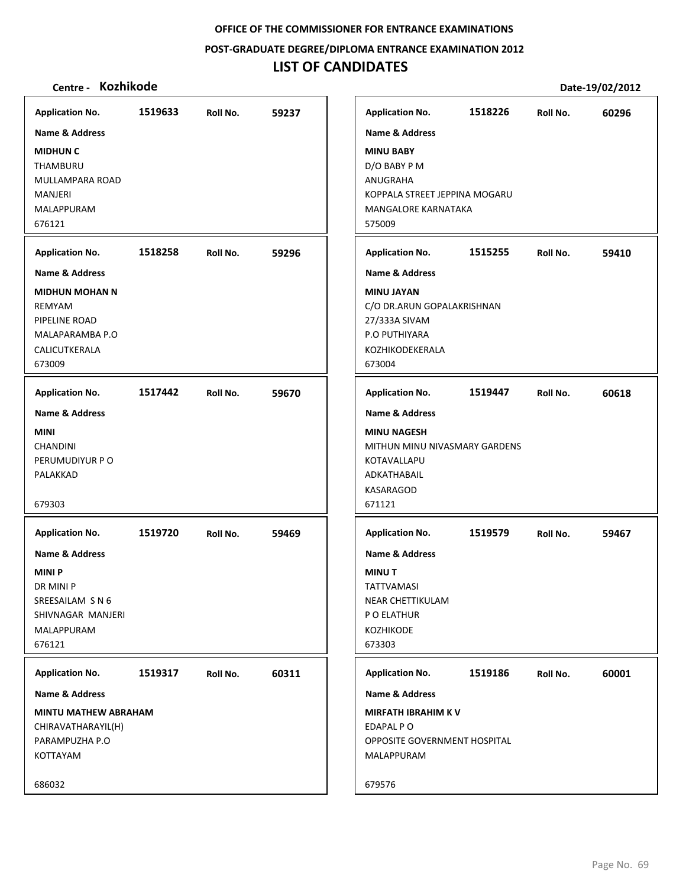**POST‐GRADUATE DEGREE/DIPLOMA ENTRANCE EXAMINATION 2012**

# **LIST OF CANDIDATES**

| <b>Application No.</b>      | 1519633 | Roll No. | 59237 | <b>Application No.</b>              | 1518226 | Roll No. | 60296 |
|-----------------------------|---------|----------|-------|-------------------------------------|---------|----------|-------|
| <b>Name &amp; Address</b>   |         |          |       | <b>Name &amp; Address</b>           |         |          |       |
| <b>MIDHUN C</b>             |         |          |       | <b>MINU BABY</b>                    |         |          |       |
| THAMBURU                    |         |          |       | D/O BABY P M                        |         |          |       |
| MULLAMPARA ROAD             |         |          |       | ANUGRAHA                            |         |          |       |
| MANJERI                     |         |          |       | KOPPALA STREET JEPPINA MOGARU       |         |          |       |
| MALAPPURAM                  |         |          |       | MANGALORE KARNATAKA                 |         |          |       |
| 676121                      |         |          |       | 575009                              |         |          |       |
|                             |         |          |       |                                     |         |          |       |
| <b>Application No.</b>      | 1518258 | Roll No. | 59296 | <b>Application No.</b>              | 1515255 | Roll No. | 59410 |
| <b>Name &amp; Address</b>   |         |          |       | <b>Name &amp; Address</b>           |         |          |       |
| <b>MIDHUN MOHAN N</b>       |         |          |       | <b>MINU JAYAN</b>                   |         |          |       |
| REMYAM                      |         |          |       | C/O DR.ARUN GOPALAKRISHNAN          |         |          |       |
| PIPELINE ROAD               |         |          |       | 27/333A SIVAM                       |         |          |       |
| MALAPARAMBA P.O             |         |          |       | P.O PUTHIYARA                       |         |          |       |
| CALICUTKERALA               |         |          |       | KOZHIKODEKERALA                     |         |          |       |
| 673009                      |         |          |       | 673004                              |         |          |       |
| <b>Application No.</b>      | 1517442 | Roll No. | 59670 | <b>Application No.</b>              | 1519447 | Roll No. | 60618 |
| <b>Name &amp; Address</b>   |         |          |       | <b>Name &amp; Address</b>           |         |          |       |
| <b>MINI</b>                 |         |          |       | <b>MINU NAGESH</b>                  |         |          |       |
| <b>CHANDINI</b>             |         |          |       | MITHUN MINU NIVASMARY GARDENS       |         |          |       |
| PERUMUDIYUR P O             |         |          |       | KOTAVALLAPU                         |         |          |       |
| PALAKKAD                    |         |          |       | ADKATHABAIL                         |         |          |       |
|                             |         |          |       | KASARAGOD                           |         |          |       |
| 679303                      |         |          |       | 671121                              |         |          |       |
| <b>Application No.</b>      | 1519720 | Roll No. | 59469 | <b>Application No.</b>              | 1519579 | Roll No. | 59467 |
| <b>Name &amp; Address</b>   |         |          |       | <b>Name &amp; Address</b>           |         |          |       |
| <b>MINIP</b>                |         |          |       | <b>MINUT</b>                        |         |          |       |
| DR MINI P                   |         |          |       | <b>TATTVAMASI</b>                   |         |          |       |
| SREESAILAM S N 6            |         |          |       | NEAR CHETTIKULAM                    |         |          |       |
| SHIVNAGAR MANJERI           |         |          |       | P O ELATHUR                         |         |          |       |
| <b>MALAPPURAM</b>           |         |          |       | KOZHIKODE                           |         |          |       |
| 676121                      |         |          |       | 673303                              |         |          |       |
|                             |         |          |       |                                     |         |          |       |
| <b>Application No.</b>      | 1519317 | Roll No. | 60311 | <b>Application No.</b>              | 1519186 | Roll No. | 60001 |
| <b>Name &amp; Address</b>   |         |          |       | <b>Name &amp; Address</b>           |         |          |       |
| <b>MINTU MATHEW ABRAHAM</b> |         |          |       | <b>MIRFATH IBRAHIM KV</b>           |         |          |       |
| CHIRAVATHARAYIL(H)          |         |          |       | EDAPAL P O                          |         |          |       |
| PARAMPUZHA P.O              |         |          |       | <b>OPPOSITE GOVERNMENT HOSPITAL</b> |         |          |       |
| KOTTAYAM                    |         |          |       | MALAPPURAM                          |         |          |       |
| 686032                      |         |          |       | 679576                              |         |          |       |
|                             |         |          |       |                                     |         |          |       |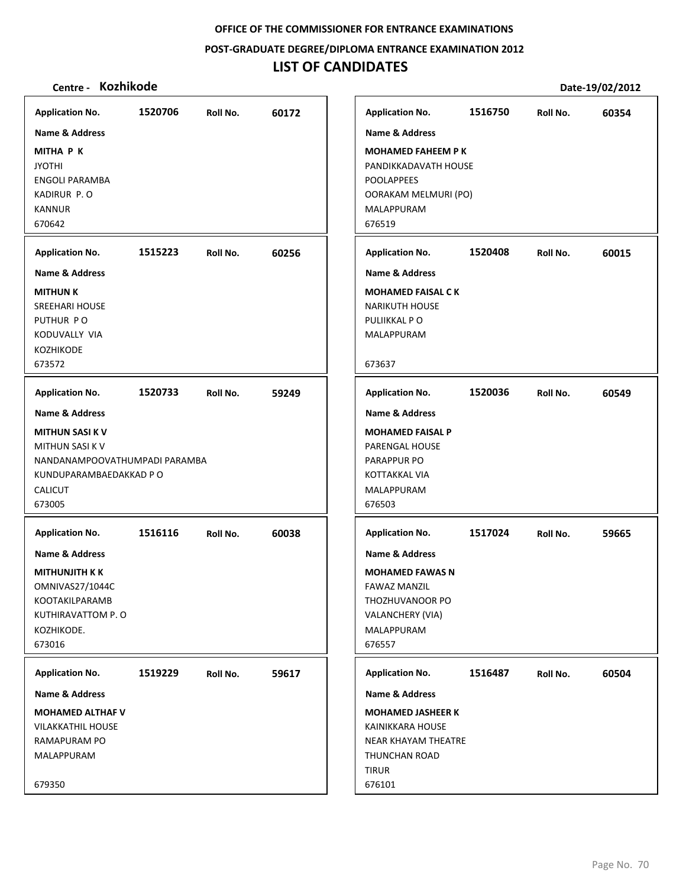**POST‐GRADUATE DEGREE/DIPLOMA ENTRANCE EXAMINATION 2012**

# **LIST OF CANDIDATES**

| <b>Application No.</b>                                                                                                                   | 1520706 | Roll No. | 60172 | <b>Application No.</b>                                                                                                                    | 1516750 | Roll No. | 60354 |
|------------------------------------------------------------------------------------------------------------------------------------------|---------|----------|-------|-------------------------------------------------------------------------------------------------------------------------------------------|---------|----------|-------|
| <b>Name &amp; Address</b>                                                                                                                |         |          |       | <b>Name &amp; Address</b>                                                                                                                 |         |          |       |
| <b>MITHA P K</b><br><b>JYOTHI</b><br><b>ENGOLI PARAMBA</b><br>KADIRUR P.O<br><b>KANNUR</b><br>670642                                     |         |          |       | <b>MOHAMED FAHEEM PK</b><br>PANDIKKADAVATH HOUSE<br><b>POOLAPPEES</b><br>OORAKAM MELMURI (PO)<br><b>MALAPPURAM</b><br>676519              |         |          |       |
|                                                                                                                                          |         |          |       |                                                                                                                                           |         |          |       |
| <b>Application No.</b>                                                                                                                   | 1515223 | Roll No. | 60256 | <b>Application No.</b>                                                                                                                    | 1520408 | Roll No. | 60015 |
| <b>Name &amp; Address</b>                                                                                                                |         |          |       | <b>Name &amp; Address</b>                                                                                                                 |         |          |       |
| <b>MITHUN K</b><br><b>SREEHARI HOUSE</b><br>PUTHUR PO<br>KODUVALLY VIA<br><b>KOZHIKODE</b><br>673572                                     |         |          |       | <b>MOHAMED FAISAL CK</b><br><b>NARIKUTH HOUSE</b><br>PULIIKKAL PO<br><b>MALAPPURAM</b><br>673637                                          |         |          |       |
|                                                                                                                                          |         |          |       |                                                                                                                                           |         |          |       |
| <b>Application No.</b>                                                                                                                   | 1520733 | Roll No. | 59249 | <b>Application No.</b>                                                                                                                    | 1520036 | Roll No. | 60549 |
| <b>Name &amp; Address</b>                                                                                                                |         |          |       | <b>Name &amp; Address</b>                                                                                                                 |         |          |       |
| <b>MITHUN SASI K V</b><br><b>MITHUN SASI K V</b><br>NANDANAMPOOVATHUMPADI PARAMBA<br>KUNDUPARAMBAEDAKKAD P O<br><b>CALICUT</b><br>673005 |         |          |       | <b>MOHAMED FAISAL P</b><br>PARENGAL HOUSE<br>PARAPPUR PO<br>KOTTAKKAL VIA<br>MALAPPURAM<br>676503                                         |         |          |       |
| <b>Application No.</b>                                                                                                                   | 1516116 | Roll No. | 60038 | <b>Application No.</b>                                                                                                                    | 1517024 | Roll No. | 59665 |
| <b>Name &amp; Address</b><br>MITHUNJITH K K<br>OMNIVAS27/1044C<br>KOOTAKILPARAMB<br>KUTHIRAVATTOM P.O<br>KOZHIKODE.<br>673016            |         |          |       | <b>Name &amp; Address</b><br><b>MOHAMED FAWAS N</b><br><b>FAWAZ MANZIL</b><br>THOZHUVANOOR PO<br>VALANCHERY (VIA)<br>MALAPPURAM<br>676557 |         |          |       |
| <b>Application No.</b>                                                                                                                   | 1519229 | Roll No. | 59617 | <b>Application No.</b>                                                                                                                    | 1516487 | Roll No. | 60504 |
| <b>Name &amp; Address</b>                                                                                                                |         |          |       | Name & Address                                                                                                                            |         |          |       |
| <b>MOHAMED ALTHAF V</b><br><b>VILAKKATHIL HOUSE</b><br>RAMAPURAM PO<br>MALAPPURAM                                                        |         |          |       | <b>MOHAMED JASHEER K</b><br>KAINIKKARA HOUSE<br>NEAR KHAYAM THEATRE<br>THUNCHAN ROAD<br><b>TIRUR</b>                                      |         |          |       |
| 679350                                                                                                                                   |         |          |       | 676101                                                                                                                                    |         |          |       |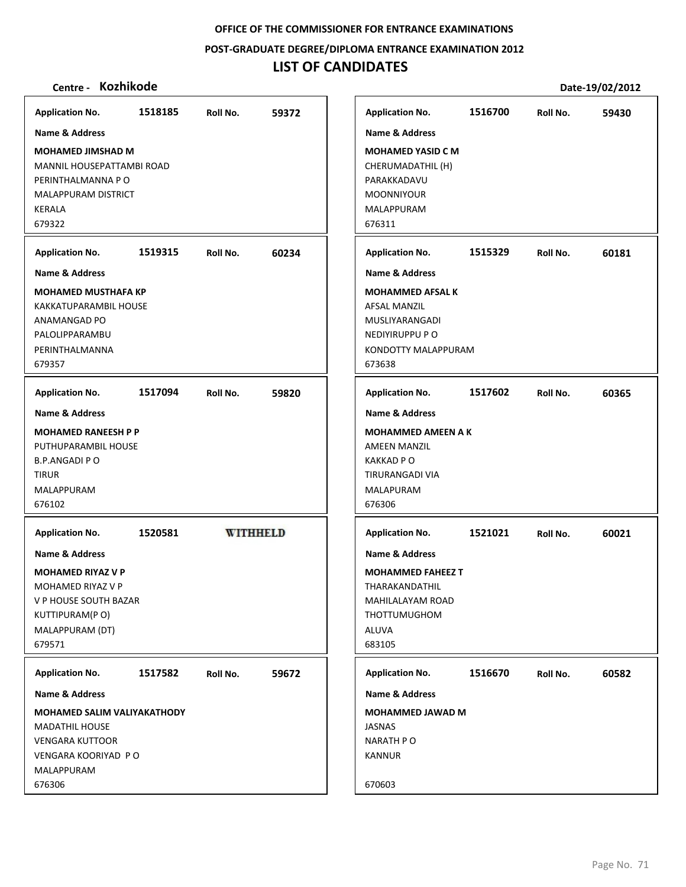**POST‐GRADUATE DEGREE/DIPLOMA ENTRANCE EXAMINATION 2012**

# **LIST OF CANDIDATES**

| <b>Application No.</b>                                                                                                                             | 1518185 | Roll No.        | 59372 | <b>Application No.</b>                                                                                                                | 1516700 | Roll No. | 59430 |
|----------------------------------------------------------------------------------------------------------------------------------------------------|---------|-----------------|-------|---------------------------------------------------------------------------------------------------------------------------------------|---------|----------|-------|
| <b>Name &amp; Address</b>                                                                                                                          |         |                 |       | <b>Name &amp; Address</b>                                                                                                             |         |          |       |
| <b>MOHAMED JIMSHAD M</b><br>MANNIL HOUSEPATTAMBI ROAD<br>PERINTHALMANNA P O<br>MALAPPURAM DISTRICT<br>KERALA<br>679322                             |         |                 |       | <b>MOHAMED YASID C M</b><br>CHERUMADATHIL (H)<br>PARAKKADAVU<br><b>MOONNIYOUR</b><br>MALAPPURAM<br>676311                             |         |          |       |
| <b>Application No.</b>                                                                                                                             | 1519315 | Roll No.        | 60234 | <b>Application No.</b>                                                                                                                | 1515329 | Roll No. | 60181 |
| <b>Name &amp; Address</b>                                                                                                                          |         |                 |       | <b>Name &amp; Address</b>                                                                                                             |         |          |       |
| <b>MOHAMED MUSTHAFA KP</b><br>KAKKATUPARAMBIL HOUSE<br>ANAMANGAD PO<br>PALOLIPPARAMBU<br>PERINTHALMANNA<br>679357                                  |         |                 |       | <b>MOHAMMED AFSALK</b><br><b>AFSAL MANZIL</b><br>MUSLIYARANGADI<br>NEDIYIRUPPU P O<br><b>KONDOTTY MALAPPURAM</b><br>673638            |         |          |       |
| <b>Application No.</b>                                                                                                                             | 1517094 | Roll No.        | 59820 | <b>Application No.</b>                                                                                                                | 1517602 | Roll No. | 60365 |
| <b>Name &amp; Address</b>                                                                                                                          |         |                 |       | <b>Name &amp; Address</b>                                                                                                             |         |          |       |
| <b>MOHAMED RANEESH P P</b><br>PUTHUPARAMBIL HOUSE<br><b>B.P.ANGADI PO</b><br><b>TIRUR</b><br>MALAPPURAM<br>676102                                  |         |                 |       | <b>MOHAMMED AMEEN A K</b><br><b>AMEEN MANZIL</b><br><b>KAKKAD PO</b><br>TIRURANGADI VIA<br>MALAPURAM<br>676306                        |         |          |       |
| <b>Application No.</b>                                                                                                                             | 1520581 | <b>WITHHELD</b> |       | <b>Application No.</b>                                                                                                                | 1521021 | Roll No. | 60021 |
| <b>Name &amp; Address</b><br><b>MOHAMED RIYAZ V P</b><br>MOHAMED RIYAZ V P<br>V P HOUSE SOUTH BAZAR<br>KUTTIPURAM(PO)<br>MALAPPURAM (DT)<br>679571 |         |                 |       | <b>Name &amp; Address</b><br><b>MOHAMMED FAHEEZ T</b><br>THARAKANDATHIL<br>MAHILALAYAM ROAD<br><b>THOTTUMUGHOM</b><br>ALUVA<br>683105 |         |          |       |
| <b>Application No.</b>                                                                                                                             | 1517582 | Roll No.        | 59672 | <b>Application No.</b>                                                                                                                | 1516670 | Roll No. | 60582 |
| Name & Address                                                                                                                                     |         |                 |       | Name & Address                                                                                                                        |         |          |       |
| <b>MOHAMED SALIM VALIYAKATHODY</b><br><b>MADATHIL HOUSE</b><br><b>VENGARA KUTTOOR</b><br>VENGARA KOORIYAD P O<br>MALAPPURAM<br>676306              |         |                 |       | <b>MOHAMMED JAWAD M</b><br><b>JASNAS</b><br><b>NARATH PO</b><br><b>KANNUR</b><br>670603                                               |         |          |       |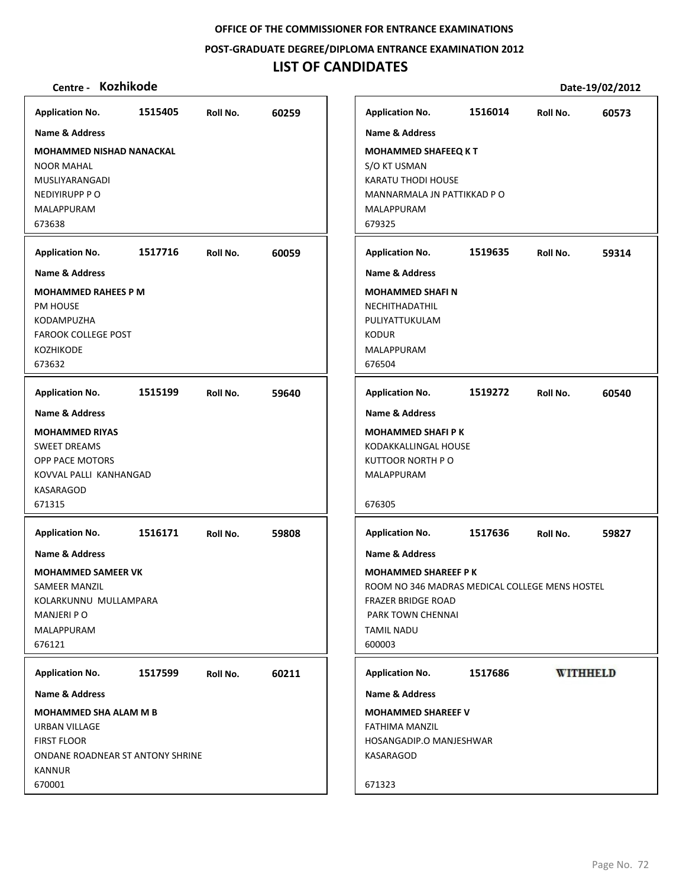**POST‐GRADUATE DEGREE/DIPLOMA ENTRANCE EXAMINATION 2012**

## **LIST OF CANDIDATES**

## **Centre ‐ Kozhikode Date‐19/02/2012**

**Application No. 1515405 60259 Application No. 1516014 60573 Name & Address Name & Address MOHAMMED NISHAD NANACKAL MOHAMMED SHAFEEQ K T** NOOR MAHAL S/O KT USMAN KARATU THODI HOUSE MUSLIYARANGADI NEDIYIRUPP P O MANNARMALA JN PATTIKKAD P O MALAPPURAM MALAPPURAM 673638 679325 **Application No. 1517716 60059 Application No. 1519635 59314 Name & Address Name & Address MOHAMMED RAHEES P M MOHAMMED SHAFI N** PM HOUSE NECHITHADATHIL KODAMPUZHA PULIYATTUKULAM FAROOK COLLEGE POST KODUR KOZHIKODE MALAPPURAM 673632 676504 **Application No. 1515199 59640 Application No. 1519272 60540 Name & Address Name & Address MOHAMMED RIYAS MOHAMMED SHAFI P K** SWEET DREAMS KODAKKALLINGAL HOUSE OPP PACE MOTORS KUTTOOR NORTH P O KOVVAL PALLI KANHANGAD MALAPPURAM KASARAGOD 671315 676305 **Application No. Application No. 1516171 59808 1517636 59827 Name & Address Name & Address MOHAMMED SAMEER VK MOHAMMED SHAREEF P K** SAMEER MANZIL ROOM NO 346 MADRAS MEDICAL COLLEGE MENS HOSTEL KOLARKUNNU MULLAMPARA FRAZER BRIDGE ROAD MANJERI P O PARK TOWN CHENNAI MALAPPURAM TAMIL NADU 676121 600003 **WITHHELD Application No. Application No. 1517599 60211 1517686 Name & Address Name & Address MOHAMMED SHA ALAM M B MOHAMMED SHAREEF V** URBAN VILLAGE FATHIMA MANZIL FIRST FLOOR HOSANGADIP.O MANJESHWAR ONDANE ROADNEAR ST ANTONY SHRINE KASARAGOD KANNUR 670001 671323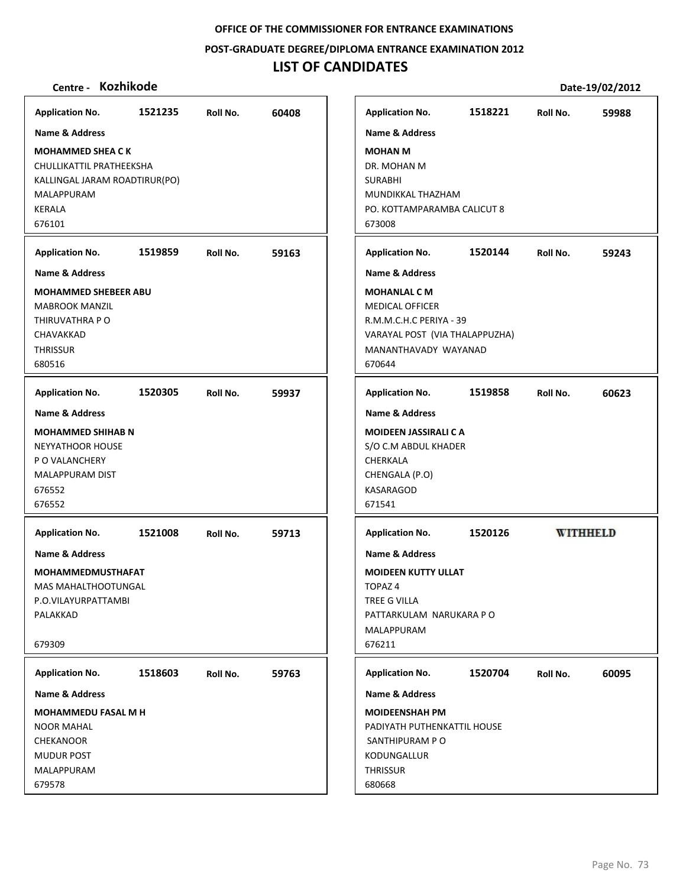**POST‐GRADUATE DEGREE/DIPLOMA ENTRANCE EXAMINATION 2012**

## **LIST OF CANDIDATES**

## **Centre ‐ Kozhikode Date‐19/02/2012**

**Application No. 1521235 60408 Application No. 1518221 59988 Name & Address Name & Address MOHAMMED SHEA C K MOHAN M** CHULLIKATTIL PRATHEEKSHA DR. MOHAN M KALLINGAL JARAM ROADTIRUR(PO) SURABHI MUNDIKKAL THAZHAM MALAPPURAM KERALA PO. KOTTAMPARAMBA CALICUT 8 676101 673008 **Application No. 1519859 59163 Application No. 1520144 59243 Name & Address Name & Address MOHAMMED SHEBEER ABU MOHANLAL C M** MABROOK MANZIL MEDICAL OFFICER THIRUVATHRA P O R.M.M.C.H.C PERIYA ‐ 39 CHAVAKKAD VARAYAL POST (VIA THALAPPUZHA) **THRISSUR** MANANTHAVADY WAYANAD 680516 670644 **Application No. 1520305 59937 Application No. 1519858 60623 Name & Address Name & Address MOHAMMED SHIHAB N MOIDEEN JASSIRALI C A** S/O C.M ABDUL KHADER NEYYATHOOR HOUSE P O VALANCHERY CHERKALA MALAPPURAM DIST CHENGALA (P.O) 676552 KASARAGOD 676552 671541 **Application No. Application No. WITHHELD 1521008 59713 1520126 Name & Address Name & Address MOHAMMEDMUSTHAFAT MOIDEEN KUTTY ULLAT** MAS MAHALTHOOTUNGAL TOPAZ 4 P.O.VILAYURPATTAMBI TREE G VILLA PALAKKAD PATTARKULAM NARUKARA P O MALAPPURAM 679309 676211 **Application No. Application No. 1520704 60095 1518603 59763 Name & Address Name & Address MOHAMMEDU FASAL M H MOIDEENSHAH PM** NOOR MAHAL PADIYATH PUTHENKATTIL HOUSE CHEKANOOR SANTHIPURAM P O MUDUR POST KODUNGALLUR MALAPPURAM **THRISSUR** 679578 680668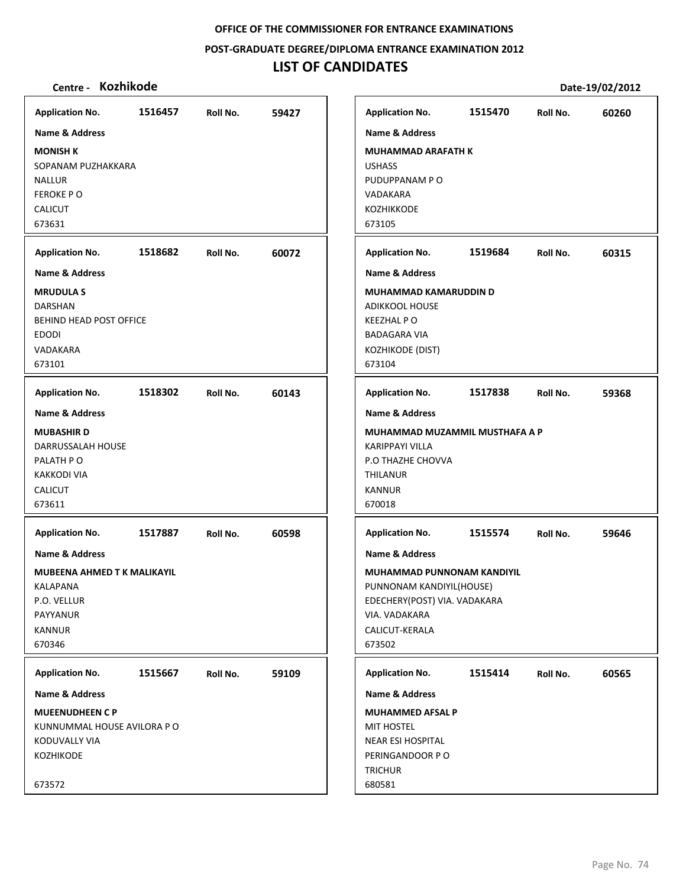**POST‐GRADUATE DEGREE/DIPLOMA ENTRANCE EXAMINATION 2012**

# **LIST OF CANDIDATES**

| Centre - Kozhikode          |         |          |       |                              |                                   |          | Date-19/02/2012 |
|-----------------------------|---------|----------|-------|------------------------------|-----------------------------------|----------|-----------------|
| <b>Application No.</b>      | 1516457 | Roll No. | 59427 | <b>Application No.</b>       | 1515470                           | Roll No. | 60260           |
| <b>Name &amp; Address</b>   |         |          |       | <b>Name &amp; Address</b>    |                                   |          |                 |
| <b>MONISH K</b>             |         |          |       | <b>MUHAMMAD ARAFATH K</b>    |                                   |          |                 |
| SOPANAM PUZHAKKARA          |         |          |       | <b>USHASS</b>                |                                   |          |                 |
| <b>NALLUR</b>               |         |          |       | PUDUPPANAM PO                |                                   |          |                 |
| <b>FEROKE PO</b>            |         |          |       | VADAKARA                     |                                   |          |                 |
| <b>CALICUT</b>              |         |          |       | <b>KOZHIKKODE</b>            |                                   |          |                 |
| 673631                      |         |          |       | 673105                       |                                   |          |                 |
| <b>Application No.</b>      | 1518682 | Roll No. | 60072 | <b>Application No.</b>       | 1519684                           | Roll No. | 60315           |
| <b>Name &amp; Address</b>   |         |          |       | <b>Name &amp; Address</b>    |                                   |          |                 |
| <b>MRUDULA S</b>            |         |          |       | MUHAMMAD KAMARUDDIN D        |                                   |          |                 |
| DARSHAN                     |         |          |       | <b>ADIKKOOL HOUSE</b>        |                                   |          |                 |
| BEHIND HEAD POST OFFICE     |         |          |       | <b>KEEZHAL PO</b>            |                                   |          |                 |
| <b>EDODI</b>                |         |          |       | <b>BADAGARA VIA</b>          |                                   |          |                 |
| VADAKARA                    |         |          |       | KOZHIKODE (DIST)             |                                   |          |                 |
| 673101                      |         |          |       | 673104                       |                                   |          |                 |
| <b>Application No.</b>      | 1518302 | Roll No. | 60143 | <b>Application No.</b>       | 1517838                           | Roll No. | 59368           |
| <b>Name &amp; Address</b>   |         |          |       | <b>Name &amp; Address</b>    |                                   |          |                 |
| <b>MUBASHIRD</b>            |         |          |       |                              | MUHAMMAD MUZAMMIL MUSTHAFA A P    |          |                 |
| DARRUSSALAH HOUSE           |         |          |       | <b>KARIPPAYI VILLA</b>       |                                   |          |                 |
| PALATH PO                   |         |          |       | P.O THAZHE CHOVVA            |                                   |          |                 |
| <b>KAKKODI VIA</b>          |         |          |       | <b>THILANUR</b>              |                                   |          |                 |
| <b>CALICUT</b>              |         |          |       | <b>KANNUR</b>                |                                   |          |                 |
| 673611                      |         |          |       | 670018                       |                                   |          |                 |
| <b>Application No.</b>      | 1517887 | Roll No. | 60598 | <b>Application No.</b>       | 1515574                           | Roll No. | 59646           |
| <b>Name &amp; Address</b>   |         |          |       | <b>Name &amp; Address</b>    |                                   |          |                 |
| MUBEENA AHMED T K MALIKAYIL |         |          |       |                              | <b>MUHAMMAD PUNNONAM KANDIYIL</b> |          |                 |
| KALAPANA                    |         |          |       | PUNNONAM KANDIYIL(HOUSE)     |                                   |          |                 |
| P.O. VELLUR                 |         |          |       | EDECHERY(POST) VIA. VADAKARA |                                   |          |                 |
| PAYYANUR                    |         |          |       | VIA. VADAKARA                |                                   |          |                 |
| <b>KANNUR</b><br>670346     |         |          |       | CALICUT-KERALA<br>673502     |                                   |          |                 |
|                             |         |          |       |                              |                                   |          |                 |
| <b>Application No.</b>      | 1515667 | Roll No. | 59109 | <b>Application No.</b>       | 1515414                           | Roll No. | 60565           |
| Name & Address              |         |          |       | <b>Name &amp; Address</b>    |                                   |          |                 |
| <b>MUEENUDHEEN C P</b>      |         |          |       | <b>MUHAMMED AFSAL P</b>      |                                   |          |                 |
| KUNNUMMAL HOUSE AVILORA P O |         |          |       | <b>MIT HOSTEL</b>            |                                   |          |                 |
| KODUVALLY VIA               |         |          |       | NEAR ESI HOSPITAL            |                                   |          |                 |
| KOZHIKODE                   |         |          |       | PERINGANDOOR PO              |                                   |          |                 |
|                             |         |          |       | <b>TRICHUR</b>               |                                   |          |                 |
| 673572                      |         |          |       | 680581                       |                                   |          |                 |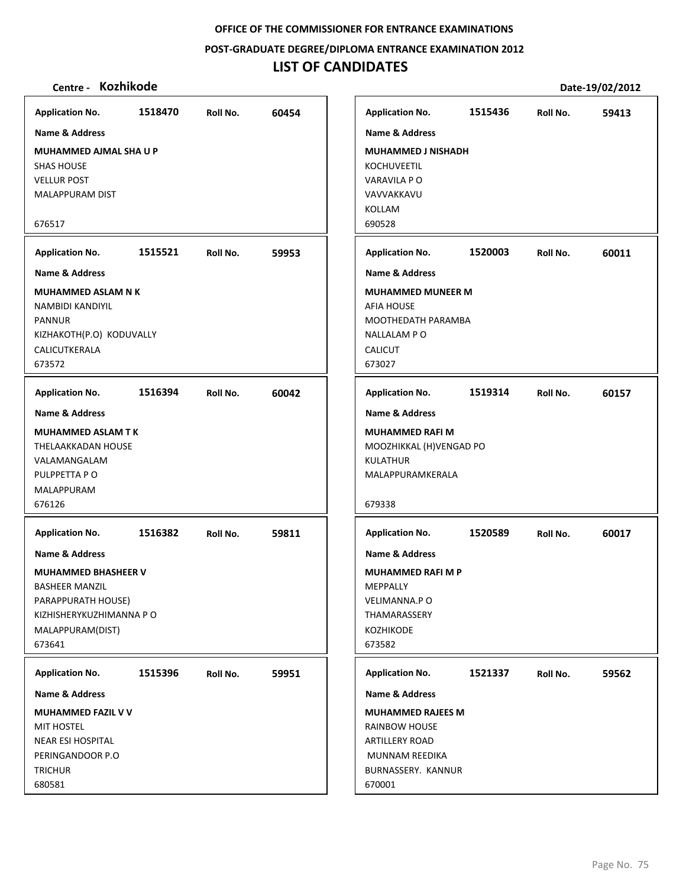**POST‐GRADUATE DEGREE/DIPLOMA ENTRANCE EXAMINATION 2012**

# **LIST OF CANDIDATES**

| <b>Application No.</b>                                                                                                              | 1518470 | Roll No. | 60454 | <b>Application No.</b>                                                                                               | 1515436 | Roll No. | 59413 |
|-------------------------------------------------------------------------------------------------------------------------------------|---------|----------|-------|----------------------------------------------------------------------------------------------------------------------|---------|----------|-------|
| Name & Address                                                                                                                      |         |          |       | Name & Address                                                                                                       |         |          |       |
| MUHAMMED AJMAL SHA U P<br><b>SHAS HOUSE</b><br><b>VELLUR POST</b>                                                                   |         |          |       | <b>MUHAMMED J NISHADH</b><br><b>KOCHUVEETIL</b><br>VARAVILA PO                                                       |         |          |       |
| MALAPPURAM DIST                                                                                                                     |         |          |       | VAVVAKKAVU                                                                                                           |         |          |       |
| 676517                                                                                                                              |         |          |       | <b>KOLLAM</b><br>690528                                                                                              |         |          |       |
| <b>Application No.</b>                                                                                                              | 1515521 | Roll No. | 59953 | <b>Application No.</b>                                                                                               | 1520003 | Roll No. | 60011 |
| <b>Name &amp; Address</b>                                                                                                           |         |          |       | <b>Name &amp; Address</b>                                                                                            |         |          |       |
| <b>MUHAMMED ASLAM N K</b><br>NAMBIDI KANDIYIL<br><b>PANNUR</b><br>KIZHAKOTH(P.O) KODUVALLY<br>CALICUTKERALA<br>673572               |         |          |       | <b>MUHAMMED MUNEER M</b><br><b>AFIA HOUSE</b><br>MOOTHEDATH PARAMBA<br>NALLALAM PO<br>CALICUT<br>673027              |         |          |       |
| <b>Application No.</b>                                                                                                              | 1516394 | Roll No. | 60042 | <b>Application No.</b>                                                                                               | 1519314 | Roll No. | 60157 |
| <b>Name &amp; Address</b>                                                                                                           |         |          |       | <b>Name &amp; Address</b>                                                                                            |         |          |       |
| <b>MUHAMMED ASLAM T K</b><br>THELAAKKADAN HOUSE<br>VALAMANGALAM<br>PULPPETTA P O<br><b>MALAPPURAM</b><br>676126                     |         |          |       | <b>MUHAMMED RAFI M</b><br>MOOZHIKKAL (H) VENGAD PO<br><b>KULATHUR</b><br>MALAPPURAMKERALA<br>679338                  |         |          |       |
| <b>Application No.</b>                                                                                                              | 1516382 | Roll No. | 59811 | <b>Application No.</b>                                                                                               | 1520589 | Roll No. | 60017 |
| <b>Name &amp; Address</b>                                                                                                           |         |          |       | <b>Name &amp; Address</b>                                                                                            |         |          |       |
| <b>MUHAMMED BHASHEER V</b><br><b>BASHEER MANZIL</b><br>PARAPPURATH HOUSE)<br>KIZHISHERYKUZHIMANNA P O<br>MALAPPURAM(DIST)<br>673641 |         |          |       | <b>MUHAMMED RAFI M P</b><br><b>MEPPALLY</b><br>VELIMANNA.P O<br>THAMARASSERY<br>KOZHIKODE<br>673582                  |         |          |       |
| <b>Application No.</b>                                                                                                              | 1515396 | Roll No. | 59951 | <b>Application No.</b>                                                                                               | 1521337 | Roll No. | 59562 |
| Name & Address                                                                                                                      |         |          |       | <b>Name &amp; Address</b>                                                                                            |         |          |       |
| <b>MUHAMMED FAZIL V V</b><br>MIT HOSTEL<br>NEAR ESI HOSPITAL<br>PERINGANDOOR P.O<br><b>TRICHUR</b><br>680581                        |         |          |       | <b>MUHAMMED RAJEES M</b><br><b>RAINBOW HOUSE</b><br>ARTILLERY ROAD<br>MUNNAM REEDIKA<br>BURNASSERY. KANNUR<br>670001 |         |          |       |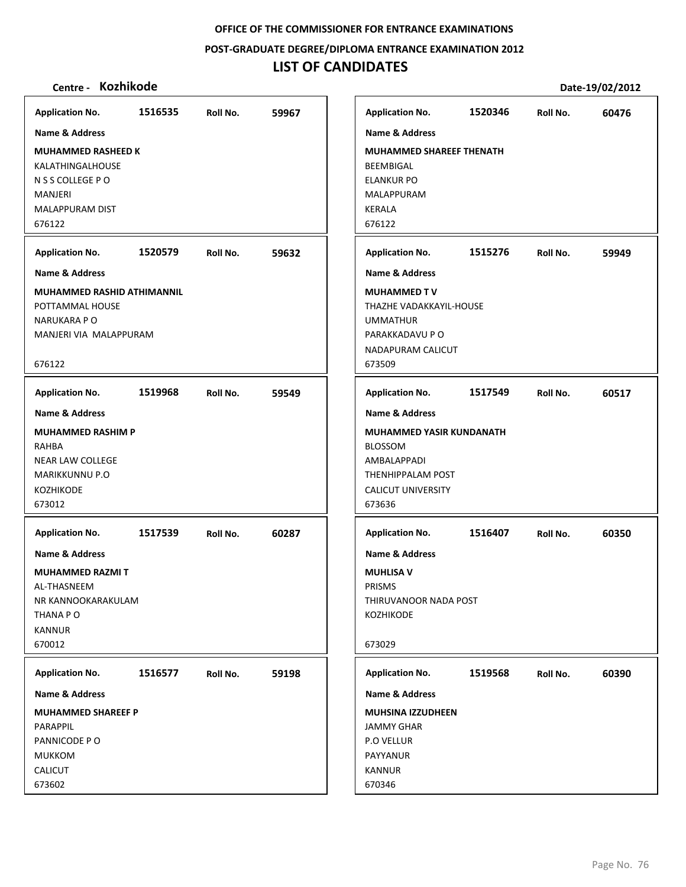**POST‐GRADUATE DEGREE/DIPLOMA ENTRANCE EXAMINATION 2012**

# **LIST OF CANDIDATES**

| <b>Application No.</b>                                                                                              | 1516535 | Roll No. | 59967 | <b>Application No.</b>                                                                                                       | 1520346 | Roll No. | 60476 |
|---------------------------------------------------------------------------------------------------------------------|---------|----------|-------|------------------------------------------------------------------------------------------------------------------------------|---------|----------|-------|
| Name & Address                                                                                                      |         |          |       | <b>Name &amp; Address</b>                                                                                                    |         |          |       |
| <b>MUHAMMED RASHEED K</b><br>KALATHINGALHOUSE<br>N S S COLLEGE P O<br><b>MANJERI</b><br>MALAPPURAM DIST<br>676122   |         |          |       | <b>MUHAMMED SHAREEF THENATH</b><br>BEEMBIGAL<br><b>ELANKUR PO</b><br>MALAPPURAM<br><b>KERALA</b><br>676122                   |         |          |       |
| <b>Application No.</b>                                                                                              | 1520579 | Roll No. | 59632 | <b>Application No.</b>                                                                                                       | 1515276 | Roll No. | 59949 |
| Name & Address                                                                                                      |         |          |       | <b>Name &amp; Address</b>                                                                                                    |         |          |       |
| MUHAMMED RASHID ATHIMANNIL<br>POTTAMMAL HOUSE<br><b>NARUKARA PO</b><br>MANJERI VIA MALAPPURAM<br>676122             |         |          |       | <b>MUHAMMED TV</b><br>THAZHE VADAKKAYIL-HOUSE<br><b>UMMATHUR</b><br>PARAKKADAVU P O<br>NADAPURAM CALICUT<br>673509           |         |          |       |
| <b>Application No.</b>                                                                                              | 1519968 | Roll No. | 59549 | <b>Application No.</b>                                                                                                       | 1517549 | Roll No. | 60517 |
| Name & Address                                                                                                      |         |          |       | <b>Name &amp; Address</b>                                                                                                    |         |          |       |
| <b>MUHAMMED RASHIM P</b><br>RAHBA<br><b>NEAR LAW COLLEGE</b><br><b>MARIKKUNNU P.O</b><br><b>KOZHIKODE</b><br>673012 |         |          |       | <b>MUHAMMED YASIR KUNDANATH</b><br><b>BLOSSOM</b><br>AMBALAPPADI<br>THENHIPPALAM POST<br><b>CALICUT UNIVERSITY</b><br>673636 |         |          |       |
| <b>Application No.</b>                                                                                              | 1517539 | Roll No. | 60287 | <b>Application No.</b>                                                                                                       | 1516407 | Roll No. | 60350 |
| Name & Address<br><b>MUHAMMED RAZMIT</b><br>AL-THASNEEM<br>NR KANNOOKARAKULAM<br>THANA P O<br>KANNUR<br>670012      |         |          |       | <b>Name &amp; Address</b><br><b>MUHLISA V</b><br>PRISMS<br>THIRUVANOOR NADA POST<br>KOZHIKODE<br>673029                      |         |          |       |
| <b>Application No.</b>                                                                                              | 1516577 | Roll No. | 59198 | <b>Application No.</b>                                                                                                       | 1519568 | Roll No. | 60390 |
| Name & Address                                                                                                      |         |          |       | Name & Address                                                                                                               |         |          |       |
| <b>MUHAMMED SHAREEF P</b><br>PARAPPIL<br>PANNICODE PO<br><b>MUKKOM</b><br>CALICUT<br>673602                         |         |          |       | <b>MUHSINA IZZUDHEEN</b><br><b>JAMMY GHAR</b><br>P.O VELLUR<br>PAYYANUR<br><b>KANNUR</b><br>670346                           |         |          |       |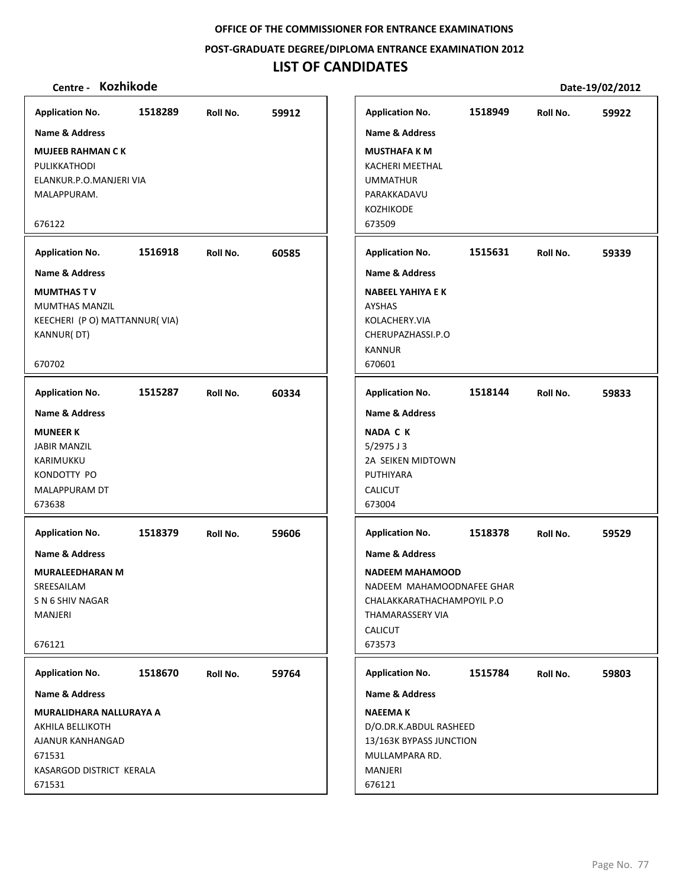**POST‐GRADUATE DEGREE/DIPLOMA ENTRANCE EXAMINATION 2012**

# **LIST OF CANDIDATES**

| <b>Application No.</b>                                                                              | 1518289 | Roll No. | 59912 |
|-----------------------------------------------------------------------------------------------------|---------|----------|-------|
| Name & Address                                                                                      |         |          |       |
| <b>MUJEEB RAHMAN CK</b><br>PULIKKATHODI<br>ELANKUR.P.O.MANJERI VIA<br>MALAPPURAM.                   |         |          |       |
| 676122                                                                                              |         |          |       |
| <b>Application No.</b>                                                                              | 1516918 | Roll No. | 60585 |
| <b>Name &amp; Address</b>                                                                           |         |          |       |
| <b>MUMTHAS TV</b><br><b>MUMTHAS MANZIL</b><br>KEECHERI (P O) MATTANNUR(VIA)<br>KANNUR(DT)<br>670702 |         |          |       |
|                                                                                                     |         |          |       |
| <b>Application No.</b>                                                                              | 1515287 | Roll No. | 60334 |
| <b>Name &amp; Address</b>                                                                           |         |          |       |
| <b>MUNEER K</b>                                                                                     |         |          |       |
| <b>JABIR MANZIL</b>                                                                                 |         |          |       |
| KARIMUKKU                                                                                           |         |          |       |
| KONDOTTY PO                                                                                         |         |          |       |
| MALAPPURAM DT<br>673638                                                                             |         |          |       |
|                                                                                                     |         |          |       |
| <b>Application No.</b>                                                                              | 1518379 | Roll No. | 59606 |
| <b>Name &amp; Address</b>                                                                           |         |          |       |
| <b>MURALEEDHARAN M</b>                                                                              |         |          |       |
| SREESAILAM                                                                                          |         |          |       |
| S N 6 SHIV NAGAR                                                                                    |         |          |       |
| <b>MANJERI</b>                                                                                      |         |          |       |
| 676121                                                                                              |         |          |       |
|                                                                                                     |         |          |       |
| <b>Application No.</b>                                                                              | 1518670 | Roll No. | 59764 |
| Name & Address                                                                                      |         |          |       |
| MURALIDHARA NALLURAYA A                                                                             |         |          |       |
| AKHILA BELLIKOTH                                                                                    |         |          |       |
| AJANUR KANHANGAD                                                                                    |         |          |       |
| 671531                                                                                              |         |          |       |
| KASARGOD DISTRICT KERALA<br>671531                                                                  |         |          |       |
|                                                                                                     |         |          |       |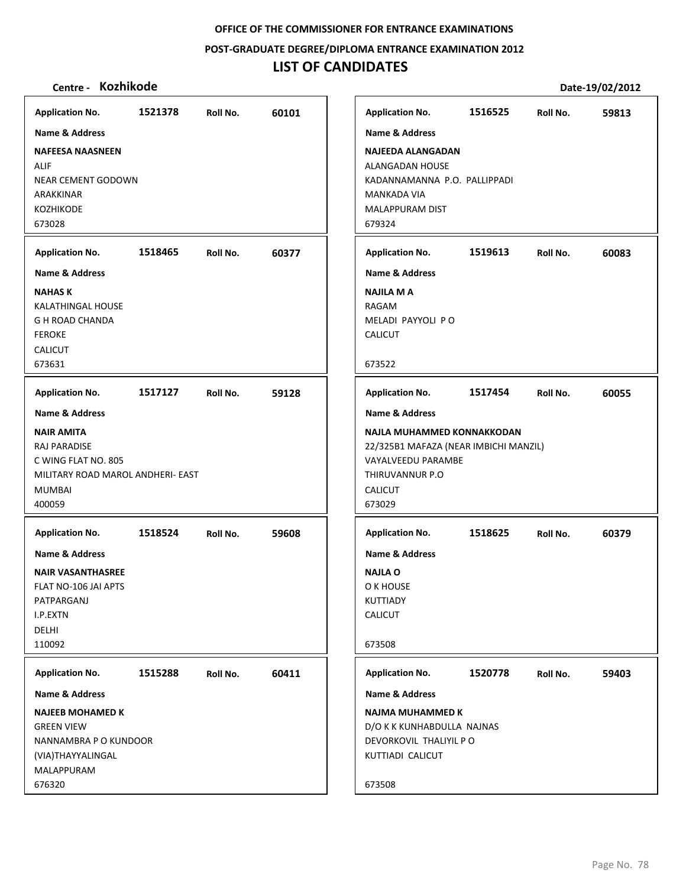**POST‐GRADUATE DEGREE/DIPLOMA ENTRANCE EXAMINATION 2012**

## **LIST OF CANDIDATES**

### **Centre ‐ Kozhikode Date‐19/02/2012**

**1521378 60101 NAFEESA NAASNEEN** ALIF NEAR CEMENT GODOWN ARAKKINAR KOZHIKODE 673028 **Application No. Name & Address 1518465 60377 NAHAS K** KALATHINGAL HOUSE G H ROAD CHANDA FEROKE CALICUT 673631 **Application No. Name & Address 1517127 59128 NAIR AMITA** RAJ PARADISE C WING FLAT NO. 805 MILITARY ROAD MAROL ANDHERI‐ EAST MUMBAI 400059 **Application No. Name & Address 1518524 59608 NAIR VASANTHASREE** FLAT NO‐106 JAI APTS PATPARGANJ I.P.EXTN DELHI 110092 **Application No. Name & Address 1515288 60411 NAJEEB MOHAMED K** GREEN VIEW NANNAMBRA P O KUNDOOR (VIA)THAYYALINGAL MALAPPURAM 676320 **Application No. Name & Address 1516525 59813 NAJEEDA ALANGADAN** ALANGADAN HOUSE KADANNAMANNA P.O. PALLIPPADI MANKADA VIA MALAPPURAM DIST 679324 **Application No. Name & Address 1519613 60083 NAJILA M A** RAGAM MELADI PAYYOLI P O CALICUT 673522 **Application No. Name & Address 1517454 60055 NAJLA MUHAMMED KONNAKKODAN** 22/325B1 MAFAZA (NEAR IMBICHI MANZIL) VAYALVEEDU PARAMBE THIRUVANNUR P.O CALICUT 673029 **Application No. Name & Address 1518625 60379 NAJLA O** O K HOUSE KUTTIADY CALICUT 673508 **Application No. Name & Address 1520778 59403 NAJMA MUHAMMED K** D/O K K KUNHABDULLA NAJNAS DEVORKOVIL THALIYIL P O KUTTIADI CALICUT 673508 **Application No. Name & Address**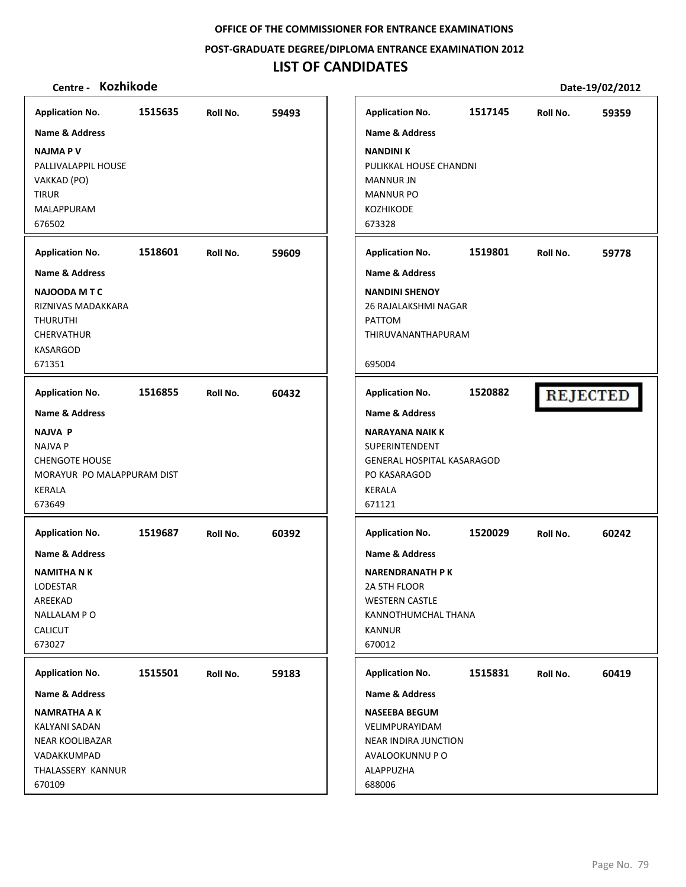**POST‐GRADUATE DEGREE/DIPLOMA ENTRANCE EXAMINATION 2012**

# **LIST OF CANDIDATES**

| <b>Application No.</b>                                                                                          | 1515635 | Roll No. | 59493 | <b>Application No.</b>                                                                                                                         | 1517145 | Roll No. | 59359           |
|-----------------------------------------------------------------------------------------------------------------|---------|----------|-------|------------------------------------------------------------------------------------------------------------------------------------------------|---------|----------|-----------------|
| <b>Name &amp; Address</b>                                                                                       |         |          |       | <b>Name &amp; Address</b>                                                                                                                      |         |          |                 |
| <b>NAJMAPV</b><br>PALLIVALAPPIL HOUSE<br>VAKKAD (PO)<br><b>TIRUR</b><br><b>MALAPPURAM</b><br>676502             |         |          |       | <b>NANDINI K</b><br>PULIKKAL HOUSE CHANDNI<br><b>MANNUR JN</b><br><b>MANNUR PO</b><br><b>KOZHIKODE</b><br>673328                               |         |          |                 |
| <b>Application No.</b>                                                                                          | 1518601 | Roll No. | 59609 | <b>Application No.</b>                                                                                                                         | 1519801 | Roll No. | 59778           |
| <b>Name &amp; Address</b>                                                                                       |         |          |       | <b>Name &amp; Address</b>                                                                                                                      |         |          |                 |
| <b>NAJOODA M T C</b><br>RIZNIVAS MADAKKARA<br><b>THURUTHI</b><br><b>CHERVATHUR</b><br><b>KASARGOD</b><br>671351 |         |          |       | <b>NANDINI SHENOY</b><br>26 RAJALAKSHMI NAGAR<br>PATTOM<br>THIRUVANANTHAPURAM<br>695004                                                        |         |          |                 |
| <b>Application No.</b>                                                                                          | 1516855 | Roll No. | 60432 | <b>Application No.</b>                                                                                                                         | 1520882 |          | <b>REJECTED</b> |
| <b>Name &amp; Address</b>                                                                                       |         |          |       | <b>Name &amp; Address</b>                                                                                                                      |         |          |                 |
| <b>NAJVA P</b><br><b>NAJVA P</b><br><b>CHENGOTE HOUSE</b><br>MORAYUR PO MALAPPURAM DIST<br>KERALA<br>673649     |         |          |       | <b>NARAYANA NAIK K</b><br>SUPERINTENDENT<br><b>GENERAL HOSPITAL KASARAGOD</b><br>PO KASARAGOD<br>KERALA<br>671121                              |         |          |                 |
| <b>Application No.</b>                                                                                          | 1519687 | Roll No. | 60392 | <b>Application No.</b>                                                                                                                         | 1520029 | Roll No. | 60242           |
| Name & Address<br><b>NAMITHA N K</b><br>LODESTAR<br>AREEKAD<br>NALLALAM PO<br><b>CALICUT</b><br>673027          |         |          |       | <b>Name &amp; Address</b><br><b>NARENDRANATH PK</b><br>2A 5TH FLOOR<br><b>WESTERN CASTLE</b><br>KANNOTHUMCHAL THANA<br><b>KANNUR</b><br>670012 |         |          |                 |
| <b>Application No.</b>                                                                                          | 1515501 | Roll No. | 59183 | <b>Application No.</b>                                                                                                                         | 1515831 | Roll No. | 60419           |
| Name & Address                                                                                                  |         |          |       | Name & Address                                                                                                                                 |         |          |                 |
| <b>NAMRATHA A K</b><br>KALYANI SADAN<br>NEAR KOOLIBAZAR<br>VADAKKUMPAD<br>THALASSERY KANNUR<br>670109           |         |          |       | <b>NASEEBA BEGUM</b><br>VELIMPURAYIDAM<br><b>NEAR INDIRA JUNCTION</b><br>AVALOOKUNNU P O<br>ALAPPUZHA<br>688006                                |         |          |                 |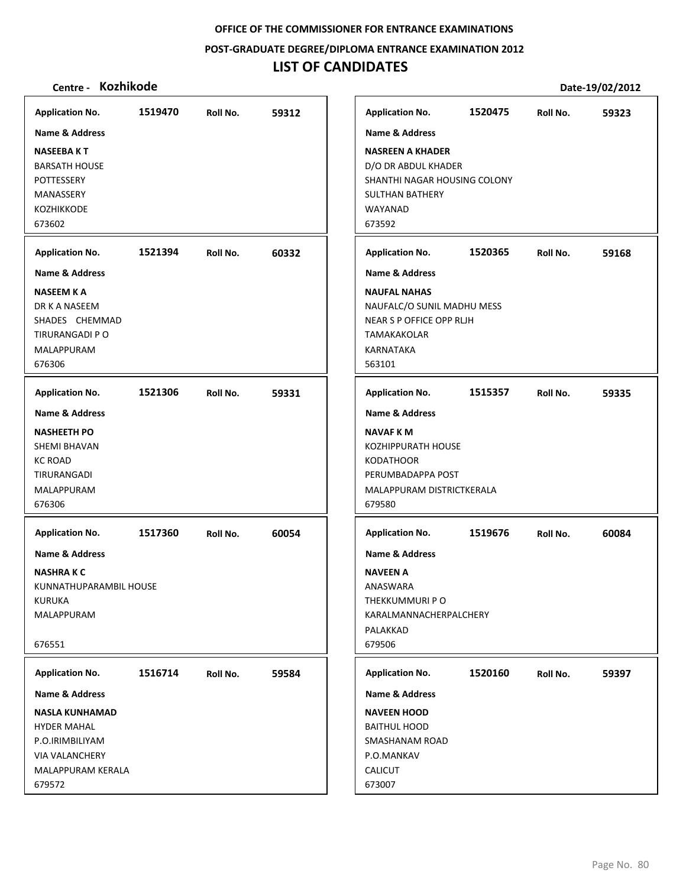**POST‐GRADUATE DEGREE/DIPLOMA ENTRANCE EXAMINATION 2012**

## **LIST OF CANDIDATES**

| <b>Application No.</b>    | 1519470 | Roll No. | 59312 | <b>Application No.</b>       | 1520475 | Roll No. | 59323 |
|---------------------------|---------|----------|-------|------------------------------|---------|----------|-------|
| <b>Name &amp; Address</b> |         |          |       | <b>Name &amp; Address</b>    |         |          |       |
| <b>NASEEBAKT</b>          |         |          |       | <b>NASREEN A KHADER</b>      |         |          |       |
| <b>BARSATH HOUSE</b>      |         |          |       | D/O DR ABDUL KHADER          |         |          |       |
| POTTESSERY                |         |          |       | SHANTHI NAGAR HOUSING COLONY |         |          |       |
| MANASSERY                 |         |          |       | <b>SULTHAN BATHERY</b>       |         |          |       |
| KOZHIKKODE                |         |          |       | WAYANAD                      |         |          |       |
| 673602                    |         |          |       | 673592                       |         |          |       |
| <b>Application No.</b>    | 1521394 | Roll No. | 60332 | <b>Application No.</b>       | 1520365 | Roll No. | 59168 |
| <b>Name &amp; Address</b> |         |          |       | <b>Name &amp; Address</b>    |         |          |       |
| <b>NASEEM K A</b>         |         |          |       | <b>NAUFAL NAHAS</b>          |         |          |       |
| DR K A NASEEM             |         |          |       | NAUFALC/O SUNIL MADHU MESS   |         |          |       |
| SHADES CHEMMAD            |         |          |       | NEAR S P OFFICE OPP RLJH     |         |          |       |
| TIRURANGADI P O           |         |          |       | <b>TAMAKAKOLAR</b>           |         |          |       |
| MALAPPURAM                |         |          |       | KARNATAKA                    |         |          |       |
| 676306                    |         |          |       | 563101                       |         |          |       |
| <b>Application No.</b>    | 1521306 | Roll No. | 59331 | <b>Application No.</b>       | 1515357 | Roll No. | 59335 |
| <b>Name &amp; Address</b> |         |          |       | <b>Name &amp; Address</b>    |         |          |       |
| <b>NASHEETH PO</b>        |         |          |       | <b>NAVAF KM</b>              |         |          |       |
| SHEMI BHAVAN              |         |          |       | <b>KOZHIPPURATH HOUSE</b>    |         |          |       |
| KC ROAD                   |         |          |       | <b>KODATHOOR</b>             |         |          |       |
| TIRURANGADI               |         |          |       | PERUMBADAPPA POST            |         |          |       |
| MALAPPURAM                |         |          |       | MALAPPURAM DISTRICTKERALA    |         |          |       |
| 676306                    |         |          |       | 679580                       |         |          |       |
| <b>Application No.</b>    | 1517360 | Roll No. | 60054 | <b>Application No.</b>       | 1519676 | Roll No. | 60084 |
| <b>Name &amp; Address</b> |         |          |       | Name & Address               |         |          |       |
| NASHRA K C                |         |          |       | <b>NAVEEN A</b>              |         |          |       |
| KUNNATHUPARAMBIL HOUSE    |         |          |       | ANASWARA                     |         |          |       |
| <b>KURUKA</b>             |         |          |       | THEKKUMMURI PO               |         |          |       |
| <b>MALAPPURAM</b>         |         |          |       | KARALMANNACHERPALCHERY       |         |          |       |
|                           |         |          |       | PALAKKAD                     |         |          |       |
| 676551                    |         |          |       | 679506                       |         |          |       |
| <b>Application No.</b>    | 1516714 | Roll No. | 59584 | <b>Application No.</b>       | 1520160 | Roll No. | 59397 |
| <b>Name &amp; Address</b> |         |          |       | Name & Address               |         |          |       |
| NASLA KUNHAMAD            |         |          |       | <b>NAVEEN HOOD</b>           |         |          |       |
| <b>HYDER MAHAL</b>        |         |          |       | <b>BAITHUL HOOD</b>          |         |          |       |
| P.O.IRIMBILIYAM           |         |          |       | SMASHANAM ROAD               |         |          |       |
| <b>VIA VALANCHERY</b>     |         |          |       | P.O.MANKAV                   |         |          |       |
| MALAPPURAM KERALA         |         |          |       | <b>CALICUT</b>               |         |          |       |
| 679572                    |         |          |       | 673007                       |         |          |       |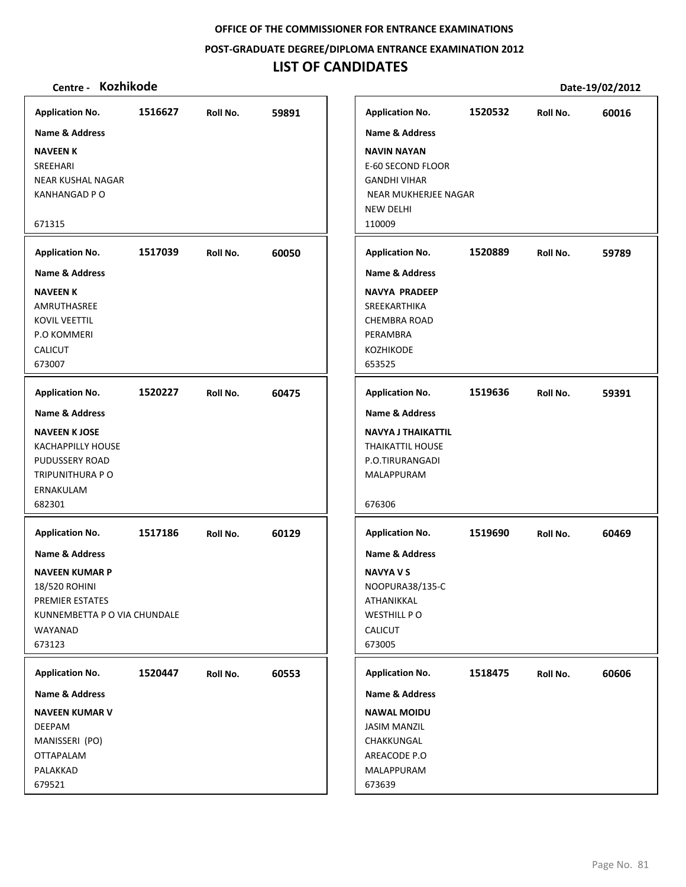**POST‐GRADUATE DEGREE/DIPLOMA ENTRANCE EXAMINATION 2012**

# **LIST OF CANDIDATES**

| <b>Application No.</b>                                                                                                           | 1516627 | Roll No. | 59891 |
|----------------------------------------------------------------------------------------------------------------------------------|---------|----------|-------|
| Name & Address                                                                                                                   |         |          |       |
| <b>NAVEEN K</b><br>SREEHARI<br><b>NEAR KUSHAL NAGAR</b><br><b>KANHANGAD P O</b>                                                  |         |          |       |
| 671315                                                                                                                           |         |          |       |
| <b>Application No.</b>                                                                                                           | 1517039 | Roll No. | 60050 |
| <b>Name &amp; Address</b>                                                                                                        |         |          |       |
| <b>NAVEEN K</b><br>AMRUTHASREE<br><b>KOVIL VEETTIL</b><br><b>P.O KOMMERI</b><br>CALICUT<br>673007                                |         |          |       |
| <b>Application No.</b>                                                                                                           | 1520227 | Roll No. | 60475 |
| Name & Address<br><b>NAVEEN K JOSE</b><br><b>KACHAPPILLY HOUSE</b><br>PUDUSSERY ROAD<br>TRIPUNITHURA P O<br>ERNAKULAM<br>682301  |         |          |       |
| <b>Application No.</b>                                                                                                           | 1517186 | Roll No. | 60129 |
| Name & Address<br><b>NAVEEN KUMAR P</b><br>18/520 ROHINI<br>PREMIER ESTATES<br>KUNNEMBETTA P O VIA CHUNDALE<br>WAYANAD<br>673123 |         |          |       |
| <b>Application No.</b>                                                                                                           | 1520447 | Roll No. | 60553 |
| Name & Address                                                                                                                   |         |          |       |
| <b>NAVEEN KUMAR V</b><br><b>DEEPAM</b><br>MANISSERI (PO)<br><b>OTTAPALAM</b><br>PALAKKAD                                         |         |          |       |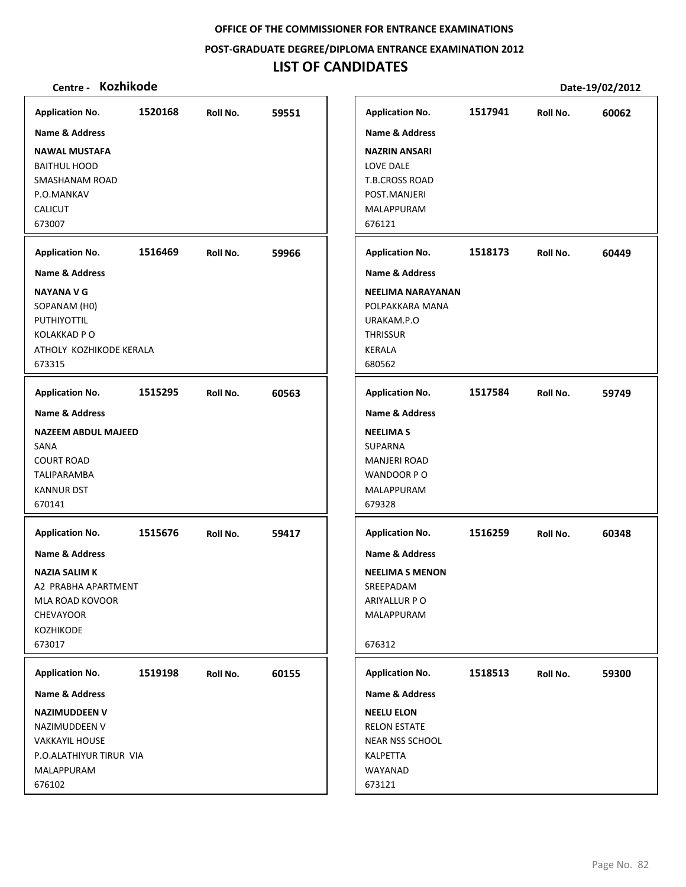**POST‐GRADUATE DEGREE/DIPLOMA ENTRANCE EXAMINATION 2012**

# **LIST OF CANDIDATES**

| <b>Application No.</b>     | 1520168 | Roll No. | 59551 | <b>Application No.</b>    | 1517941 | Roll No. | 60062 |
|----------------------------|---------|----------|-------|---------------------------|---------|----------|-------|
| Name & Address             |         |          |       | <b>Name &amp; Address</b> |         |          |       |
| <b>NAWAL MUSTAFA</b>       |         |          |       | <b>NAZRIN ANSARI</b>      |         |          |       |
| <b>BAITHUL HOOD</b>        |         |          |       | <b>LOVE DALE</b>          |         |          |       |
| SMASHANAM ROAD             |         |          |       | <b>T.B.CROSS ROAD</b>     |         |          |       |
| P.O.MANKAV                 |         |          |       | POST.MANJERI              |         |          |       |
| <b>CALICUT</b>             |         |          |       | <b>MALAPPURAM</b>         |         |          |       |
| 673007                     |         |          |       | 676121                    |         |          |       |
| <b>Application No.</b>     | 1516469 | Roll No. | 59966 | <b>Application No.</b>    | 1518173 | Roll No. | 60449 |
| <b>Name &amp; Address</b>  |         |          |       | <b>Name &amp; Address</b> |         |          |       |
| <b>NAYANA V G</b>          |         |          |       | NEELIMA NARAYANAN         |         |          |       |
| SOPANAM (H0)               |         |          |       | POLPAKKARA MANA           |         |          |       |
| PUTHIYOTTIL                |         |          |       | URAKAM.P.O                |         |          |       |
| <b>KOLAKKAD P O</b>        |         |          |       | <b>THRISSUR</b>           |         |          |       |
| ATHOLY KOZHIKODE KERALA    |         |          |       | <b>KERALA</b>             |         |          |       |
| 673315                     |         |          |       | 680562                    |         |          |       |
| <b>Application No.</b>     | 1515295 | Roll No. | 60563 | <b>Application No.</b>    | 1517584 | Roll No. | 59749 |
| Name & Address             |         |          |       | <b>Name &amp; Address</b> |         |          |       |
| <b>NAZEEM ABDUL MAJEED</b> |         |          |       | <b>NEELIMAS</b>           |         |          |       |
| SANA                       |         |          |       | <b>SUPARNA</b>            |         |          |       |
| <b>COURT ROAD</b>          |         |          |       | <b>MANJERI ROAD</b>       |         |          |       |
| <b>TALIPARAMBA</b>         |         |          |       | WANDOOR PO                |         |          |       |
| <b>KANNUR DST</b>          |         |          |       | MALAPPURAM                |         |          |       |
| 670141                     |         |          |       | 679328                    |         |          |       |
| <b>Application No.</b>     | 1515676 | Roll No. | 59417 | <b>Application No.</b>    | 1516259 | Roll No. | 60348 |
| <b>Name &amp; Address</b>  |         |          |       | <b>Name &amp; Address</b> |         |          |       |
| <b>NAZIA SALIM K</b>       |         |          |       | <b>NEELIMA S MENON</b>    |         |          |       |
| A2 PRABHA APARTMENT        |         |          |       | SREEPADAM                 |         |          |       |
| MLA ROAD KOVOOR            |         |          |       | ARIYALLUR P O             |         |          |       |
| CHEVAYOOR                  |         |          |       | MALAPPURAM                |         |          |       |
| <b>KOZHIKODE</b>           |         |          |       |                           |         |          |       |
| 673017                     |         |          |       | 676312                    |         |          |       |
| <b>Application No.</b>     | 1519198 | Roll No. | 60155 | <b>Application No.</b>    | 1518513 | Roll No. | 59300 |
| Name & Address             |         |          |       | <b>Name &amp; Address</b> |         |          |       |
| <b>NAZIMUDDEEN V</b>       |         |          |       | <b>NEELU ELON</b>         |         |          |       |
| NAZIMUDDEEN V              |         |          |       | <b>RELON ESTATE</b>       |         |          |       |
| <b>VAKKAYIL HOUSE</b>      |         |          |       | <b>NEAR NSS SCHOOL</b>    |         |          |       |
| P.O.ALATHIYUR TIRUR VIA    |         |          |       | KALPETTA                  |         |          |       |
| MALAPPURAM                 |         |          |       | WAYANAD                   |         |          |       |
| 676102                     |         |          |       | 673121                    |         |          |       |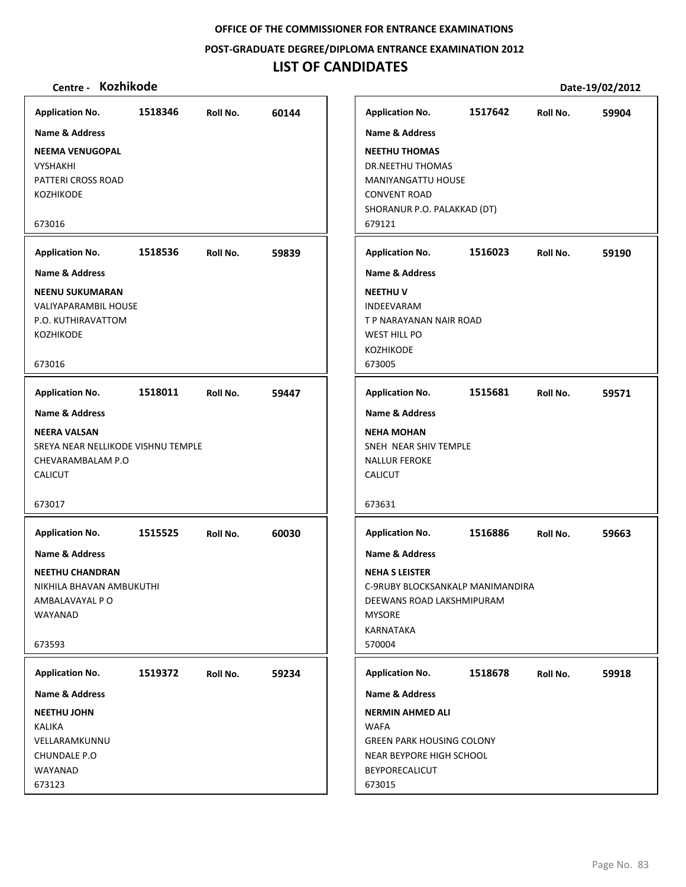**POST‐GRADUATE DEGREE/DIPLOMA ENTRANCE EXAMINATION 2012**

## **LIST OF CANDIDATES**

## **Centre ‐ Kozhikode Date‐19/02/2012**

**1518346 60144 NEEMA VENUGOPAL** VYSHAKHI PATTERI CROSS ROAD KOZHIKODE 673016 **Application No. Name & Address 1518536 59839 NEENU SUKUMARAN** VALIYAPARAMBIL HOUSE P.O. KUTHIRAVATTOM KOZHIKODE 673016 **Application No. Name & Address 1518011 59447 NEERA VALSAN** SREYA NEAR NELLIKODE VISHNU TEMPLE CHEVARAMBALAM P.O CALICUT 673017 **Application No. Name & Address 1515525 60030 NEETHU CHANDRAN** NIKHILA BHAVAN AMBUKUTHI AMBALAVAYAL P O WAYANAD 673593 **Application No. Name & Address 1519372 59234 NEETHU JOHN** KALIKA VELLARAMKUNNU CHUNDALE P.O WAYANAD 673123 **Application No. Name & Address 1517642 59904 NEETHU THOMAS** DR.NEETHU THOMAS MANIYANGATTU HOUSE CONVENT ROAD SHORANUR P.O. PALAKKAD (DT) 679121 **Application No. Name & Address 1516023 59190 NEETHU V** INDEEVARAM T P NARAYANAN NAIR ROAD WEST HILL PO KOZHIKODE 673005 **Application No. Name & Address 1515681 59571 NEHA MOHAN** SNEH NEAR SHIV TEMPLE NALLUR FEROKE CALICUT 673631 **Application No. Name & Address 1516886 59663 NEHA S LEISTER** C‐9RUBY BLOCKSANKALP MANIMANDIRA DEEWANS ROAD LAKSHMIPURAM MYSORE KARNATAKA 570004 **Application No. Name & Address 1518678 59918 NERMIN AHMED ALI WAFA** GREEN PARK HOUSING COLONY NEAR BEYPORE HIGH SCHOOL BEYPORECALICUT 673015 **Application No. Name & Address**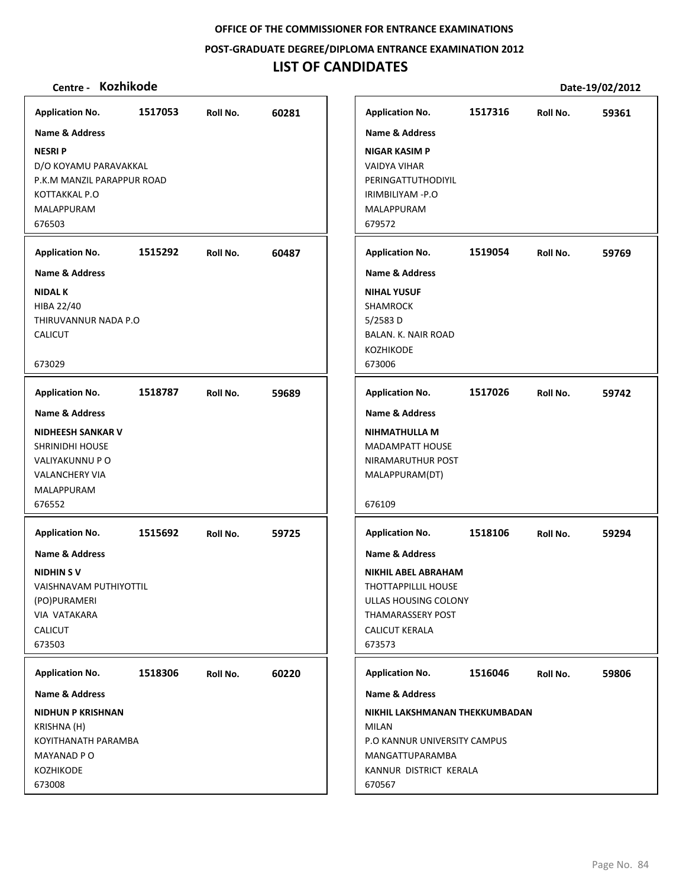**POST‐GRADUATE DEGREE/DIPLOMA ENTRANCE EXAMINATION 2012**

# **LIST OF CANDIDATES**

| <b>Application No.</b>                                                                                                         | 1517053 | Roll No. | 60281 |
|--------------------------------------------------------------------------------------------------------------------------------|---------|----------|-------|
| <b>Name &amp; Address</b>                                                                                                      |         |          |       |
| <b>NESRIP</b><br>D/O KOYAMU PARAVAKKAL<br>P.K.M MANZIL PARAPPUR ROAD<br>KOTTAKKAL P.O<br>MALAPPURAM<br>676503                  |         |          |       |
| <b>Application No.</b>                                                                                                         | 1515292 | Roll No. | 60487 |
| <b>Name &amp; Address</b>                                                                                                      |         |          |       |
| <b>NIDAL K</b><br>HIBA 22/40<br>THIRUVANNUR NADA P.O<br><b>CALICUT</b><br>673029                                               |         |          |       |
| <b>Application No.</b>                                                                                                         | 1518787 | Roll No. | 59689 |
| <b>Name &amp; Address</b>                                                                                                      |         |          |       |
| <b>NIDHEESH SANKAR V</b><br><b>SHRINIDHI HOUSE</b><br>VALIYAKUNNU P O<br><b>VALANCHERY VIA</b><br>MALAPPURAM<br>676552         |         |          |       |
| <b>Application No.</b>                                                                                                         | 1515692 | Roll No. | 59725 |
| Name & Address<br><b>NIDHINSV</b><br><b>VAISHNAVAM PUTHIYOTTIL</b><br>(PO)PURAMERI<br>VIA VATAKARA<br><b>CALICUT</b><br>673503 |         |          |       |
| <b>Application No.</b>                                                                                                         | 1518306 | Roll No. | 60220 |
| Name & Address                                                                                                                 |         |          |       |
| <b>NIDHUN P KRISHNAN</b><br>KRISHNA (H)<br>KOYITHANATH PARAMBA<br>MAYANAD P O<br><b>KOZHIKODE</b><br>673008                    |         |          |       |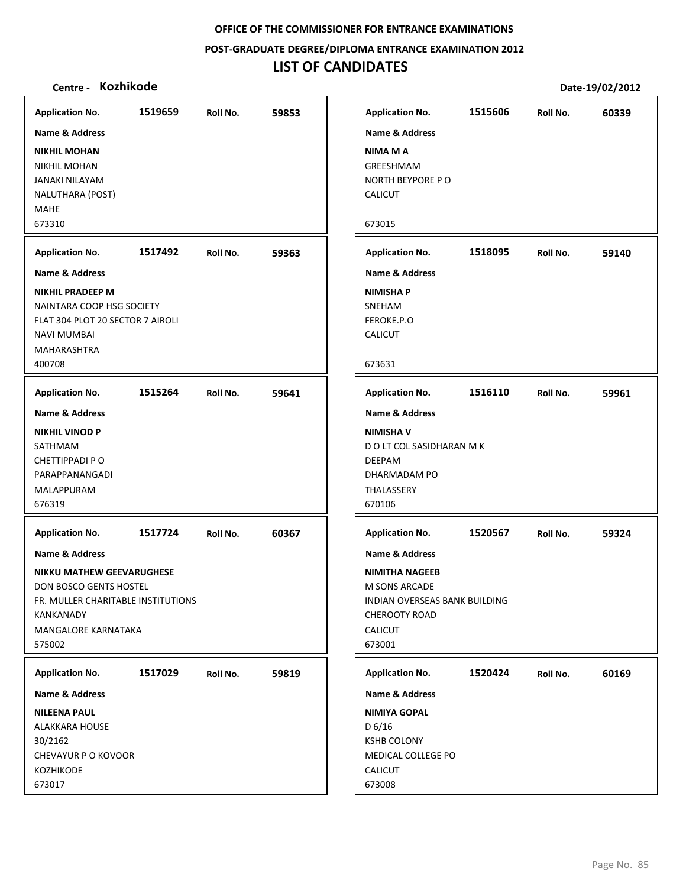**POST‐GRADUATE DEGREE/DIPLOMA ENTRANCE EXAMINATION 2012**

# **LIST OF CANDIDATES**

| <b>Application No.</b>                                                                                                                                                      | 1519659 | Roll No. | 59853 | <b>Application No.</b>                                                                                                                                   | 1515606 | Roll No. | 60339 |
|-----------------------------------------------------------------------------------------------------------------------------------------------------------------------------|---------|----------|-------|----------------------------------------------------------------------------------------------------------------------------------------------------------|---------|----------|-------|
| Name & Address                                                                                                                                                              |         |          |       | Name & Address                                                                                                                                           |         |          |       |
| <b>NIKHIL MOHAN</b><br><b>NIKHIL MOHAN</b><br><b>JANAKI NILAYAM</b><br>NALUTHARA (POST)<br><b>MAHE</b><br>673310                                                            |         |          |       | <b>NIMA M A</b><br>GREESHMAM<br>NORTH BEYPORE PO<br><b>CALICUT</b><br>673015                                                                             |         |          |       |
| <b>Application No.</b>                                                                                                                                                      | 1517492 | Roll No. | 59363 | <b>Application No.</b>                                                                                                                                   | 1518095 | Roll No. | 59140 |
| <b>Name &amp; Address</b>                                                                                                                                                   |         |          |       | <b>Name &amp; Address</b>                                                                                                                                |         |          |       |
| <b>NIKHIL PRADEEP M</b><br>NAINTARA COOP HSG SOCIETY<br>FLAT 304 PLOT 20 SECTOR 7 AIROLI<br><b>NAVI MUMBAI</b><br>MAHARASHTRA<br>400708                                     |         |          |       | <b>NIMISHA P</b><br>SNEHAM<br>FEROKE.P.O<br><b>CALICUT</b><br>673631                                                                                     |         |          |       |
| <b>Application No.</b>                                                                                                                                                      | 1515264 | Roll No. | 59641 | <b>Application No.</b>                                                                                                                                   | 1516110 | Roll No. | 59961 |
| Name & Address                                                                                                                                                              |         |          |       | <b>Name &amp; Address</b>                                                                                                                                |         |          |       |
| <b>NIKHIL VINOD P</b><br>SATHMAM<br>CHETTIPPADI PO<br>PARAPPANANGADI<br>MALAPPURAM<br>676319                                                                                |         |          |       | <b>NIMISHA V</b><br>D O LT COL SASIDHARAN M K<br><b>DEEPAM</b><br>DHARMADAM PO<br>THALASSERY<br>670106                                                   |         |          |       |
| <b>Application No.</b>                                                                                                                                                      | 1517724 | Roll No. | 60367 | <b>Application No.</b>                                                                                                                                   | 1520567 | Roll No. | 59324 |
| <b>Name &amp; Address</b><br><b>NIKKU MATHEW GEEVARUGHESE</b><br>DON BOSCO GENTS HOSTEL<br>FR. MULLER CHARITABLE INSTITUTIONS<br>KANKANADY<br>MANGALORE KARNATAKA<br>575002 |         |          |       | <b>Name &amp; Address</b><br><b>NIMITHA NAGEEB</b><br>M SONS ARCADE<br>INDIAN OVERSEAS BANK BUILDING<br><b>CHEROOTY ROAD</b><br><b>CALICUT</b><br>673001 |         |          |       |
| <b>Application No.</b>                                                                                                                                                      | 1517029 | Roll No. | 59819 | <b>Application No.</b>                                                                                                                                   | 1520424 | Roll No. | 60169 |
| Name & Address                                                                                                                                                              |         |          |       | Name & Address                                                                                                                                           |         |          |       |
| <b>NILEENA PAUL</b><br><b>ALAKKARA HOUSE</b><br>30/2162<br>CHEVAYUR P O KOVOOR<br>KOZHIKODE<br>673017                                                                       |         |          |       | <b>NIMIYA GOPAL</b><br>D 6/16<br><b>KSHB COLONY</b><br>MEDICAL COLLEGE PO<br><b>CALICUT</b><br>673008                                                    |         |          |       |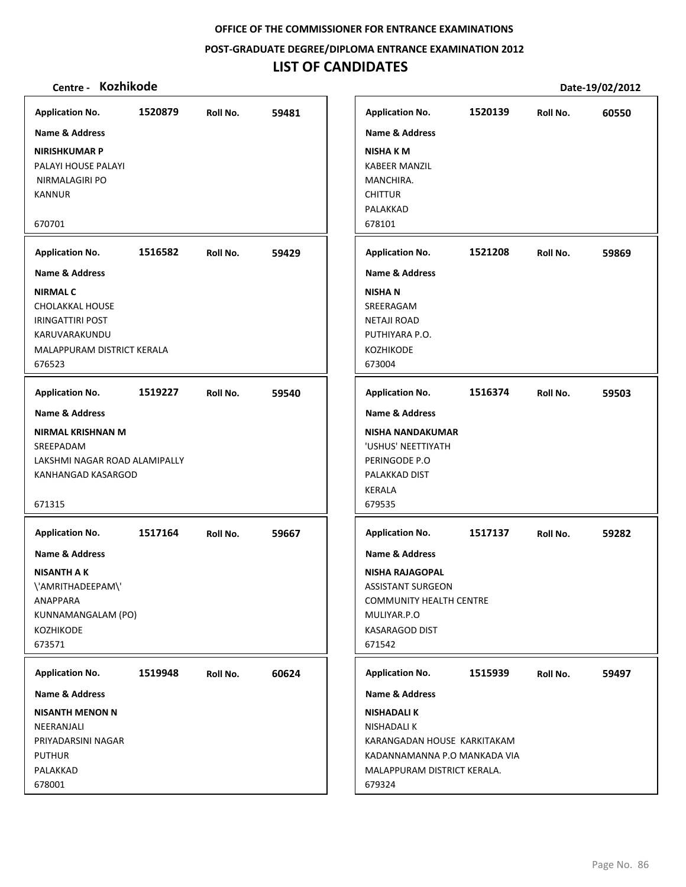**POST‐GRADUATE DEGREE/DIPLOMA ENTRANCE EXAMINATION 2012**

# **LIST OF CANDIDATES**

| <b>Application No.</b>                                                                                                               | 1520879 | Roll No. | 59481 |
|--------------------------------------------------------------------------------------------------------------------------------------|---------|----------|-------|
| <b>Name &amp; Address</b>                                                                                                            |         |          |       |
| <b>NIRISHKUMAR P</b><br>PALAYI HOUSE PALAYI<br>NIRMALAGIRI PO<br><b>KANNUR</b>                                                       |         |          |       |
| 670701                                                                                                                               |         |          |       |
| <b>Application No.</b>                                                                                                               | 1516582 | Roll No. | 59429 |
| <b>Name &amp; Address</b>                                                                                                            |         |          |       |
| <b>NIRMAL C</b><br><b>CHOLAKKAL HOUSE</b><br><b>IRINGATTIRI POST</b><br>KARUVARAKUNDU<br>MALAPPURAM DISTRICT KERALA<br>676523        |         |          |       |
| <b>Application No.</b>                                                                                                               | 1519227 | Roll No. | 59540 |
| <b>Name &amp; Address</b><br>NIRMAL KRISHNAN M<br>SREEPADAM<br>LAKSHMI NAGAR ROAD ALAMIPALLY<br>KANHANGAD KASARGOD<br>671315         |         |          |       |
| <b>Application No.</b>                                                                                                               | 1517164 | Roll No. | 59667 |
| <b>Name &amp; Address</b><br><b>NISANTH A K</b><br>\'AMRITHADEEPAM\'<br><b>ANAPPARA</b><br>KUNNAMANGALAM (PO)<br>KOZHIKODE<br>673571 |         |          |       |
| <b>Application No.</b>                                                                                                               | 1519948 | Roll No. | 60624 |
| <b>Name &amp; Address</b>                                                                                                            |         |          |       |
| <b>NISANTH MENON N</b><br>NEERANJALI<br>PRIYADARSINI NAGAR<br><b>PUTHUR</b><br>PALAKKAD<br>678001                                    |         |          |       |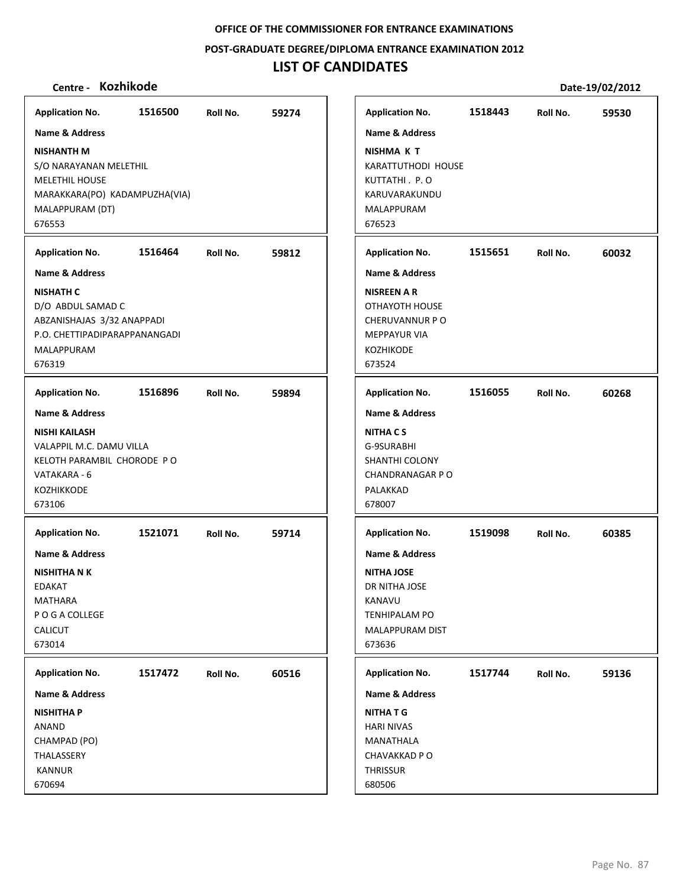**POST‐GRADUATE DEGREE/DIPLOMA ENTRANCE EXAMINATION 2012**

# **LIST OF CANDIDATES**

| <b>Application No.</b>                                                                                                                                                                                          | 1516500 | Roll No. | 59274 | <b>Application No.</b>                                                                                                                                                     | 1518443 | Roll No. | 59530 |
|-----------------------------------------------------------------------------------------------------------------------------------------------------------------------------------------------------------------|---------|----------|-------|----------------------------------------------------------------------------------------------------------------------------------------------------------------------------|---------|----------|-------|
| <b>Name &amp; Address</b><br><b>NISHANTH M</b><br>S/O NARAYANAN MELETHIL<br>MELETHIL HOUSE<br>MARAKKARA(PO) KADAMPUZHA(VIA)<br>MALAPPURAM (DT)<br>676553<br><b>Application No.</b><br><b>Name &amp; Address</b> | 1516464 | Roll No. | 59812 | Name & Address<br><b>NISHMA K T</b><br>KARATTUTHODI HOUSE<br>KUTTATHI. P.O<br>KARUVARAKUNDU<br>MALAPPURAM<br>676523<br><b>Application No.</b><br><b>Name &amp; Address</b> | 1515651 | Roll No. | 60032 |
| <b>NISHATH C</b><br>D/O ABDUL SAMAD C<br>ABZANISHAJAS 3/32 ANAPPADI<br>P.O. CHETTIPADIPARAPPANANGADI<br><b>MALAPPURAM</b><br>676319                                                                             |         |          |       | <b>NISREEN A R</b><br>OTHAYOTH HOUSE<br><b>CHERUVANNUR PO</b><br><b>MEPPAYUR VIA</b><br>KOZHIKODE<br>673524                                                                |         |          |       |
| <b>Application No.</b>                                                                                                                                                                                          | 1516896 | Roll No. | 59894 | <b>Application No.</b>                                                                                                                                                     | 1516055 | Roll No. | 60268 |
| <b>Name &amp; Address</b><br><b>NISHI KAILASH</b><br>VALAPPIL M.C. DAMU VILLA<br>KELOTH PARAMBIL CHORODE PO<br>VATAKARA - 6<br><b>KOZHIKKODE</b><br>673106                                                      |         |          |       | <b>Name &amp; Address</b><br><b>NITHACS</b><br>G-9SURABHI<br>SHANTHI COLONY<br><b>CHANDRANAGAR P O</b><br>PALAKKAD<br>678007                                               |         |          |       |
| <b>Application No.</b><br><b>Name &amp; Address</b><br>NISHITHA N K<br><b>EDAKAT</b><br><b>MATHARA</b><br>P O G A COLLEGE<br><b>CALICUT</b><br>673014                                                           | 1521071 | Roll No. | 59714 | <b>Application No.</b><br><b>Name &amp; Address</b><br><b>NITHA JOSE</b><br>DR NITHA JOSE<br>KANAVU<br><b>TENHIPALAM PO</b><br>MALAPPURAM DIST<br>673636                   | 1519098 | Roll No. | 60385 |
| <b>Application No.</b><br>Name & Address<br><b>NISHITHA P</b><br>ANAND<br>CHAMPAD (PO)<br>THALASSERY<br><b>KANNUR</b><br>670694                                                                                 | 1517472 | Roll No. | 60516 | <b>Application No.</b><br>Name & Address<br><b>NITHATG</b><br><b>HARI NIVAS</b><br>MANATHALA<br>CHAVAKKAD P O<br>THRISSUR<br>680506                                        | 1517744 | Roll No. | 59136 |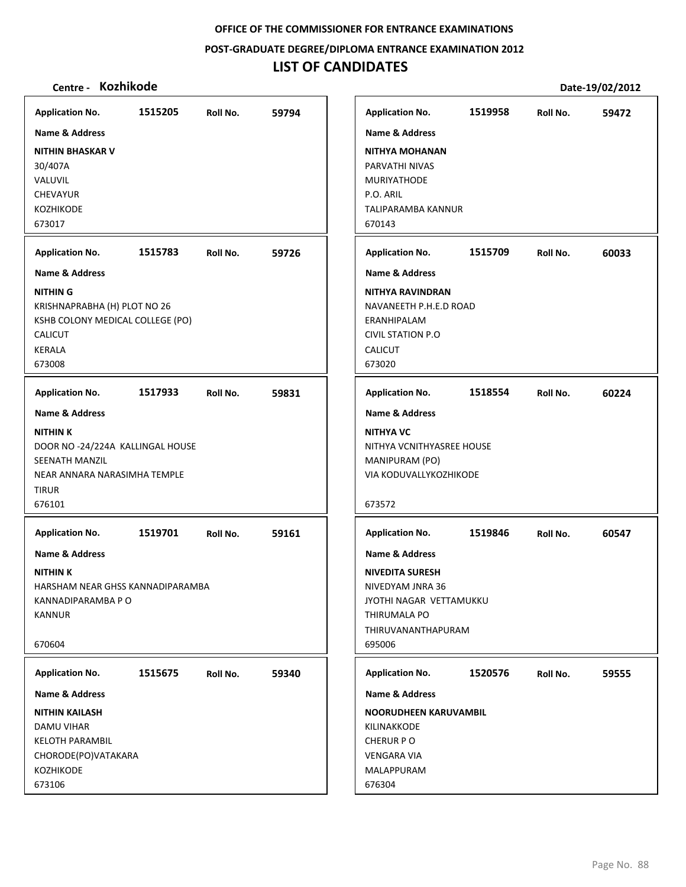**POST‐GRADUATE DEGREE/DIPLOMA ENTRANCE EXAMINATION 2012**

# **LIST OF CANDIDATES**

| <b>Application No.</b>                                                                                                                                       | 1515205 | Roll No. | 59794 |
|--------------------------------------------------------------------------------------------------------------------------------------------------------------|---------|----------|-------|
| <b>Name &amp; Address</b><br><b>NITHIN BHASKAR V</b><br>30/407A<br>VALUVIL<br><b>CHEVAYUR</b><br><b>KOZHIKODE</b><br>673017                                  |         |          |       |
| <b>Application No.</b>                                                                                                                                       | 1515783 | Roll No. | 59726 |
| <b>Name &amp; Address</b><br><b>NITHING</b><br>KRISHNAPRABHA (H) PLOT NO 26<br>KSHB COLONY MEDICAL COLLEGE (PO)<br><b>CALICUT</b><br><b>KERALA</b><br>673008 |         |          |       |
| <b>Application No.</b>                                                                                                                                       | 1517933 | Roll No. | 59831 |
| <b>Name &amp; Address</b><br><b>NITHINK</b><br>DOOR NO -24/224A KALLINGAL HOUSE<br>SEENATH MANZIL<br>NEAR ANNARA NARASIMHA TEMPLE<br><b>TIRUR</b><br>676101  |         |          |       |
| <b>Application No.</b><br>Name & Address<br><b>NITHIN K</b><br>HARSHAM NEAR GHSS KANNADIPARAMBA<br>KANNADIPARAMBA P O<br><b>KANNUR</b>                       | 1519701 | Roll No. | 59161 |
| 670604<br><b>Application No.</b>                                                                                                                             | 1515675 | Roll No. | 59340 |
| <b>Name &amp; Address</b><br><b>NITHIN KAILASH</b><br>DAMU VIHAR<br><b>KELOTH PARAMBIL</b><br>CHORODE(PO)VATAKARA<br>KOZHIKODE<br>673106                     |         |          |       |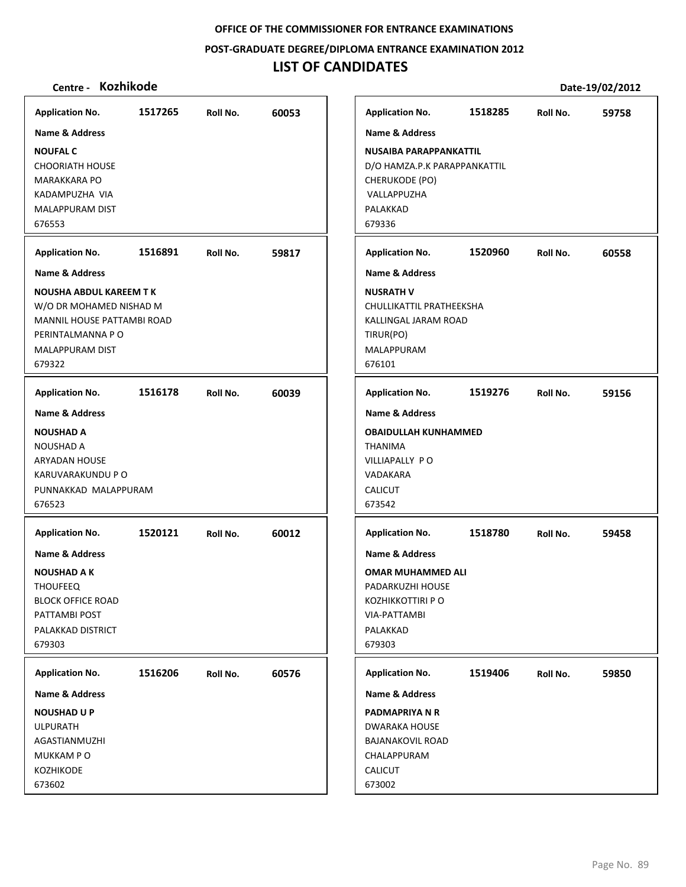**POST‐GRADUATE DEGREE/DIPLOMA ENTRANCE EXAMINATION 2012**

# **LIST OF CANDIDATES**

| <b>Application No.</b>                                                                                                                         | 1517265 | Roll No. | 60053 |
|------------------------------------------------------------------------------------------------------------------------------------------------|---------|----------|-------|
| <b>Name &amp; Address</b>                                                                                                                      |         |          |       |
| <b>NOUFAL C</b><br><b>CHOORIATH HOUSE</b><br><b>MARAKKARA PO</b><br>KADAMPUZHA VIA<br>MALAPPURAM DIST<br>676553                                |         |          |       |
| <b>Application No.</b>                                                                                                                         | 1516891 | Roll No. | 59817 |
| <b>Name &amp; Address</b>                                                                                                                      |         |          |       |
| <b>NOUSHA ABDUL KAREEM T K</b><br>W/O DR MOHAMED NISHAD M<br>MANNIL HOUSE PATTAMBI ROAD<br>PERINTALMANNA P O<br>MALAPPURAM DIST<br>679322      |         |          |       |
| <b>Application No.</b>                                                                                                                         | 1516178 | Roll No. | 60039 |
| <b>Name &amp; Address</b>                                                                                                                      |         |          |       |
| <b>NOUSHAD A</b><br>NOUSHAD A<br><b>ARYADAN HOUSE</b><br>KARUVARAKUNDU P O<br>PUNNAKKAD MALAPPURAM<br>676523                                   |         |          |       |
| <b>Application No.</b>                                                                                                                         | 1520121 | Roll No. | 60012 |
| <b>Name &amp; Address</b><br><b>NOUSHAD A K</b><br><b>THOUFEEQ</b><br><b>BLOCK OFFICE ROAD</b><br>PATTAMBI POST<br>PALAKKAD DISTRICT<br>679303 |         |          |       |
| <b>Application No.</b>                                                                                                                         | 1516206 | Roll No. | 60576 |
| <b>Name &amp; Address</b>                                                                                                                      |         |          |       |
| <b>NOUSHAD U P</b><br><b>ULPURATH</b><br>AGASTIANMUZHI<br>MUKKAM PO<br>KOZHIKODE<br>673602                                                     |         |          |       |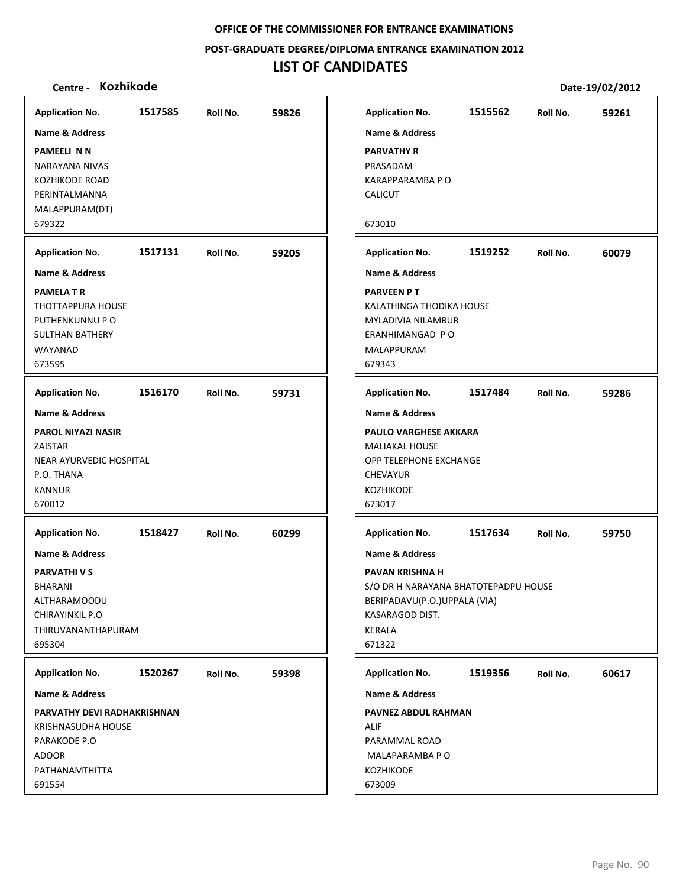**POST‐GRADUATE DEGREE/DIPLOMA ENTRANCE EXAMINATION 2012**

# **LIST OF CANDIDATES**

| <b>Application No.</b>                                                                                                                     | 1517585 | Roll No. | 59826 | <b>Application No.</b>                                                                                                                                      | 1515562 | Roll No. | 59261 |
|--------------------------------------------------------------------------------------------------------------------------------------------|---------|----------|-------|-------------------------------------------------------------------------------------------------------------------------------------------------------------|---------|----------|-------|
| <b>Name &amp; Address</b>                                                                                                                  |         |          |       | <b>Name &amp; Address</b>                                                                                                                                   |         |          |       |
| <b>PAMEELI N N</b><br>NARAYANA NIVAS<br><b>KOZHIKODE ROAD</b><br>PERINTALMANNA<br>MALAPPURAM(DT)                                           |         |          |       | <b>PARVATHY R</b><br>PRASADAM<br>KARAPPARAMBA P O<br><b>CALICUT</b>                                                                                         |         |          |       |
| 679322                                                                                                                                     |         |          |       | 673010                                                                                                                                                      |         |          |       |
| <b>Application No.</b>                                                                                                                     | 1517131 | Roll No. | 59205 | <b>Application No.</b>                                                                                                                                      | 1519252 | Roll No. | 60079 |
| <b>Name &amp; Address</b>                                                                                                                  |         |          |       | <b>Name &amp; Address</b>                                                                                                                                   |         |          |       |
| <b>PAMELA T R</b><br>THOTTAPPURA HOUSE<br>PUTHENKUNNU P O<br><b>SULTHAN BATHERY</b><br>WAYANAD<br>673595                                   |         |          |       | <b>PARVEEN PT</b><br>KALATHINGA THODIKA HOUSE<br>MYLADIVIA NILAMBUR<br>ERANHIMANGAD PO<br>MALAPPURAM<br>679343                                              |         |          |       |
| <b>Application No.</b>                                                                                                                     | 1516170 | Roll No. | 59731 | <b>Application No.</b>                                                                                                                                      | 1517484 | Roll No. | 59286 |
| Name & Address                                                                                                                             |         |          |       | <b>Name &amp; Address</b>                                                                                                                                   |         |          |       |
| <b>PAROL NIYAZI NASIR</b><br>ZAISTAR<br>NEAR AYURVEDIC HOSPITAL<br>P.O. THANA<br><b>KANNUR</b><br>670012                                   |         |          |       | <b>PAULO VARGHESE AKKARA</b><br><b>MALIAKAL HOUSE</b><br>OPP TELEPHONE EXCHANGE<br><b>CHEVAYUR</b><br>KOZHIKODE<br>673017                                   |         |          |       |
| <b>Application No.</b>                                                                                                                     | 1518427 | Roll No. | 60299 | <b>Application No.</b>                                                                                                                                      | 1517634 | Roll No. | 59750 |
| <b>Name &amp; Address</b><br><b>PARVATHIVS</b><br><b>BHARANI</b><br><b>ALTHARAMOODU</b><br>CHIRAYINKIL P.O<br>THIRUVANANTHAPURAM<br>695304 |         |          |       | <b>Name &amp; Address</b><br>PAVAN KRISHNA H<br>S/O DR H NARAYANA BHATOTEPADPU HOUSE<br>BERIPADAVU(P.O.)UPPALA (VIA)<br>KASARAGOD DIST.<br>KERALA<br>671322 |         |          |       |
| <b>Application No.</b>                                                                                                                     | 1520267 | Roll No. | 59398 | <b>Application No.</b>                                                                                                                                      | 1519356 | Roll No. | 60617 |
| Name & Address                                                                                                                             |         |          |       | <b>Name &amp; Address</b>                                                                                                                                   |         |          |       |
| PARVATHY DEVI RADHAKRISHNAN<br><b>KRISHNASUDHA HOUSE</b><br>PARAKODE P.O<br><b>ADOOR</b><br>PATHANAMTHITTA<br>691554                       |         |          |       | <b>PAVNEZ ABDUL RAHMAN</b><br><b>ALIF</b><br>PARAMMAL ROAD<br>MALAPARAMBA P O<br><b>KOZHIKODE</b><br>673009                                                 |         |          |       |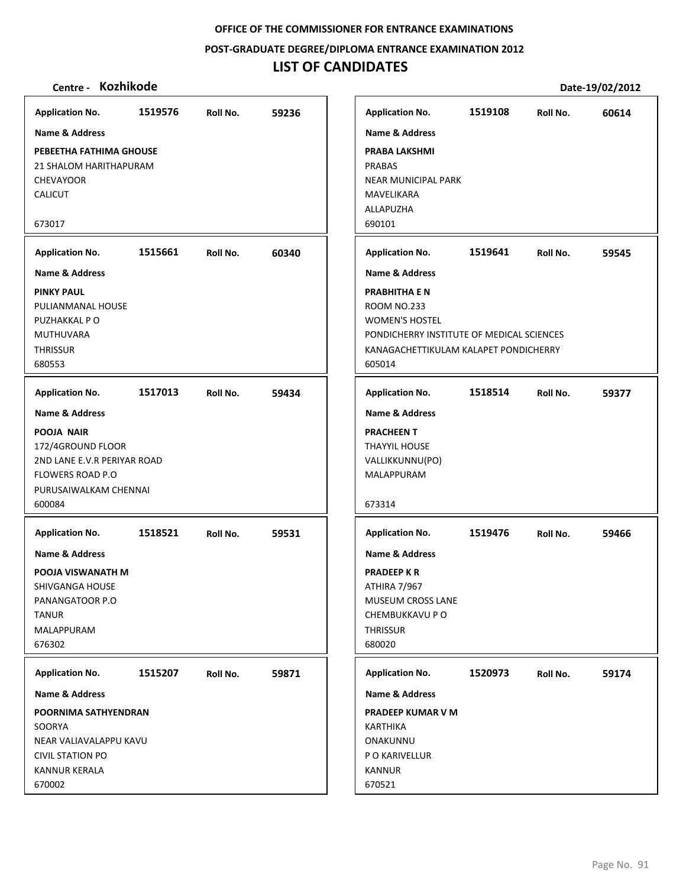**POST‐GRADUATE DEGREE/DIPLOMA ENTRANCE EXAMINATION 2012**

# **LIST OF CANDIDATES**

| <b>Application No.</b>                                                                                                                                    | 1519576 | Roll No. | 59236 |
|-----------------------------------------------------------------------------------------------------------------------------------------------------------|---------|----------|-------|
| <b>Name &amp; Address</b>                                                                                                                                 |         |          |       |
| PEBEETHA FATHIMA GHOUSE<br>21 SHALOM HARITHAPURAM<br><b>CHEVAYOOR</b><br><b>CALICUT</b>                                                                   |         |          |       |
| 673017                                                                                                                                                    |         |          |       |
| <b>Application No.</b>                                                                                                                                    | 1515661 | Roll No. | 60340 |
| <b>Name &amp; Address</b>                                                                                                                                 |         |          |       |
| <b>PINKY PAUL</b><br>PULIANMANAL HOUSE<br>PUZHAKKAL PO<br><b>MUTHUVARA</b><br><b>THRISSUR</b><br>680553                                                   |         |          |       |
| <b>Application No.</b>                                                                                                                                    | 1517013 | Roll No. | 59434 |
| <b>Name &amp; Address</b><br>POOJA NAIR<br>172/4GROUND FLOOR<br>2ND LANE E.V.R PERIYAR ROAD<br><b>FLOWERS ROAD P.O</b><br>PURUSAIWALKAM CHENNAI<br>600084 |         |          |       |
| <b>Application No.</b>                                                                                                                                    | 1518521 | Roll No. | 59531 |
| <b>Name &amp; Address</b><br>POOJA VISWANATH M<br>SHIVGANGA HOUSE<br>PANANGATOOR P.O<br><b>TANUR</b><br>MALAPPURAM<br>676302                              |         |          |       |
| <b>Application No.</b>                                                                                                                                    | 1515207 | Roll No. | 59871 |
| Name & Address                                                                                                                                            |         |          |       |
| POORNIMA SATHYENDRAN<br>SOORYA<br>NEAR VALIAVALAPPU KAVU<br><b>CIVIL STATION PO</b><br><b>KANNUR KERALA</b><br>670002                                     |         |          |       |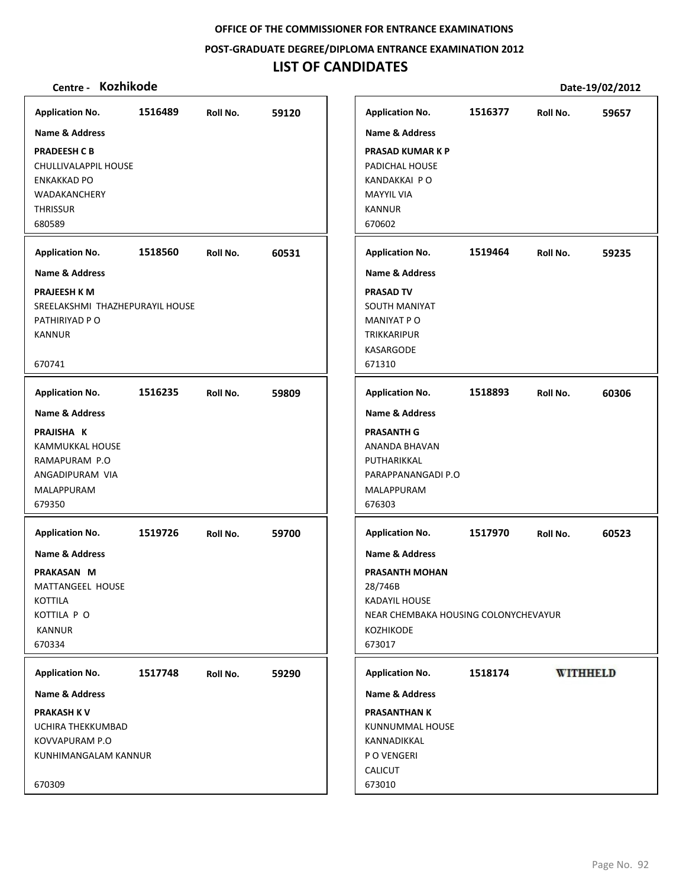**POST‐GRADUATE DEGREE/DIPLOMA ENTRANCE EXAMINATION 2012**

# **LIST OF CANDIDATES**

| Centre - Kozhikode              |         |          |       |                                      |         |                 | Date-19/02/2012 |
|---------------------------------|---------|----------|-------|--------------------------------------|---------|-----------------|-----------------|
| <b>Application No.</b>          | 1516489 | Roll No. | 59120 | <b>Application No.</b>               | 1516377 | Roll No.        | 59657           |
| <b>Name &amp; Address</b>       |         |          |       | Name & Address                       |         |                 |                 |
| <b>PRADEESH C B</b>             |         |          |       | <b>PRASAD KUMAR K P</b>              |         |                 |                 |
| CHULLIVALAPPIL HOUSE            |         |          |       | PADICHAL HOUSE                       |         |                 |                 |
| <b>ENKAKKAD PO</b>              |         |          |       | KANDAKKAI PO                         |         |                 |                 |
| WADAKANCHERY                    |         |          |       | <b>MAYYIL VIA</b>                    |         |                 |                 |
| <b>THRISSUR</b>                 |         |          |       | <b>KANNUR</b>                        |         |                 |                 |
| 680589                          |         |          |       | 670602                               |         |                 |                 |
| <b>Application No.</b>          | 1518560 | Roll No. | 60531 | <b>Application No.</b>               | 1519464 | Roll No.        | 59235           |
| Name & Address                  |         |          |       | <b>Name &amp; Address</b>            |         |                 |                 |
| <b>PRAJEESH K M</b>             |         |          |       | <b>PRASAD TV</b>                     |         |                 |                 |
| SREELAKSHMI THAZHEPURAYIL HOUSE |         |          |       | SOUTH MANIYAT                        |         |                 |                 |
| PATHIRIYAD P O                  |         |          |       | <b>MANIYAT PO</b>                    |         |                 |                 |
| <b>KANNUR</b>                   |         |          |       | TRIKKARIPUR                          |         |                 |                 |
|                                 |         |          |       | KASARGODE                            |         |                 |                 |
| 670741                          |         |          |       | 671310                               |         |                 |                 |
| <b>Application No.</b>          | 1516235 | Roll No. | 59809 | <b>Application No.</b>               | 1518893 | Roll No.        | 60306           |
| Name & Address                  |         |          |       | <b>Name &amp; Address</b>            |         |                 |                 |
| PRAJISHA K                      |         |          |       | <b>PRASANTH G</b>                    |         |                 |                 |
| KAMMUKKAL HOUSE                 |         |          |       | ANANDA BHAVAN                        |         |                 |                 |
| RAMAPURAM P.O                   |         |          |       | PUTHARIKKAL                          |         |                 |                 |
| ANGADIPURAM VIA                 |         |          |       | PARAPPANANGADI P.O                   |         |                 |                 |
| MALAPPURAM                      |         |          |       | MALAPPURAM                           |         |                 |                 |
| 679350                          |         |          |       | 676303                               |         |                 |                 |
| <b>Application No.</b>          | 1519726 | Roll No. | 59700 | <b>Application No.</b>               | 1517970 | Roll No.        | 60523           |
| Name & Address                  |         |          |       | <b>Name &amp; Address</b>            |         |                 |                 |
| PRAKASAN M                      |         |          |       | PRASANTH MOHAN                       |         |                 |                 |
| MATTANGEEL HOUSE                |         |          |       | 28/746B                              |         |                 |                 |
| <b>KOTTILA</b>                  |         |          |       | <b>KADAYIL HOUSE</b>                 |         |                 |                 |
| KOTTILA P O                     |         |          |       | NEAR CHEMBAKA HOUSING COLONYCHEVAYUR |         |                 |                 |
| <b>KANNUR</b>                   |         |          |       | <b>KOZHIKODE</b>                     |         |                 |                 |
| 670334                          |         |          |       | 673017                               |         |                 |                 |
| <b>Application No.</b>          | 1517748 | Roll No. | 59290 | <b>Application No.</b>               | 1518174 | <b>WITHHELD</b> |                 |
| Name & Address                  |         |          |       | Name & Address                       |         |                 |                 |
| <b>PRAKASH KV</b>               |         |          |       | <b>PRASANTHAN K</b>                  |         |                 |                 |
| UCHIRA THEKKUMBAD               |         |          |       | KUNNUMMAL HOUSE                      |         |                 |                 |
| KOVVAPURAM P.O                  |         |          |       | KANNADIKKAL                          |         |                 |                 |
| KUNHIMANGALAM KANNUR            |         |          |       | P O VENGERI                          |         |                 |                 |
|                                 |         |          |       | <b>CALICUT</b>                       |         |                 |                 |
| 670309                          |         |          |       | 673010                               |         |                 |                 |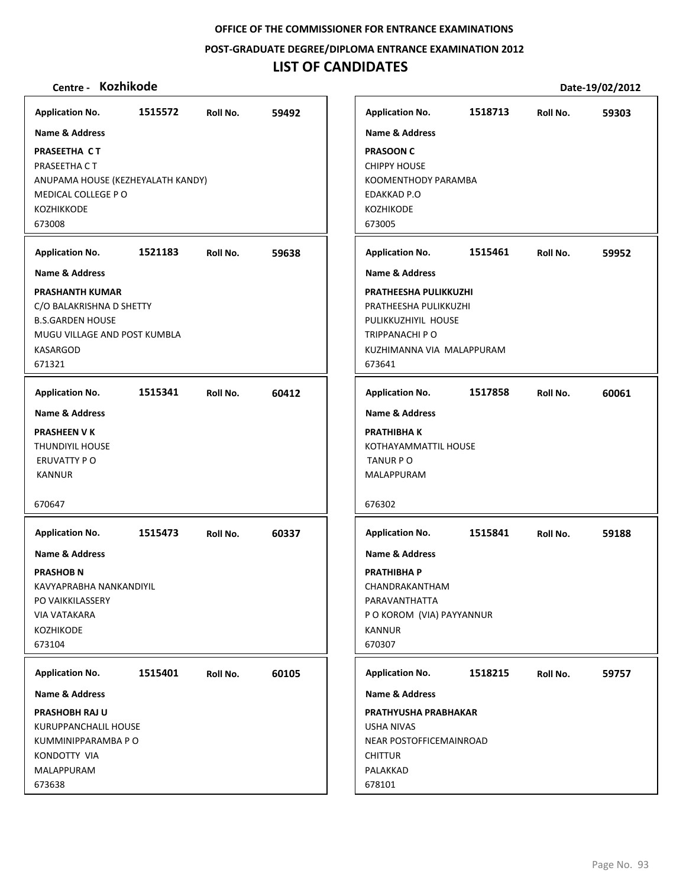**POST‐GRADUATE DEGREE/DIPLOMA ENTRANCE EXAMINATION 2012**

# **LIST OF CANDIDATES**

| Centre - Kozhikode                |         |          |       |                             |         |          | Date-19/02/2012 |
|-----------------------------------|---------|----------|-------|-----------------------------|---------|----------|-----------------|
| <b>Application No.</b>            | 1515572 | Roll No. | 59492 | <b>Application No.</b>      | 1518713 | Roll No. | 59303           |
| Name & Address                    |         |          |       | <b>Name &amp; Address</b>   |         |          |                 |
| PRASEETHA CT                      |         |          |       | <b>PRASOON C</b>            |         |          |                 |
| PRASEETHA CT                      |         |          |       | <b>CHIPPY HOUSE</b>         |         |          |                 |
| ANUPAMA HOUSE (KEZHEYALATH KANDY) |         |          |       | KOOMENTHODY PARAMBA         |         |          |                 |
| MEDICAL COLLEGE PO                |         |          |       | EDAKKAD P.O                 |         |          |                 |
| KOZHIKKODE                        |         |          |       | <b>KOZHIKODE</b>            |         |          |                 |
| 673008                            |         |          |       | 673005                      |         |          |                 |
| <b>Application No.</b>            | 1521183 | Roll No. | 59638 | <b>Application No.</b>      | 1515461 | Roll No. | 59952           |
| <b>Name &amp; Address</b>         |         |          |       | <b>Name &amp; Address</b>   |         |          |                 |
| <b>PRASHANTH KUMAR</b>            |         |          |       | PRATHEESHA PULIKKUZHI       |         |          |                 |
| C/O BALAKRISHNA D SHETTY          |         |          |       | PRATHEESHA PULIKKUZHI       |         |          |                 |
| <b>B.S.GARDEN HOUSE</b>           |         |          |       | PULIKKUZHIYIL HOUSE         |         |          |                 |
| MUGU VILLAGE AND POST KUMBLA      |         |          |       | TRIPPANACHI P O             |         |          |                 |
| <b>KASARGOD</b>                   |         |          |       | KUZHIMANNA VIA MALAPPURAM   |         |          |                 |
| 671321                            |         |          |       | 673641                      |         |          |                 |
| <b>Application No.</b>            | 1515341 | Roll No. | 60412 | <b>Application No.</b>      | 1517858 | Roll No. | 60061           |
| <b>Name &amp; Address</b>         |         |          |       | <b>Name &amp; Address</b>   |         |          |                 |
| <b>PRASHEEN V K</b>               |         |          |       | <b>PRATHIBHAK</b>           |         |          |                 |
| <b>THUNDIYIL HOUSE</b>            |         |          |       | KOTHAYAMMATTIL HOUSE        |         |          |                 |
| ERUVATTY PO                       |         |          |       | TANUR P O                   |         |          |                 |
| <b>KANNUR</b>                     |         |          |       | MALAPPURAM                  |         |          |                 |
| 670647                            |         |          |       | 676302                      |         |          |                 |
| <b>Application No.</b>            | 1515473 | Roll No. | 60337 | <b>Application No.</b>      | 1515841 | Roll No. | 59188           |
| <b>Name &amp; Address</b>         |         |          |       | <b>Name &amp; Address</b>   |         |          |                 |
| <b>PRASHOB N</b>                  |         |          |       | <b>PRATHIBHA P</b>          |         |          |                 |
| KAVYAPRABHA NANKANDIYIL           |         |          |       | CHANDRAKANTHAM              |         |          |                 |
| PO VAIKKILASSERY                  |         |          |       | PARAVANTHATTA               |         |          |                 |
| <b>VIA VATAKARA</b>               |         |          |       | P O KOROM (VIA) PAYYANNUR   |         |          |                 |
| <b>KOZHIKODE</b>                  |         |          |       | <b>KANNUR</b>               |         |          |                 |
| 673104                            |         |          |       | 670307                      |         |          |                 |
| <b>Application No.</b>            | 1515401 | Roll No. | 60105 | <b>Application No.</b>      | 1518215 | Roll No. | 59757           |
| Name & Address                    |         |          |       | Name & Address              |         |          |                 |
| <b>PRASHOBH RAJ U</b>             |         |          |       | <b>PRATHYUSHA PRABHAKAR</b> |         |          |                 |
| KURUPPANCHALIL HOUSE              |         |          |       | <b>USHA NIVAS</b>           |         |          |                 |
| KUMMINIPPARAMBA P O               |         |          |       | NEAR POSTOFFICEMAINROAD     |         |          |                 |
| KONDOTTY VIA                      |         |          |       | <b>CHITTUR</b>              |         |          |                 |
| MALAPPURAM<br>673638              |         |          |       | PALAKKAD<br>678101          |         |          |                 |
|                                   |         |          |       |                             |         |          |                 |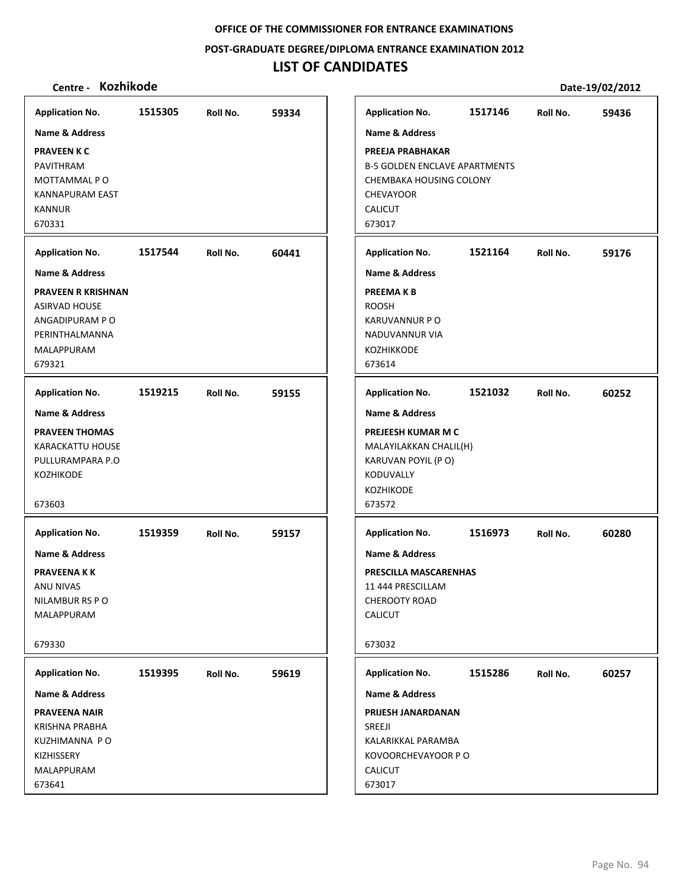**POST‐GRADUATE DEGREE/DIPLOMA ENTRANCE EXAMINATION 2012**

## **LIST OF CANDIDATES**

| <b>Application No.</b>    | 1515305 | Roll No. | 59334 | <b>Application No.</b>               | 1517146 | Roll No. | 59436 |
|---------------------------|---------|----------|-------|--------------------------------------|---------|----------|-------|
| <b>Name &amp; Address</b> |         |          |       | <b>Name &amp; Address</b>            |         |          |       |
| <b>PRAVEEN K C</b>        |         |          |       | PREEJA PRABHAKAR                     |         |          |       |
| <b>PAVITHRAM</b>          |         |          |       | <b>B-5 GOLDEN ENCLAVE APARTMENTS</b> |         |          |       |
| MOTTAMMAL PO              |         |          |       | CHEMBAKA HOUSING COLONY              |         |          |       |
| KANNAPURAM EAST           |         |          |       | <b>CHEVAYOOR</b>                     |         |          |       |
| <b>KANNUR</b>             |         |          |       | <b>CALICUT</b>                       |         |          |       |
| 670331                    |         |          |       | 673017                               |         |          |       |
| <b>Application No.</b>    | 1517544 | Roll No. | 60441 | <b>Application No.</b>               | 1521164 | Roll No. | 59176 |
| <b>Name &amp; Address</b> |         |          |       | <b>Name &amp; Address</b>            |         |          |       |
| <b>PRAVEEN R KRISHNAN</b> |         |          |       | <b>PREEMAKB</b>                      |         |          |       |
| <b>ASIRVAD HOUSE</b>      |         |          |       | <b>ROOSH</b>                         |         |          |       |
| ANGADIPURAM PO            |         |          |       | <b>KARUVANNUR P O</b>                |         |          |       |
| PERINTHALMANNA            |         |          |       | <b>NADUVANNUR VIA</b>                |         |          |       |
| MALAPPURAM                |         |          |       | <b>KOZHIKKODE</b>                    |         |          |       |
| 679321                    |         |          |       | 673614                               |         |          |       |
| <b>Application No.</b>    | 1519215 | Roll No. | 59155 | <b>Application No.</b>               | 1521032 | Roll No. | 60252 |
| <b>Name &amp; Address</b> |         |          |       | <b>Name &amp; Address</b>            |         |          |       |
| <b>PRAVEEN THOMAS</b>     |         |          |       | PREJEESH KUMAR M C                   |         |          |       |
| <b>KARACKATTU HOUSE</b>   |         |          |       | MALAYILAKKAN CHALIL(H)               |         |          |       |
| PULLURAMPARA P.O          |         |          |       | KARUVAN POYIL (PO)                   |         |          |       |
| <b>KOZHIKODE</b>          |         |          |       | KODUVALLY                            |         |          |       |
|                           |         |          |       | KOZHIKODE                            |         |          |       |
| 673603                    |         |          |       | 673572                               |         |          |       |
| <b>Application No.</b>    | 1519359 | Roll No. | 59157 | <b>Application No.</b>               | 1516973 | Roll No. | 60280 |
| <b>Name &amp; Address</b> |         |          |       | <b>Name &amp; Address</b>            |         |          |       |
| <b>PRAVEENAKK</b>         |         |          |       | PRESCILLA MASCARENHAS                |         |          |       |
| ANU NIVAS                 |         |          |       | 11 444 PRESCILLAM                    |         |          |       |
| NILAMBUR RS PO            |         |          |       | CHEROOTY ROAD                        |         |          |       |
| MALAPPURAM                |         |          |       | <b>CALICUT</b>                       |         |          |       |
| 679330                    |         |          |       | 673032                               |         |          |       |
| <b>Application No.</b>    | 1519395 | Roll No. | 59619 | <b>Application No.</b>               | 1515286 | Roll No. | 60257 |
| Name & Address            |         |          |       | <b>Name &amp; Address</b>            |         |          |       |
| <b>PRAVEENA NAIR</b>      |         |          |       | PRIJESH JANARDANAN                   |         |          |       |
| <b>KRISHNA PRABHA</b>     |         |          |       | SREEJI                               |         |          |       |
| KUZHIMANNA PO             |         |          |       | KALARIKKAL PARAMBA                   |         |          |       |
| KIZHISSERY                |         |          |       | KOVOORCHEVAYOOR P O                  |         |          |       |
| MALAPPURAM                |         |          |       | CALICUT                              |         |          |       |
| 673641                    |         |          |       | 673017                               |         |          |       |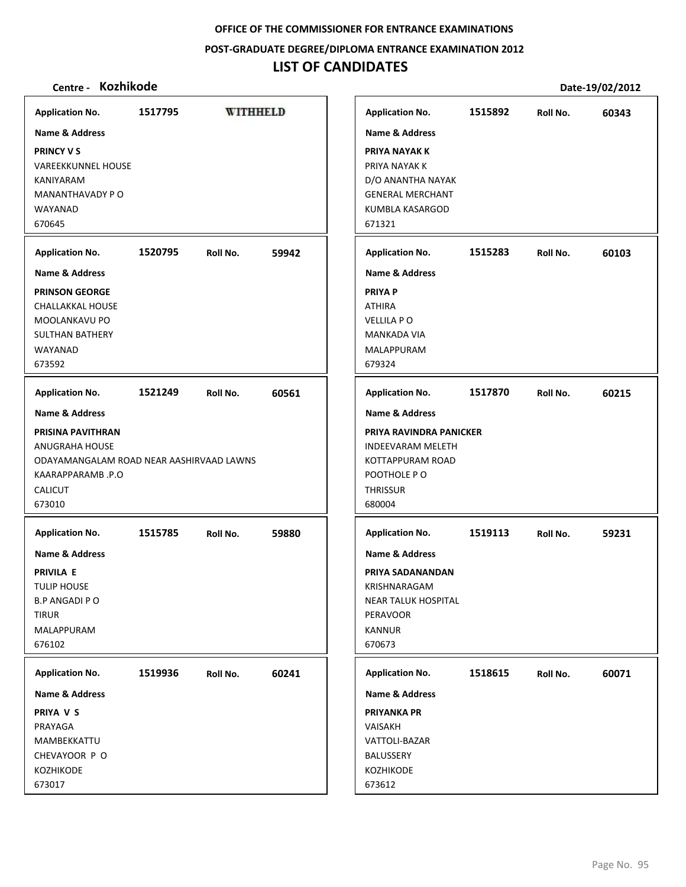#### **POST‐GRADUATE DEGREE/DIPLOMA ENTRANCE EXAMINATION 2012**

# **LIST OF CANDIDATES**

| <b>Application No.</b>                                                                                                                 | 1517795 | <b>WITHHELD</b> |       | <b>Application No.</b>                                                                                                                    | 1515892 | Roll No. | 60343 |
|----------------------------------------------------------------------------------------------------------------------------------------|---------|-----------------|-------|-------------------------------------------------------------------------------------------------------------------------------------------|---------|----------|-------|
| <b>Name &amp; Address</b>                                                                                                              |         |                 |       | <b>Name &amp; Address</b>                                                                                                                 |         |          |       |
| <b>PRINCY VS</b><br><b>VAREEKKUNNEL HOUSE</b><br>KANIYARAM<br>MANANTHAVADY P O<br>WAYANAD<br>670645                                    |         |                 |       | PRIYA NAYAK K<br>PRIYA NAYAK K<br>D/O ANANTHA NAYAK<br><b>GENERAL MERCHANT</b><br>KUMBLA KASARGOD<br>671321                               |         |          |       |
| <b>Application No.</b>                                                                                                                 | 1520795 | Roll No.        | 59942 | <b>Application No.</b>                                                                                                                    | 1515283 | Roll No. | 60103 |
| Name & Address                                                                                                                         |         |                 |       | <b>Name &amp; Address</b>                                                                                                                 |         |          |       |
| <b>PRINSON GEORGE</b><br>CHALLAKKAL HOUSE<br>MOOLANKAVU PO<br><b>SULTHAN BATHERY</b><br>WAYANAD<br>673592                              |         |                 |       | <b>PRIYA P</b><br><b>ATHIRA</b><br><b>VELLILA PO</b><br>MANKADA VIA<br>MALAPPURAM<br>679324                                               |         |          |       |
| <b>Application No.</b>                                                                                                                 | 1521249 | Roll No.        | 60561 | <b>Application No.</b>                                                                                                                    | 1517870 | Roll No. | 60215 |
| <b>Name &amp; Address</b>                                                                                                              |         |                 |       | <b>Name &amp; Address</b>                                                                                                                 |         |          |       |
| PRISINA PAVITHRAN<br><b>ANUGRAHA HOUSE</b><br>ODAYAMANGALAM ROAD NEAR AASHIRVAAD LAWNS<br>KAARAPPARAMB.P.O<br><b>CALICUT</b><br>673010 |         |                 |       | PRIYA RAVINDRA PANICKER<br><b>INDEEVARAM MELETH</b><br>KOTTAPPURAM ROAD<br>POOTHOLE PO<br><b>THRISSUR</b><br>680004                       |         |          |       |
| <b>Application No.</b>                                                                                                                 | 1515785 | Roll No.        | 59880 | <b>Application No.</b>                                                                                                                    | 1519113 | Roll No. | 59231 |
| <b>Name &amp; Address</b><br><b>PRIVILA E</b><br><b>TULIP HOUSE</b><br><b>B.P ANGADI P O</b><br><b>TIRUR</b><br>MALAPPURAM<br>676102   |         |                 |       | <b>Name &amp; Address</b><br>PRIYA SADANANDAN<br>KRISHNARAGAM<br><b>NEAR TALUK HOSPITAL</b><br><b>PERAVOOR</b><br><b>KANNUR</b><br>670673 |         |          |       |
| <b>Application No.</b>                                                                                                                 | 1519936 | Roll No.        | 60241 | <b>Application No.</b>                                                                                                                    | 1518615 | Roll No. | 60071 |
| Name & Address                                                                                                                         |         |                 |       | Name & Address                                                                                                                            |         |          |       |
| PRIYA V S<br>PRAYAGA<br>MAMBEKKATTU<br>CHEVAYOOR P O<br>KOZHIKODE<br>673017                                                            |         |                 |       | <b>PRIYANKA PR</b><br>VAISAKH<br>VATTOLI-BAZAR<br>BALUSSERY<br>KOZHIKODE<br>673612                                                        |         |          |       |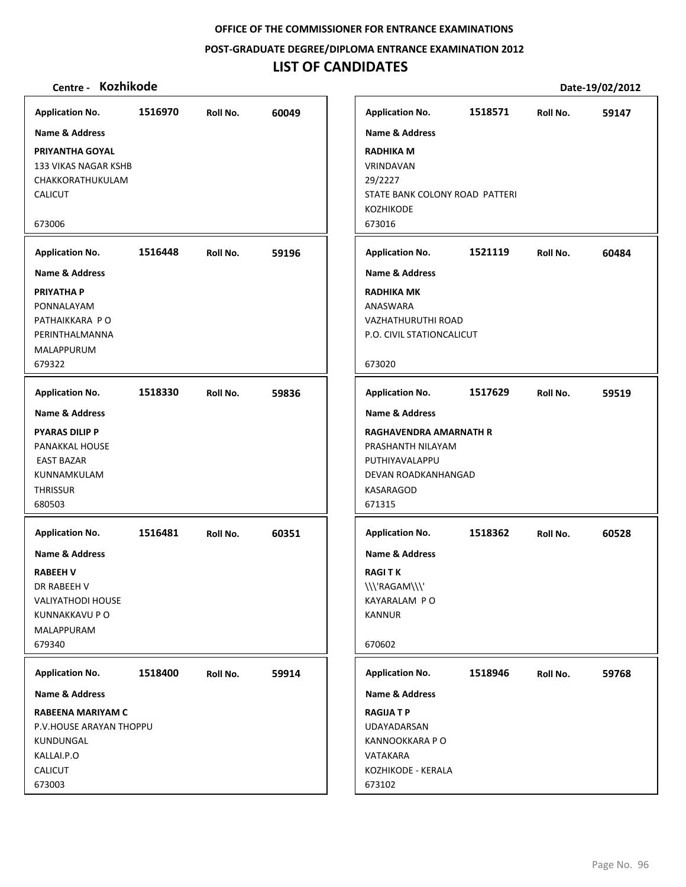#### **POST‐GRADUATE DEGREE/DIPLOMA ENTRANCE EXAMINATION 2012**

# **LIST OF CANDIDATES**

| Kozhikode<br>Centre -                                                                                                             |         |          |       |                                                                                                             |         |          | Date-19/02/2012 |
|-----------------------------------------------------------------------------------------------------------------------------------|---------|----------|-------|-------------------------------------------------------------------------------------------------------------|---------|----------|-----------------|
| <b>Application No.</b>                                                                                                            | 1516970 | Roll No. | 60049 | <b>Application No.</b>                                                                                      | 1518571 | Roll No. | 59147           |
| <b>Name &amp; Address</b>                                                                                                         |         |          |       | <b>Name &amp; Address</b>                                                                                   |         |          |                 |
| <b>PRIYANTHA GOYAL</b><br><b>133 VIKAS NAGAR KSHB</b><br>CHAKKORATHUKULAM<br><b>CALICUT</b>                                       |         |          |       | <b>RADHIKA M</b><br>VRINDAVAN<br>29/2227<br>STATE BANK COLONY ROAD PATTERI<br><b>KOZHIKODE</b>              |         |          |                 |
| 673006                                                                                                                            |         |          |       | 673016                                                                                                      |         |          |                 |
| <b>Application No.</b>                                                                                                            | 1516448 | Roll No. | 59196 | <b>Application No.</b>                                                                                      | 1521119 | Roll No. | 60484           |
| <b>Name &amp; Address</b>                                                                                                         |         |          |       | <b>Name &amp; Address</b>                                                                                   |         |          |                 |
| <b>PRIYATHA P</b><br>PONNALAYAM<br>PATHAIKKARA PO<br>PERINTHALMANNA<br><b>MALAPPURUM</b><br>679322                                |         |          |       | <b>RADHIKA MK</b><br>ANASWARA<br>VAZHATHURUTHI ROAD<br>P.O. CIVIL STATIONCALICUT<br>673020                  |         |          |                 |
| <b>Application No.</b>                                                                                                            | 1518330 | Roll No. | 59836 | <b>Application No.</b>                                                                                      | 1517629 | Roll No. | 59519           |
| <b>Name &amp; Address</b>                                                                                                         |         |          |       | <b>Name &amp; Address</b>                                                                                   |         |          |                 |
| <b>PYARAS DILIP P</b><br>PANAKKAL HOUSE<br><b>EAST BAZAR</b><br>KUNNAMKULAM<br><b>THRISSUR</b><br>680503                          |         |          |       | RAGHAVENDRA AMARNATH R<br>PRASHANTH NILAYAM<br>PUTHIYAVALAPPU<br>DEVAN ROADKANHANGAD<br>KASARAGOD<br>671315 |         |          |                 |
| <b>Application No.</b>                                                                                                            | 1516481 | Roll No. | 60351 | <b>Application No.</b>                                                                                      | 1518362 | Roll No. | 60528           |
| <b>Name &amp; Address</b><br><b>RABEEH V</b><br>DR RABEEH V<br><b>VALIYATHODI HOUSE</b><br>KUNNAKKAVU P O<br>MALAPPURAM<br>679340 |         |          |       | <b>Name &amp; Address</b><br><b>RAGITK</b><br>\\\'RAGAM\\\'<br>KAYARALAM PO<br>KANNUR<br>670602             |         |          |                 |
| <b>Application No.</b>                                                                                                            | 1518400 | Roll No. | 59914 | <b>Application No.</b>                                                                                      | 1518946 | Roll No. | 59768           |
| Name & Address                                                                                                                    |         |          |       | Name & Address                                                                                              |         |          |                 |
| RABEENA MARIYAM C<br>P.V.HOUSE ARAYAN THOPPU<br>KUNDUNGAL<br>KALLAI.P.O                                                           |         |          |       | <b>RAGIJA T P</b><br>UDAYADARSAN<br>KANNOOKKARA P O<br>VATAKARA                                             |         |          |                 |
| CALICUT<br>673003                                                                                                                 |         |          |       | KOZHIKODE - KERALA<br>673102                                                                                |         |          |                 |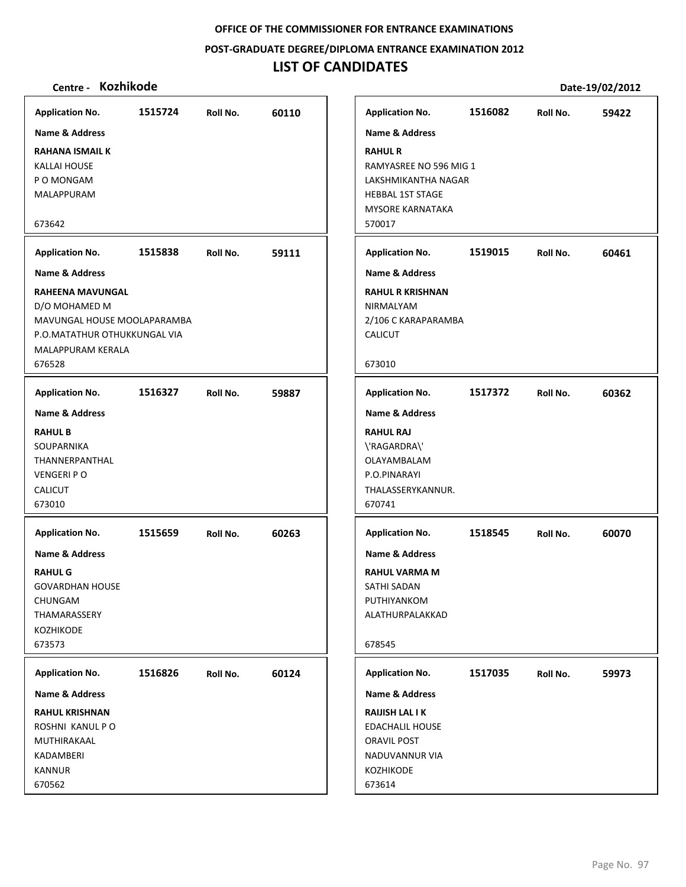#### **POST‐GRADUATE DEGREE/DIPLOMA ENTRANCE EXAMINATION 2012**

# **LIST OF CANDIDATES**

| <b>Application No.</b>                                                                                                                 | 1515724 | Roll No. | 60110 | <b>Application No.</b>                                                                                                          | 1516082 | Roll No. | 59422 |
|----------------------------------------------------------------------------------------------------------------------------------------|---------|----------|-------|---------------------------------------------------------------------------------------------------------------------------------|---------|----------|-------|
| <b>Name &amp; Address</b>                                                                                                              |         |          |       | <b>Name &amp; Address</b>                                                                                                       |         |          |       |
| <b>RAHANA ISMAIL K</b><br><b>KALLAI HOUSE</b><br>P O MONGAM<br>MALAPPURAM<br>673642                                                    |         |          |       | <b>RAHUL R</b><br>RAMYASREE NO 596 MIG 1<br>LAKSHMIKANTHA NAGAR<br><b>HEBBAL 1ST STAGE</b><br><b>MYSORE KARNATAKA</b><br>570017 |         |          |       |
|                                                                                                                                        |         |          |       |                                                                                                                                 |         |          |       |
| <b>Application No.</b>                                                                                                                 | 1515838 | Roll No. | 59111 | <b>Application No.</b>                                                                                                          | 1519015 | Roll No. | 60461 |
| <b>Name &amp; Address</b>                                                                                                              |         |          |       | <b>Name &amp; Address</b>                                                                                                       |         |          |       |
| RAHEENA MAVUNGAL<br>D/O MOHAMED M<br>MAVUNGAL HOUSE MOOLAPARAMBA<br>P.O.MATATHUR OTHUKKUNGAL VIA<br><b>MALAPPURAM KERALA</b><br>676528 |         |          |       | <b>RAHUL R KRISHNAN</b><br>NIRMALYAM<br>2/106 C KARAPARAMBA<br><b>CALICUT</b><br>673010                                         |         |          |       |
| <b>Application No.</b>                                                                                                                 | 1516327 | Roll No. | 59887 | <b>Application No.</b>                                                                                                          | 1517372 | Roll No. | 60362 |
| <b>Name &amp; Address</b>                                                                                                              |         |          |       | <b>Name &amp; Address</b>                                                                                                       |         |          |       |
| <b>RAHUL B</b><br>SOUPARNIKA<br>THANNERPANTHAL<br><b>VENGERI PO</b><br>CALICUT<br>673010                                               |         |          |       | <b>RAHUL RAJ</b><br>\'RAGARDRA\'<br>OLAYAMBALAM<br>P.O.PINARAYI<br>THALASSERYKANNUR.<br>670741                                  |         |          |       |
| <b>Application No.</b>                                                                                                                 | 1515659 | Roll No. | 60263 | <b>Application No.</b>                                                                                                          | 1518545 | Roll No. | 60070 |
| <b>Name &amp; Address</b><br><b>RAHUL G</b><br><b>GOVARDHAN HOUSE</b><br>CHUNGAM<br>THAMARASSERY<br><b>KOZHIKODE</b><br>673573         |         |          |       | <b>Name &amp; Address</b><br><b>RAHUL VARMA M</b><br>SATHI SADAN<br>PUTHIYANKOM<br>ALATHURPALAKKAD<br>678545                    |         |          |       |
| <b>Application No.</b>                                                                                                                 | 1516826 | Roll No. | 60124 | <b>Application No.</b>                                                                                                          | 1517035 | Roll No. | 59973 |
| Name & Address                                                                                                                         |         |          |       | Name & Address                                                                                                                  |         |          |       |
| <b>RAHUL KRISHNAN</b><br>ROSHNI KANUL P O<br>MUTHIRAKAAL<br>KADAMBERI<br><b>KANNUR</b><br>670562                                       |         |          |       | <b>RAIJISH LAL I K</b><br><b>EDACHALIL HOUSE</b><br>ORAVIL POST<br>NADUVANNUR VIA<br>KOZHIKODE<br>673614                        |         |          |       |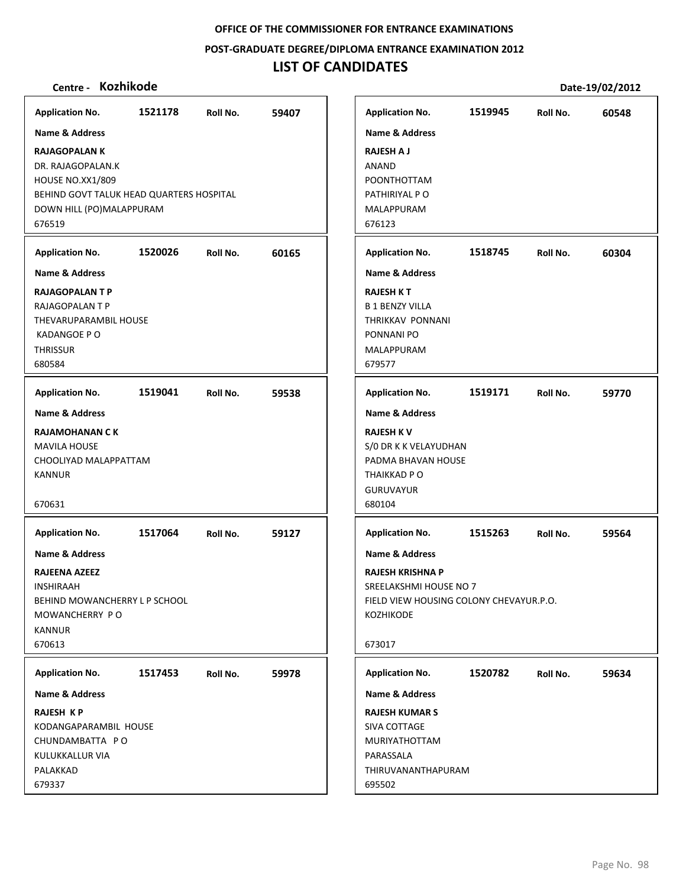**POST‐GRADUATE DEGREE/DIPLOMA ENTRANCE EXAMINATION 2012**

# **LIST OF CANDIDATES**

| <b>Application No.</b>                                                                                                                                 | 1521178 | Roll No. | 59407 | <b>Application No.</b>                                                                                                                                  | 1519945 | Roll No. | 60548 |
|--------------------------------------------------------------------------------------------------------------------------------------------------------|---------|----------|-------|---------------------------------------------------------------------------------------------------------------------------------------------------------|---------|----------|-------|
| <b>Name &amp; Address</b>                                                                                                                              |         |          |       | <b>Name &amp; Address</b>                                                                                                                               |         |          |       |
| <b>RAJAGOPALAN K</b><br>DR. RAJAGOPALAN.K<br><b>HOUSE NO.XX1/809</b><br>BEHIND GOVT TALUK HEAD QUARTERS HOSPITAL<br>DOWN HILL (PO)MALAPPURAM<br>676519 |         |          |       | <b>RAJESH A J</b><br><b>ANAND</b><br>POONTHOTTAM<br>PATHIRIYAL P O<br>MALAPPURAM<br>676123                                                              |         |          |       |
| <b>Application No.</b>                                                                                                                                 | 1520026 | Roll No. | 60165 | <b>Application No.</b>                                                                                                                                  | 1518745 | Roll No. | 60304 |
| Name & Address                                                                                                                                         |         |          |       | <b>Name &amp; Address</b>                                                                                                                               |         |          |       |
| <b>RAJAGOPALANTP</b><br>RAJAGOPALAN T P<br>THEVARUPARAMBIL HOUSE<br>KADANGOE PO<br><b>THRISSUR</b><br>680584                                           |         |          |       | <b>RAJESH K T</b><br><b>B 1 BENZY VILLA</b><br>THRIKKAV PONNANI<br>PONNANI PO<br>MALAPPURAM<br>679577                                                   |         |          |       |
| <b>Application No.</b>                                                                                                                                 | 1519041 | Roll No. | 59538 | <b>Application No.</b>                                                                                                                                  | 1519171 | Roll No. | 59770 |
| <b>Name &amp; Address</b>                                                                                                                              |         |          |       | <b>Name &amp; Address</b>                                                                                                                               |         |          |       |
| <b>RAJAMOHANAN C K</b><br><b>MAVILA HOUSE</b><br>CHOOLIYAD MALAPPATTAM<br><b>KANNUR</b><br>670631                                                      |         |          |       | <b>RAJESH KV</b><br>S/0 DR K K VELAYUDHAN<br>PADMA BHAVAN HOUSE<br>THAIKKAD PO<br><b>GURUVAYUR</b><br>680104                                            |         |          |       |
| <b>Application No.</b>                                                                                                                                 | 1517064 | Roll No. | 59127 | <b>Application No.</b>                                                                                                                                  | 1515263 | Roll No. | 59564 |
| Name & Address<br>RAJEENA AZEEZ<br>INSHIRAAH<br>BEHIND MOWANCHERRY L P SCHOOL<br>MOWANCHERRY PO<br><b>KANNUR</b><br>670613                             |         |          |       | <b>Name &amp; Address</b><br><b>RAJESH KRISHNA P</b><br>SREELAKSHMI HOUSE NO 7<br>FIELD VIEW HOUSING COLONY CHEVAYUR.P.O.<br><b>KOZHIKODE</b><br>673017 |         |          |       |
| <b>Application No.</b>                                                                                                                                 | 1517453 | Roll No. | 59978 | <b>Application No.</b>                                                                                                                                  | 1520782 | Roll No. | 59634 |
| <b>Name &amp; Address</b>                                                                                                                              |         |          |       | <b>Name &amp; Address</b>                                                                                                                               |         |          |       |
| <b>RAJESH KP</b><br>KODANGAPARAMBIL HOUSE<br>CHUNDAMBATTA PO<br>KULUKKALLUR VIA<br>PALAKKAD<br>679337                                                  |         |          |       | <b>RAJESH KUMAR S</b><br>SIVA COTTAGE<br><b>MURIYATHOTTAM</b><br>PARASSALA<br>THIRUVANANTHAPURAM<br>695502                                              |         |          |       |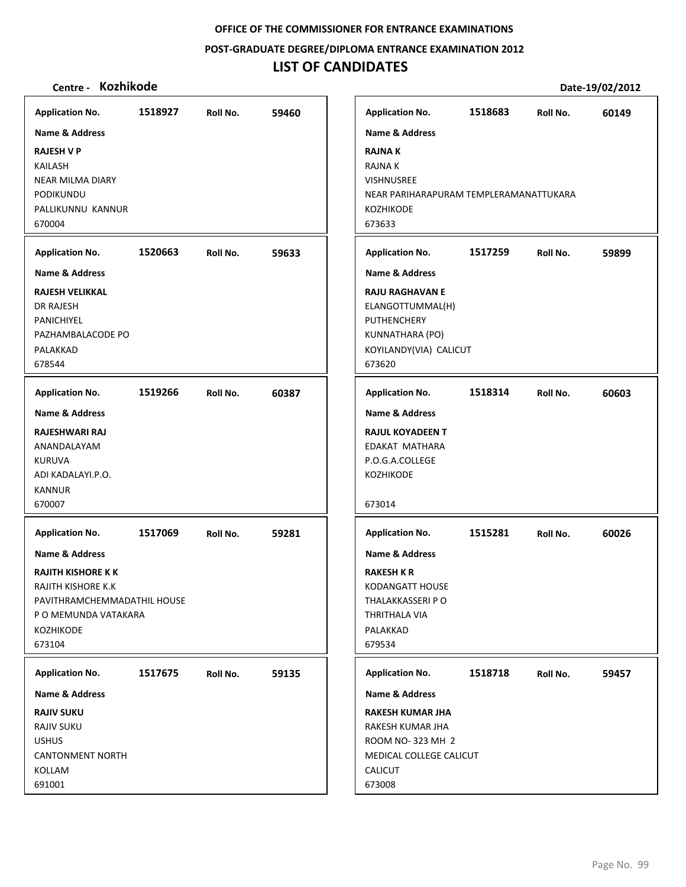**POST‐GRADUATE DEGREE/DIPLOMA ENTRANCE EXAMINATION 2012**

# **LIST OF CANDIDATES**

| <b>Application No.</b>                                                                                                                                                                  | 1518927 | Roll No. | 59460 | <b>Application No.</b>                                                                                                                                  | 1518683 | Roll No. | 60149 |
|-----------------------------------------------------------------------------------------------------------------------------------------------------------------------------------------|---------|----------|-------|---------------------------------------------------------------------------------------------------------------------------------------------------------|---------|----------|-------|
| Name & Address<br><b>RAJESH V P</b><br>KAILASH<br><b>NEAR MILMA DIARY</b><br>PODIKUNDU<br>PALLIKUNNU KANNUR<br>670004                                                                   |         |          |       | Name & Address<br><b>RAJNAK</b><br>RAJNA K<br>VISHNUSREE<br>NEAR PARIHARAPURAM TEMPLERAMANATTUKARA<br>KOZHIKODE<br>673633                               |         |          |       |
| <b>Application No.</b>                                                                                                                                                                  | 1520663 | Roll No. | 59633 | <b>Application No.</b>                                                                                                                                  | 1517259 | Roll No. | 59899 |
| <b>Name &amp; Address</b><br><b>RAJESH VELIKKAL</b><br><b>DR RAJESH</b><br>PANICHIYEL<br>PAZHAMBALACODE PO<br>PALAKKAD<br>678544                                                        |         |          |       | <b>Name &amp; Address</b><br><b>RAJU RAGHAVAN E</b><br>ELANGOTTUMMAL(H)<br><b>PUTHENCHERY</b><br>KUNNATHARA (PO)<br>KOYILANDY(VIA) CALICUT<br>673620    |         |          |       |
| <b>Application No.</b>                                                                                                                                                                  | 1519266 | Roll No. | 60387 | <b>Application No.</b>                                                                                                                                  | 1518314 | Roll No. | 60603 |
| <b>Name &amp; Address</b><br>RAJESHWARI RAJ<br>ANANDALAYAM<br><b>KURUVA</b><br>ADI KADALAYI.P.O.<br><b>KANNUR</b><br>670007                                                             |         |          |       | <b>Name &amp; Address</b><br><b>RAJUL KOYADEEN T</b><br>EDAKAT MATHARA<br>P.O.G.A.COLLEGE<br>KOZHIKODE<br>673014                                        |         |          |       |
| <b>Application No.</b><br>Name & Address<br><b>RAJITH KISHORE K K</b><br><b>RAJITH KISHORE K.K</b><br>PAVITHRAMCHEMMADATHIL HOUSE<br>P O MEMUNDA VATAKARA<br><b>KOZHIKODE</b><br>673104 | 1517069 | Roll No. | 59281 | <b>Application No.</b><br><b>Name &amp; Address</b><br><b>RAKESH K R</b><br>KODANGATT HOUSE<br>THALAKKASSERI P O<br>THRITHALA VIA<br>PALAKKAD<br>679534 | 1515281 | Roll No. | 60026 |
| <b>Application No.</b>                                                                                                                                                                  | 1517675 | Roll No. | 59135 | <b>Application No.</b>                                                                                                                                  | 1518718 | Roll No. | 59457 |
| <b>Name &amp; Address</b><br><b>RAJIV SUKU</b><br><b>RAJIV SUKU</b><br><b>USHUS</b><br><b>CANTONMENT NORTH</b><br>KOLLAM<br>691001                                                      |         |          |       | <b>Name &amp; Address</b><br><b>RAKESH KUMAR JHA</b><br>RAKESH KUMAR JHA<br>ROOM NO-323 MH 2<br>MEDICAL COLLEGE CALICUT<br><b>CALICUT</b><br>673008     |         |          |       |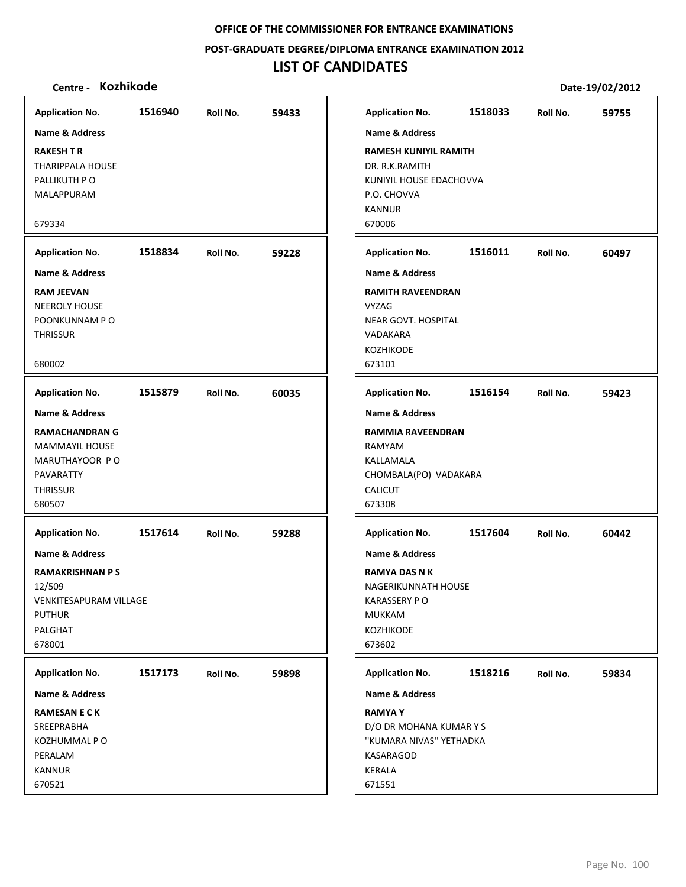#### **POST‐GRADUATE DEGREE/DIPLOMA ENTRANCE EXAMINATION 2012**

# **LIST OF CANDIDATES**

| <b>Application No.</b>    | 1516940 | Roll No. | 59433 | <b>Application No.</b>       | 1518033 | Roll No. | 59755 |
|---------------------------|---------|----------|-------|------------------------------|---------|----------|-------|
| <b>Name &amp; Address</b> |         |          |       | <b>Name &amp; Address</b>    |         |          |       |
| <b>RAKESH T R</b>         |         |          |       | <b>RAMESH KUNIYIL RAMITH</b> |         |          |       |
| <b>THARIPPALA HOUSE</b>   |         |          |       | DR. R.K.RAMITH               |         |          |       |
| PALLIKUTH P O             |         |          |       | KUNIYIL HOUSE EDACHOVVA      |         |          |       |
| MALAPPURAM                |         |          |       | P.O. CHOVVA                  |         |          |       |
|                           |         |          |       | <b>KANNUR</b>                |         |          |       |
| 679334                    |         |          |       | 670006                       |         |          |       |
| <b>Application No.</b>    | 1518834 | Roll No. | 59228 | <b>Application No.</b>       | 1516011 | Roll No. | 60497 |
| <b>Name &amp; Address</b> |         |          |       | <b>Name &amp; Address</b>    |         |          |       |
| <b>RAM JEEVAN</b>         |         |          |       | <b>RAMITH RAVEENDRAN</b>     |         |          |       |
| <b>NEEROLY HOUSE</b>      |         |          |       | <b>VYZAG</b>                 |         |          |       |
| POONKUNNAM P O            |         |          |       | <b>NEAR GOVT. HOSPITAL</b>   |         |          |       |
| <b>THRISSUR</b>           |         |          |       | <b>VADAKARA</b>              |         |          |       |
| 680002                    |         |          |       | <b>KOZHIKODE</b>             |         |          |       |
|                           |         |          |       | 673101                       |         |          |       |
| <b>Application No.</b>    | 1515879 | Roll No. | 60035 | <b>Application No.</b>       | 1516154 | Roll No. | 59423 |
| <b>Name &amp; Address</b> |         |          |       | <b>Name &amp; Address</b>    |         |          |       |
| <b>RAMACHANDRAN G</b>     |         |          |       | RAMMIA RAVEENDRAN            |         |          |       |
| <b>MAMMAYIL HOUSE</b>     |         |          |       | RAMYAM                       |         |          |       |
| MARUTHAYOOR PO            |         |          |       | KALLAMALA                    |         |          |       |
| PAVARATTY                 |         |          |       | CHOMBALA(PO) VADAKARA        |         |          |       |
| <b>THRISSUR</b>           |         |          |       | CALICUT                      |         |          |       |
| 680507                    |         |          |       | 673308                       |         |          |       |
| <b>Application No.</b>    | 1517614 | Roll No. | 59288 | <b>Application No.</b>       | 1517604 | Roll No. | 60442 |
| Name & Address            |         |          |       | <b>Name &amp; Address</b>    |         |          |       |
| <b>RAMAKRISHNAN PS</b>    |         |          |       | <b>RAMYA DAS N K</b>         |         |          |       |
| 12/509                    |         |          |       | NAGERIKUNNATH HOUSE          |         |          |       |
| VENKITESAPURAM VILLAGE    |         |          |       | <b>KARASSERY PO</b>          |         |          |       |
| <b>PUTHUR</b>             |         |          |       | <b>MUKKAM</b>                |         |          |       |
| PALGHAT                   |         |          |       | <b>KOZHIKODE</b>             |         |          |       |
| 678001                    |         |          |       | 673602                       |         |          |       |
| <b>Application No.</b>    | 1517173 | Roll No. | 59898 | <b>Application No.</b>       | 1518216 | Roll No. | 59834 |
| Name & Address            |         |          |       | Name & Address               |         |          |       |
| <b>RAMESAN E C K</b>      |         |          |       | <b>RAMYAY</b>                |         |          |       |
| SREEPRABHA                |         |          |       | D/O DR MOHANA KUMAR Y S      |         |          |       |
| KOZHUMMAL P O             |         |          |       | "KUMARA NIVAS" YETHADKA      |         |          |       |
| PERALAM                   |         |          |       | KASARAGOD                    |         |          |       |
| KANNUR                    |         |          |       | <b>KERALA</b>                |         |          |       |
| 670521                    |         |          |       | 671551                       |         |          |       |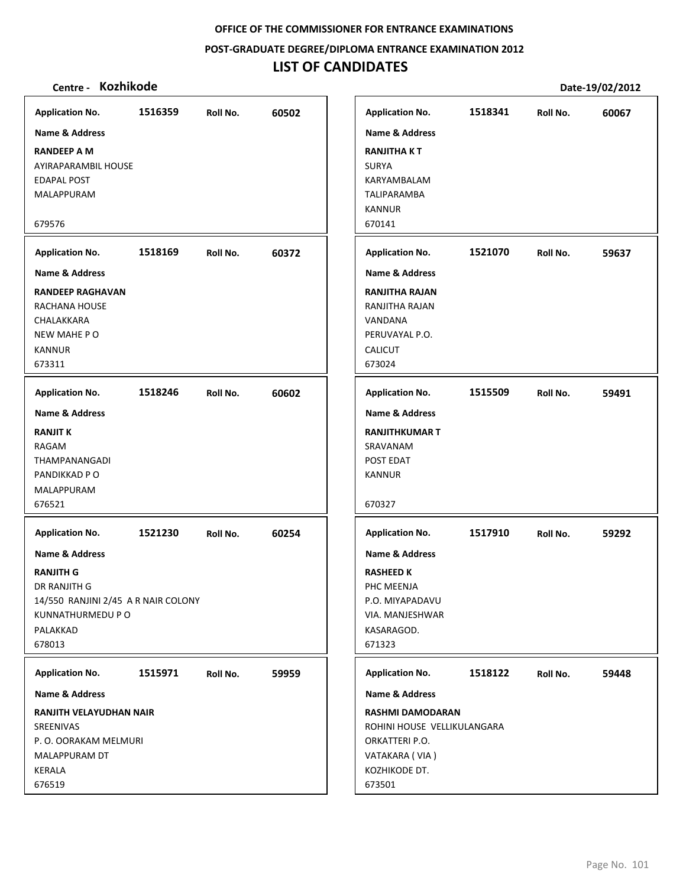**POST‐GRADUATE DEGREE/DIPLOMA ENTRANCE EXAMINATION 2012**

# **LIST OF CANDIDATES**

| <b>Application No.</b>              | 1516359 | Roll No. | 60502 | <b>Application No.</b>      | 1518341 | Roll No. | 60067 |
|-------------------------------------|---------|----------|-------|-----------------------------|---------|----------|-------|
| <b>Name &amp; Address</b>           |         |          |       | <b>Name &amp; Address</b>   |         |          |       |
| <b>RANDEEP A M</b>                  |         |          |       | <b>RANJITHAKT</b>           |         |          |       |
| AYIRAPARAMBIL HOUSE                 |         |          |       | <b>SURYA</b>                |         |          |       |
| <b>EDAPAL POST</b>                  |         |          |       | KARYAMBALAM                 |         |          |       |
| MALAPPURAM                          |         |          |       | TALIPARAMBA                 |         |          |       |
|                                     |         |          |       | <b>KANNUR</b>               |         |          |       |
| 679576                              |         |          |       | 670141                      |         |          |       |
| <b>Application No.</b>              | 1518169 | Roll No. | 60372 | <b>Application No.</b>      | 1521070 | Roll No. | 59637 |
| <b>Name &amp; Address</b>           |         |          |       | <b>Name &amp; Address</b>   |         |          |       |
| <b>RANDEEP RAGHAVAN</b>             |         |          |       | <b>RANJITHA RAJAN</b>       |         |          |       |
| RACHANA HOUSE                       |         |          |       | RANJITHA RAJAN              |         |          |       |
| CHALAKKARA                          |         |          |       | VANDANA                     |         |          |       |
| NEW MAHE PO                         |         |          |       | PERUVAYAL P.O.              |         |          |       |
| <b>KANNUR</b>                       |         |          |       | CALICUT                     |         |          |       |
| 673311                              |         |          |       | 673024                      |         |          |       |
| <b>Application No.</b>              | 1518246 | Roll No. | 60602 | <b>Application No.</b>      | 1515509 | Roll No. | 59491 |
| <b>Name &amp; Address</b>           |         |          |       | <b>Name &amp; Address</b>   |         |          |       |
| <b>RANJIT K</b>                     |         |          |       | <b>RANJITHKUMAR T</b>       |         |          |       |
| RAGAM                               |         |          |       | SRAVANAM                    |         |          |       |
| THAMPANANGADI                       |         |          |       | POST EDAT                   |         |          |       |
| PANDIKKAD P O                       |         |          |       | <b>KANNUR</b>               |         |          |       |
| MALAPPURAM                          |         |          |       |                             |         |          |       |
| 676521                              |         |          |       | 670327                      |         |          |       |
| <b>Application No.</b>              | 1521230 | Roll No. | 60254 | <b>Application No.</b>      | 1517910 | Roll No. | 59292 |
| Name & Address                      |         |          |       | <b>Name &amp; Address</b>   |         |          |       |
| <b>RANJITH G</b>                    |         |          |       | RASHEED K                   |         |          |       |
| DR RANJITH G                        |         |          |       | PHC MEENJA                  |         |          |       |
| 14/550 RANJINI 2/45 A R NAIR COLONY |         |          |       | P.O. MIYAPADAVU             |         |          |       |
| KUNNATHURMEDU P O                   |         |          |       | VIA. MANJESHWAR             |         |          |       |
| PALAKKAD                            |         |          |       | KASARAGOD.                  |         |          |       |
| 678013                              |         |          |       | 671323                      |         |          |       |
| <b>Application No.</b>              | 1515971 | Roll No. | 59959 | <b>Application No.</b>      | 1518122 | Roll No. | 59448 |
| <b>Name &amp; Address</b>           |         |          |       | Name & Address              |         |          |       |
| RANJITH VELAYUDHAN NAIR             |         |          |       | <b>RASHMI DAMODARAN</b>     |         |          |       |
| <b>SREENIVAS</b>                    |         |          |       | ROHINI HOUSE VELLIKULANGARA |         |          |       |
| P.O. OORAKAM MELMURI                |         |          |       | ORKATTERI P.O.              |         |          |       |
| MALAPPURAM DT                       |         |          |       | VATAKARA (VIA)              |         |          |       |
| KERALA                              |         |          |       | KOZHIKODE DT.               |         |          |       |
| 676519                              |         |          |       | 673501                      |         |          |       |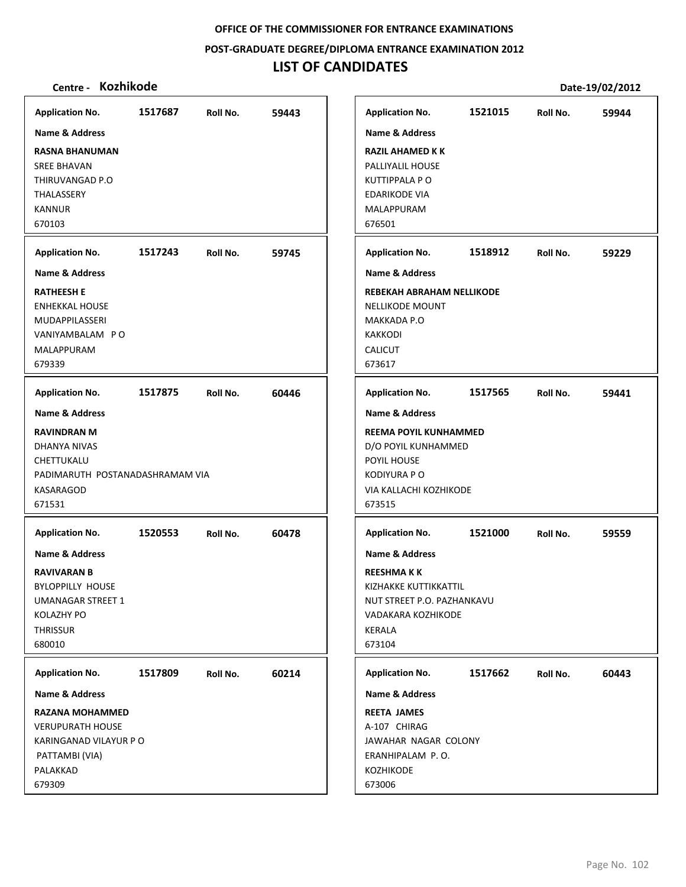**POST‐GRADUATE DEGREE/DIPLOMA ENTRANCE EXAMINATION 2012**

# **LIST OF CANDIDATES**

| <b>Kozhikode</b><br>Centre -                                                                                                                                     |         |          |       |                                                                                                                                                     |                                       |          | Date-19/02/2012 |
|------------------------------------------------------------------------------------------------------------------------------------------------------------------|---------|----------|-------|-----------------------------------------------------------------------------------------------------------------------------------------------------|---------------------------------------|----------|-----------------|
| <b>Application No.</b>                                                                                                                                           | 1517687 | Roll No. | 59443 | <b>Application No.</b>                                                                                                                              | 1521015                               | Roll No. | 59944           |
| Name & Address<br><b>RASNA BHANUMAN</b><br><b>SREE BHAVAN</b><br>THIRUVANGAD P.O<br>THALASSERY<br><b>KANNUR</b><br>670103                                        |         |          |       | <b>Name &amp; Address</b><br>RAZIL AHAMED K K<br>PALLIYALIL HOUSE<br><b>KUTTIPPALA PO</b><br>EDARIKODE VIA<br>MALAPPURAM<br>676501                  |                                       |          |                 |
| <b>Application No.</b>                                                                                                                                           | 1517243 | Roll No. | 59745 | <b>Application No.</b>                                                                                                                              | 1518912                               | Roll No. | 59229           |
| <b>Name &amp; Address</b><br><b>RATHEESH E</b><br><b>ENHEKKAL HOUSE</b><br>MUDAPPILASSERI<br>VANIYAMBALAM PO<br>MALAPPURAM<br>679339                             |         |          |       | <b>Name &amp; Address</b><br><b>NELLIKODE MOUNT</b><br>MAKKADA P.O<br><b>KAKKODI</b><br>CALICUT<br>673617                                           | REBEKAH ABRAHAM NELLIKODE             |          |                 |
| <b>Application No.</b>                                                                                                                                           | 1517875 | Roll No. | 60446 | <b>Application No.</b>                                                                                                                              | 1517565                               | Roll No. | 59441           |
| <b>Name &amp; Address</b><br><b>RAVINDRAN M</b><br>DHANYA NIVAS<br>CHETTUKALU<br>PADIMARUTH POSTANADASHRAMAM VIA<br>KASARAGOD<br>671531                          |         |          |       | <b>Name &amp; Address</b><br>REEMA POYIL KUNHAMMED<br>D/O POYIL KUNHAMMED<br>POYIL HOUSE<br><b>KODIYURA P O</b><br>VIA KALLACHI KOZHIKODE<br>673515 |                                       |          |                 |
| <b>Application No.</b><br>Name & Address<br><b>RAVIVARAN B</b><br><b>BYLOPPILLY HOUSE</b><br><b>UMANAGAR STREET 1</b><br>KOLAZHY PO<br><b>THRISSUR</b><br>680010 | 1520553 | Roll No. | 60478 | <b>Application No.</b><br><b>Name &amp; Address</b><br>REESHMA K K<br>KIZHAKKE KUTTIKKATTIL<br>VADAKARA KOZHIKODE<br>KERALA<br>673104               | 1521000<br>NUT STREET P.O. PAZHANKAVU | Roll No. | 59559           |
| <b>Application No.</b>                                                                                                                                           | 1517809 | Roll No. | 60214 | <b>Application No.</b>                                                                                                                              | 1517662                               | Roll No. | 60443           |
| <b>Name &amp; Address</b><br><b>RAZANA MOHAMMED</b><br><b>VERUPURATH HOUSE</b><br>KARINGANAD VILAYUR P O<br>PATTAMBI (VIA)<br>PALAKKAD<br>679309                 |         |          |       | <b>Name &amp; Address</b><br><b>REETA JAMES</b><br>A-107 CHIRAG<br>JAWAHAR NAGAR COLONY<br>ERANHIPALAM P.O.<br><b>KOZHIKODE</b><br>673006           |                                       |          |                 |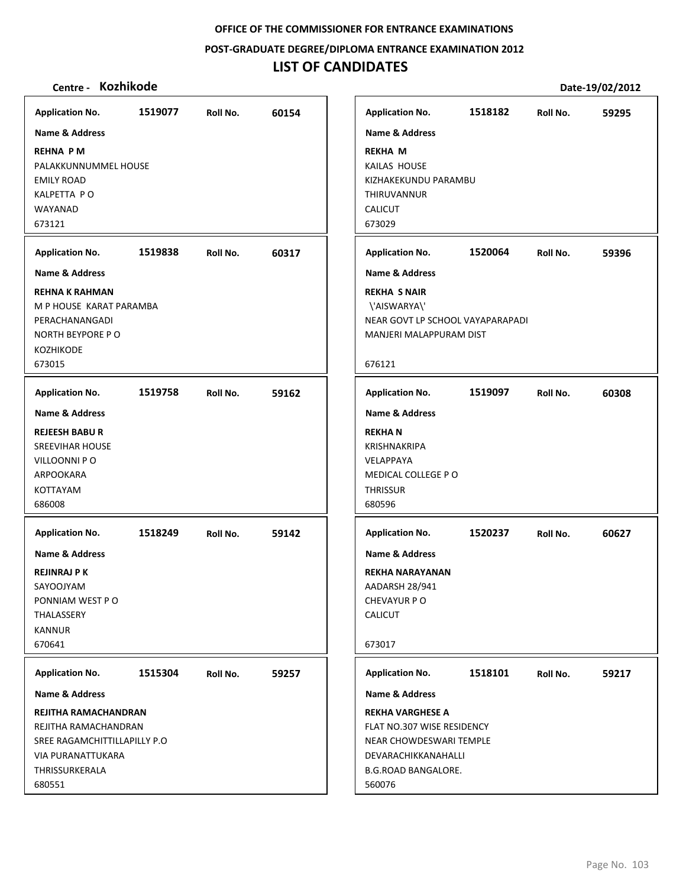**POST‐GRADUATE DEGREE/DIPLOMA ENTRANCE EXAMINATION 2012**

# **LIST OF CANDIDATES**

| <b>Application No.</b>                                                                                                                                      | 1519077 | Roll No. | 60154 | <b>Application No.</b>                                                                                                                                            | 1518182 | Roll No. | 59295 |
|-------------------------------------------------------------------------------------------------------------------------------------------------------------|---------|----------|-------|-------------------------------------------------------------------------------------------------------------------------------------------------------------------|---------|----------|-------|
| <b>Name &amp; Address</b>                                                                                                                                   |         |          |       | <b>Name &amp; Address</b>                                                                                                                                         |         |          |       |
| <b>REHNA PM</b><br>PALAKKUNNUMMEL HOUSE<br><b>EMILY ROAD</b><br>KALPETTA PO<br>WAYANAD<br>673121                                                            |         |          |       | <b>REKHA M</b><br>KAILAS HOUSE<br>KIZHAKEKUNDU PARAMBU<br>THIRUVANNUR<br><b>CALICUT</b><br>673029                                                                 |         |          |       |
| <b>Application No.</b>                                                                                                                                      | 1519838 | Roll No. | 60317 | <b>Application No.</b>                                                                                                                                            | 1520064 | Roll No. | 59396 |
| <b>Name &amp; Address</b>                                                                                                                                   |         |          |       | <b>Name &amp; Address</b>                                                                                                                                         |         |          |       |
| <b>REHNA K RAHMAN</b><br>M P HOUSE KARAT PARAMBA<br>PERACHANANGADI<br>NORTH BEYPORE PO<br><b>KOZHIKODE</b><br>673015                                        |         |          |       | <b>REKHA S NAIR</b><br>\'AISWARYA\'<br>NEAR GOVT LP SCHOOL VAYAPARAPADI<br>MANJERI MALAPPURAM DIST<br>676121                                                      |         |          |       |
| <b>Application No.</b>                                                                                                                                      | 1519758 | Roll No. | 59162 | <b>Application No.</b>                                                                                                                                            | 1519097 | Roll No. | 60308 |
| <b>Name &amp; Address</b>                                                                                                                                   |         |          |       | <b>Name &amp; Address</b>                                                                                                                                         |         |          |       |
| <b>REJEESH BABUR</b><br><b>SREEVIHAR HOUSE</b><br>VILLOONNI PO<br>ARPOOKARA<br>KOTTAYAM<br>686008                                                           |         |          |       | <b>REKHAN</b><br><b>KRISHNAKRIPA</b><br>VELAPPAYA<br>MEDICAL COLLEGE PO<br><b>THRISSUR</b><br>680596                                                              |         |          |       |
| <b>Application No.</b>                                                                                                                                      | 1518249 | Roll No. | 59142 | <b>Application No.</b>                                                                                                                                            | 1520237 | Roll No. | 60627 |
| Name & Address<br><b>REJINRAJ P K</b><br>SAYOOJYAM<br>PONNIAM WEST PO<br>THALASSERY<br><b>KANNUR</b><br>670641                                              |         |          |       | <b>Name &amp; Address</b><br><b>REKHA NARAYANAN</b><br>AADARSH 28/941<br>CHEVAYUR P O<br><b>CALICUT</b><br>673017                                                 |         |          |       |
|                                                                                                                                                             |         |          |       |                                                                                                                                                                   |         |          |       |
| <b>Application No.</b>                                                                                                                                      | 1515304 | Roll No. | 59257 | <b>Application No.</b>                                                                                                                                            | 1518101 | Roll No. | 59217 |
| <b>Name &amp; Address</b><br>REJITHA RAMACHANDRAN<br>REJITHA RAMACHANDRAN<br>SREE RAGAMCHITTILLAPILLY P.O.<br>VIA PURANATTUKARA<br>THRISSURKERALA<br>680551 |         |          |       | Name & Address<br><b>REKHA VARGHESE A</b><br>FLAT NO.307 WISE RESIDENCY<br>NEAR CHOWDESWARI TEMPLE<br>DEVARACHIKKANAHALLI<br><b>B.G.ROAD BANGALORE.</b><br>560076 |         |          |       |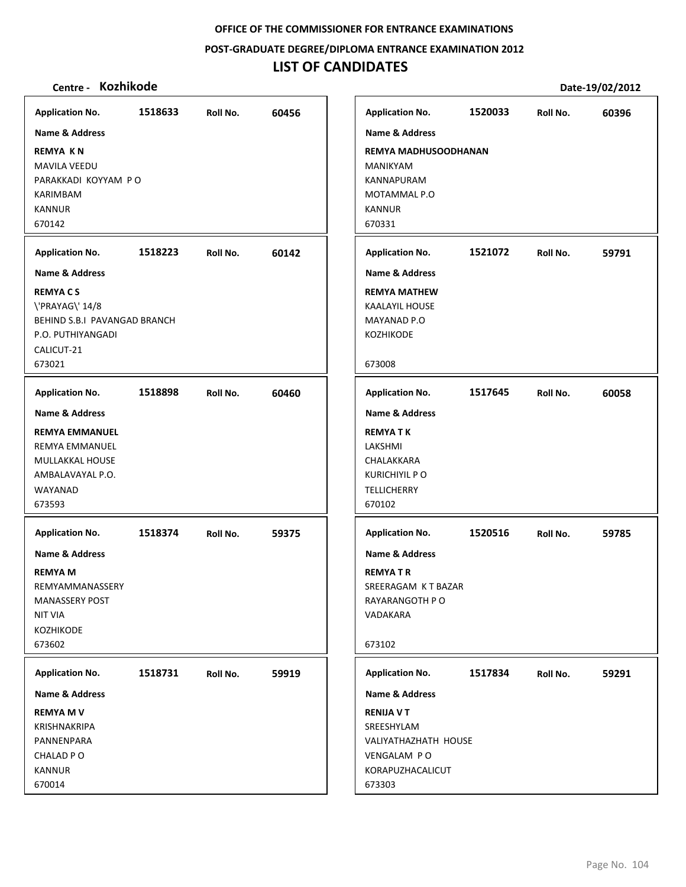**POST‐GRADUATE DEGREE/DIPLOMA ENTRANCE EXAMINATION 2012**

# **LIST OF CANDIDATES**

| <b>Application No.</b>                                                                                                           | 1518633 | Roll No. | 60456 | <b>Application No.</b>                                                                                     | 1520033 | Roll No. | 60396 |
|----------------------------------------------------------------------------------------------------------------------------------|---------|----------|-------|------------------------------------------------------------------------------------------------------------|---------|----------|-------|
| Name & Address                                                                                                                   |         |          |       | <b>Name &amp; Address</b>                                                                                  |         |          |       |
| <b>REMYA KN</b><br><b>MAVILA VEEDU</b><br>PARAKKADI KOYYAM PO<br><b>KARIMBAM</b><br><b>KANNUR</b><br>670142                      |         |          |       | <b>REMYA MADHUSOODHANAN</b><br><b>MANIKYAM</b><br>KANNAPURAM<br>MOTAMMAL P.O<br><b>KANNUR</b><br>670331    |         |          |       |
| <b>Application No.</b>                                                                                                           | 1518223 | Roll No. | 60142 | <b>Application No.</b>                                                                                     | 1521072 | Roll No. | 59791 |
| <b>Name &amp; Address</b>                                                                                                        |         |          |       | <b>Name &amp; Address</b>                                                                                  |         |          |       |
| <b>REMYACS</b><br>\'PRAYAG\' 14/8<br>BEHIND S.B.I PAVANGAD BRANCH<br>P.O. PUTHIYANGADI<br>CALICUT-21<br>673021                   |         |          |       | <b>REMYA MATHEW</b><br><b>KAALAYIL HOUSE</b><br>MAYANAD P.O<br>KOZHIKODE<br>673008                         |         |          |       |
| <b>Application No.</b>                                                                                                           | 1518898 | Roll No. | 60460 | <b>Application No.</b>                                                                                     | 1517645 | Roll No. | 60058 |
| <b>Name &amp; Address</b>                                                                                                        |         |          |       | <b>Name &amp; Address</b>                                                                                  |         |          |       |
| <b>REMYA EMMANUEL</b><br><b>REMYA EMMANUEL</b><br>MULLAKKAL HOUSE<br>AMBALAVAYAL P.O.<br>WAYANAD<br>673593                       |         |          |       | <b>REMYATK</b><br>LAKSHMI<br>CHALAKKARA<br><b>KURICHIYIL P O</b><br><b>TELLICHERRY</b><br>670102           |         |          |       |
| <b>Application No.</b>                                                                                                           | 1518374 | Roll No. | 59375 | <b>Application No.</b>                                                                                     | 1520516 | Roll No. | 59785 |
| <b>Name &amp; Address</b><br><b>REMYA M</b><br>REMYAMMANASSERY<br><b>MANASSERY POST</b><br><b>NIT VIA</b><br>KOZHIKODE<br>673602 |         |          |       | <b>Name &amp; Address</b><br><b>REMYATR</b><br>SREERAGAM KT BAZAR<br>RAYARANGOTH P O<br>VADAKARA<br>673102 |         |          |       |
| <b>Application No.</b>                                                                                                           | 1518731 | Roll No. | 59919 | <b>Application No.</b>                                                                                     | 1517834 | Roll No. | 59291 |
| Name & Address                                                                                                                   |         |          |       | Name & Address                                                                                             |         |          |       |
| <b>REMYA MV</b><br>KRISHNAKRIPA<br>PANNENPARA<br>CHALAD PO<br><b>KANNUR</b><br>670014                                            |         |          |       | <b>RENIJA V T</b><br>SREESHYLAM<br>VALIYATHAZHATH HOUSE<br>VENGALAM PO<br>KORAPUZHACALICUT<br>673303       |         |          |       |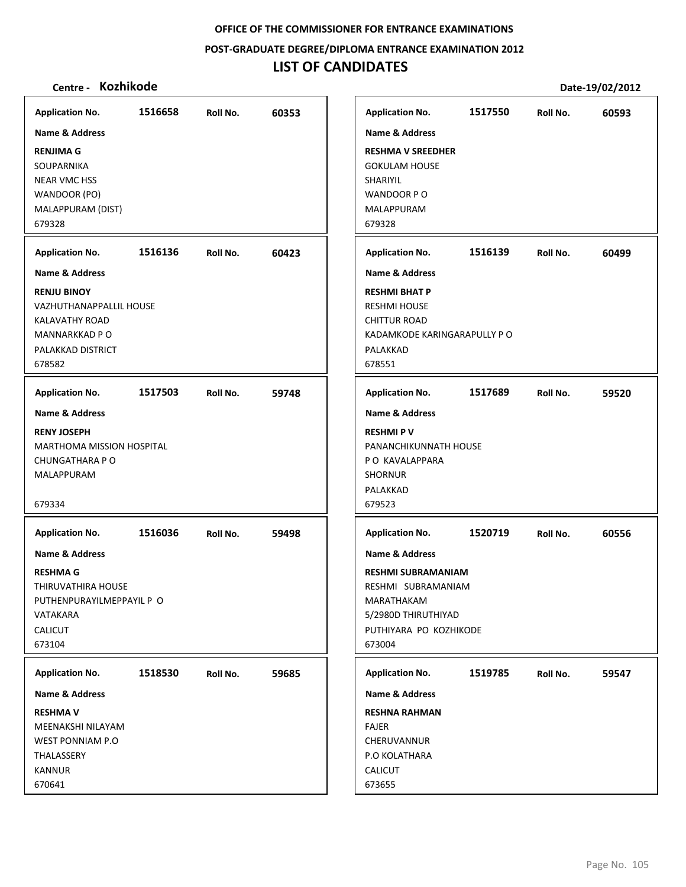**POST‐GRADUATE DEGREE/DIPLOMA ENTRANCE EXAMINATION 2012**

# **LIST OF CANDIDATES**

| <b>Application No.</b>                                                                                                                                                                                                                                       | 1516658 | Roll No. | 60353 |
|--------------------------------------------------------------------------------------------------------------------------------------------------------------------------------------------------------------------------------------------------------------|---------|----------|-------|
| Name & Address                                                                                                                                                                                                                                               |         |          |       |
| <b>RENJIMA G</b>                                                                                                                                                                                                                                             |         |          |       |
| SOUPARNIKA                                                                                                                                                                                                                                                   |         |          |       |
| <b>NEAR VMC HSS</b>                                                                                                                                                                                                                                          |         |          |       |
| WANDOOR (PO)                                                                                                                                                                                                                                                 |         |          |       |
| MALAPPURAM (DIST)<br>679328                                                                                                                                                                                                                                  |         |          |       |
|                                                                                                                                                                                                                                                              |         |          |       |
| <b>Application No.</b>                                                                                                                                                                                                                                       | 1516136 | Roll No. | 60423 |
| <b>Name &amp; Address</b>                                                                                                                                                                                                                                    |         |          |       |
| <b>RENJU BINOY</b>                                                                                                                                                                                                                                           |         |          |       |
| VAZHUTHANAPPALLIL HOUSE                                                                                                                                                                                                                                      |         |          |       |
| KALAVATHY ROAD<br>MANNARKKAD P O                                                                                                                                                                                                                             |         |          |       |
| PALAKKAD DISTRICT                                                                                                                                                                                                                                            |         |          |       |
| 678582                                                                                                                                                                                                                                                       |         |          |       |
| <b>Application No.</b>                                                                                                                                                                                                                                       | 1517503 | Roll No. | 59748 |
| Name & Address                                                                                                                                                                                                                                               |         |          |       |
|                                                                                                                                                                                                                                                              |         |          |       |
| <b>RENY JOSEPH</b><br><b>MARTHOMA MISSION HOSPITAL</b>                                                                                                                                                                                                       |         |          |       |
| <b>CHUNGATHARA P O</b>                                                                                                                                                                                                                                       |         |          |       |
| MALAPPURAM                                                                                                                                                                                                                                                   |         |          |       |
|                                                                                                                                                                                                                                                              |         |          |       |
| 679334                                                                                                                                                                                                                                                       |         |          |       |
| <b>Application No.</b>                                                                                                                                                                                                                                       | 1516036 | Roll No. | 59498 |
| <b>Name &amp; Address</b>                                                                                                                                                                                                                                    |         |          |       |
|                                                                                                                                                                                                                                                              |         |          |       |
|                                                                                                                                                                                                                                                              |         |          |       |
|                                                                                                                                                                                                                                                              |         |          |       |
|                                                                                                                                                                                                                                                              |         |          |       |
|                                                                                                                                                                                                                                                              |         |          |       |
|                                                                                                                                                                                                                                                              |         |          |       |
|                                                                                                                                                                                                                                                              |         |          |       |
|                                                                                                                                                                                                                                                              | 1518530 | Roll No. | 59685 |
|                                                                                                                                                                                                                                                              |         |          |       |
|                                                                                                                                                                                                                                                              |         |          |       |
|                                                                                                                                                                                                                                                              |         |          |       |
|                                                                                                                                                                                                                                                              |         |          |       |
| <b>RESHMA G</b><br>THIRUVATHIRA HOUSE<br>PUTHENPURAYILMEPPAYIL P O<br>VATAKARA<br><b>CALICUT</b><br>673104<br><b>Application No.</b><br><b>Name &amp; Address</b><br><b>RESHMA V</b><br>MEENAKSHI NILAYAM<br>WEST PONNIAM P.O<br>THALASSERY<br><b>KANNUR</b> |         |          |       |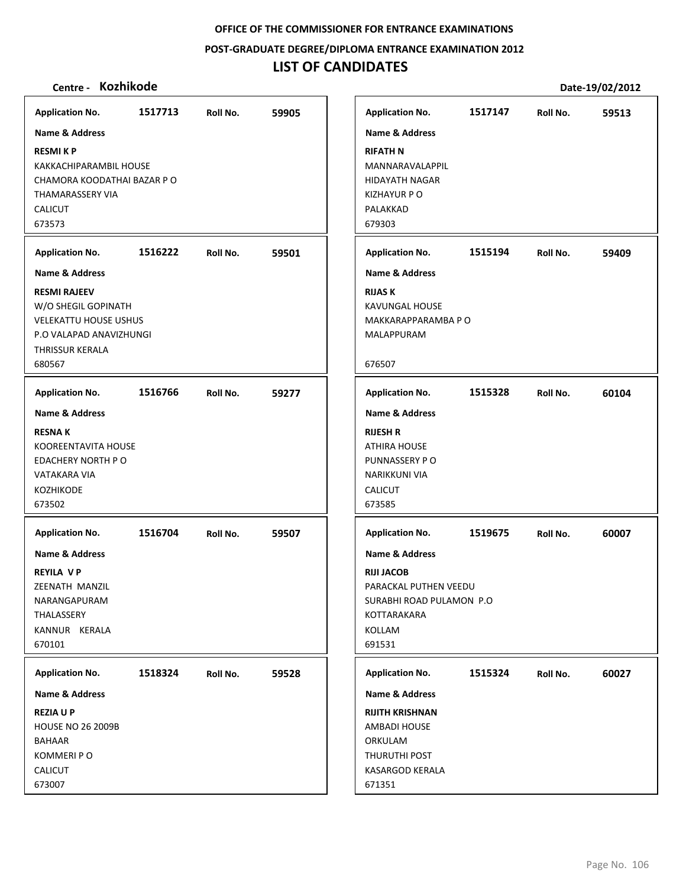**POST‐GRADUATE DEGREE/DIPLOMA ENTRANCE EXAMINATION 2012**

# **LIST OF CANDIDATES**

| <b>Application No.</b>                                                                                                             | 1517713 | Roll No. | 59905 | <b>Application No.</b>                                                                                                                 | 1517147 | Roll No. | 59513 |
|------------------------------------------------------------------------------------------------------------------------------------|---------|----------|-------|----------------------------------------------------------------------------------------------------------------------------------------|---------|----------|-------|
| <b>Name &amp; Address</b>                                                                                                          |         |          |       | <b>Name &amp; Address</b>                                                                                                              |         |          |       |
| <b>RESMIKP</b><br>KAKKACHIPARAMBIL HOUSE<br>CHAMORA KOODATHAI BAZAR P O<br>THAMARASSERY VIA<br><b>CALICUT</b><br>673573            |         |          |       | <b>RIFATH N</b><br>MANNARAVALAPPIL<br><b>HIDAYATH NAGAR</b><br><b>KIZHAYUR P O</b><br>PALAKKAD<br>679303                               |         |          |       |
| <b>Application No.</b>                                                                                                             | 1516222 | Roll No. | 59501 | <b>Application No.</b>                                                                                                                 | 1515194 | Roll No. | 59409 |
| <b>Name &amp; Address</b>                                                                                                          |         |          |       | <b>Name &amp; Address</b>                                                                                                              |         |          |       |
| <b>RESMI RAJEEV</b><br>W/O SHEGIL GOPINATH<br><b>VELEKATTU HOUSE USHUS</b><br>P.O VALAPAD ANAVIZHUNGI<br>THRISSUR KERALA<br>680567 |         |          |       | <b>RIJAS K</b><br><b>KAVUNGAL HOUSE</b><br>MAKKARAPPARAMBA P O<br>MALAPPURAM<br>676507                                                 |         |          |       |
|                                                                                                                                    |         |          |       |                                                                                                                                        |         |          |       |
| <b>Application No.</b>                                                                                                             | 1516766 | Roll No. | 59277 | <b>Application No.</b>                                                                                                                 | 1515328 | Roll No. | 60104 |
| <b>Name &amp; Address</b>                                                                                                          |         |          |       | <b>Name &amp; Address</b>                                                                                                              |         |          |       |
| <b>RESNAK</b><br>KOOREENTAVITA HOUSE<br>EDACHERY NORTH PO<br>VATAKARA VIA<br><b>KOZHIKODE</b><br>673502                            |         |          |       | <b>RIJESH R</b><br><b>ATHIRA HOUSE</b><br>PUNNASSERY PO<br>NARIKKUNI VIA<br><b>CALICUT</b><br>673585                                   |         |          |       |
| <b>Application No.</b>                                                                                                             | 1516704 | Roll No. | 59507 | <b>Application No.</b>                                                                                                                 | 1519675 | Roll No. | 60007 |
| <b>Name &amp; Address</b><br><b>REYILA VP</b><br>ZEENATH MANZIL<br>NARANGAPURAM<br>THALASSERY<br>KANNUR KERALA<br>670101           |         |          |       | <b>Name &amp; Address</b><br><b>RIJI JACOB</b><br>PARACKAL PUTHEN VEEDU<br>SURABHI ROAD PULAMON P.O<br>KOTTARAKARA<br>KOLLAM<br>691531 |         |          |       |
| <b>Application No.</b>                                                                                                             | 1518324 | Roll No. | 59528 | <b>Application No.</b>                                                                                                                 | 1515324 | Roll No. | 60027 |
| Name & Address                                                                                                                     |         |          |       | Name & Address                                                                                                                         |         |          |       |
| <b>REZIAUP</b><br><b>HOUSE NO 26 2009B</b><br><b>BAHAAR</b><br>KOMMERI P O<br>CALICUT                                              |         |          |       | <b>RIJITH KRISHNAN</b><br><b>AMBADI HOUSE</b><br>ORKULAM<br>THURUTHI POST<br>KASARGOD KERALA                                           |         |          |       |
| 673007                                                                                                                             |         |          |       | 671351                                                                                                                                 |         |          |       |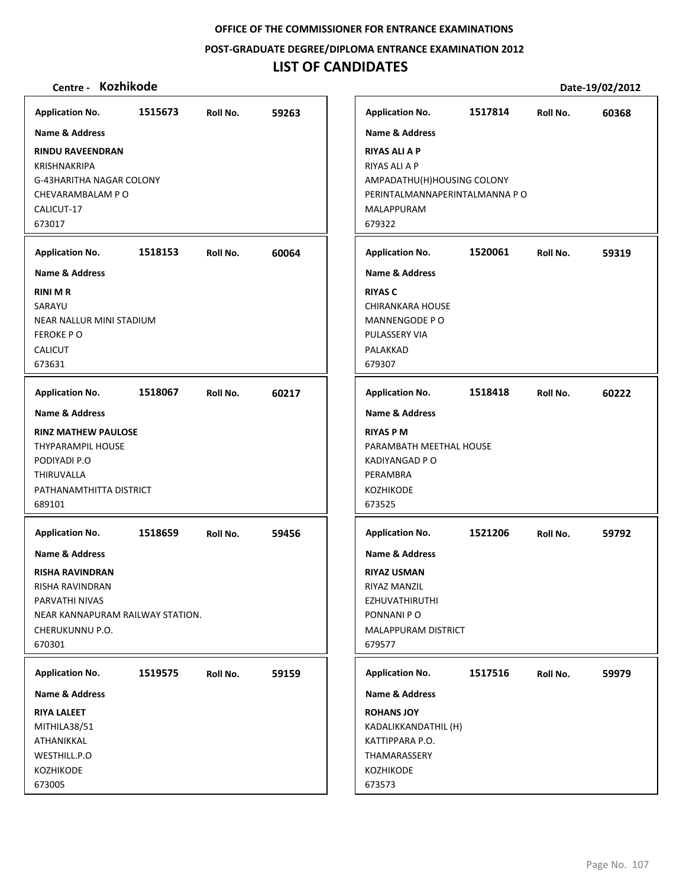**POST‐GRADUATE DEGREE/DIPLOMA ENTRANCE EXAMINATION 2012**

## **LIST OF CANDIDATES**

### **Centre ‐ Kozhikode Date‐19/02/2012**

**1515673 59263 RINDU RAVEENDRAN** KRISHNAKRIPA G‐43HARITHA NAGAR COLONY CHEVARAMBALAM P O CALICUT‐17 673017 **Application No. Name & Address 1518153 60064 RINI M R SARAYU** NEAR NALLUR MINI STADIUM FEROKE P O CALICUT 673631 **Application No. Name & Address 1518067 60217 RINZ MATHEW PAULOSE** THYPARAMPIL HOUSE PODIYADI P.O THIRUVALLA PATHANAMTHITTA DISTRICT 689101 **Application No. Name & Address 1518659 59456 RISHA RAVINDRAN** RISHA RAVINDRAN PARVATHI NIVAS NEAR KANNAPURAM RAILWAY STATION. CHERUKUNNU P.O. 670301 **Application No. Name & Address 1519575 59159 RIYA LALEET** MITHILA38/51 ATHANIKKAL WESTHILL.P.O KOZHIKODE 673005 **Application No. Name & Address 1517814 60368 RIYAS ALI A P** RIYAS ALI A P AMPADATHU(H)HOUSING COLONY PERINTALMANNAPERINTALMANNA P O MALAPPURAM 679322 **Application No. Name & Address 1520061 59319 RIYAS C** CHIRANKARA HOUSE MANNENGODE P O PULASSERY VIA PALAKKAD 679307 **Application No. Name & Address 1518418 60222 RIYAS P M** PARAMBATH MEETHAL HOUSE KADIYANGAD P O PERAMBRA KOZHIKODE 673525 **Application No. Name & Address 1521206 59792 RIYAZ USMAN** RIYAZ MANZIL EZHUVATHIRUTHI PONNANI P O MALAPPURAM DISTRICT 679577 **Application No. Name & Address 1517516 59979 ROHANS JOY** KADALIKKANDATHIL (H) KATTIPPARA P.O. THAMARASSERY KOZHIKODE 673573 **Application No. Name & Address**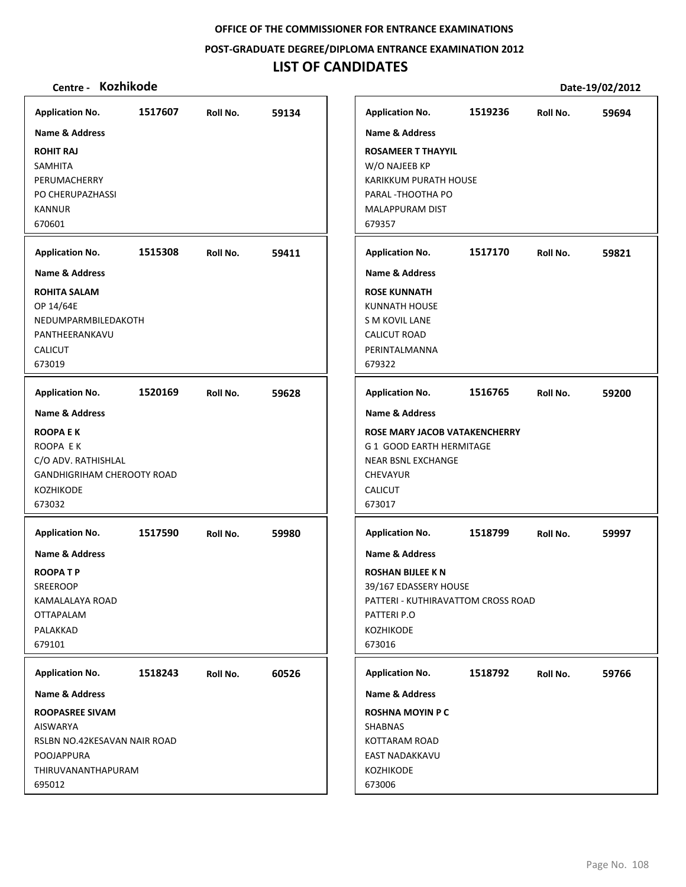**POST‐GRADUATE DEGREE/DIPLOMA ENTRANCE EXAMINATION 2012**

# **LIST OF CANDIDATES**

| <b>Application No.</b>                                                                                                  | 1517607 |          | 59134 | <b>Application No.</b>                                                                                                                                     | 1519236 | Roll No. | 59694 |
|-------------------------------------------------------------------------------------------------------------------------|---------|----------|-------|------------------------------------------------------------------------------------------------------------------------------------------------------------|---------|----------|-------|
| <b>Name &amp; Address</b>                                                                                               |         | Roll No. |       | <b>Name &amp; Address</b>                                                                                                                                  |         |          |       |
| <b>ROHIT RAJ</b><br>SAMHITA<br>PERUMACHERRY<br>PO CHERUPAZHASSI<br><b>KANNUR</b><br>670601                              |         |          |       | <b>ROSAMEER T THAYYIL</b><br>W/O NAJEEB KP<br>KARIKKUM PURATH HOUSE<br>PARAL - THOOTHA PO<br>MALAPPURAM DIST<br>679357                                     |         |          |       |
| <b>Application No.</b>                                                                                                  | 1515308 | Roll No. | 59411 | <b>Application No.</b>                                                                                                                                     | 1517170 | Roll No. | 59821 |
| <b>Name &amp; Address</b>                                                                                               |         |          |       | <b>Name &amp; Address</b>                                                                                                                                  |         |          |       |
| <b>ROHITA SALAM</b><br>OP 14/64E<br>NEDUMPARMBILEDAKOTH<br>PANTHEERANKAVU<br><b>CALICUT</b><br>673019                   |         |          |       | <b>ROSE KUNNATH</b><br>KUNNATH HOUSE<br>S M KOVIL LANE<br><b>CALICUT ROAD</b><br>PERINTALMANNA<br>679322                                                   |         |          |       |
| <b>Application No.</b>                                                                                                  | 1520169 | Roll No. | 59628 | <b>Application No.</b>                                                                                                                                     | 1516765 | Roll No. | 59200 |
| <b>Name &amp; Address</b>                                                                                               |         |          |       | <b>Name &amp; Address</b>                                                                                                                                  |         |          |       |
| <b>ROOPA E K</b><br>ROOPA EK<br>C/O ADV. RATHISHLAL<br><b>GANDHIGRIHAM CHEROOTY ROAD</b><br><b>KOZHIKODE</b><br>673032  |         |          |       | ROSE MARY JACOB VATAKENCHERRY<br>G 1 GOOD EARTH HERMITAGE<br><b>NEAR BSNL EXCHANGE</b><br><b>CHEVAYUR</b><br><b>CALICUT</b><br>673017                      |         |          |       |
| <b>Application No.</b>                                                                                                  | 1517590 | Roll No. | 59980 | <b>Application No.</b>                                                                                                                                     | 1518799 | Roll No. | 59997 |
| Name & Address<br><b>ROOPATP</b><br><b>SREEROOP</b><br>KAMALALAYA ROAD<br><b>OTTAPALAM</b><br>PALAKKAD<br>679101        |         |          |       | <b>Name &amp; Address</b><br><b>ROSHAN BIJLEE K N</b><br>39/167 EDASSERY HOUSE<br>PATTERI - KUTHIRAVATTOM CROSS ROAD<br>PATTERI P.O<br>KOZHIKODE<br>673016 |         |          |       |
| <b>Application No.</b>                                                                                                  | 1518243 | Roll No. | 60526 | <b>Application No.</b>                                                                                                                                     | 1518792 | Roll No. | 59766 |
| Name & Address                                                                                                          |         |          |       | <b>Name &amp; Address</b>                                                                                                                                  |         |          |       |
| <b>ROOPASREE SIVAM</b><br><b>AISWARYA</b><br>RSLBN NO.42KESAVAN NAIR ROAD<br>POOJAPPURA<br>THIRUVANANTHAPURAM<br>695012 |         |          |       | <b>ROSHNA MOYIN P C</b><br>SHABNAS<br><b>KOTTARAM ROAD</b><br>EAST NADAKKAVU<br>KOZHIKODE<br>673006                                                        |         |          |       |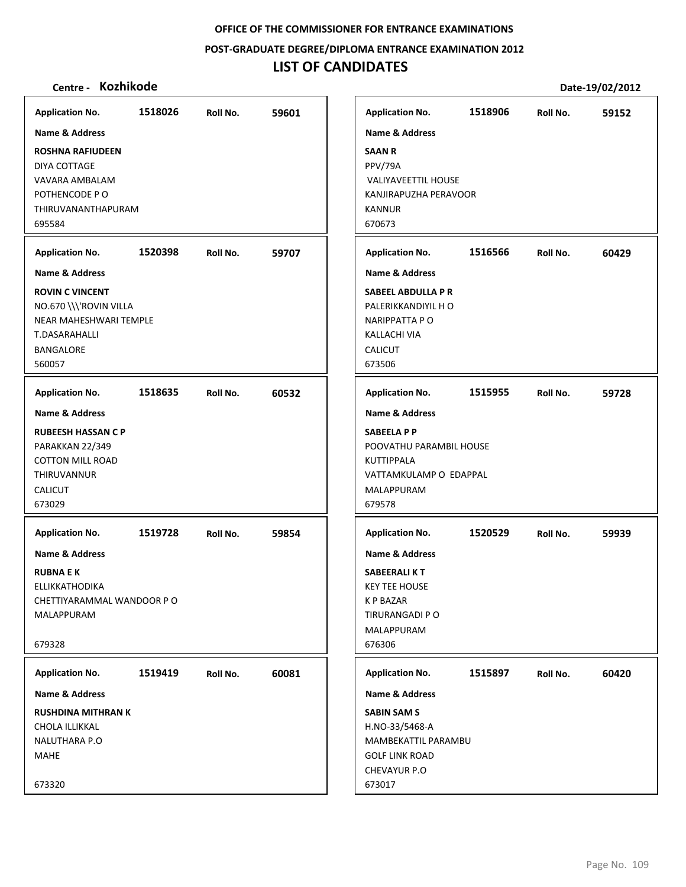**POST‐GRADUATE DEGREE/DIPLOMA ENTRANCE EXAMINATION 2012**

# **LIST OF CANDIDATES**

| <b>Application No.</b>                                                                                                                                 | 1518026 | Roll No. | 59601 | <b>Application No.</b>                                                                                                                                    | 1518906 | Roll No. | 59152 |
|--------------------------------------------------------------------------------------------------------------------------------------------------------|---------|----------|-------|-----------------------------------------------------------------------------------------------------------------------------------------------------------|---------|----------|-------|
| Name & Address<br><b>ROSHNA RAFIUDEEN</b><br>DIYA COTTAGE<br>VAVARA AMBALAM<br>POTHENCODE PO<br>THIRUVANANTHAPURAM<br>695584                           |         |          |       | Name & Address<br><b>SAAN R</b><br>PPV/79A<br><b>VALIYAVEETTIL HOUSE</b><br>KANJIRAPUZHA PERAVOOR<br><b>KANNUR</b><br>670673                              |         |          |       |
| <b>Application No.</b>                                                                                                                                 | 1520398 | Roll No. | 59707 | <b>Application No.</b>                                                                                                                                    | 1516566 | Roll No. | 60429 |
| <b>Name &amp; Address</b><br><b>ROVIN C VINCENT</b><br>NO.670 \\\'ROVIN VILLA<br>NEAR MAHESHWARI TEMPLE<br>T.DASARAHALLI<br><b>BANGALORE</b><br>560057 |         |          |       | <b>Name &amp; Address</b><br><b>SABEEL ABDULLA P R</b><br>PALERIKKANDIYIL H O<br><b>NARIPPATTA P O</b><br><b>KALLACHI VIA</b><br><b>CALICUT</b><br>673506 |         |          |       |
| <b>Application No.</b>                                                                                                                                 | 1518635 | Roll No. | 60532 | <b>Application No.</b>                                                                                                                                    | 1515955 | Roll No. | 59728 |
| Name & Address<br><b>RUBEESH HASSAN C P</b><br>PARAKKAN 22/349<br><b>COTTON MILL ROAD</b><br>THIRUVANNUR<br><b>CALICUT</b><br>673029                   |         |          |       | <b>Name &amp; Address</b><br>SABEELA P P<br>POOVATHU PARAMBIL HOUSE<br>KUTTIPPALA<br>VATTAMKULAMP O EDAPPAL<br><b>MALAPPURAM</b><br>679578                |         |          |       |
| <b>Application No.</b>                                                                                                                                 | 1519728 | Roll No. | 59854 | <b>Application No.</b>                                                                                                                                    | 1520529 | Roll No. | 59939 |
| <b>Name &amp; Address</b><br><b>RUBNA E K</b><br><b>ELLIKKATHODIKA</b><br>CHETTIYARAMMAL WANDOOR P O<br>MALAPPURAM<br>679328                           |         |          |       | <b>Name &amp; Address</b><br>SABEERALI KT<br><b>KEY TEE HOUSE</b><br><b>KP BAZAR</b><br>TIRURANGADI P O<br>MALAPPURAM<br>676306                           |         |          |       |
| <b>Application No.</b>                                                                                                                                 | 1519419 | Roll No. | 60081 | <b>Application No.</b>                                                                                                                                    | 1515897 | Roll No. | 60420 |
| Name & Address<br><b>RUSHDINA MITHRAN K</b><br>CHOLA ILLIKKAL<br><b>NALUTHARA P.O</b><br>MAHE<br>673320                                                |         |          |       | Name & Address<br><b>SABIN SAM S</b><br>H.NO-33/5468-A<br>MAMBEKATTIL PARAMBU<br><b>GOLF LINK ROAD</b><br>CHEVAYUR P.O<br>673017                          |         |          |       |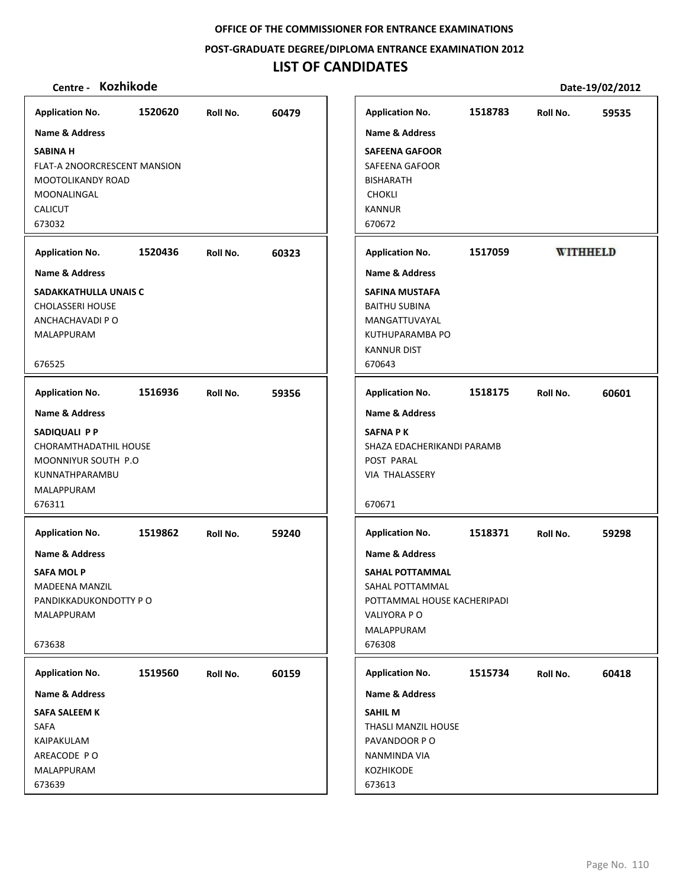**POST‐GRADUATE DEGREE/DIPLOMA ENTRANCE EXAMINATION 2012**

# **LIST OF CANDIDATES**

| <b>Kozhikode</b><br>Centre - |         |          |       |                             |         |                 | Date-19/02/2012 |
|------------------------------|---------|----------|-------|-----------------------------|---------|-----------------|-----------------|
| <b>Application No.</b>       | 1520620 | Roll No. | 60479 | <b>Application No.</b>      | 1518783 | Roll No.        | 59535           |
| <b>Name &amp; Address</b>    |         |          |       | <b>Name &amp; Address</b>   |         |                 |                 |
| <b>SABINA H</b>              |         |          |       | <b>SAFEENA GAFOOR</b>       |         |                 |                 |
| FLAT-A 2NOORCRESCENT MANSION |         |          |       | SAFEENA GAFOOR              |         |                 |                 |
| MOOTOLIKANDY ROAD            |         |          |       | <b>BISHARATH</b>            |         |                 |                 |
| MOONALINGAL                  |         |          |       | <b>CHOKLI</b>               |         |                 |                 |
| <b>CALICUT</b>               |         |          |       | KANNUR                      |         |                 |                 |
| 673032                       |         |          |       | 670672                      |         |                 |                 |
| <b>Application No.</b>       | 1520436 | Roll No. | 60323 | <b>Application No.</b>      | 1517059 | <b>WITHHELD</b> |                 |
| Name & Address               |         |          |       | <b>Name &amp; Address</b>   |         |                 |                 |
| SADAKKATHULLA UNAIS C        |         |          |       | <b>SAFINA MUSTAFA</b>       |         |                 |                 |
| <b>CHOLASSERI HOUSE</b>      |         |          |       | <b>BAITHU SUBINA</b>        |         |                 |                 |
| ANCHACHAVADI P O             |         |          |       | MANGATTUVAYAL               |         |                 |                 |
| MALAPPURAM                   |         |          |       | KUTHUPARAMBA PO             |         |                 |                 |
|                              |         |          |       | <b>KANNUR DIST</b>          |         |                 |                 |
| 676525                       |         |          |       | 670643                      |         |                 |                 |
| <b>Application No.</b>       | 1516936 | Roll No. | 59356 | <b>Application No.</b>      | 1518175 | Roll No.        | 60601           |
| <b>Name &amp; Address</b>    |         |          |       | <b>Name &amp; Address</b>   |         |                 |                 |
| SADIQUALI PP                 |         |          |       | <b>SAFNA PK</b>             |         |                 |                 |
| CHORAMTHADATHIL HOUSE        |         |          |       | SHAZA EDACHERIKANDI PARAMB  |         |                 |                 |
| MOONNIYUR SOUTH P.O          |         |          |       | POST PARAL                  |         |                 |                 |
| KUNNATHPARAMBU               |         |          |       | VIA THALASSERY              |         |                 |                 |
| MALAPPURAM                   |         |          |       |                             |         |                 |                 |
| 676311                       |         |          |       | 670671                      |         |                 |                 |
| <b>Application No.</b>       | 1519862 | Roll No. | 59240 | <b>Application No.</b>      | 1518371 | Roll No.        | 59298           |
| Name & Address               |         |          |       | <b>Name &amp; Address</b>   |         |                 |                 |
| <b>SAFA MOLP</b>             |         |          |       | <b>SAHAL POTTAMMAL</b>      |         |                 |                 |
| <b>MADEENA MANZIL</b>        |         |          |       | SAHAL POTTAMMAL             |         |                 |                 |
| PANDIKKADUKONDOTTY P O       |         |          |       | POTTAMMAL HOUSE KACHERIPADI |         |                 |                 |
| MALAPPURAM                   |         |          |       | VALIYORA P O                |         |                 |                 |
|                              |         |          |       | MALAPPURAM                  |         |                 |                 |
| 673638                       |         |          |       | 676308                      |         |                 |                 |
| <b>Application No.</b>       | 1519560 | Roll No. | 60159 | <b>Application No.</b>      | 1515734 | Roll No.        | 60418           |
| Name & Address               |         |          |       | Name & Address              |         |                 |                 |
| <b>SAFA SALEEM K</b>         |         |          |       | <b>SAHIL M</b>              |         |                 |                 |
| SAFA                         |         |          |       | THASLI MANZIL HOUSE         |         |                 |                 |
| KAIPAKULAM                   |         |          |       | PAVANDOOR PO                |         |                 |                 |
| AREACODE PO                  |         |          |       | NANMINDA VIA                |         |                 |                 |
| MALAPPURAM                   |         |          |       | <b>KOZHIKODE</b>            |         |                 |                 |
| 673639                       |         |          |       | 673613                      |         |                 |                 |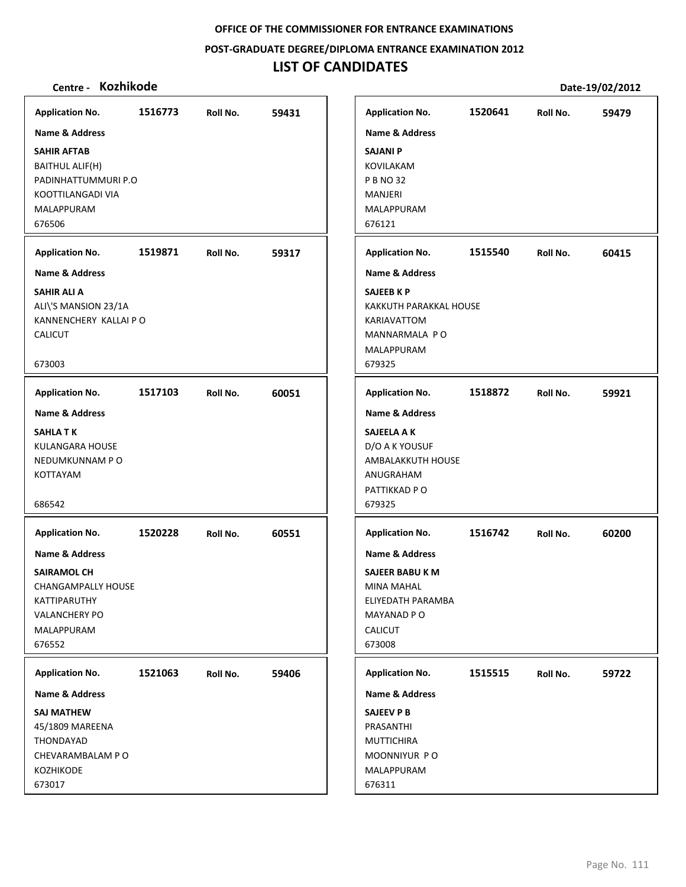**POST‐GRADUATE DEGREE/DIPLOMA ENTRANCE EXAMINATION 2012**

# **LIST OF CANDIDATES**

| <b>Kozhikode</b><br>Centre -                                                                                                               |         |          |       |                                                                                                                                   |         |          | Date-19/02/2012 |
|--------------------------------------------------------------------------------------------------------------------------------------------|---------|----------|-------|-----------------------------------------------------------------------------------------------------------------------------------|---------|----------|-----------------|
| <b>Application No.</b>                                                                                                                     | 1516773 | Roll No. | 59431 | <b>Application No.</b>                                                                                                            | 1520641 | Roll No. | 59479           |
| <b>Name &amp; Address</b><br><b>SAHIR AFTAB</b><br><b>BAITHUL ALIF(H)</b><br>PADINHATTUMMURI P.O<br>KOOTTILANGADI VIA<br><b>MALAPPURAM</b> |         |          |       | <b>Name &amp; Address</b><br><b>SAJANI P</b><br>KOVILAKAM<br><b>P B NO 32</b><br><b>MANJERI</b><br>MALAPPURAM                     |         |          |                 |
| 676506                                                                                                                                     |         |          |       | 676121                                                                                                                            |         |          |                 |
| <b>Application No.</b>                                                                                                                     | 1519871 | Roll No. | 59317 | <b>Application No.</b>                                                                                                            | 1515540 | Roll No. | 60415           |
| Name & Address                                                                                                                             |         |          |       | <b>Name &amp; Address</b>                                                                                                         |         |          |                 |
| <b>SAHIR ALI A</b><br>ALI\'S MANSION 23/1A<br>KANNENCHERY KALLAI P O<br><b>CALICUT</b><br>673003                                           |         |          |       | <b>SAJEEB K P</b><br><b>KAKKUTH PARAKKAL HOUSE</b><br>KARIAVATTOM<br>MANNARMALA PO<br>MALAPPURAM<br>679325                        |         |          |                 |
| <b>Application No.</b>                                                                                                                     | 1517103 | Roll No. | 60051 | <b>Application No.</b>                                                                                                            | 1518872 | Roll No. | 59921           |
| <b>Name &amp; Address</b>                                                                                                                  |         |          |       | Name & Address                                                                                                                    |         |          |                 |
| <b>SAHLATK</b><br>KULANGARA HOUSE<br>NEDUMKUNNAM PO<br><b>KOTTAYAM</b><br>686542                                                           |         |          |       | SAJEELA A K<br>D/O A K YOUSUF<br>AMBALAKKUTH HOUSE<br>ANUGRAHAM<br>PATTIKKAD P O<br>679325                                        |         |          |                 |
| <b>Application No.</b>                                                                                                                     | 1520228 | Roll No. | 60551 | <b>Application No.</b>                                                                                                            | 1516742 | Roll No. | 60200           |
| Name & Address<br><b>SAIRAMOL CH</b><br><b>CHANGAMPALLY HOUSE</b><br>KATTIPARUTHY<br><b>VALANCHERY PO</b><br>MALAPPURAM<br>676552          |         |          |       | <b>Name &amp; Address</b><br>SAJEER BABU K M<br><b>MINA MAHAL</b><br>ELIYEDATH PARAMBA<br>MAYANAD P O<br><b>CALICUT</b><br>673008 |         |          |                 |
| <b>Application No.</b>                                                                                                                     | 1521063 | Roll No. | 59406 | <b>Application No.</b>                                                                                                            | 1515515 | Roll No. | 59722           |
| Name & Address                                                                                                                             |         |          |       | Name & Address                                                                                                                    |         |          |                 |
| SAJ MATHEW<br>45/1809 MAREENA<br>THONDAYAD<br>CHEVARAMBALAM PO<br><b>KOZHIKODE</b><br>673017                                               |         |          |       | SAJEEV P B<br>PRASANTHI<br><b>MUTTICHIRA</b><br>MOONNIYUR PO<br>MALAPPURAM<br>676311                                              |         |          |                 |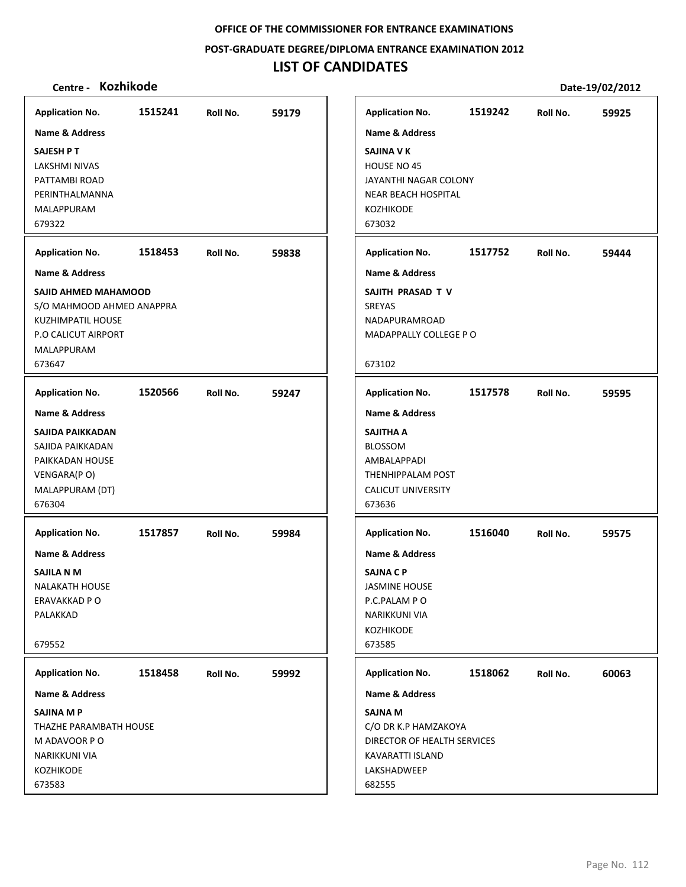**POST‐GRADUATE DEGREE/DIPLOMA ENTRANCE EXAMINATION 2012**

# **LIST OF CANDIDATES**

| <b>Application No.</b>                                                                                                                                                | 59179<br>Roll No. | 1515241 | <b>Application No.</b>                                                                                                                                    |
|-----------------------------------------------------------------------------------------------------------------------------------------------------------------------|-------------------|---------|-----------------------------------------------------------------------------------------------------------------------------------------------------------|
| <b>Name &amp; Address</b><br><b>SAJINA V K</b><br>HOUSE NO 45<br>JAYANTHI NAGAR COLONY<br><b>NEAR BEACH HOSPITAL</b><br><b>KOZHIKODE</b><br>673032                    |                   |         | <b>Name &amp; Address</b><br><b>SAJESH PT</b><br>LAKSHMI NIVAS<br>PATTAMBI ROAD<br>PERINTHALMANNA<br><b>MALAPPURAM</b><br>679322                          |
| <b>Application No.</b>                                                                                                                                                | 59838<br>Roll No. | 1518453 | <b>Application No.</b>                                                                                                                                    |
| <b>Name &amp; Address</b><br>SAJITH PRASAD T V<br>SREYAS<br>NADAPURAMROAD<br>MADAPPALLY COLLEGE PO<br>673102                                                          |                   |         | <b>Name &amp; Address</b><br>SAJID AHMED MAHAMOOD<br>S/O MAHMOOD AHMED ANAPPRA<br>KUZHIMPATIL HOUSE<br><b>P.O CALICUT AIRPORT</b><br>MALAPPURAM<br>673647 |
| <b>Application No.</b>                                                                                                                                                | Roll No.<br>59247 | 1520566 | <b>Application No.</b>                                                                                                                                    |
| <b>Name &amp; Address</b><br><b>SAJITHA A</b><br><b>BLOSSOM</b><br>AMBALAPPADI<br>THENHIPPALAM POST<br><b>CALICUT UNIVERSITY</b><br>673636                            |                   |         | <b>Name &amp; Address</b><br>SAJIDA PAIKKADAN<br>SAJIDA PAIKKADAN<br>PAIKKADAN HOUSE<br>VENGARA(PO)<br>MALAPPURAM (DT)<br>676304                          |
| <b>Application No.</b><br><b>Name &amp; Address</b><br><b>SAJNA C P</b><br><b>JASMINE HOUSE</b><br>P.C.PALAM PO<br><b>NARIKKUNI VIA</b><br><b>KOZHIKODE</b><br>673585 | 59984<br>Roll No. | 1517857 | <b>Application No.</b><br><b>Name &amp; Address</b><br>SAJILA N M<br><b>NALAKATH HOUSE</b><br>ERAVAKKAD P O<br>PALAKKAD<br>679552                         |
| <b>Application No.</b>                                                                                                                                                | Roll No.<br>59992 | 1518458 | <b>Application No.</b>                                                                                                                                    |
| Name & Address                                                                                                                                                        |                   |         | Name & Address                                                                                                                                            |
| <b>SAJNA M</b><br>C/O DR K.P HAMZAKOYA<br>DIRECTOR OF HEALTH SERVICES<br>KAVARATTI ISLAND<br>LAKSHADWEEP<br>682555                                                    |                   |         | SAJINA M P<br>THAZHE PARAMBATH HOUSE<br>M ADAVOOR PO<br>NARIKKUNI VIA<br>KOZHIKODE<br>673583                                                              |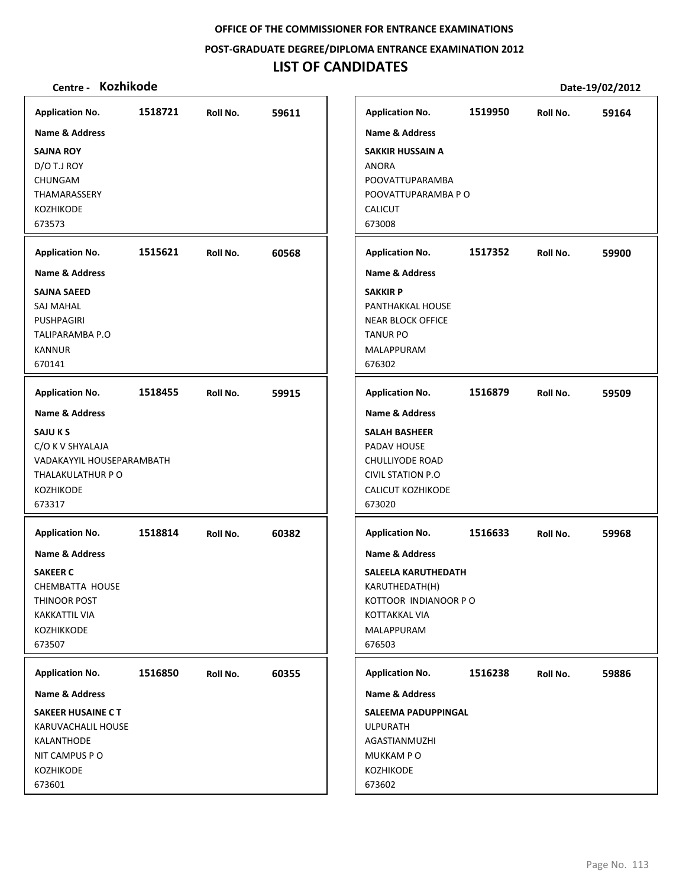**POST‐GRADUATE DEGREE/DIPLOMA ENTRANCE EXAMINATION 2012**

# **LIST OF CANDIDATES**

| <b>Application No.</b>                                                                                                                         | 1518721 | Roll No. | 59611 | <b>Application No.</b>                                                                                                                                           | 1519950 | Roll No. | 59164 |
|------------------------------------------------------------------------------------------------------------------------------------------------|---------|----------|-------|------------------------------------------------------------------------------------------------------------------------------------------------------------------|---------|----------|-------|
| <b>Name &amp; Address</b><br><b>SAJNA ROY</b><br>D/O T.J ROY<br>CHUNGAM<br><b>THAMARASSERY</b><br><b>KOZHIKODE</b><br>673573                   |         |          |       | <b>Name &amp; Address</b><br><b>SAKKIR HUSSAIN A</b><br><b>ANORA</b><br>POOVATTUPARAMBA<br>POOVATTUPARAMBA P O<br><b>CALICUT</b><br>673008                       |         |          |       |
| <b>Application No.</b>                                                                                                                         | 1515621 | Roll No. | 60568 | <b>Application No.</b>                                                                                                                                           | 1517352 | Roll No. | 59900 |
| <b>Name &amp; Address</b><br><b>SAJNA SAEED</b><br><b>SAJ MAHAL</b><br><b>PUSHPAGIRI</b><br>TALIPARAMBA P.O<br><b>KANNUR</b><br>670141         |         |          |       | <b>Name &amp; Address</b><br><b>SAKKIR P</b><br>PANTHAKKAL HOUSE<br><b>NEAR BLOCK OFFICE</b><br><b>TANUR PO</b><br>MALAPPURAM<br>676302                          |         |          |       |
| <b>Application No.</b>                                                                                                                         | 1518455 | Roll No. | 59915 | <b>Application No.</b>                                                                                                                                           | 1516879 | Roll No. | 59509 |
| <b>Name &amp; Address</b><br><b>SAJU K S</b><br>C/O K V SHYALAJA<br>VADAKAYYIL HOUSEPARAMBATH<br>THALAKULATHUR PO<br>KOZHIKODE<br>673317       |         |          |       | <b>Name &amp; Address</b><br><b>SALAH BASHEER</b><br>PADAV HOUSE<br>CHULLIYODE ROAD<br><b>CIVIL STATION P.O</b><br><b>CALICUT KOZHIKODE</b><br>673020            |         |          |       |
| <b>Application No.</b><br>Name & Address<br><b>SAKEER C</b><br>CHEMBATTA HOUSE<br>THINOOR POST<br><b>KAKKATTIL VIA</b><br>KOZHIKKODE<br>673507 | 1518814 | Roll No. | 60382 | <b>Application No.</b><br>Name & Address<br>SALEELA KARUTHEDATH<br>KARUTHEDATH(H)<br>KOTTOOR INDIANOOR PO<br><b>KOTTAKKAL VIA</b><br><b>MALAPPURAM</b><br>676503 | 1516633 | Roll No. | 59968 |
| <b>Application No.</b>                                                                                                                         | 1516850 | Roll No. | 60355 | <b>Application No.</b>                                                                                                                                           | 1516238 | Roll No. | 59886 |
| Name & Address<br><b>SAKEER HUSAINE CT</b><br>KARUVACHALIL HOUSE<br>KALANTHODE<br>NIT CAMPUS PO<br>KOZHIKODE<br>673601                         |         |          |       | Name & Address<br>SALEEMA PADUPPINGAL<br><b>ULPURATH</b><br>AGASTIANMUZHI<br>MUKKAM PO<br>KOZHIKODE<br>673602                                                    |         |          |       |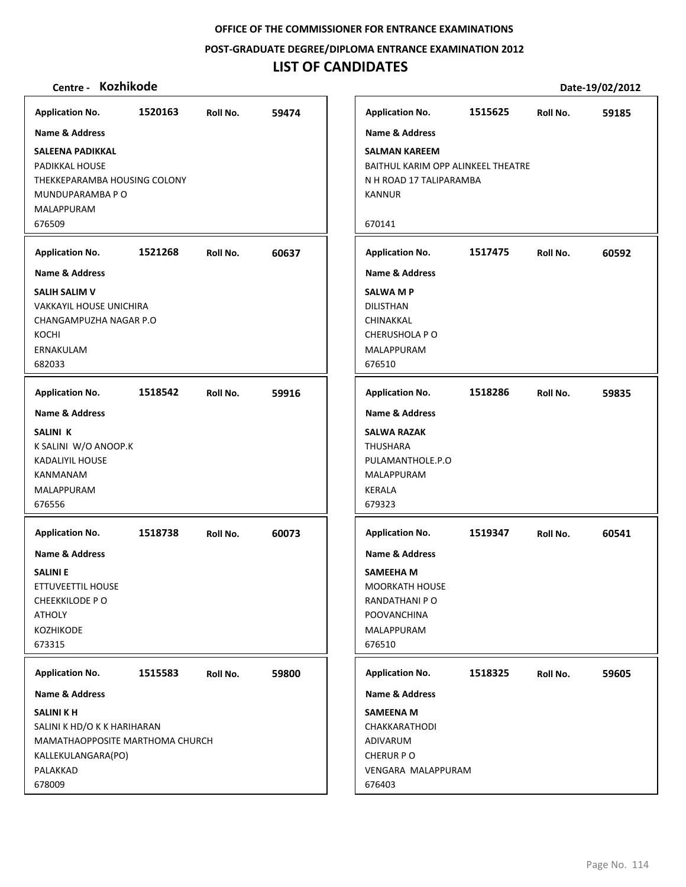**POST‐GRADUATE DEGREE/DIPLOMA ENTRANCE EXAMINATION 2012**

# **LIST OF CANDIDATES**

| <b>Application No.</b>                                                                                                                                       | 1520163 | Roll No. | 59474 |
|--------------------------------------------------------------------------------------------------------------------------------------------------------------|---------|----------|-------|
| Name & Address<br>SALEENA PADIKKAL<br>PADIKKAL HOUSE<br>THEKKEPARAMBA HOUSING COLONY<br>MUNDUPARAMBA P O<br>MALAPPURAM<br>676509                             |         |          |       |
|                                                                                                                                                              |         |          |       |
| <b>Application No.</b>                                                                                                                                       | 1521268 | Roll No. | 60637 |
| <b>Name &amp; Address</b><br><b>SALIH SALIM V</b><br>VAKKAYIL HOUSE UNICHIRA<br>CHANGAMPUZHA NAGAR P.O<br>KOCHI<br>ERNAKULAM<br>682033                       |         |          |       |
| <b>Application No.</b><br><b>Name &amp; Address</b><br><b>SALINI K</b><br>K SALINI W/O ANOOP.K<br><b>KADALIYIL HOUSE</b><br>KANMANAM<br>MALAPPURAM<br>676556 | 1518542 | Roll No. | 59916 |
| <b>Application No.</b><br><b>Name &amp; Address</b><br><b>SALINI E</b><br>ETTUVEETTIL HOUSE<br><b>CHEEKKILODE PO</b><br><b>ATHOLY</b><br>KOZHIKODE<br>673315 | 1518738 | Roll No. | 60073 |
| <b>Application No.</b><br>Name & Address<br>SALINI K H<br>SALINI K HD/O K K HARIHARAN<br>MAMATHAOPPOSITE MARTHOMA CHURCH<br>KALLEKULANGARA(PO)<br>PALAKKAD   | 1515583 | Roll No. | 59800 |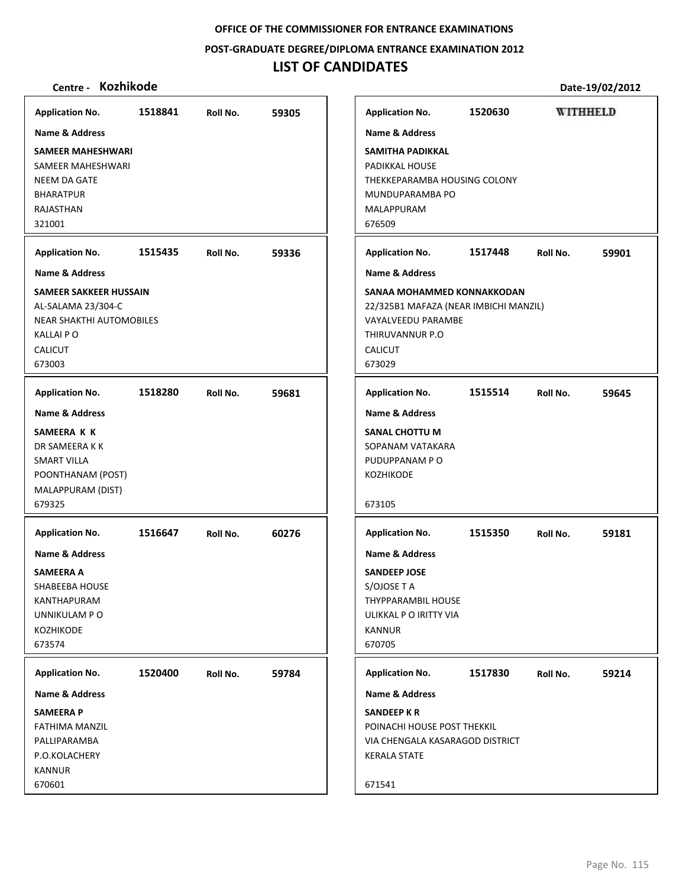**POST‐GRADUATE DEGREE/DIPLOMA ENTRANCE EXAMINATION 2012**

## **LIST OF CANDIDATES**

**SAMEER MAHESHWARI** SAMEER MAHESHWARI NEEM DA GATE BHARATPUR RAJASTHAN 321001

**SAMEER SAKKEER HUSSAIN** AL‐SALAMA 23/304‐C

NEAR SHAKTHI AUTOMOBILES

KALLAI P O CALICUT 673003

**SAMEERA K K** DR SAMEERA K K SMART VILLA

**Application No. Name & Address**

POONTHANAM (POST)

**Application No. Name & Address**

**Application No. Name & Address** **1518841 59305**

**1515435 59336**

**1518280 59681**

**Centre ‐ Kozhikode Date‐19/02/2012 Application No. 1520630 WITHHELD Name & Address SAMITHA PADIKKAL** PADIKKAL HOUSE THEKKEPARAMBA HOUSING COLONY MUNDUPARAMBA PO MALAPPURAM 676509 **Application No. 1517448 59901 Name & Address SANAA MOHAMMED KONNAKKODAN** 22/325B1 MAFAZA (NEAR IMBICHI MANZIL) VAYALVEEDU PARAMBE THIRUVANNUR P.O CALICUT 673029 **Application No. 1515514 59645**

**SANAL CHOTTU M Name & Address**

| <b>SAMEERA P</b>            |         |          |       |
|-----------------------------|---------|----------|-------|
| Name & Address              |         |          |       |
| <b>Application No.</b>      | 1520400 | Roll No. | 59784 |
| 673574                      |         |          |       |
| <b>KOZHIKODE</b>            |         |          |       |
| UNNIKULAM P O               |         |          |       |
| <b>KANTHAPURAM</b>          |         |          |       |
| <b>SHABEEBA HOUSE</b>       |         |          |       |
| <b>SAMEERA A</b>            |         |          |       |
| Name & Address              |         |          |       |
| <b>Application No.</b>      | 1516647 | Roll No. | 60276 |
| MALAPPURAM (DIST)<br>679325 |         |          |       |
|                             |         |          |       |

FATHIMA MANZIL PALLIPARAMBA P.O.KOLACHERY KANNUR 670601

| Name & Address                                                                                                       |         |          |       |
|----------------------------------------------------------------------------------------------------------------------|---------|----------|-------|
| <b>SANAL CHOTTU M</b><br>SOPANAM VATAKARA<br>PUDUPPANAM P O<br><b>KOZHIKODE</b>                                      |         |          |       |
| 673105                                                                                                               |         |          |       |
| <b>Application No.</b>                                                                                               | 1515350 | Roll No. | 59181 |
| <b>Name &amp; Address</b>                                                                                            |         |          |       |
| <b>SANDEEP JOSE</b><br>S/OJOSE T A<br><b>THYPPARAMBIL HOUSE</b><br>ULIKKAL P O IRITTY VIA<br><b>KANNUR</b><br>670705 |         |          |       |
| <b>Application No.</b>                                                                                               | 1517830 | Roll No. | 59214 |
| <b>Name &amp; Address</b>                                                                                            |         |          |       |
| <b>SANDEEP K R</b><br>POINACHI HOUSE POST THEKKIL<br>VIA CHENGALA KASARAGOD DISTRICT<br><b>KERALA STATE</b>          |         |          |       |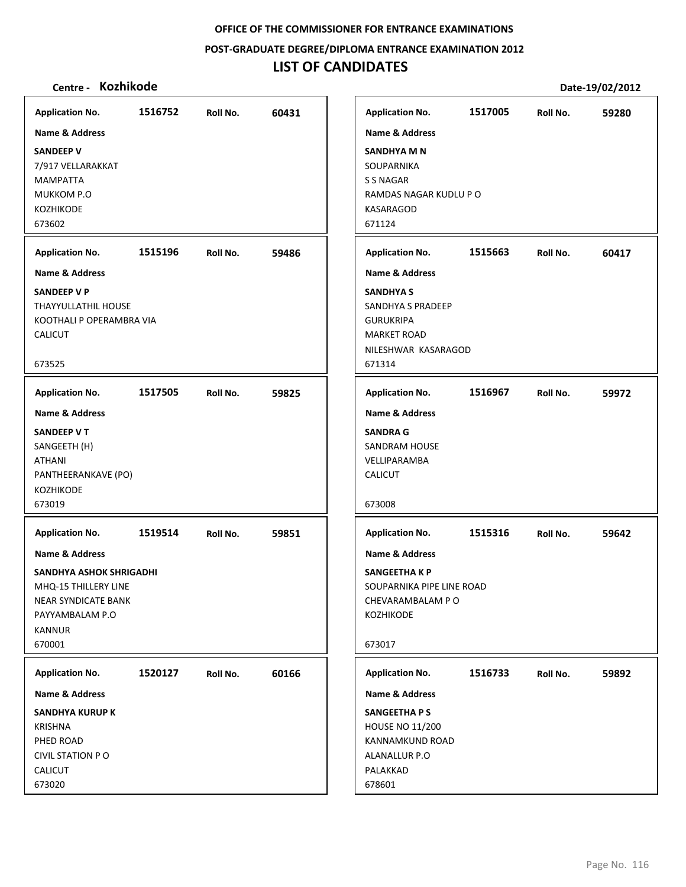**POST‐GRADUATE DEGREE/DIPLOMA ENTRANCE EXAMINATION 2012**

# **LIST OF CANDIDATES**

| <b>Application No.</b>                                                                                                                                                     | 1516752 | Roll No. | 60431 | <b>Application No.</b>                                                                                                                                                                      | 1517005 | Roll No. | 59280 |
|----------------------------------------------------------------------------------------------------------------------------------------------------------------------------|---------|----------|-------|---------------------------------------------------------------------------------------------------------------------------------------------------------------------------------------------|---------|----------|-------|
| Name & Address<br><b>SANDEEP V</b><br>7/917 VELLARAKKAT<br>MAMPATTA<br>MUKKOM P.O<br>KOZHIKODE<br>673602<br><b>Application No.</b><br>Name & Address<br><b>SANDEEP V P</b> | 1515196 | Roll No. | 59486 | Name & Address<br><b>SANDHYA M N</b><br>SOUPARNIKA<br>S S NAGAR<br>RAMDAS NAGAR KUDLU P O<br>KASARAGOD<br>671124<br><b>Application No.</b><br><b>Name &amp; Address</b><br><b>SANDHYA S</b> | 1515663 | Roll No. | 60417 |
| THAYYULLATHIL HOUSE<br>KOOTHALI P OPERAMBRA VIA<br><b>CALICUT</b><br>673525                                                                                                |         |          |       | SANDHYA S PRADEEP<br><b>GURUKRIPA</b><br><b>MARKET ROAD</b><br>NILESHWAR KASARAGOD<br>671314                                                                                                |         |          |       |
| <b>Application No.</b>                                                                                                                                                     | 1517505 | Roll No. | 59825 | <b>Application No.</b>                                                                                                                                                                      | 1516967 | Roll No. | 59972 |
| Name & Address<br>SANDEEP VT<br>SANGEETH (H)<br><b>ATHANI</b><br>PANTHEERANKAVE (PO)<br><b>KOZHIKODE</b><br>673019                                                         |         |          |       | <b>Name &amp; Address</b><br><b>SANDRA G</b><br><b>SANDRAM HOUSE</b><br>VELLIPARAMBA<br><b>CALICUT</b><br>673008                                                                            |         |          |       |
| <b>Application No.</b><br>Name & Address<br>SANDHYA ASHOK SHRIGADHI<br>MHQ-15 THILLERY LINE<br><b>NEAR SYNDICATE BANK</b><br>PAYYAMBALAM P.O<br><b>KANNUR</b><br>670001    | 1519514 | Roll No. | 59851 | <b>Application No.</b><br>Name & Address<br><b>SANGEETHA K P</b><br>SOUPARNIKA PIPE LINE ROAD<br>CHEVARAMBALAM PO<br>KOZHIKODE<br>673017                                                    | 1515316 | Roll No. | 59642 |
| <b>Application No.</b><br>Name & Address<br><b>SANDHYA KURUP K</b><br><b>KRISHNA</b><br>PHED ROAD<br><b>CIVIL STATION PO</b><br>CALICUT<br>673020                          | 1520127 | Roll No. | 60166 | <b>Application No.</b><br>Name & Address<br><b>SANGEETHA PS</b><br><b>HOUSE NO 11/200</b><br>KANNAMKUND ROAD<br>ALANALLUR P.O<br>PALAKKAD<br>678601                                         | 1516733 | Roll No. | 59892 |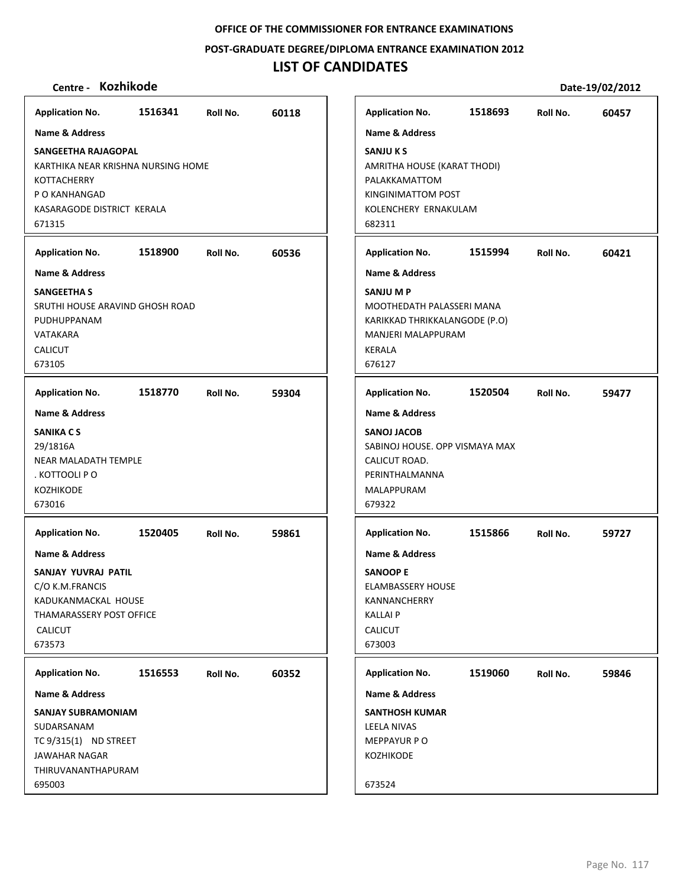## **POST‐GRADUATE DEGREE/DIPLOMA ENTRANCE EXAMINATION 2012**

# **LIST OF CANDIDATES**

| Application No. 1516341 Roll No.                                                                                                                   |         |          | 60118 |
|----------------------------------------------------------------------------------------------------------------------------------------------------|---------|----------|-------|
| <b>Name &amp; Address</b>                                                                                                                          |         |          |       |
| SANGEETHA RAJAGOPAL<br>KARTHIKA NEAR KRISHNA NURSING HOME<br>KOTTACHERRY<br>P O KANHANGAD<br>KASARAGODE DISTRICT KERALA<br>671315                  |         |          |       |
| <b>Application No.</b>                                                                                                                             | 1518900 | Roll No. | 60536 |
| <b>Name &amp; Address</b>                                                                                                                          |         |          |       |
| <b>SANGEETHA S</b><br>SRUTHI HOUSE ARAVIND GHOSH ROAD<br>PUDHUPPANAM<br>VATAKARA<br><b>CALICUT</b><br>673105                                       |         |          |       |
| <b>Application No.</b>                                                                                                                             | 1518770 | Roll No. | 59304 |
| <b>Name &amp; Address</b><br><b>SANIKA CS</b><br>29/1816A<br><b>NEAR MALADATH TEMPLE</b><br>. KOTTOOLI P O<br><b>KOZHIKODE</b><br>673016           |         |          |       |
| <b>Application No.</b>                                                                                                                             | 1520405 | Roll No. | 59861 |
| <b>Name &amp; Address</b><br>SANJAY YUVRAJ PATIL<br>C/O K.M.FRANCIS<br>KADUKANMACKAL HOUSE<br>THAMARASSERY POST OFFICE<br><b>CALICUT</b><br>673573 |         |          |       |
| <b>Application No.</b>                                                                                                                             | 1516553 | Roll No. | 60352 |
| <b>Name &amp; Address</b>                                                                                                                          |         |          |       |
| <b>SANJAY SUBRAMONIAM</b><br>SUDARSANAM                                                                                                            |         |          |       |

| <b>Application No.</b>                                                                                                          | 1518693 | Roll No. | 60457 |
|---------------------------------------------------------------------------------------------------------------------------------|---------|----------|-------|
| <b>Name &amp; Address</b>                                                                                                       |         |          |       |
| <b>SANJU K S</b><br>AMRITHA HOUSE (KARAT THODI)<br>PALAKKAMATTOM<br>KINGINIMATTOM POST<br>KOLENCHERY ERNAKULAM<br>682311        |         |          |       |
| <b>Application No.</b>                                                                                                          | 1515994 | Roll No. | 60421 |
| <b>Name &amp; Address</b>                                                                                                       |         |          |       |
| SANJU M P<br>MOOTHEDATH PALASSERI MANA<br>KARIKKAD THRIKKALANGODE (P.O)<br><b>MANJERI MALAPPURAM</b><br><b>KERALA</b><br>676127 |         |          |       |
| <b>Application No.</b>                                                                                                          | 1520504 | Roll No. | 59477 |
| <b>Name &amp; Address</b>                                                                                                       |         |          |       |
| <b>SANOJ JACOB</b><br>SABINOJ HOUSE, OPP VISMAYA MAX<br>CALICUT ROAD.<br>PERINTHALMANNA<br><b>MALAPPURAM</b><br>679322          |         |          |       |
| <b>Application No.</b>                                                                                                          | 1515866 | Roll No. | 59727 |
| <b>Name &amp; Address</b>                                                                                                       |         |          |       |
| <b>SANOOP E</b><br><b>ELAMBASSERY HOUSE</b><br>KANNANCHERRY<br><b>KALLAI P</b><br><b>CALICUT</b><br>673003                      |         |          |       |
| <b>Application No.</b>                                                                                                          | 1519060 | Roll No. | 59846 |
| <b>Name &amp; Address</b>                                                                                                       |         |          |       |
| <b>SANTHOSH KUMAR</b><br><b>LEELA NIVAS</b><br><b>MEPPAYUR P O</b><br><b>KOZHIKODE</b><br>673524                                |         |          |       |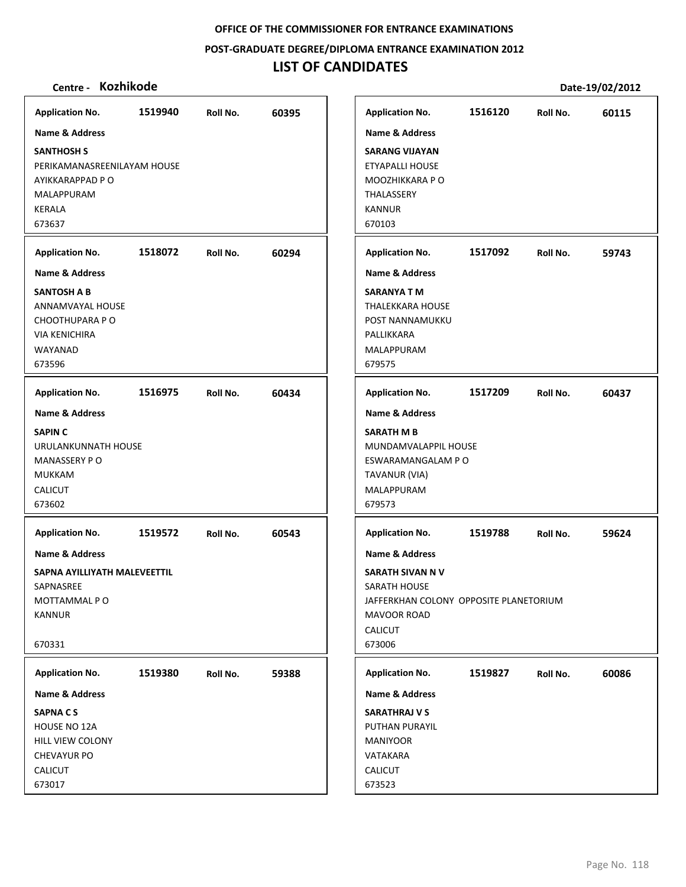**POST‐GRADUATE DEGREE/DIPLOMA ENTRANCE EXAMINATION 2012**

# **LIST OF CANDIDATES**

| <b>Application No.</b>                                                                                 | 1519940 | Roll No. | 60395 |
|--------------------------------------------------------------------------------------------------------|---------|----------|-------|
| <b>Name &amp; Address</b>                                                                              |         |          |       |
| <b>SANTHOSH S</b><br>PERIKAMANASREENILAYAM HOUSE<br>AYIKKARAPPAD P O<br>MALAPPURAM<br>KERALA<br>673637 |         |          |       |
| <b>Application No.</b>                                                                                 | 1518072 | Roll No. | 60294 |
| <b>Name &amp; Address</b>                                                                              |         |          |       |
| <b>SANTOSH A B</b><br>ANNAMVAYAL HOUSE<br>CHOOTHUPARA PO<br><b>VIA KENICHIRA</b><br>WAYANAD<br>673596  |         |          |       |
| <b>Application No.</b>                                                                                 | 1516975 | Roll No. | 60434 |
| <b>Name &amp; Address</b>                                                                              |         |          |       |
| <b>SAPIN C</b>                                                                                         |         |          |       |
| URULANKUNNATH HOUSE<br><b>MANASSERY PO</b>                                                             |         |          |       |
| <b>MUKKAM</b><br><b>CALICUT</b>                                                                        |         |          |       |
| 673602                                                                                                 |         |          |       |
| <b>Application No.</b>                                                                                 | 1519572 | Roll No. | 60543 |
| Name & Address                                                                                         |         |          |       |
| SAPNA AYILLIYATH MALEVEETTIL                                                                           |         |          |       |
| SAPNASREE<br>MOTTAMMAL PO                                                                              |         |          |       |
| <b>KANNUR</b>                                                                                          |         |          |       |
| 670331                                                                                                 |         |          |       |
| <b>Application No.</b>                                                                                 | 1519380 | Roll No. | 59388 |
| Name & Address                                                                                         |         |          |       |
| <b>SAPNACS</b>                                                                                         |         |          |       |
| <b>HOUSE NO 12A</b>                                                                                    |         |          |       |
| HILL VIEW COLONY<br><b>CHEVAYUR PO</b>                                                                 |         |          |       |
| <b>CALICUT</b>                                                                                         |         |          |       |
| 673017                                                                                                 |         |          |       |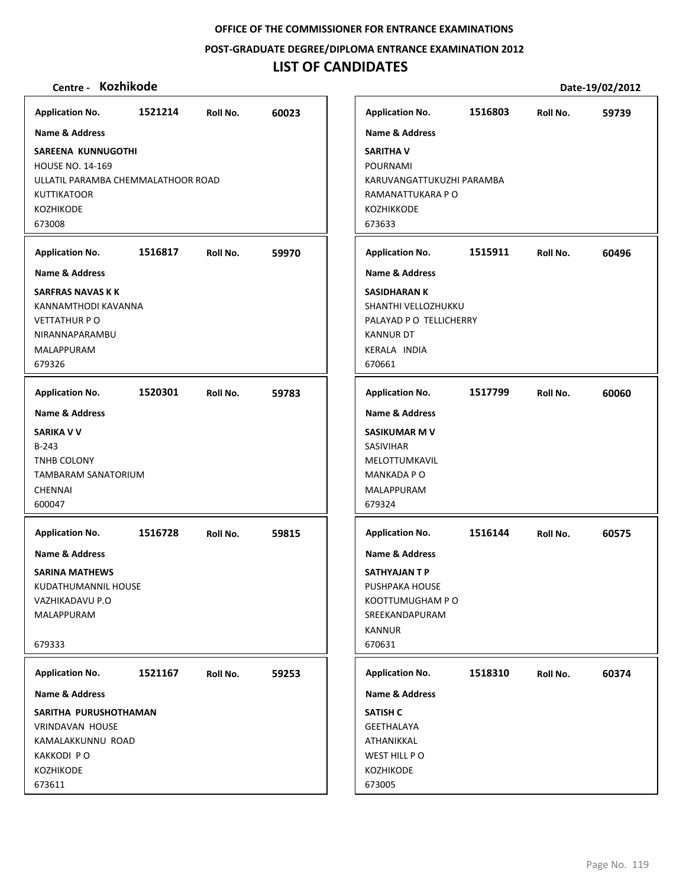**POST‐GRADUATE DEGREE/DIPLOMA ENTRANCE EXAMINATION 2012**

## **LIST OF CANDIDATES**

## **Centre ‐ Kozhikode Date‐19/02/2012**

**1521214 60023 SAREENA KUNNUGOTHI** HOUSE NO. 14‐169 ULLATIL PARAMBA CHEMMALATHOOR ROAD KUTTIKATOOR KOZHIKODE 673008 **Application No. Name & Address 1516817 59970 SARFRAS NAVAS K K** KANNAMTHODI KAVANNA VETTATHUR P O NIRANNAPARAMBU MALAPPURAM 679326 **Application No. Name & Address 1520301 59783 SARIKA V V** B‐243 TNHB COLONY TAMBARAM SANATORIUM CHENNAI 600047 **Application No. Name & Address 1516728 59815 SARINA MATHEWS** KUDATHUMANNIL HOUSE VAZHIKADAVU P.O MALAPPURAM 679333 **Application No. Name & Address 1521167 59253 SARITHA PURUSHOTHAMAN** VRINDAVAN HOUSE KAMALAKKUNNU ROAD KAKKODI P O KOZHIKODE 673611 **Application No. Name & Address 1516803 59739 SARITHA V** POURNAMI KARUVANGATTUKUZHI PARAMBA RAMANATTUKARA P O KOZHIKKODE 673633 **Application No. Name & Address 1515911 60496 SASIDHARAN K** SHANTHI VELLOZHUKKU PALAYAD P O TELLICHERRY KANNUR DT KERALA INDIA 670661 **Application No. Name & Address 1517799 60060 SASIKUMAR M V** SASIVIHAR MELOTTUMKAVIL MANKADA P O MALAPPURAM 679324 **Application No. Name & Address 1516144 60575 SATHYAJAN T P** PUSHPAKA HOUSE KOOTTUMUGHAM P O SREEKANDAPURAM KANNUR 670631 **Application No. Name & Address 1518310 60374 SATISH C** GEETHALAYA ATHANIKKAL WEST HILL P O KOZHIKODE 673005 **Application No. Name & Address**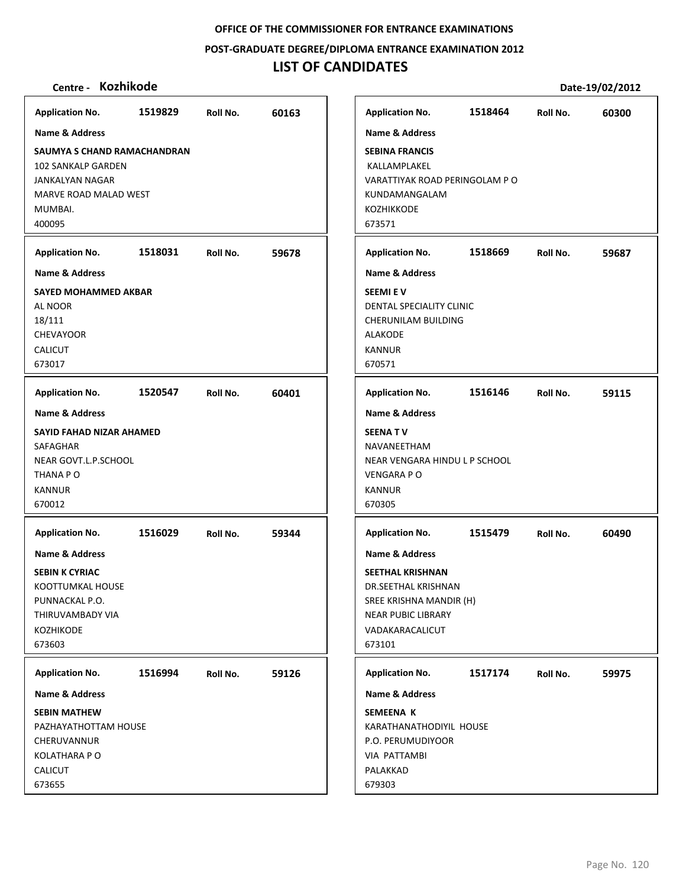**POST‐GRADUATE DEGREE/DIPLOMA ENTRANCE EXAMINATION 2012**

## **LIST OF CANDIDATES**

## **Centre ‐ Kozhikode Date‐19/02/2012**

**1519829 60163 SAUMYA S CHAND RAMACHANDRAN** 102 SANKALP GARDEN JANKALYAN NAGAR MARVE ROAD MALAD WEST MUMBAI. 400095 **Application No. Name & Address 1518031 59678 SAYED MOHAMMED AKBAR** AL NOOR 18/111 CHEVAYOOR CALICUT 673017 **Application No. Name & Address 1520547 60401 SAYID FAHAD NIZAR AHAMED** SAFAGHAR NEAR GOVT.L.P.SCHOOL THANA P O KANNUR 670012 **Application No. Name & Address 1516029 59344 SEBIN K CYRIAC** KOOTTUMKAL HOUSE PUNNACKAL P.O. THIRUVAMBADY VIA KOZHIKODE 673603 **Application No. Name & Address 1516994 59126 SEBIN MATHEW** PAZHAYATHOTTAM HOUSE CHERUVANNUR KOLATHARA P O CALICUT 673655 **Application No. Name & Address 1518464 60300 SEBINA FRANCIS** KALLAMPLAKEL VARATTIYAK ROAD PERINGOLAM P O KUNDAMANGALAM KOZHIKKODE 673571 **Application No. Name & Address 1518669 59687 SEEMI E V** DENTAL SPECIALITY CLINIC CHERUNILAM BUILDING ALAKODE KANNUR 670571 **Application No. Name & Address 1516146 59115 SEENA T V** NAVANEETHAM NEAR VENGARA HINDU L P SCHOOL VENGARA P O KANNUR 670305 **Application No. Name & Address 1515479 60490 SEETHAL KRISHNAN** DR.SEETHAL KRISHNAN SREE KRISHNA MANDIR (H) NEAR PUBIC LIBRARY VADAKARACALICUT 673101 **Application No. Name & Address 1517174 59975 SEMEENA K** KARATHANATHODIYIL HOUSE P.O. PERUMUDIYOOR VIA PATTAMBI PALAKKAD 679303 **Application No. Name & Address**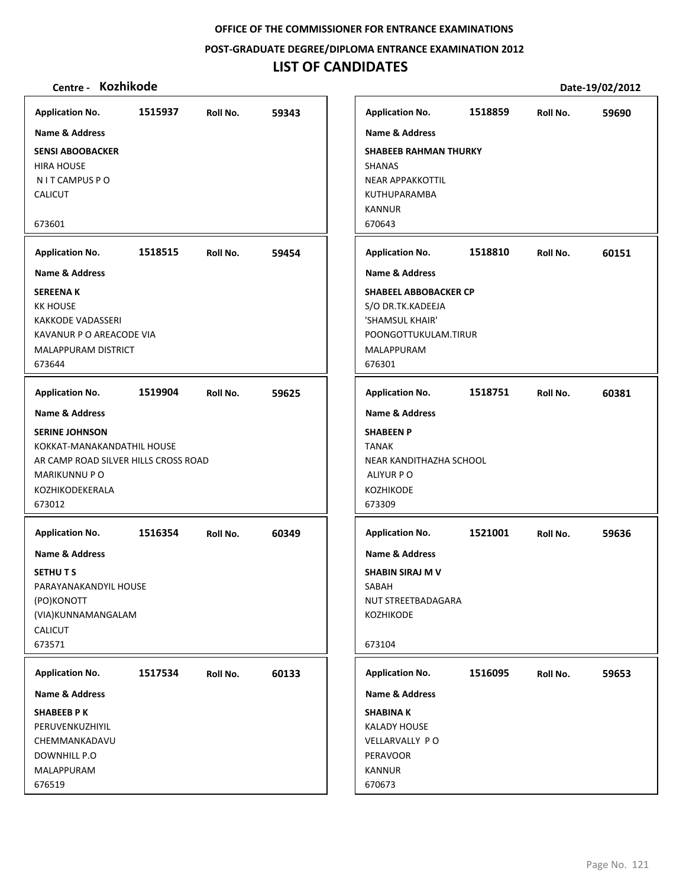**POST‐GRADUATE DEGREE/DIPLOMA ENTRANCE EXAMINATION 2012**

# **LIST OF CANDIDATES**

| <b>Application No.</b>                              | 1515937 | Roll No. | 59343 | <b>Application No.</b>           | 1518859 | Roll No. | 59690 |
|-----------------------------------------------------|---------|----------|-------|----------------------------------|---------|----------|-------|
| Name & Address                                      |         |          |       | Name & Address                   |         |          |       |
| <b>SENSI ABOOBACKER</b>                             |         |          |       | <b>SHABEEB RAHMAN THURKY</b>     |         |          |       |
| <b>HIRA HOUSE</b>                                   |         |          |       | <b>SHANAS</b>                    |         |          |       |
| N I T CAMPUS P O                                    |         |          |       | <b>NEAR APPAKKOTTIL</b>          |         |          |       |
| <b>CALICUT</b>                                      |         |          |       | KUTHUPARAMBA                     |         |          |       |
|                                                     |         |          |       | <b>KANNUR</b>                    |         |          |       |
| 673601                                              |         |          |       | 670643                           |         |          |       |
| <b>Application No.</b>                              | 1518515 | Roll No. | 59454 | <b>Application No.</b>           | 1518810 | Roll No. | 60151 |
| <b>Name &amp; Address</b>                           |         |          |       | <b>Name &amp; Address</b>        |         |          |       |
| <b>SEREENAK</b>                                     |         |          |       | <b>SHABEEL ABBOBACKER CP</b>     |         |          |       |
| <b>KK HOUSE</b>                                     |         |          |       | S/O DR.TK.KADEEJA                |         |          |       |
| <b>KAKKODE VADASSERI</b>                            |         |          |       | 'SHAMSUL KHAIR'                  |         |          |       |
| KAVANUR P O AREACODE VIA                            |         |          |       | POONGOTTUKULAM.TIRUR             |         |          |       |
| <b>MALAPPURAM DISTRICT</b>                          |         |          |       | MALAPPURAM                       |         |          |       |
| 673644                                              |         |          |       | 676301                           |         |          |       |
| <b>Application No.</b>                              | 1519904 | Roll No. | 59625 | <b>Application No.</b>           | 1518751 | Roll No. | 60381 |
| <b>Name &amp; Address</b>                           |         |          |       | <b>Name &amp; Address</b>        |         |          |       |
|                                                     |         |          |       |                                  |         |          |       |
| <b>SERINE JOHNSON</b><br>KOKKAT-MANAKANDATHIL HOUSE |         |          |       | <b>SHABEEN P</b><br><b>TANAK</b> |         |          |       |
| AR CAMP ROAD SILVER HILLS CROSS ROAD                |         |          |       | NEAR KANDITHAZHA SCHOOL          |         |          |       |
| <b>MARIKUNNU P O</b>                                |         |          |       | ALIYUR P O                       |         |          |       |
| KOZHIKODEKERALA                                     |         |          |       | KOZHIKODE                        |         |          |       |
| 673012                                              |         |          |       | 673309                           |         |          |       |
|                                                     |         |          |       |                                  |         |          |       |
| <b>Application No.</b>                              | 1516354 | Roll No. | 60349 | <b>Application No.</b>           | 1521001 | Roll No. | 59636 |
| <b>Name &amp; Address</b>                           |         |          |       | <b>Name &amp; Address</b>        |         |          |       |
| <b>SETHUTS</b>                                      |         |          |       | <b>SHABIN SIRAJ M V</b>          |         |          |       |
| PARAYANAKANDYIL HOUSE                               |         |          |       | SABAH                            |         |          |       |
| (PO)KONOTT                                          |         |          |       | NUT STREETBADAGARA               |         |          |       |
| (VIA)KUNNAMANGALAM                                  |         |          |       | KOZHIKODE                        |         |          |       |
| <b>CALICUT</b>                                      |         |          |       |                                  |         |          |       |
| 673571                                              |         |          |       | 673104                           |         |          |       |
|                                                     |         |          |       |                                  |         |          |       |
| <b>Application No.</b>                              | 1517534 | Roll No. | 60133 | <b>Application No.</b>           | 1516095 | Roll No. | 59653 |
| Name & Address                                      |         |          |       | <b>Name &amp; Address</b>        |         |          |       |
| <b>SHABEEB PK</b>                                   |         |          |       | <b>SHABINAK</b>                  |         |          |       |
| PERUVENKUZHIYIL                                     |         |          |       | <b>KALADY HOUSE</b>              |         |          |       |
| CHEMMANKADAVU                                       |         |          |       | VELLARVALLY PO                   |         |          |       |
| DOWNHILL P.O                                        |         |          |       | PERAVOOR                         |         |          |       |
| MALAPPURAM                                          |         |          |       | <b>KANNUR</b>                    |         |          |       |
| 676519                                              |         |          |       | 670673                           |         |          |       |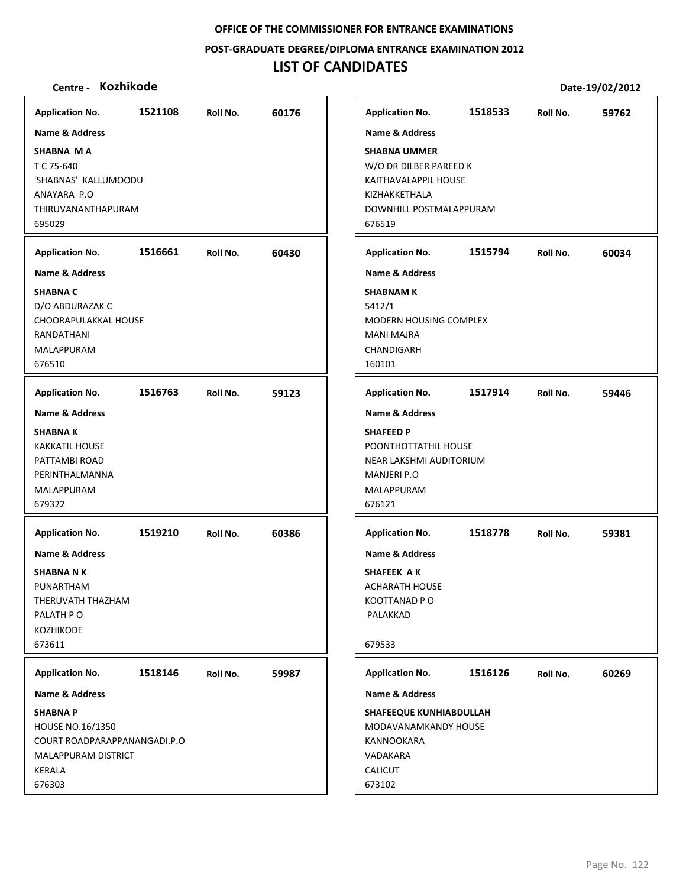**POST‐GRADUATE DEGREE/DIPLOMA ENTRANCE EXAMINATION 2012**

# **LIST OF CANDIDATES**

| <b>Application No.</b>                              | 1521108 | Roll No. | 60176 |
|-----------------------------------------------------|---------|----------|-------|
| <b>Name &amp; Address</b>                           |         |          |       |
| <b>SHABNA MA</b>                                    |         |          |       |
| T C 75-640<br>'SHABNAS' KALLUMOODU                  |         |          |       |
| ANAYARA P.O                                         |         |          |       |
| THIRUVANANTHAPURAM                                  |         |          |       |
| 695029                                              |         |          |       |
| <b>Application No.</b>                              | 1516661 | Roll No. | 60430 |
| <b>Name &amp; Address</b>                           |         |          |       |
| <b>SHABNA C</b>                                     |         |          |       |
| D/O ABDURAZAK C<br>CHOORAPULAKKAL HOUSE             |         |          |       |
| RANDATHANI                                          |         |          |       |
| MALAPPURAM                                          |         |          |       |
| 676510                                              |         |          |       |
| <b>Application No.</b>                              | 1516763 | Roll No. | 59123 |
| <b>Name &amp; Address</b>                           |         |          |       |
| <b>SHABNAK</b>                                      |         |          |       |
| <b>KAKKATIL HOUSE</b>                               |         |          |       |
| PATTAMBI ROAD<br>PERINTHALMANNA                     |         |          |       |
| MALAPPURAM                                          |         |          |       |
| 679322                                              |         |          |       |
| <b>Application No.</b>                              | 1519210 | Roll No. | 60386 |
| <b>Name &amp; Address</b>                           |         |          |       |
| <b>SHABNA N K</b>                                   |         |          |       |
| PUNARTHAM                                           |         |          |       |
| THERUVATH THAZHAM                                   |         |          |       |
| PALATH PO                                           |         |          |       |
| <b>KOZHIKODE</b><br>673611                          |         |          |       |
|                                                     |         |          |       |
| <b>Application No.</b>                              | 1518146 | Roll No. | 59987 |
| Name & Address                                      |         |          |       |
| <b>SHABNAP</b>                                      |         |          |       |
| HOUSE NO.16/1350                                    |         |          |       |
| COURT ROADPARAPPANANGADI.P.O<br>MALAPPURAM DISTRICT |         |          |       |
| KERALA                                              |         |          |       |
| 676303                                              |         |          |       |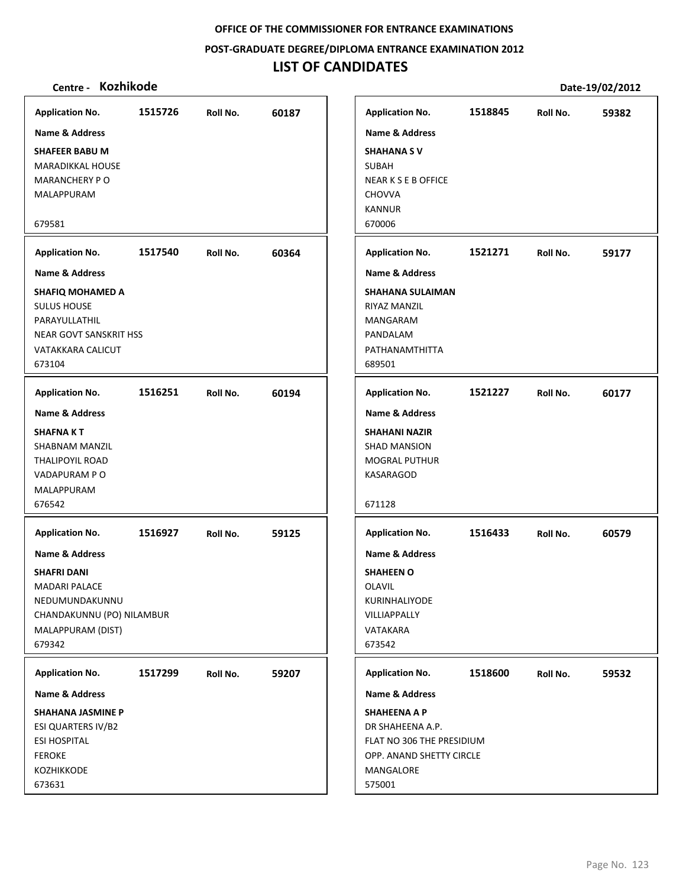**POST‐GRADUATE DEGREE/DIPLOMA ENTRANCE EXAMINATION 2012**

# **LIST OF CANDIDATES**

| <b>Application No.</b>    | 1515726 | Roll No. | 60187 | <b>Application No.</b>     | 1518845 | Roll No. | 59382 |
|---------------------------|---------|----------|-------|----------------------------|---------|----------|-------|
| Name & Address            |         |          |       | <b>Name &amp; Address</b>  |         |          |       |
| <b>SHAFEER BABU M</b>     |         |          |       | <b>SHAHANA SV</b>          |         |          |       |
| <b>MARADIKKAL HOUSE</b>   |         |          |       | SUBAH                      |         |          |       |
| <b>MARANCHERY PO</b>      |         |          |       | <b>NEAR K S E B OFFICE</b> |         |          |       |
| MALAPPURAM                |         |          |       | <b>CHOVVA</b>              |         |          |       |
|                           |         |          |       | <b>KANNUR</b>              |         |          |       |
| 679581                    |         |          |       | 670006                     |         |          |       |
|                           |         |          |       |                            |         |          |       |
| <b>Application No.</b>    | 1517540 | Roll No. | 60364 | <b>Application No.</b>     | 1521271 | Roll No. | 59177 |
| Name & Address            |         |          |       | <b>Name &amp; Address</b>  |         |          |       |
| SHAFIQ MOHAMED A          |         |          |       | <b>SHAHANA SULAIMAN</b>    |         |          |       |
| <b>SULUS HOUSE</b>        |         |          |       | RIYAZ MANZIL               |         |          |       |
| PARAYULLATHIL             |         |          |       | MANGARAM                   |         |          |       |
| NEAR GOVT SANSKRIT HSS    |         |          |       | PANDALAM                   |         |          |       |
| VATAKKARA CALICUT         |         |          |       | PATHANAMTHITTA             |         |          |       |
| 673104                    |         |          |       | 689501                     |         |          |       |
| <b>Application No.</b>    | 1516251 | Roll No. | 60194 | <b>Application No.</b>     | 1521227 | Roll No. | 60177 |
| <b>Name &amp; Address</b> |         |          |       | <b>Name &amp; Address</b>  |         |          |       |
|                           |         |          |       |                            |         |          |       |
| SHAFNA K T                |         |          |       | <b>SHAHANI NAZIR</b>       |         |          |       |
| SHABNAM MANZIL            |         |          |       | <b>SHAD MANSION</b>        |         |          |       |
| <b>THALIPOYIL ROAD</b>    |         |          |       | <b>MOGRAL PUTHUR</b>       |         |          |       |
| VADAPURAM P O             |         |          |       | KASARAGOD                  |         |          |       |
| MALAPPURAM                |         |          |       |                            |         |          |       |
| 676542                    |         |          |       | 671128                     |         |          |       |
| <b>Application No.</b>    | 1516927 | Roll No. | 59125 | <b>Application No.</b>     | 1516433 | Roll No. | 60579 |
| Name & Address            |         |          |       | <b>Name &amp; Address</b>  |         |          |       |
| <b>SHAFRI DANI</b>        |         |          |       | <b>SHAHEEN O</b>           |         |          |       |
| <b>MADARI PALACE</b>      |         |          |       | <b>OLAVIL</b>              |         |          |       |
| NEDUMUNDAKUNNU            |         |          |       | KURINHALIYODE              |         |          |       |
| CHANDAKUNNU (PO) NILAMBUR |         |          |       | VILLIAPPALLY               |         |          |       |
| MALAPPURAM (DIST)         |         |          |       | VATAKARA                   |         |          |       |
| 679342                    |         |          |       | 673542                     |         |          |       |
|                           |         |          |       |                            |         |          |       |
| <b>Application No.</b>    | 1517299 | Roll No. | 59207 | <b>Application No.</b>     | 1518600 | Roll No. | 59532 |
| <b>Name &amp; Address</b> |         |          |       | Name & Address             |         |          |       |
| SHAHANA JASMINE P         |         |          |       | <b>SHAHEENA A P</b>        |         |          |       |
| ESI QUARTERS IV/B2        |         |          |       | DR SHAHEENA A.P.           |         |          |       |
| <b>ESI HOSPITAL</b>       |         |          |       | FLAT NO 306 THE PRESIDIUM  |         |          |       |
| <b>FEROKE</b>             |         |          |       | OPP. ANAND SHETTY CIRCLE   |         |          |       |
| KOZHIKKODE                |         |          |       | MANGALORE                  |         |          |       |
| 673631                    |         |          |       | 575001                     |         |          |       |
|                           |         |          |       |                            |         |          |       |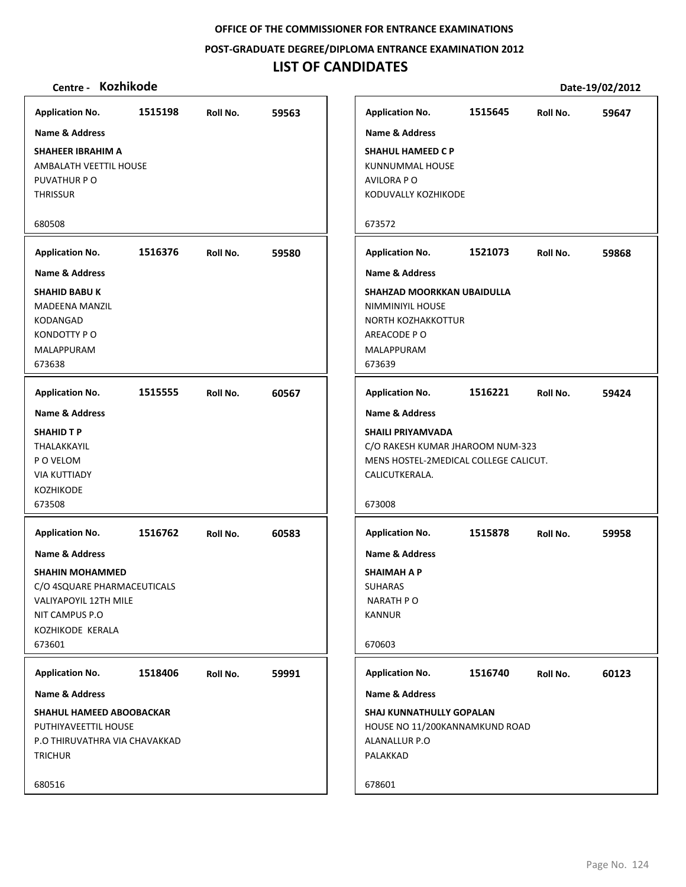**POST‐GRADUATE DEGREE/DIPLOMA ENTRANCE EXAMINATION 2012**

# **LIST OF CANDIDATES**

| <b>Application No.</b>                                                                                                                                      | 1515198 | Roll No. | 59563 |
|-------------------------------------------------------------------------------------------------------------------------------------------------------------|---------|----------|-------|
| Name & Address                                                                                                                                              |         |          |       |
| SHAHEER IBRAHIM A<br>AMBALATH VEETTIL HOUSE<br>PUVATHUR PO<br><b>THRISSUR</b>                                                                               |         |          |       |
| 680508                                                                                                                                                      |         |          |       |
| <b>Application No.</b>                                                                                                                                      | 1516376 | Roll No. | 59580 |
| <b>Name &amp; Address</b>                                                                                                                                   |         |          |       |
| <b>SHAHID BABU K</b><br><b>MADEENA MANZIL</b><br><b>KODANGAD</b><br>KONDOTTY PO<br>MALAPPURAM<br>673638                                                     |         |          |       |
| <b>Application No.</b>                                                                                                                                      | 1515555 | Roll No. | 60567 |
| <b>Name &amp; Address</b>                                                                                                                                   |         |          |       |
| <b>SHAHID T P</b><br>THALAKKAYIL<br>P O VELOM<br><b>VIA KUTTIADY</b><br><b>KOZHIKODE</b><br>673508                                                          |         |          |       |
|                                                                                                                                                             |         |          |       |
| <b>Application No.</b>                                                                                                                                      | 1516762 | Roll No. | 60583 |
| <b>Name &amp; Address</b><br><b>SHAHIN MOHAMMED</b><br>C/O 4SQUARE PHARMACEUTICALS<br>VALIYAPOYIL 12TH MILE<br>NIT CAMPUS P.O<br>KOZHIKODE KERALA<br>673601 |         |          |       |
|                                                                                                                                                             |         |          |       |
| <b>Application No.</b><br>Name & Address                                                                                                                    | 1518406 | Roll No. | 59991 |
| <b>SHAHUL HAMEED ABOOBACKAR</b><br>PUTHIYAVEETTIL HOUSE<br>P.O THIRUVATHRA VIA CHAVAKKAD<br><b>TRICHUR</b><br>680516                                        |         |          |       |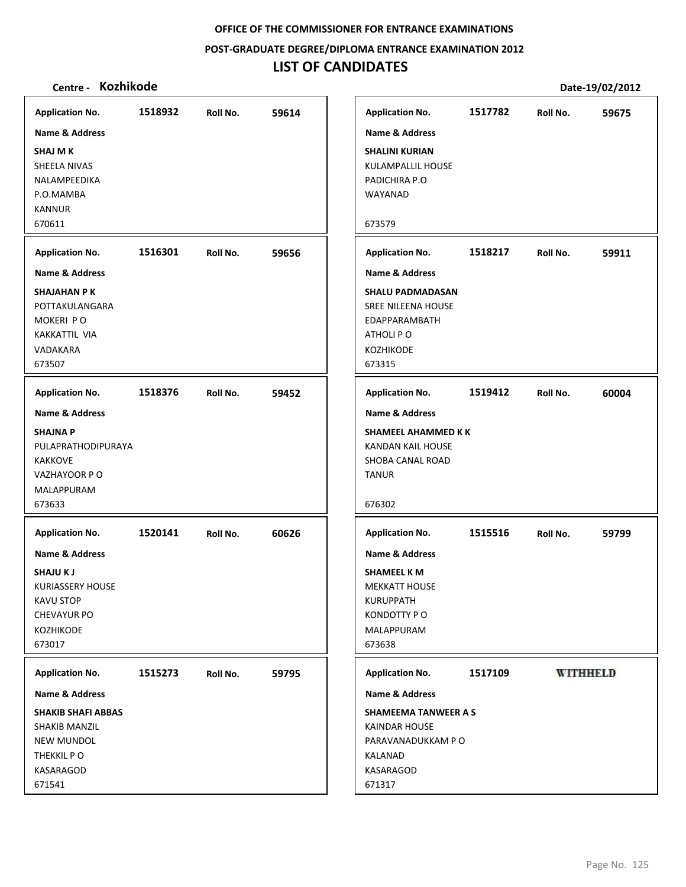**POST‐GRADUATE DEGREE/DIPLOMA ENTRANCE EXAMINATION 2012**

# **LIST OF CANDIDATES**

| 1518932<br>59614<br>Roll No.<br>1516301<br>59656<br>Roll No.<br>1518376<br>Roll No.<br>59452<br>1520141<br>60626<br>Roll No.<br><b>Application No.</b><br>1515273<br>Roll No.<br>59795<br><b>SHAKIB SHAFI ABBAS</b> |                                                                                                     |  |  |
|---------------------------------------------------------------------------------------------------------------------------------------------------------------------------------------------------------------------|-----------------------------------------------------------------------------------------------------|--|--|
|                                                                                                                                                                                                                     | <b>Application No.</b>                                                                              |  |  |
|                                                                                                                                                                                                                     | <b>Name &amp; Address</b>                                                                           |  |  |
|                                                                                                                                                                                                                     | <b>SHAJ M K</b><br>SHEELA NIVAS<br>NALAMPEEDIKA<br>P.O.MAMBA<br><b>KANNUR</b>                       |  |  |
|                                                                                                                                                                                                                     | 670611                                                                                              |  |  |
|                                                                                                                                                                                                                     | <b>Application No.</b>                                                                              |  |  |
|                                                                                                                                                                                                                     | <b>Name &amp; Address</b>                                                                           |  |  |
|                                                                                                                                                                                                                     | <b>SHAJAHAN PK</b><br>POTTAKULANGARA<br>MOKERI PO<br>KAKKATTIL VIA<br>VADAKARA<br>673507            |  |  |
|                                                                                                                                                                                                                     | <b>Application No.</b>                                                                              |  |  |
|                                                                                                                                                                                                                     | <b>Name &amp; Address</b>                                                                           |  |  |
|                                                                                                                                                                                                                     | <b>SHAJNA P</b><br>PULAPRATHODIPURAYA<br><b>KAKKOVE</b><br>VAZHAYOOR PO<br>MALAPPURAM<br>673633     |  |  |
|                                                                                                                                                                                                                     | <b>Application No.</b>                                                                              |  |  |
| <b>SHAMEEL K M</b><br><b>MEKKATT HOUSE</b><br><b>KURUPPATH</b><br>KONDOTTY PO<br>MALAPPURAM<br>673638<br>KALANAD<br>671317                                                                                          | <b>Name &amp; Address</b>                                                                           |  |  |
| <b>Application No.</b><br><b>Name &amp; Address</b><br><b>SHAMEEMA TANWEER A S</b><br>KAINDAR HOUSE<br>PARAVANADUKKAM PO<br>KASARAGOD                                                                               | <b>SHAJUKJ</b><br><b>KURIASSERY HOUSE</b><br><b>KAVU STOP</b><br>CHEVAYUR PO<br>KOZHIKODE<br>673017 |  |  |
|                                                                                                                                                                                                                     |                                                                                                     |  |  |
|                                                                                                                                                                                                                     |                                                                                                     |  |  |
|                                                                                                                                                                                                                     | <b>Name &amp; Address</b>                                                                           |  |  |
|                                                                                                                                                                                                                     | <b>SHAKIB MANZIL</b>                                                                                |  |  |
|                                                                                                                                                                                                                     | <b>NEW MUNDOL</b>                                                                                   |  |  |
|                                                                                                                                                                                                                     | THEKKIL PO                                                                                          |  |  |
|                                                                                                                                                                                                                     | KASARAGOD<br>671541                                                                                 |  |  |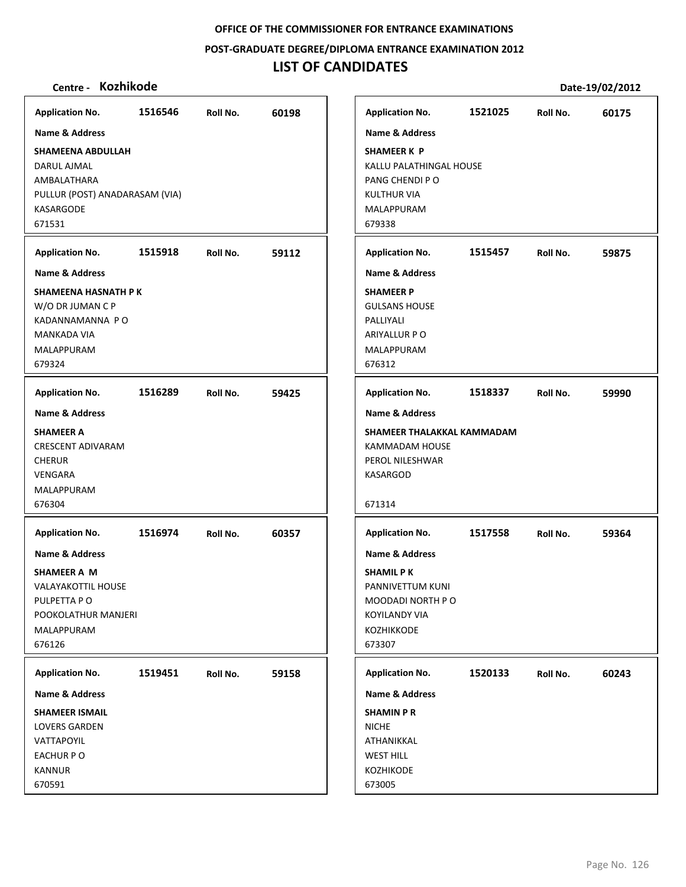**POST‐GRADUATE DEGREE/DIPLOMA ENTRANCE EXAMINATION 2012**

# **LIST OF CANDIDATES**

| Centre - Kozhikode             |         |          |       |                            |         |          | Date-19/02/2012 |
|--------------------------------|---------|----------|-------|----------------------------|---------|----------|-----------------|
| <b>Application No.</b>         | 1516546 | Roll No. | 60198 | <b>Application No.</b>     | 1521025 | Roll No. | 60175           |
| <b>Name &amp; Address</b>      |         |          |       | <b>Name &amp; Address</b>  |         |          |                 |
| SHAMEENA ABDULLAH              |         |          |       | <b>SHAMEER K P</b>         |         |          |                 |
| DARUL AJMAL                    |         |          |       | KALLU PALATHINGAL HOUSE    |         |          |                 |
| AMBALATHARA                    |         |          |       | PANG CHENDI PO             |         |          |                 |
| PULLUR (POST) ANADARASAM (VIA) |         |          |       | <b>KULTHUR VIA</b>         |         |          |                 |
| KASARGODE                      |         |          |       | MALAPPURAM                 |         |          |                 |
| 671531                         |         |          |       | 679338                     |         |          |                 |
| <b>Application No.</b>         | 1515918 | Roll No. | 59112 | <b>Application No.</b>     | 1515457 | Roll No. | 59875           |
| Name & Address                 |         |          |       | <b>Name &amp; Address</b>  |         |          |                 |
| SHAMEENA HASNATH P K           |         |          |       | <b>SHAMEER P</b>           |         |          |                 |
| W/O DR JUMAN C P               |         |          |       | <b>GULSANS HOUSE</b>       |         |          |                 |
| KADANNAMANNA PO                |         |          |       | PALLIYALI                  |         |          |                 |
| <b>MANKADA VIA</b>             |         |          |       | ARIYALLUR P O              |         |          |                 |
| MALAPPURAM                     |         |          |       | MALAPPURAM                 |         |          |                 |
| 679324                         |         |          |       | 676312                     |         |          |                 |
| <b>Application No.</b>         | 1516289 | Roll No. | 59425 | <b>Application No.</b>     | 1518337 | Roll No. | 59990           |
| <b>Name &amp; Address</b>      |         |          |       | <b>Name &amp; Address</b>  |         |          |                 |
| <b>SHAMEER A</b>               |         |          |       | SHAMEER THALAKKAL KAMMADAM |         |          |                 |
| <b>CRESCENT ADIVARAM</b>       |         |          |       | KAMMADAM HOUSE             |         |          |                 |
| <b>CHERUR</b>                  |         |          |       | PEROL NILESHWAR            |         |          |                 |
| VENGARA                        |         |          |       | KASARGOD                   |         |          |                 |
| MALAPPURAM                     |         |          |       |                            |         |          |                 |
| 676304                         |         |          |       | 671314                     |         |          |                 |
| <b>Application No.</b>         | 1516974 | Roll No. | 60357 | <b>Application No.</b>     | 1517558 | Roll No. | 59364           |
| Name & Address                 |         |          |       | <b>Name &amp; Address</b>  |         |          |                 |
| SHAMEER A M                    |         |          |       | <b>SHAMIL P K</b>          |         |          |                 |
| <b>VALAYAKOTTIL HOUSE</b>      |         |          |       | PANNIVETTUM KUNI           |         |          |                 |
| PULPETTA PO                    |         |          |       | MOODADI NORTH PO           |         |          |                 |
| POOKOLATHUR MANJERI            |         |          |       | <b>KOYILANDY VIA</b>       |         |          |                 |
| MALAPPURAM                     |         |          |       | KOZHIKKODE                 |         |          |                 |
| 676126                         |         |          |       | 673307                     |         |          |                 |
| <b>Application No.</b>         | 1519451 | Roll No. | 59158 | <b>Application No.</b>     | 1520133 | Roll No. | 60243           |
| <b>Name &amp; Address</b>      |         |          |       | <b>Name &amp; Address</b>  |         |          |                 |
| <b>SHAMEER ISMAIL</b>          |         |          |       | <b>SHAMIN P R</b>          |         |          |                 |
| <b>LOVERS GARDEN</b>           |         |          |       | <b>NICHE</b>               |         |          |                 |
| VATTAPOYIL                     |         |          |       | ATHANIKKAL                 |         |          |                 |
| EACHUR PO                      |         |          |       | <b>WEST HILL</b>           |         |          |                 |
| <b>KANNUR</b>                  |         |          |       | KOZHIKODE                  |         |          |                 |
| 670591                         |         |          |       | 673005                     |         |          |                 |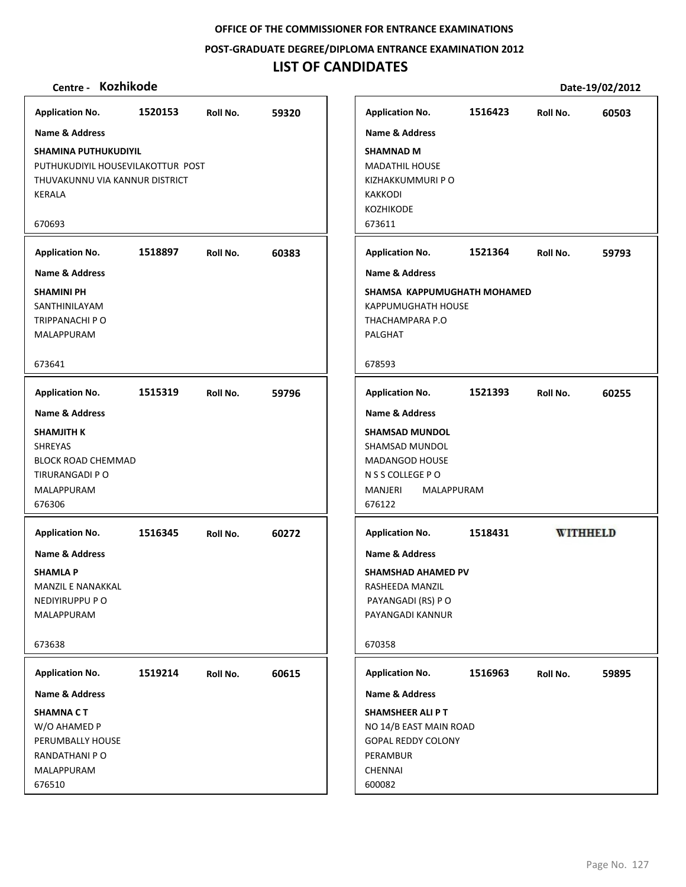## **POST‐GRADUATE DEGREE/DIPLOMA ENTRANCE EXAMINATION 2012**

# **LIST OF CANDIDATES**

| <b>Application No.</b>                                                                                                        | 1520153 | Roll No. | 59320 |
|-------------------------------------------------------------------------------------------------------------------------------|---------|----------|-------|
| <b>Name &amp; Address</b>                                                                                                     |         |          |       |
| <b>SHAMINA PUTHUKUDIYIL</b><br>PUTHUKUDIYIL HOUSEVILAKOTTUR POST<br>THUVAKUNNU VIA KANNUR DISTRICT<br>KERALA                  |         |          |       |
| 670693                                                                                                                        |         |          |       |
| <b>Application No.</b>                                                                                                        | 1518897 | Roll No. | 60383 |
| <b>Name &amp; Address</b>                                                                                                     |         |          |       |
| <b>SHAMINI PH</b><br>SANTHINILAYAM<br>TRIPPANACHI P O<br>MALAPPURAM                                                           |         |          |       |
| 673641                                                                                                                        |         |          |       |
| <b>Application No.</b>                                                                                                        | 1515319 | Roll No. | 59796 |
| Name & Address<br><b>SHAMJITH K</b><br><b>SHREYAS</b><br><b>BLOCK ROAD CHEMMAD</b><br>TIRURANGADI P O<br>MALAPPURAM<br>676306 |         |          |       |
| <b>Application No.</b>                                                                                                        | 1516345 | Roll No. | 60272 |
| <b>Name &amp; Address</b><br><b>SHAMLA P</b><br><b>MANZIL E NANAKKAL</b><br>NEDIYIRUPPU P O<br>MALAPPURAM                     |         |          |       |
| 673638                                                                                                                        |         |          |       |
| <b>Application No.</b>                                                                                                        | 1519214 | Roll No. | 60615 |
| <b>Name &amp; Address</b>                                                                                                     |         |          |       |
| <b>SHAMNA CT</b><br>W/O AHAMED P<br>PERUMBALLY HOUSE<br>RANDATHANI P O<br>MALAPPURAM<br>676510                                |         |          |       |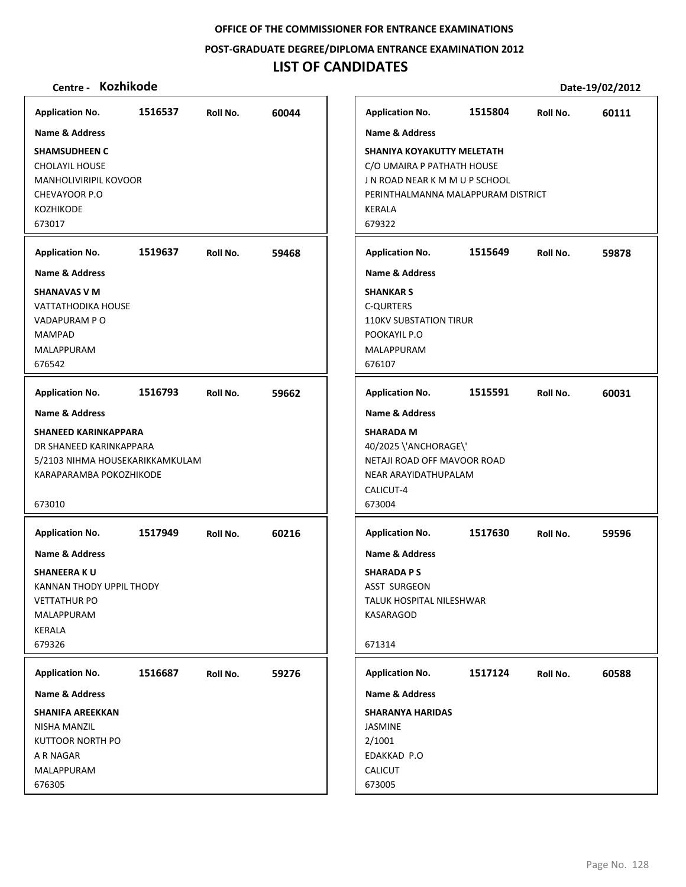**POST‐GRADUATE DEGREE/DIPLOMA ENTRANCE EXAMINATION 2012**

## **LIST OF CANDIDATES**

## **Centre ‐ Kozhikode Date‐19/02/2012**

**1516537 60044 SHAMSUDHEEN C** CHOLAYIL HOUSE MANHOLIVIRIPIL KOVOOR CHEVAYOOR P.O KOZHIKODE 673017 **Application No. Name & Address 1519637 59468 SHANAVAS V M** VATTATHODIKA HOUSE VADAPURAM P O MAMPAD MALAPPURAM 676542 **Application No. Name & Address 1516793 59662 SHANEED KARINKAPPARA** DR SHANEED KARINKAPPARA 5/2103 NIHMA HOUSEKARIKKAMKULAM KARAPARAMBA POKOZHIKODE 673010 **Application No. Name & Address 1517949 60216 SHANEERA K U** KANNAN THODY UPPIL THODY VETTATHUR PO MALAPPURAM KERALA 679326 **Application No. Name & Address 1516687 59276 SHANIFA AREEKKAN** NISHA MANZIL KUTTOOR NORTH PO A R NAGAR MALAPPURAM 676305 **Application No. Name & Address 1515804 60111 SHANIYA KOYAKUTTY MELETATH** C/O UMAIRA P PATHATH HOUSE J N ROAD NEAR K M M U P SCHOOL PERINTHALMANNA MALAPPURAM DISTRICT KERALA 679322 **Application No. Name & Address 1515649 59878 SHANKAR S** C‐QURTERS 110KV SUBSTATION TIRUR POOKAYIL P.O MALAPPURAM 676107 **Application No. Name & Address 1515591 60031 SHARADA M** 40/2025 \'ANCHORAGE\' NETAJI ROAD OFF MAVOOR ROAD NEAR ARAYIDATHUPALAM CALICUT‐4 673004 **Application No. Name & Address 1517630 59596 SHARADA P S** ASST SURGEON TALUK HOSPITAL NILESHWAR KASARAGOD 671314 **Application No. Name & Address 1517124 60588 SHARANYA HARIDAS** JASMINE 2/1001 EDAKKAD P.O CALICUT 673005 **Application No. Name & Address**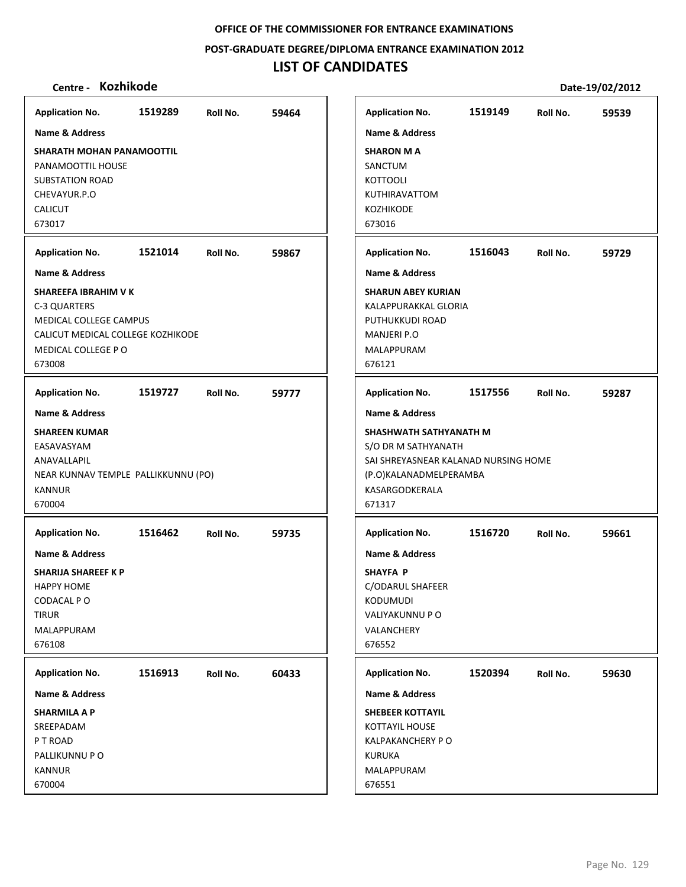**POST‐GRADUATE DEGREE/DIPLOMA ENTRANCE EXAMINATION 2012**

# **LIST OF CANDIDATES**

| <b>Application No.</b>                                                                                                                     | 1519289 | Roll No. | 59464 |                         | <b>Application No.</b>                                                                                                            | 1519149 | Roll No. | 59539 |
|--------------------------------------------------------------------------------------------------------------------------------------------|---------|----------|-------|-------------------------|-----------------------------------------------------------------------------------------------------------------------------------|---------|----------|-------|
| <b>Name &amp; Address</b>                                                                                                                  |         |          |       |                         | <b>Name &amp; Address</b>                                                                                                         |         |          |       |
| <b>SHARATH MOHAN PANAMOOTTIL</b><br>PANAMOOTTIL HOUSE<br><b>SUBSTATION ROAD</b><br>CHEVAYUR.P.O<br><b>CALICUT</b><br>673017                |         |          |       | 673016                  | <b>SHARON MA</b><br>SANCTUM<br><b>KOTTOOLI</b><br>KUTHIRAVATTOM<br><b>KOZHIKODE</b>                                               |         |          |       |
| <b>Application No.</b>                                                                                                                     | 1521014 | Roll No. | 59867 |                         | <b>Application No.</b>                                                                                                            | 1516043 | Roll No. | 59729 |
| <b>Name &amp; Address</b>                                                                                                                  |         |          |       |                         | <b>Name &amp; Address</b>                                                                                                         |         |          |       |
| SHAREEFA IBRAHIM V K<br>C-3 QUARTERS<br><b>MEDICAL COLLEGE CAMPUS</b><br>CALICUT MEDICAL COLLEGE KOZHIKODE<br>MEDICAL COLLEGE PO<br>673008 |         |          |       | 676121                  | <b>SHARUN ABEY KURIAN</b><br>KALAPPURAKKAL GLORIA<br>PUTHUKKUDI ROAD<br><b>MANJERI P.O</b><br>MALAPPURAM                          |         |          |       |
| <b>Application No.</b>                                                                                                                     | 1519727 | Roll No. | 59777 |                         | <b>Application No.</b>                                                                                                            | 1517556 | Roll No. | 59287 |
| <b>Name &amp; Address</b>                                                                                                                  |         |          |       |                         | <b>Name &amp; Address</b>                                                                                                         |         |          |       |
| <b>SHAREEN KUMAR</b><br>EASAVASYAM<br>ANAVALLAPIL<br>NEAR KUNNAV TEMPLE PALLIKKUNNU (PO)<br><b>KANNUR</b><br>670004                        |         |          |       | 671317                  | SHASHWATH SATHYANATH M<br>S/O DR M SATHYANATH<br>SAI SHREYASNEAR KALANAD NURSING HOME<br>(P.O)KALANADMELPERAMBA<br>KASARGODKERALA |         |          |       |
| <b>Application No.</b>                                                                                                                     | 1516462 | Roll No. | 59735 |                         | <b>Application No.</b>                                                                                                            | 1516720 | Roll No. | 59661 |
| <b>Name &amp; Address</b><br><b>SHARIJA SHAREEF K P</b><br><b>HAPPY HOME</b><br>CODACAL PO<br><b>TIRUR</b><br>MALAPPURAM<br>676108         |         |          |       | 676552                  | <b>Name &amp; Address</b><br><b>SHAYFA P</b><br><b>C/ODARUL SHAFEER</b><br>KODUMUDI<br>VALIYAKUNNU P O<br>VALANCHERY              |         |          |       |
| <b>Application No.</b>                                                                                                                     | 1516913 | Roll No. | 60433 |                         | <b>Application No.</b>                                                                                                            | 1520394 | Roll No. | 59630 |
| Name & Address                                                                                                                             |         |          |       |                         | Name & Address                                                                                                                    |         |          |       |
| <b>SHARMILA A P</b><br>SREEPADAM<br>P T ROAD<br>PALLIKUNNU P O<br><b>KANNUR</b><br>670004                                                  |         |          |       | <b>KURUKA</b><br>676551 | <b>SHEBEER KOTTAYIL</b><br><b>KOTTAYIL HOUSE</b><br><b>KALPAKANCHERY PO</b><br>MALAPPURAM                                         |         |          |       |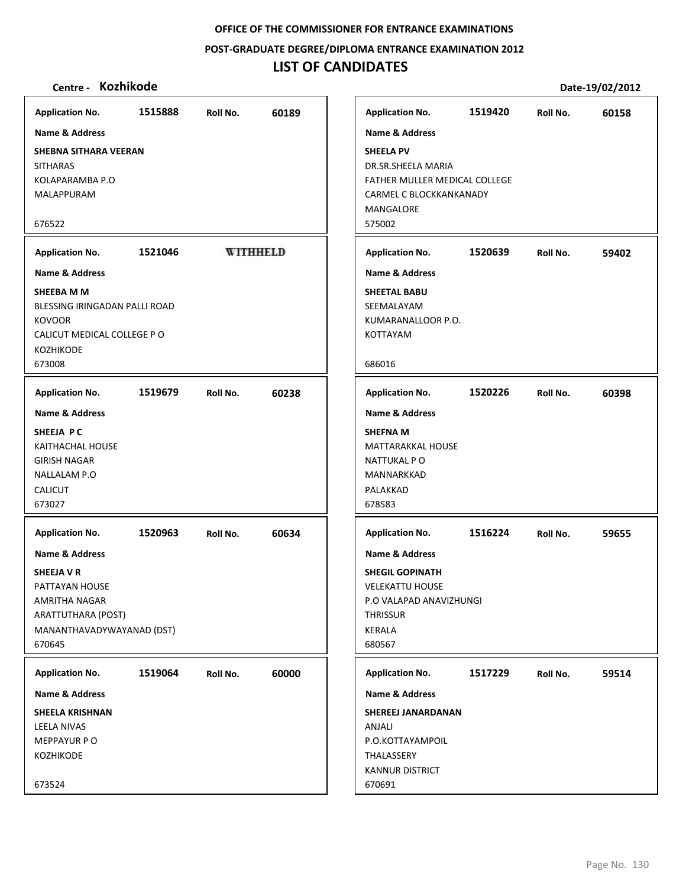**POST‐GRADUATE DEGREE/DIPLOMA ENTRANCE EXAMINATION 2012**

## **LIST OF CANDIDATES**

## **Centre ‐ Kozhikode Date‐19/02/2012**

**Application No. 1515888 60189 Application No. 1519420 60158 Name & Address Name & Address SHEBNA SITHARA VEERAN SHEELA PV SITHARAS** DR.SR.SHEELA MARIA KOLAPARAMBA P.O FATHER MULLER MEDICAL COLLEGE MALAPPURAM CARMEL C BLOCKKANKANADY MANGALORE 676522 575002 **1521046 Application No. Application No. WITHHELD 1520639 59402 Name & Address Name & Address SHEEBA M M SHEETAL BABU** BLESSING IRINGADAN PALLI ROAD SEEMALAYAM **KOVOOR** KUMARANALLOOR P.O. CALICUT MEDICAL COLLEGE P O KOTTAYAM KOZHIKODE 673008 686016 **Application No. 1519679 60238 Application No. 1520226 60398 Name & Address Name & Address SHEEJA P C SHEFNA M** KAITHACHAL HOUSE MATTARAKKAL HOUSE GIRISH NAGAR NATTUKAL P O NALLALAM P.O MANNARKKAD CALICUT PALAKKAD 673027 678583 **Application No. Application No. 1520963 60634 1516224 59655 Name & Address Name & Address SHEEJA V R SHEGIL GOPINATH** PATTAYAN HOUSE VELEKATTU HOUSE AMRITHA NAGAR P.O VALAPAD ANAVIZHUNGI ARATTUTHARA (POST) **THRISSUR** MANANTHAVADYWAYANAD (DST) KERALA 670645 680567 **Application No. Application No. 1519064 60000 1517229 59514 Name & Address Name & Address SHEELA KRISHNAN SHEREEJ JANARDANAN** LEELA NIVAS **ANIALI** P.O.KOTTAYAMPOIL MEPPAYUR P O KOZHIKODE THALASSERY KANNUR DISTRICT 673524 670691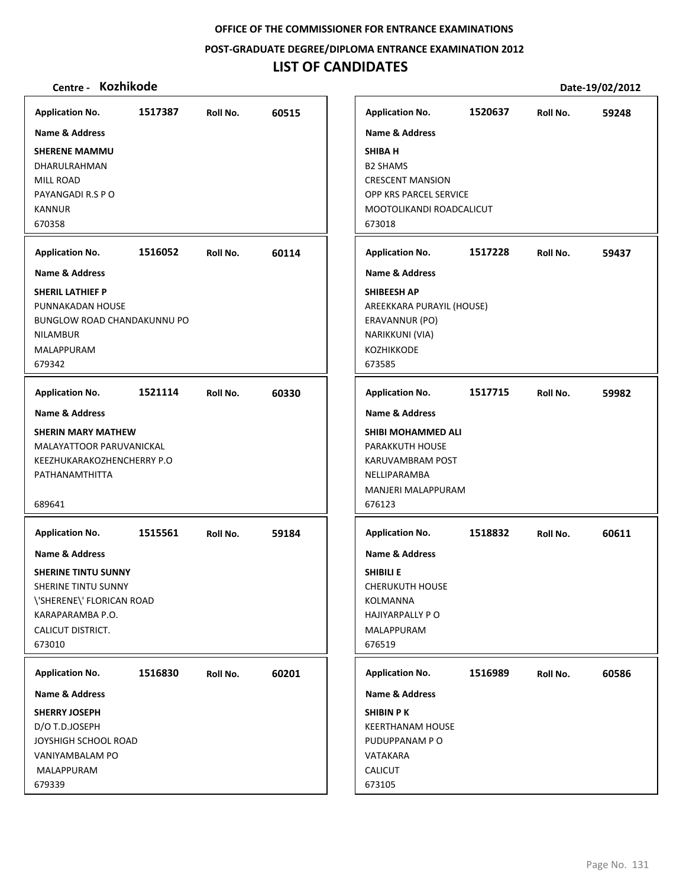**POST‐GRADUATE DEGREE/DIPLOMA ENTRANCE EXAMINATION 2012**

# **LIST OF CANDIDATES**

| <b>Application No.</b>                                                                                                                                         | 1517387 | Roll No. | 60515 | <b>Application No.</b>                                                                                                                                                              | 1520637 | Roll No. | 59248 |
|----------------------------------------------------------------------------------------------------------------------------------------------------------------|---------|----------|-------|-------------------------------------------------------------------------------------------------------------------------------------------------------------------------------------|---------|----------|-------|
| <b>Name &amp; Address</b><br><b>SHERENE MAMMU</b><br>DHARULRAHMAN<br>MILL ROAD<br>PAYANGADI R.S P O<br><b>KANNUR</b><br>670358<br><b>Application No.</b>       | 1516052 | Roll No. | 60114 | <b>Name &amp; Address</b><br><b>SHIBA H</b><br><b>B2 SHAMS</b><br><b>CRESCENT MANSION</b><br>OPP KRS PARCEL SERVICE<br>MOOTOLIKANDI ROADCALICUT<br>673018<br><b>Application No.</b> | 1517228 | Roll No. | 59437 |
| <b>Name &amp; Address</b>                                                                                                                                      |         |          |       | <b>Name &amp; Address</b>                                                                                                                                                           |         |          |       |
| <b>SHERIL LATHIEF P</b><br>PUNNAKADAN HOUSE<br>BUNGLOW ROAD CHANDAKUNNU PO<br><b>NILAMBUR</b><br>MALAPPURAM<br>679342                                          |         |          |       | SHIBEESH AP<br>AREEKKARA PURAYIL (HOUSE)<br>ERAVANNUR (PO)<br>NARIKKUNI (VIA)<br><b>KOZHIKKODE</b><br>673585                                                                        |         |          |       |
| <b>Application No.</b>                                                                                                                                         | 1521114 | Roll No. | 60330 | <b>Application No.</b>                                                                                                                                                              | 1517715 | Roll No. | 59982 |
| <b>Name &amp; Address</b><br><b>SHERIN MARY MATHEW</b><br>MALAYATTOOR PARUVANICKAL<br>KEEZHUKARAKOZHENCHERRY P.O<br>PATHANAMTHITTA<br>689641                   |         |          |       | <b>Name &amp; Address</b><br>SHIBI MOHAMMED ALI<br>PARAKKUTH HOUSE<br>KARUVAMBRAM POST<br>NELLIPARAMBA<br>MANJERI MALAPPURAM<br>676123                                              |         |          |       |
| <b>Application No.</b>                                                                                                                                         | 1515561 | Roll No. | 59184 | <b>Application No.</b>                                                                                                                                                              | 1518832 | Roll No. | 60611 |
| <b>Name &amp; Address</b><br><b>SHERINE TINTU SUNNY</b><br>SHERINE TINTU SUNNY<br>\'SHERENE\' FLORICAN ROAD<br>KARAPARAMBA P.O.<br>CALICUT DISTRICT.<br>673010 |         |          |       | <b>Name &amp; Address</b><br><b>SHIBILI E</b><br><b>CHERUKUTH HOUSE</b><br>KOLMANNA<br><b>HAJIYARPALLY P O</b><br><b>MALAPPURAM</b><br>676519                                       |         |          |       |
| <b>Application No.</b>                                                                                                                                         | 1516830 | Roll No. | 60201 | <b>Application No.</b>                                                                                                                                                              | 1516989 | Roll No. | 60586 |
| <b>Name &amp; Address</b><br><b>SHERRY JOSEPH</b><br>D/O T.D.JOSEPH<br>JOYSHIGH SCHOOL ROAD<br>VANIYAMBALAM PO<br>MALAPPURAM<br>679339                         |         |          |       | <b>Name &amp; Address</b><br><b>SHIBIN PK</b><br><b>KEERTHANAM HOUSE</b><br>PUDUPPANAM PO<br>VATAKARA<br>CALICUT<br>673105                                                          |         |          |       |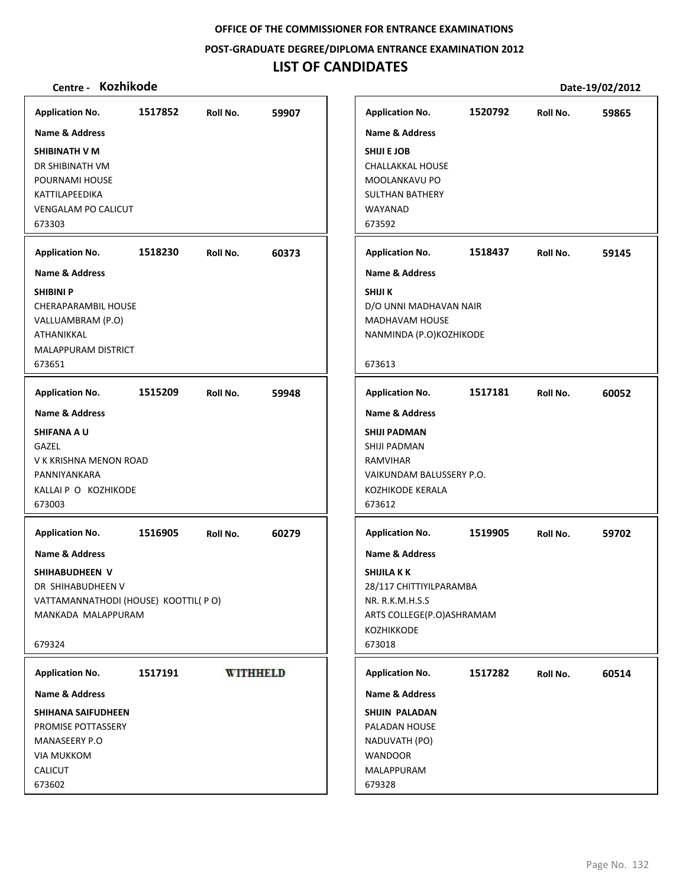**POST‐GRADUATE DEGREE/DIPLOMA ENTRANCE EXAMINATION 2012**

# **LIST OF CANDIDATES**

| <b>Application No.</b>                                                                                                                                             | 1517852 | Roll No.        | 59907 | <b>Application No.</b>                                                                                                                                                | 1520792 | Roll No. | 59865 |
|--------------------------------------------------------------------------------------------------------------------------------------------------------------------|---------|-----------------|-------|-----------------------------------------------------------------------------------------------------------------------------------------------------------------------|---------|----------|-------|
| <b>Name &amp; Address</b><br>SHIBINATH V M<br>DR SHIBINATH VM<br>POURNAMI HOUSE<br>KATTILAPEEDIKA<br><b>VENGALAM PO CALICUT</b><br>673303                          |         |                 |       | <b>Name &amp; Address</b><br><b>SHIJI E JOB</b><br><b>CHALLAKKAL HOUSE</b><br>MOOLANKAVU PO<br><b>SULTHAN BATHERY</b><br>WAYANAD<br>673592                            |         |          |       |
| <b>Application No.</b>                                                                                                                                             | 1518230 | Roll No.        | 60373 | <b>Application No.</b>                                                                                                                                                | 1518437 | Roll No. | 59145 |
| Name & Address<br><b>SHIBINI P</b><br>CHERAPARAMBIL HOUSE<br>VALLUAMBRAM (P.O)<br>ATHANIKKAL<br>MALAPPURAM DISTRICT<br>673651                                      |         |                 |       | Name & Address<br>SHIJI K<br>D/O UNNI MADHAVAN NAIR<br><b>MADHAVAM HOUSE</b><br>NANMINDA (P.O)KOZHIKODE<br>673613                                                     |         |          |       |
| <b>Application No.</b>                                                                                                                                             | 1515209 | Roll No.        | 59948 | <b>Application No.</b>                                                                                                                                                | 1517181 | Roll No. | 60052 |
| <b>Name &amp; Address</b><br><b>SHIFANA A U</b><br>GAZEL<br>V K KRISHNA MENON ROAD<br>PANNIYANKARA<br>KALLAI P O KOZHIKODE<br>673003                               |         |                 |       | <b>Name &amp; Address</b><br><b>SHIJI PADMAN</b><br>SHIJI PADMAN<br><b>RAMVIHAR</b><br>VAIKUNDAM BALUSSERY P.O.<br>KOZHIKODE KERALA<br>673612                         |         |          |       |
| <b>Application No.</b><br><b>Name &amp; Address</b><br>SHIHABUDHEEN V<br>DR SHIHABUDHEEN V<br>VATTAMANNATHODI (HOUSE) KOOTTIL( PO)<br>MANKADA MALAPPURAM<br>679324 | 1516905 | Roll No.        | 60279 | <b>Application No.</b><br><b>Name &amp; Address</b><br>SHIJILA K K<br>28/117 CHITTIYILPARAMBA<br>NR. R.K.M.H.S.S<br>ARTS COLLEGE(P.O)ASHRAMAM<br>KOZHIKKODE<br>673018 | 1519905 | Roll No. | 59702 |
| <b>Application No.</b>                                                                                                                                             | 1517191 | <b>WITHHELD</b> |       | <b>Application No.</b>                                                                                                                                                | 1517282 | Roll No. | 60514 |
| <b>Name &amp; Address</b>                                                                                                                                          |         |                 |       | <b>Name &amp; Address</b>                                                                                                                                             |         |          |       |
| SHIHANA SAIFUDHEEN<br>PROMISE POTTASSERY<br>MANASEERY P.O<br><b>VIA MUKKOM</b><br><b>CALICUT</b><br>673602                                                         |         |                 |       | SHIJIN PALADAN<br>PALADAN HOUSE<br>NADUVATH (PO)<br><b>WANDOOR</b><br>MALAPPURAM<br>679328                                                                            |         |          |       |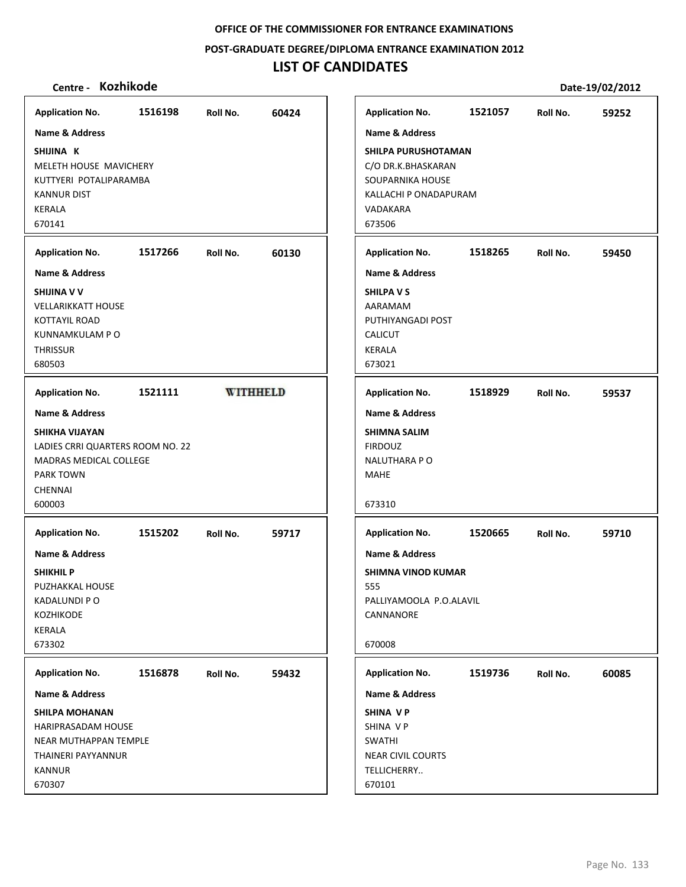**POST‐GRADUATE DEGREE/DIPLOMA ENTRANCE EXAMINATION 2012**

# **LIST OF CANDIDATES**

| Centre - Kozhikode                                                                                                           |         |                 |       |                                                                                                                 |         |          | Date-19/02/2012 |
|------------------------------------------------------------------------------------------------------------------------------|---------|-----------------|-------|-----------------------------------------------------------------------------------------------------------------|---------|----------|-----------------|
| <b>Application No.</b>                                                                                                       | 1516198 | Roll No.        | 60424 | <b>Application No.</b>                                                                                          | 1521057 | Roll No. | 59252           |
| <b>Name &amp; Address</b>                                                                                                    |         |                 |       | <b>Name &amp; Address</b>                                                                                       |         |          |                 |
| SHIJINA K<br>MELETH HOUSE MAVICHERY<br>KUTTYERI POTALIPARAMBA<br><b>KANNUR DIST</b><br><b>KERALA</b><br>670141               |         |                 |       | SHILPA PURUSHOTAMAN<br>C/O DR.K.BHASKARAN<br>SOUPARNIKA HOUSE<br>KALLACHI P ONADAPURAM<br>VADAKARA<br>673506    |         |          |                 |
| <b>Application No.</b>                                                                                                       | 1517266 | Roll No.        | 60130 | <b>Application No.</b>                                                                                          | 1518265 | Roll No. | 59450           |
| <b>Name &amp; Address</b>                                                                                                    |         |                 |       | <b>Name &amp; Address</b>                                                                                       |         |          |                 |
| SHIJINA V V<br><b>VELLARIKKATT HOUSE</b><br><b>KOTTAYIL ROAD</b><br>KUNNAMKULAM P O<br><b>THRISSUR</b><br>680503             |         |                 |       | <b>SHILPA V S</b><br>AARAMAM<br>PUTHIYANGADI POST<br><b>CALICUT</b><br><b>KERALA</b><br>673021                  |         |          |                 |
| <b>Application No.</b>                                                                                                       | 1521111 | <b>WITHHELD</b> |       | <b>Application No.</b>                                                                                          | 1518929 | Roll No. | 59537           |
| <b>Name &amp; Address</b>                                                                                                    |         |                 |       | <b>Name &amp; Address</b>                                                                                       |         |          |                 |
| SHIKHA VIJAYAN<br>LADIES CRRI QUARTERS ROOM NO. 22<br>MADRAS MEDICAL COLLEGE<br><b>PARK TOWN</b><br><b>CHENNAI</b><br>600003 |         |                 |       | <b>SHIMNA SALIM</b><br><b>FIRDOUZ</b><br><b>NALUTHARA P O</b><br><b>MAHE</b><br>673310                          |         |          |                 |
| <b>Application No.</b>                                                                                                       | 1515202 | Roll No.        | 59717 | <b>Application No.</b>                                                                                          | 1520665 | Roll No. | 59710           |
| Name & Address<br><b>SHIKHIL P</b><br>PUZHAKKAL HOUSE<br><b>KADALUNDI P O</b><br><b>KOZHIKODE</b><br><b>KERALA</b><br>673302 |         |                 |       | <b>Name &amp; Address</b><br><b>SHIMNA VINOD KUMAR</b><br>555<br>PALLIYAMOOLA P.O.ALAVIL<br>CANNANORE<br>670008 |         |          |                 |
| <b>Application No.</b>                                                                                                       | 1516878 | Roll No.        | 59432 | <b>Application No.</b>                                                                                          | 1519736 | Roll No. | 60085           |
| Name & Address                                                                                                               |         |                 |       | <b>Name &amp; Address</b>                                                                                       |         |          |                 |
| <b>SHILPA MOHANAN</b><br>HARIPRASADAM HOUSE<br>NEAR MUTHAPPAN TEMPLE<br>THAINERI PAYYANNUR<br><b>KANNUR</b><br>670307        |         |                 |       | SHINA VP<br>SHINA VP<br><b>SWATHI</b><br><b>NEAR CIVIL COURTS</b><br>TELLICHERRY<br>670101                      |         |          |                 |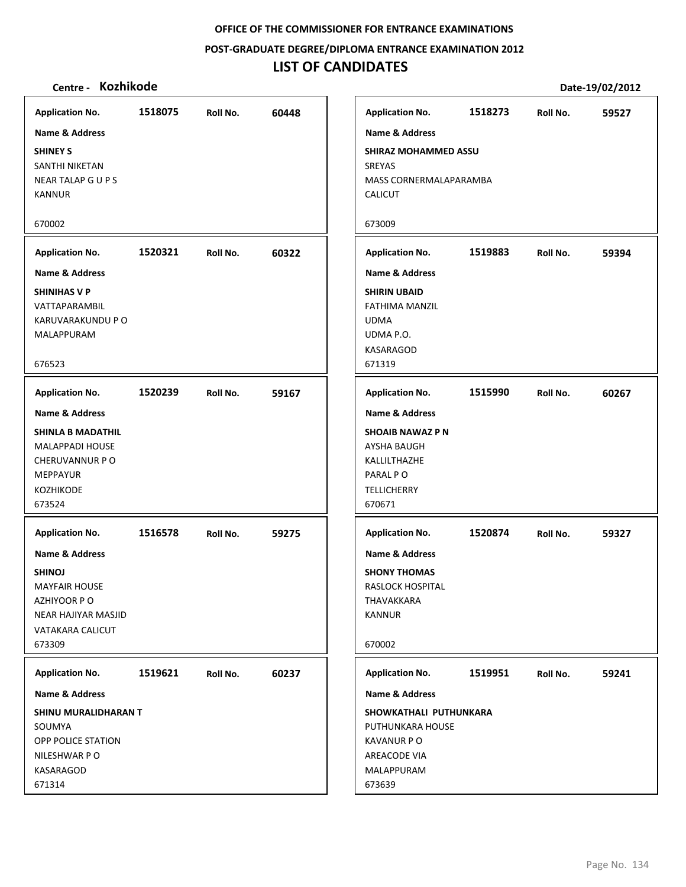**POST‐GRADUATE DEGREE/DIPLOMA ENTRANCE EXAMINATION 2012**

# **LIST OF CANDIDATES**

| <b>Application No.</b>                                                                                                                                                                                                                                                                                      | 1518075 | Roll No. | 60448 |
|-------------------------------------------------------------------------------------------------------------------------------------------------------------------------------------------------------------------------------------------------------------------------------------------------------------|---------|----------|-------|
| <b>Name &amp; Address</b>                                                                                                                                                                                                                                                                                   |         |          |       |
| <b>SHINEY S</b><br>SANTHI NIKETAN<br>NEAR TALAP G U P S<br><b>KANNUR</b>                                                                                                                                                                                                                                    |         |          |       |
| 670002                                                                                                                                                                                                                                                                                                      |         |          |       |
| <b>Application No.</b>                                                                                                                                                                                                                                                                                      | 1520321 | Roll No. | 60322 |
| Name & Address                                                                                                                                                                                                                                                                                              |         |          |       |
| <b>SHINIHAS V P</b><br>VATTAPARAMBIL<br>KARUVARAKUNDU P O<br>MALAPPURAM<br>676523                                                                                                                                                                                                                           |         |          |       |
| <b>Application No.</b>                                                                                                                                                                                                                                                                                      | 1520239 | Roll No. | 59167 |
| <b>Name &amp; Address</b><br><b>SHINLA B MADATHIL</b><br><b>MALAPPADI HOUSE</b><br>CHERUVANNUR PO<br><b>MEPPAYUR</b><br><b>KOZHIKODE</b><br>673524<br><b>Application No.</b><br>Name & Address<br><b>SHINOJ</b><br><b>MAYFAIR HOUSE</b><br>AZHIYOOR PO<br>NEAR HAJIYAR MASJID<br>VATAKARA CALICUT<br>673309 | 1516578 | Roll No. | 59275 |
| <b>Application No.</b>                                                                                                                                                                                                                                                                                      | 1519621 | Roll No. | 60237 |
| Name & Address                                                                                                                                                                                                                                                                                              |         |          |       |
| SHINU MURALIDHARAN T<br>SOUMYA<br>OPP POLICE STATION<br>NILESHWAR PO<br>KASARAGOD<br>671314                                                                                                                                                                                                                 |         |          |       |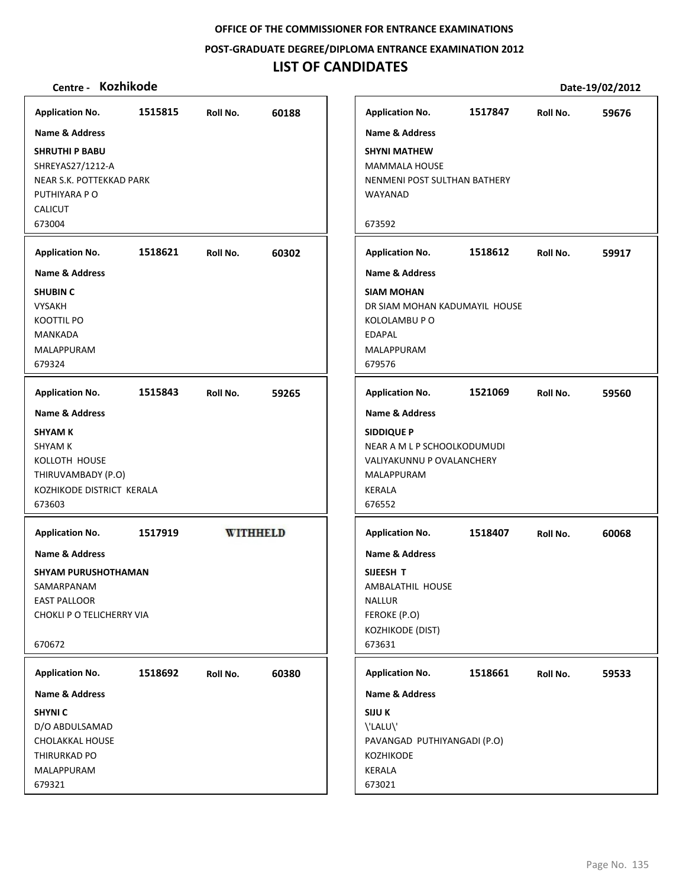**POST‐GRADUATE DEGREE/DIPLOMA ENTRANCE EXAMINATION 2012**

# **LIST OF CANDIDATES**

| <b>Application No.</b>                                                                                                       | 1515815 | Roll No.        | 60188 | <b>Application No.</b>                                                                                                                    | 1517847 | Roll No. | 59676 |
|------------------------------------------------------------------------------------------------------------------------------|---------|-----------------|-------|-------------------------------------------------------------------------------------------------------------------------------------------|---------|----------|-------|
| <b>Name &amp; Address</b>                                                                                                    |         |                 |       | <b>Name &amp; Address</b>                                                                                                                 |         |          |       |
| <b>SHRUTHI P BABU</b><br>SHREYAS27/1212-A<br>NEAR S.K. POTTEKKAD PARK<br>PUTHIYARA P O<br><b>CALICUT</b><br>673004           |         |                 |       | <b>SHYNI MATHEW</b><br><b>MAMMALA HOUSE</b><br>NENMENI POST SULTHAN BATHERY<br>WAYANAD<br>673592                                          |         |          |       |
| <b>Application No.</b>                                                                                                       | 1518621 | Roll No.        | 60302 | <b>Application No.</b>                                                                                                                    | 1518612 | Roll No. | 59917 |
| <b>Name &amp; Address</b><br><b>SHUBIN C</b><br><b>VYSAKH</b><br><b>KOOTTIL PO</b><br><b>MANKADA</b><br>MALAPPURAM<br>679324 |         |                 |       | <b>Name &amp; Address</b><br><b>SIAM MOHAN</b><br>DR SIAM MOHAN KADUMAYIL HOUSE<br>KOLOLAMBU P O<br><b>EDAPAL</b><br>MALAPPURAM<br>679576 |         |          |       |
| <b>Application No.</b>                                                                                                       | 1515843 | Roll No.        | 59265 | <b>Application No.</b>                                                                                                                    | 1521069 | Roll No. | 59560 |
| <b>Name &amp; Address</b>                                                                                                    |         |                 |       | <b>Name &amp; Address</b>                                                                                                                 |         |          |       |
| <b>SHYAM K</b><br><b>SHYAM K</b><br>KOLLOTH HOUSE<br>THIRUVAMBADY (P.O)<br>KOZHIKODE DISTRICT KERALA<br>673603               |         |                 |       | <b>SIDDIQUE P</b><br>NEAR A M L P SCHOOLKODUMUDI<br>VALIYAKUNNU P OVALANCHERY<br>MALAPPURAM<br>KERALA<br>676552                           |         |          |       |
| <b>Application No.</b>                                                                                                       | 1517919 | <b>WITHHELD</b> |       | <b>Application No.</b>                                                                                                                    | 1518407 | Roll No. | 60068 |
| <b>Name &amp; Address</b>                                                                                                    |         |                 |       | <b>Name &amp; Address</b>                                                                                                                 |         |          |       |
| <b>SHYAM PURUSHOTHAMAN</b><br>SAMARPANAM<br><b>EAST PALLOOR</b><br>CHOKLI P O TELICHERRY VIA<br>670672                       |         |                 |       | SIJEESH T<br>AMBALATHIL HOUSE<br><b>NALLUR</b><br>FEROKE (P.O)<br>KOZHIKODE (DIST)<br>673631                                              |         |          |       |
| <b>Application No.</b>                                                                                                       | 1518692 | Roll No.        | 60380 | <b>Application No.</b>                                                                                                                    | 1518661 | Roll No. | 59533 |
| <b>Name &amp; Address</b>                                                                                                    |         |                 |       | <b>Name &amp; Address</b>                                                                                                                 |         |          |       |
| <b>SHYNIC</b><br>D/O ABDULSAMAD<br>CHOLAKKAL HOUSE<br>THIRURKAD PO<br>MALAPPURAM<br>679321                                   |         |                 |       | <b>SIJU K</b><br>\'LALU\'<br>PAVANGAD PUTHIYANGADI (P.O)<br><b>KOZHIKODE</b><br>KERALA<br>673021                                          |         |          |       |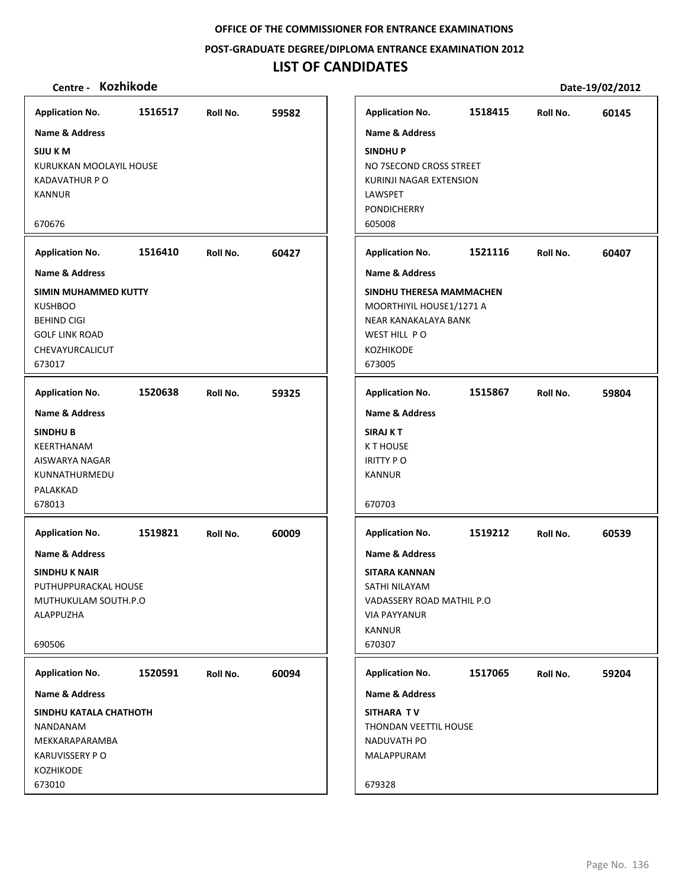**POST‐GRADUATE DEGREE/DIPLOMA ENTRANCE EXAMINATION 2012**

## **LIST OF CANDIDATES**

## **Centre ‐ Kozhikode Date‐19/02/2012**

**1516517 59582 SIJU K M** KURUKKAN MOOLAYIL HOUSE KADAVATHUR P O KANNUR 670676 **Application No. Name & Address 1516410 60427 SIMIN MUHAMMED KUTTY KUSHBOO** BEHIND CIGI GOLF LINK ROAD CHEVAYURCALICUT 673017 **Application No. Name & Address 1520638 59325 SINDHU B** KEERTHANAM AISWARYA NAGAR KUNNATHURMEDU PALAKKAD 678013 **Application No. Name & Address 1519821 60009 SINDHU K NAIR** PUTHUPPURACKAL HOUSE MUTHUKULAM SOUTH.P.O ALAPPUZHA 690506 **Application No. Name & Address 1520591 60094 SINDHU KATALA CHATHOTH** NANDANAM MEKKARAPARAMBA KARUVISSERY P O KOZHIKODE 673010 **Application No. Name & Address 1518415 60145 SINDHU P** NO 7SECOND CROSS STREET KURINJI NAGAR EXTENSION **LAWSPET** PONDICHERRY 605008 **Application No. Name & Address 1521116 60407 SINDHU THERESA MAMMACHEN** MOORTHIYIL HOUSE1/1271 A NEAR KANAKALAYA BANK WEST HILL PO KOZHIKODE 673005 **Application No. Name & Address 1515867 59804 SIRAJ K T** K T HOUSE IRITTY P O KANNUR 670703 **Application No. Name & Address 1519212 60539 SITARA KANNAN** SATHI NILAYAM VADASSERY ROAD MATHIL P.O VIA PAYYANUR KANNUR 670307 **Application No. Name & Address 1517065 59204 SITHARA T V** THONDAN VEETTIL HOUSE NADUVATH PO MALAPPURAM 679328 **Application No. Name & Address**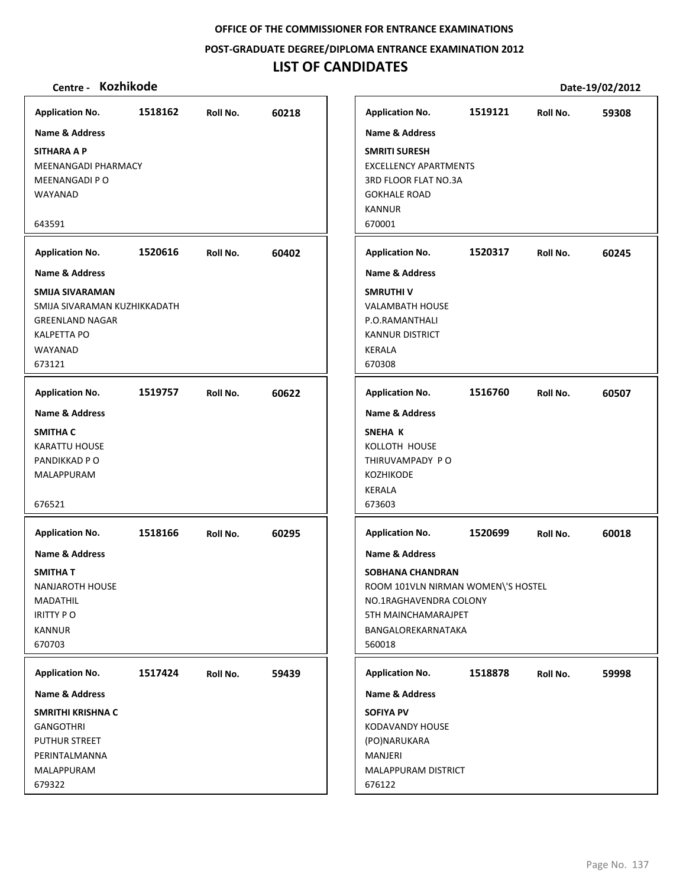**POST‐GRADUATE DEGREE/DIPLOMA ENTRANCE EXAMINATION 2012**

# **LIST OF CANDIDATES**

| Centre - Kozhikode           |         |          |       |                              |                                    |          | Date-19/02/2012 |
|------------------------------|---------|----------|-------|------------------------------|------------------------------------|----------|-----------------|
| <b>Application No.</b>       | 1518162 | Roll No. | 60218 | <b>Application No.</b>       | 1519121                            | Roll No. | 59308           |
| <b>Name &amp; Address</b>    |         |          |       | <b>Name &amp; Address</b>    |                                    |          |                 |
| <b>SITHARA A P</b>           |         |          |       | <b>SMRITI SURESH</b>         |                                    |          |                 |
| MEENANGADI PHARMACY          |         |          |       | <b>EXCELLENCY APARTMENTS</b> |                                    |          |                 |
| MEENANGADI PO                |         |          |       | 3RD FLOOR FLAT NO.3A         |                                    |          |                 |
| WAYANAD                      |         |          |       | <b>GOKHALE ROAD</b>          |                                    |          |                 |
|                              |         |          |       | <b>KANNUR</b>                |                                    |          |                 |
| 643591                       |         |          |       | 670001                       |                                    |          |                 |
| <b>Application No.</b>       | 1520616 | Roll No. | 60402 | <b>Application No.</b>       | 1520317                            | Roll No. | 60245           |
| <b>Name &amp; Address</b>    |         |          |       | <b>Name &amp; Address</b>    |                                    |          |                 |
| SMIJA SIVARAMAN              |         |          |       | <b>SMRUTHIV</b>              |                                    |          |                 |
| SMIJA SIVARAMAN KUZHIKKADATH |         |          |       | <b>VALAMBATH HOUSE</b>       |                                    |          |                 |
| <b>GREENLAND NAGAR</b>       |         |          |       | P.O.RAMANTHALI               |                                    |          |                 |
| <b>KALPETTA PO</b>           |         |          |       | <b>KANNUR DISTRICT</b>       |                                    |          |                 |
| WAYANAD<br>673121            |         |          |       | <b>KERALA</b><br>670308      |                                    |          |                 |
|                              |         |          |       |                              |                                    |          |                 |
| <b>Application No.</b>       | 1519757 | Roll No. | 60622 | <b>Application No.</b>       | 1516760                            | Roll No. | 60507           |
| <b>Name &amp; Address</b>    |         |          |       | <b>Name &amp; Address</b>    |                                    |          |                 |
| <b>SMITHA C</b>              |         |          |       | SNEHA K                      |                                    |          |                 |
| <b>KARATTU HOUSE</b>         |         |          |       | KOLLOTH HOUSE                |                                    |          |                 |
| PANDIKKAD P O                |         |          |       | THIRUVAMPADY PO              |                                    |          |                 |
| MALAPPURAM                   |         |          |       | <b>KOZHIKODE</b>             |                                    |          |                 |
| 676521                       |         |          |       | <b>KERALA</b><br>673603      |                                    |          |                 |
| <b>Application No.</b>       | 1518166 | Roll No. | 60295 | <b>Application No.</b>       | 1520699                            | Roll No. | 60018           |
| <b>Name &amp; Address</b>    |         |          |       | <b>Name &amp; Address</b>    |                                    |          |                 |
| <b>SMITHAT</b>               |         |          |       | SOBHANA CHANDRAN             |                                    |          |                 |
| NANJAROTH HOUSE              |         |          |       |                              | ROOM 101VLN NIRMAN WOMEN\'S HOSTEL |          |                 |
| MADATHIL                     |         |          |       | NO.1RAGHAVENDRA COLONY       |                                    |          |                 |
| <b>IRITTY PO</b>             |         |          |       | 5TH MAINCHAMARAJPET          |                                    |          |                 |
| <b>KANNUR</b>                |         |          |       | BANGALOREKARNATAKA           |                                    |          |                 |
| 670703                       |         |          |       | 560018                       |                                    |          |                 |
| <b>Application No.</b>       | 1517424 | Roll No. | 59439 | <b>Application No.</b>       | 1518878                            | Roll No. | 59998           |
| <b>Name &amp; Address</b>    |         |          |       | <b>Name &amp; Address</b>    |                                    |          |                 |
| SMRITHI KRISHNA C            |         |          |       | <b>SOFIYA PV</b>             |                                    |          |                 |
| <b>GANGOTHRI</b>             |         |          |       | KODAVANDY HOUSE              |                                    |          |                 |
| <b>PUTHUR STREET</b>         |         |          |       | (PO)NARUKARA                 |                                    |          |                 |
| PERINTALMANNA                |         |          |       | MANJERI                      |                                    |          |                 |
| MALAPPURAM                   |         |          |       | MALAPPURAM DISTRICT          |                                    |          |                 |
| 679322                       |         |          |       | 676122                       |                                    |          |                 |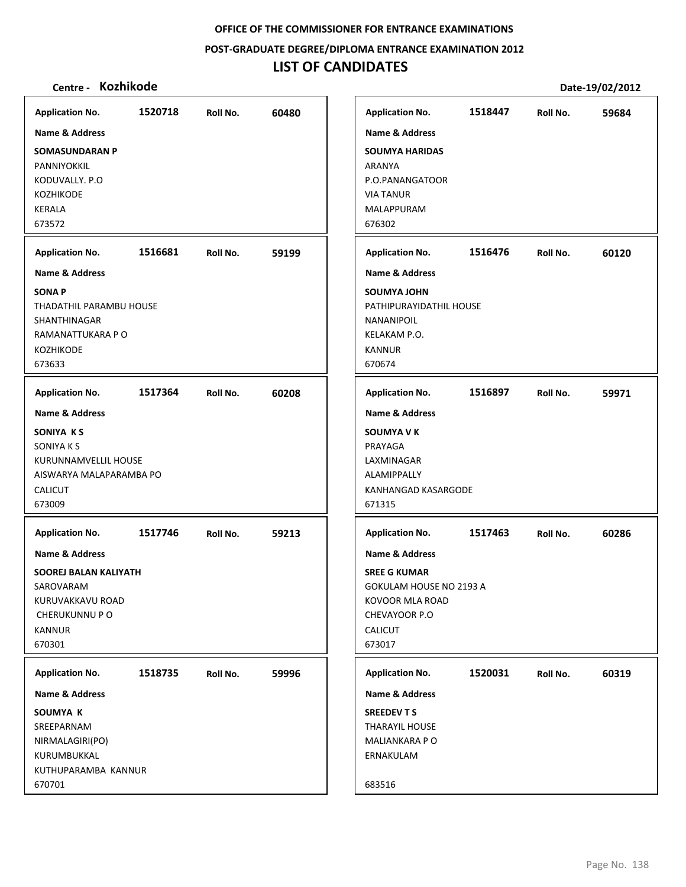**POST‐GRADUATE DEGREE/DIPLOMA ENTRANCE EXAMINATION 2012**

# **LIST OF CANDIDATES**

| <b>Application No.</b><br>Name & Address<br><b>SOMASUNDARAN P</b>                                                                       | 1520718 | Roll No. | 60480 | <b>Application No.</b><br><b>Name &amp; Address</b><br><b>SOUMYA HARIDAS</b>                                                                | 1518447 | Roll No. | 59684 |
|-----------------------------------------------------------------------------------------------------------------------------------------|---------|----------|-------|---------------------------------------------------------------------------------------------------------------------------------------------|---------|----------|-------|
| PANNIYOKKIL<br>KODUVALLY. P.O<br><b>KOZHIKODE</b><br><b>KERALA</b><br>673572                                                            |         |          |       | ARANYA<br>P.O.PANANGATOOR<br><b>VIA TANUR</b><br>MALAPPURAM<br>676302                                                                       |         |          |       |
| <b>Application No.</b>                                                                                                                  | 1516681 | Roll No. | 59199 | <b>Application No.</b>                                                                                                                      | 1516476 | Roll No. | 60120 |
| <b>Name &amp; Address</b><br><b>SONAP</b><br>THADATHIL PARAMBU HOUSE<br>SHANTHINAGAR<br>RAMANATTUKARA P O<br>KOZHIKODE                  |         |          |       | <b>Name &amp; Address</b><br>SOUMYA JOHN<br>PATHIPURAYIDATHIL HOUSE<br><b>NANANIPOIL</b><br>KELAKAM P.O.<br><b>KANNUR</b>                   |         |          |       |
| 673633                                                                                                                                  |         |          |       | 670674                                                                                                                                      |         |          |       |
| <b>Application No.</b>                                                                                                                  | 1517364 | Roll No. | 60208 | <b>Application No.</b>                                                                                                                      | 1516897 | Roll No. | 59971 |
| SONIYA KS<br>SONIYA K S<br>KURUNNAMVELLIL HOUSE<br>AISWARYA MALAPARAMBA PO<br><b>CALICUT</b><br>673009                                  |         |          |       | <b>SOUMYA V K</b><br>PRAYAGA<br>LAXMINAGAR<br><b>ALAMIPPALLY</b><br>KANHANGAD KASARGODE<br>671315                                           |         |          |       |
| <b>Application No.</b>                                                                                                                  | 1517746 | Roll No. | 59213 | <b>Application No.</b>                                                                                                                      | 1517463 | Roll No. | 60286 |
| <b>Name &amp; Address</b><br><b>SOOREJ BALAN KALIYATH</b><br>SAROVARAM<br>KURUVAKKAVU ROAD<br>CHERUKUNNU P O<br><b>KANNUR</b><br>670301 |         |          |       | <b>Name &amp; Address</b><br><b>SREE G KUMAR</b><br>GOKULAM HOUSE NO 2193 A<br>KOVOOR MLA ROAD<br>CHEVAYOOR P.O<br><b>CALICUT</b><br>673017 |         |          |       |
| <b>Application No.</b>                                                                                                                  | 1518735 | Roll No. | 59996 | <b>Application No.</b>                                                                                                                      | 1520031 | Roll No. | 60319 |
| Name & Address<br>SOUMYA K<br>SREEPARNAM<br>NIRMALAGIRI(PO)<br>KURUMBUKKAL<br>KUTHUPARAMBA KANNUR<br>670701                             |         |          |       | Name & Address<br><b>SREEDEV T S</b><br><b>THARAYIL HOUSE</b><br>MALIANKARA PO<br>ERNAKULAM<br>683516                                       |         |          |       |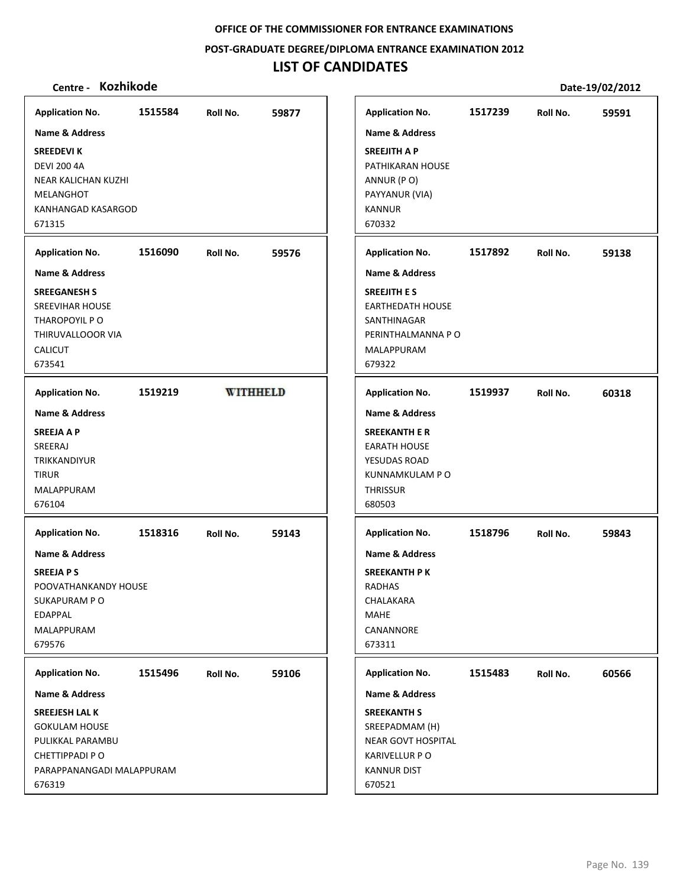**POST‐GRADUATE DEGREE/DIPLOMA ENTRANCE EXAMINATION 2012**

# **LIST OF CANDIDATES**

| Name & Address<br><b>Name &amp; Address</b><br><b>SREEDEVIK</b><br><b>DEVI 200 4A</b><br>NEAR KALICHAN KUZHI<br><b>MELANGHOT</b><br>KANHANGAD KASARGOD<br>671315<br>1516090<br><b>Application No.</b><br>59576<br>Roll No.<br>Name & Address<br><b>SREEGANESH S</b><br><b>SREEVIHAR HOUSE</b><br>THAROPOYIL P O<br>THIRUVALLOOOR VIA<br><b>CALICUT</b><br>673541<br><b>WITHHELD</b><br>1519219<br><b>Application No.</b><br><b>Name &amp; Address</b><br><b>SREEJA A P</b><br>SREERAJ<br><b>TRIKKANDIYUR</b><br><b>TIRUR</b><br>MALAPPURAM<br>676104<br><b>Application No.</b><br>1518316<br>59143<br>Roll No.<br>Name & Address<br><b>SREEJAPS</b><br>POOVATHANKANDY HOUSE<br>SUKAPURAM PO<br><b>EDAPPAL</b><br>MALAPPURAM<br>679576<br>1515496<br><b>Application No.</b><br>Roll No.<br>59106<br>Name & Address<br>SREEJESH LAL K<br><b>GOKULAM HOUSE</b><br>PULIKKAL PARAMBU<br>CHETTIPPADI PO<br>PARAPPANANGADI MALAPPURAM | <b>Application No.</b> | 1515584 | Roll No. | 59877 |
|--------------------------------------------------------------------------------------------------------------------------------------------------------------------------------------------------------------------------------------------------------------------------------------------------------------------------------------------------------------------------------------------------------------------------------------------------------------------------------------------------------------------------------------------------------------------------------------------------------------------------------------------------------------------------------------------------------------------------------------------------------------------------------------------------------------------------------------------------------------------------------------------------------------------------------|------------------------|---------|----------|-------|
| <b>SREEJITH A P</b><br><b>KANNUR</b><br>670332<br>679322<br><b>THRISSUR</b><br>680503<br>RADHAS<br><b>MAHE</b><br>673311<br>670521                                                                                                                                                                                                                                                                                                                                                                                                                                                                                                                                                                                                                                                                                                                                                                                             |                        |         |          |       |
| PATHIKARAN HOUSE<br>ANNUR (PO)<br>PAYYANUR (VIA)<br><b>Application No.</b><br><b>Name &amp; Address</b><br><b>SREEJITH E S</b><br>SANTHINAGAR<br>MALAPPURAM<br><b>Application No.</b><br><b>Name &amp; Address</b><br><b>SREEKANTH E R</b><br><b>EARATH HOUSE</b><br>YESUDAS ROAD<br><b>Application No.</b><br><b>Name &amp; Address</b><br><b>SREEKANTH PK</b><br>CHALAKARA<br>CANANNORE<br><b>Application No.</b><br><b>Name &amp; Address</b><br><b>SREEKANTH S</b><br><b>KARIVELLUR PO</b><br><b>KANNUR DIST</b>                                                                                                                                                                                                                                                                                                                                                                                                           |                        |         |          |       |
| <b>EARTHEDATH HOUSE</b><br>KUNNAMKULAM P O<br>SREEPADMAM (H)                                                                                                                                                                                                                                                                                                                                                                                                                                                                                                                                                                                                                                                                                                                                                                                                                                                                   |                        |         |          |       |
| NEAR GOVT HOSPITAL                                                                                                                                                                                                                                                                                                                                                                                                                                                                                                                                                                                                                                                                                                                                                                                                                                                                                                             |                        |         |          |       |
|                                                                                                                                                                                                                                                                                                                                                                                                                                                                                                                                                                                                                                                                                                                                                                                                                                                                                                                                |                        |         |          |       |
|                                                                                                                                                                                                                                                                                                                                                                                                                                                                                                                                                                                                                                                                                                                                                                                                                                                                                                                                |                        |         |          |       |
| PERINTHALMANNA PO                                                                                                                                                                                                                                                                                                                                                                                                                                                                                                                                                                                                                                                                                                                                                                                                                                                                                                              |                        |         |          |       |
|                                                                                                                                                                                                                                                                                                                                                                                                                                                                                                                                                                                                                                                                                                                                                                                                                                                                                                                                |                        |         |          |       |
|                                                                                                                                                                                                                                                                                                                                                                                                                                                                                                                                                                                                                                                                                                                                                                                                                                                                                                                                |                        |         |          |       |
|                                                                                                                                                                                                                                                                                                                                                                                                                                                                                                                                                                                                                                                                                                                                                                                                                                                                                                                                |                        |         |          |       |
|                                                                                                                                                                                                                                                                                                                                                                                                                                                                                                                                                                                                                                                                                                                                                                                                                                                                                                                                |                        |         |          |       |
|                                                                                                                                                                                                                                                                                                                                                                                                                                                                                                                                                                                                                                                                                                                                                                                                                                                                                                                                |                        |         |          |       |
| 1518796                                                                                                                                                                                                                                                                                                                                                                                                                                                                                                                                                                                                                                                                                                                                                                                                                                                                                                                        |                        |         |          |       |
|                                                                                                                                                                                                                                                                                                                                                                                                                                                                                                                                                                                                                                                                                                                                                                                                                                                                                                                                |                        |         |          |       |
|                                                                                                                                                                                                                                                                                                                                                                                                                                                                                                                                                                                                                                                                                                                                                                                                                                                                                                                                |                        |         |          |       |
|                                                                                                                                                                                                                                                                                                                                                                                                                                                                                                                                                                                                                                                                                                                                                                                                                                                                                                                                |                        |         |          |       |
|                                                                                                                                                                                                                                                                                                                                                                                                                                                                                                                                                                                                                                                                                                                                                                                                                                                                                                                                |                        |         |          |       |
|                                                                                                                                                                                                                                                                                                                                                                                                                                                                                                                                                                                                                                                                                                                                                                                                                                                                                                                                |                        |         |          |       |
|                                                                                                                                                                                                                                                                                                                                                                                                                                                                                                                                                                                                                                                                                                                                                                                                                                                                                                                                |                        |         |          |       |
|                                                                                                                                                                                                                                                                                                                                                                                                                                                                                                                                                                                                                                                                                                                                                                                                                                                                                                                                |                        |         |          |       |
|                                                                                                                                                                                                                                                                                                                                                                                                                                                                                                                                                                                                                                                                                                                                                                                                                                                                                                                                |                        |         |          |       |
| 1515483                                                                                                                                                                                                                                                                                                                                                                                                                                                                                                                                                                                                                                                                                                                                                                                                                                                                                                                        |                        |         |          |       |
|                                                                                                                                                                                                                                                                                                                                                                                                                                                                                                                                                                                                                                                                                                                                                                                                                                                                                                                                |                        |         |          |       |
|                                                                                                                                                                                                                                                                                                                                                                                                                                                                                                                                                                                                                                                                                                                                                                                                                                                                                                                                |                        |         |          |       |
|                                                                                                                                                                                                                                                                                                                                                                                                                                                                                                                                                                                                                                                                                                                                                                                                                                                                                                                                |                        |         |          |       |
|                                                                                                                                                                                                                                                                                                                                                                                                                                                                                                                                                                                                                                                                                                                                                                                                                                                                                                                                |                        |         |          |       |
|                                                                                                                                                                                                                                                                                                                                                                                                                                                                                                                                                                                                                                                                                                                                                                                                                                                                                                                                |                        |         |          |       |
|                                                                                                                                                                                                                                                                                                                                                                                                                                                                                                                                                                                                                                                                                                                                                                                                                                                                                                                                |                        |         |          |       |
|                                                                                                                                                                                                                                                                                                                                                                                                                                                                                                                                                                                                                                                                                                                                                                                                                                                                                                                                |                        |         |          |       |
|                                                                                                                                                                                                                                                                                                                                                                                                                                                                                                                                                                                                                                                                                                                                                                                                                                                                                                                                |                        |         |          |       |
|                                                                                                                                                                                                                                                                                                                                                                                                                                                                                                                                                                                                                                                                                                                                                                                                                                                                                                                                |                        |         |          |       |
|                                                                                                                                                                                                                                                                                                                                                                                                                                                                                                                                                                                                                                                                                                                                                                                                                                                                                                                                |                        |         |          |       |
|                                                                                                                                                                                                                                                                                                                                                                                                                                                                                                                                                                                                                                                                                                                                                                                                                                                                                                                                |                        |         |          |       |
|                                                                                                                                                                                                                                                                                                                                                                                                                                                                                                                                                                                                                                                                                                                                                                                                                                                                                                                                |                        |         |          |       |
|                                                                                                                                                                                                                                                                                                                                                                                                                                                                                                                                                                                                                                                                                                                                                                                                                                                                                                                                | 676319                 |         |          |       |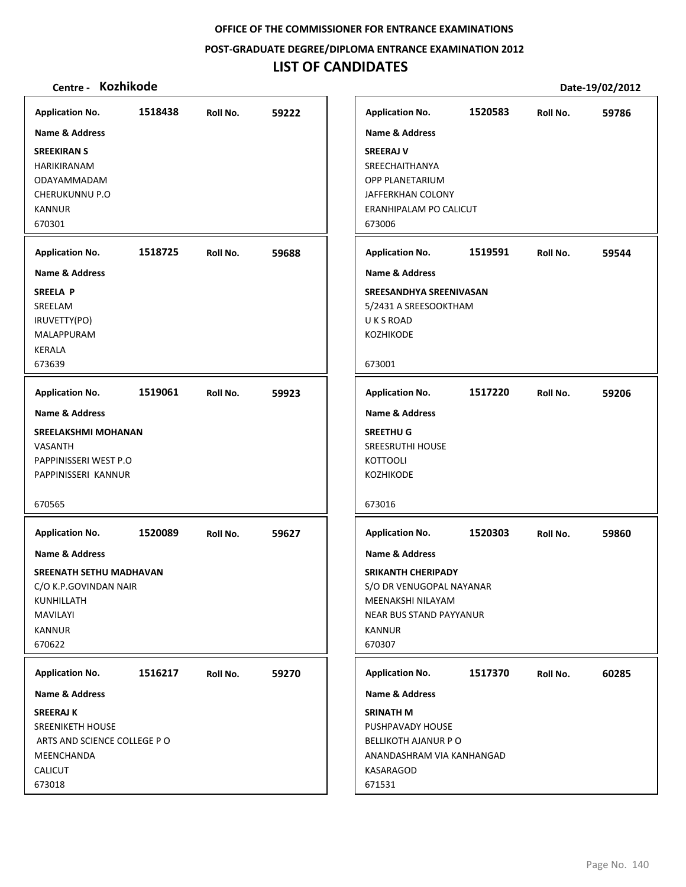**POST‐GRADUATE DEGREE/DIPLOMA ENTRANCE EXAMINATION 2012**

# **LIST OF CANDIDATES**

| Centre - Kozhikode                                                                                                                |         |          |       |                                                                                                                                                                      |         |          | Date-19/02/2012 |
|-----------------------------------------------------------------------------------------------------------------------------------|---------|----------|-------|----------------------------------------------------------------------------------------------------------------------------------------------------------------------|---------|----------|-----------------|
| <b>Application No.</b>                                                                                                            | 1518438 | Roll No. | 59222 | <b>Application No.</b>                                                                                                                                               | 1520583 | Roll No. | 59786           |
| <b>Name &amp; Address</b><br><b>SREEKIRAN S</b><br>HARIKIRANAM<br>ODAYAMMADAM<br><b>CHERUKUNNU P.O</b><br><b>KANNUR</b><br>670301 |         |          |       | <b>Name &amp; Address</b><br><b>SREERAJ V</b><br>SREECHAITHANYA<br>OPP PLANETARIUM<br>JAFFERKHAN COLONY<br>ERANHIPALAM PO CALICUT<br>673006                          |         |          |                 |
| <b>Application No.</b>                                                                                                            | 1518725 | Roll No. | 59688 | <b>Application No.</b>                                                                                                                                               | 1519591 | Roll No. | 59544           |
| <b>Name &amp; Address</b>                                                                                                         |         |          |       | <b>Name &amp; Address</b>                                                                                                                                            |         |          |                 |
| <b>SREELA P</b><br>SREELAM<br>IRUVETTY(PO)<br>MALAPPURAM<br><b>KERALA</b><br>673639                                               |         |          |       | SREESANDHYA SREENIVASAN<br>5/2431 A SREESOOKTHAM<br>U K S ROAD<br>KOZHIKODE<br>673001                                                                                |         |          |                 |
| <b>Application No.</b>                                                                                                            | 1519061 | Roll No. | 59923 | <b>Application No.</b>                                                                                                                                               | 1517220 | Roll No. | 59206           |
| Name & Address                                                                                                                    |         |          |       | <b>Name &amp; Address</b>                                                                                                                                            |         |          |                 |
| SREELAKSHMI MOHANAN<br><b>VASANTH</b><br>PAPPINISSERI WEST P.O<br>PAPPINISSERI KANNUR                                             |         |          |       | <b>SREETHUG</b><br><b>SREESRUTHI HOUSE</b><br><b>KOTTOOLI</b><br>KOZHIKODE                                                                                           |         |          |                 |
| 670565                                                                                                                            |         |          |       | 673016                                                                                                                                                               |         |          |                 |
| <b>Application No.</b>                                                                                                            | 1520089 | Roll No. | 59627 | <b>Application No.</b>                                                                                                                                               | 1520303 | Roll No. | 59860           |
| Name & Address<br>SREENATH SETHU MADHAVAN<br>C/O K.P.GOVINDAN NAIR<br>KUNHILLATH<br><b>MAVILAYI</b><br><b>KANNUR</b><br>670622    |         |          |       | <b>Name &amp; Address</b><br><b>SRIKANTH CHERIPADY</b><br>S/O DR VENUGOPAL NAYANAR<br>MEENAKSHI NILAYAM<br><b>NEAR BUS STAND PAYYANUR</b><br><b>KANNUR</b><br>670307 |         |          |                 |
| <b>Application No.</b>                                                                                                            | 1516217 | Roll No. | 59270 | <b>Application No.</b>                                                                                                                                               | 1517370 | Roll No. | 60285           |
| <b>Name &amp; Address</b>                                                                                                         |         |          |       | Name & Address                                                                                                                                                       |         |          |                 |
| <b>SREERAJ K</b><br>SREENIKETH HOUSE<br>ARTS AND SCIENCE COLLEGE PO<br>MEENCHANDA<br><b>CALICUT</b><br>673018                     |         |          |       | <b>SRINATH M</b><br>PUSHPAVADY HOUSE<br><b>BELLIKOTH AJANUR P O</b><br>ANANDASHRAM VIA KANHANGAD<br>KASARAGOD<br>671531                                              |         |          |                 |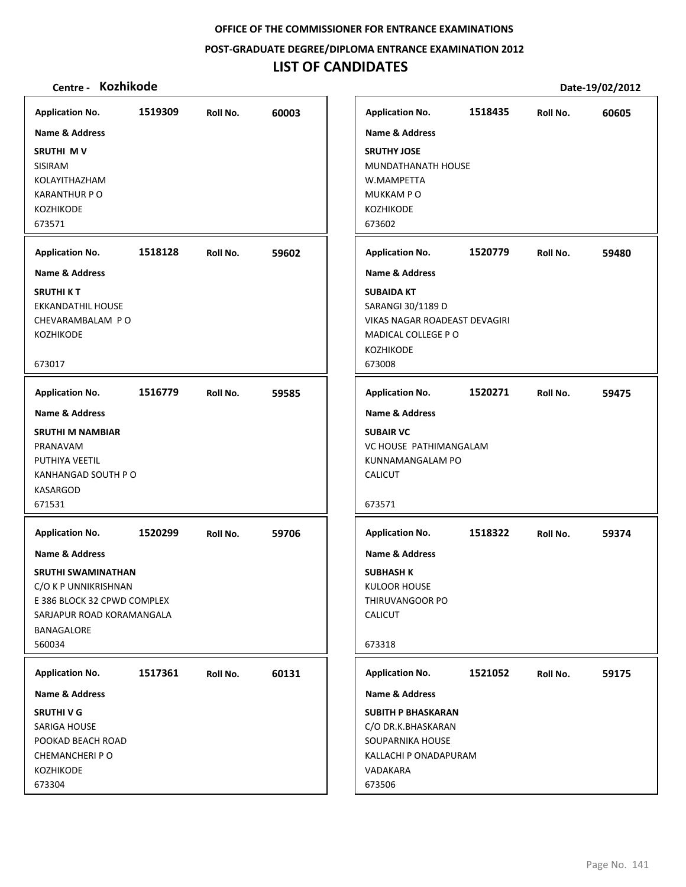**POST‐GRADUATE DEGREE/DIPLOMA ENTRANCE EXAMINATION 2012**

# **LIST OF CANDIDATES**

| <b>Application No.</b>                                                                                                                        | 1519309 | Roll No. | 60003 |
|-----------------------------------------------------------------------------------------------------------------------------------------------|---------|----------|-------|
| <b>Name &amp; Address</b>                                                                                                                     |         |          |       |
| SRUTHI MV<br>SISIRAM<br>KOLAYITHAZHAM<br><b>KARANTHUR P O</b><br><b>KOZHIKODE</b>                                                             |         |          |       |
| 673571                                                                                                                                        |         |          |       |
| <b>Application No.</b>                                                                                                                        | 1518128 | Roll No. | 59602 |
| Name & Address                                                                                                                                |         |          |       |
| <b>SRUTHI K T</b><br><b>EKKANDATHIL HOUSE</b><br>CHEVARAMBALAM PO<br><b>KOZHIKODE</b><br>673017                                               |         |          |       |
| <b>Application No.</b>                                                                                                                        | 1516779 | Roll No. | 59585 |
| Name & Address                                                                                                                                |         |          |       |
| <b>SRUTHI M NAMBIAR</b><br>PRANAVAM<br>PUTHIYA VEETIL<br>KANHANGAD SOUTH P O<br><b>KASARGOD</b><br>671531                                     |         |          |       |
| <b>Application No.</b>                                                                                                                        | 1520299 | Roll No. | 59706 |
| Name & Address<br><b>SRUTHI SWAMINATHAN</b><br>C/O K P UNNIKRISHNAN<br>E 386 BLOCK 32 CPWD COMPLEX<br>SARJAPUR ROAD KORAMANGALA<br>BANAGALORE |         |          |       |
| 560034                                                                                                                                        |         |          |       |
| <b>Application No.</b>                                                                                                                        | 1517361 | Roll No. | 60131 |
| <b>Name &amp; Address</b>                                                                                                                     |         |          |       |
| <b>SRUTHIVG</b><br>SARIGA HOUSE<br>POOKAD BEACH ROAD<br>CHEMANCHERI P O<br>KOZHIKODE<br>673304                                                |         |          |       |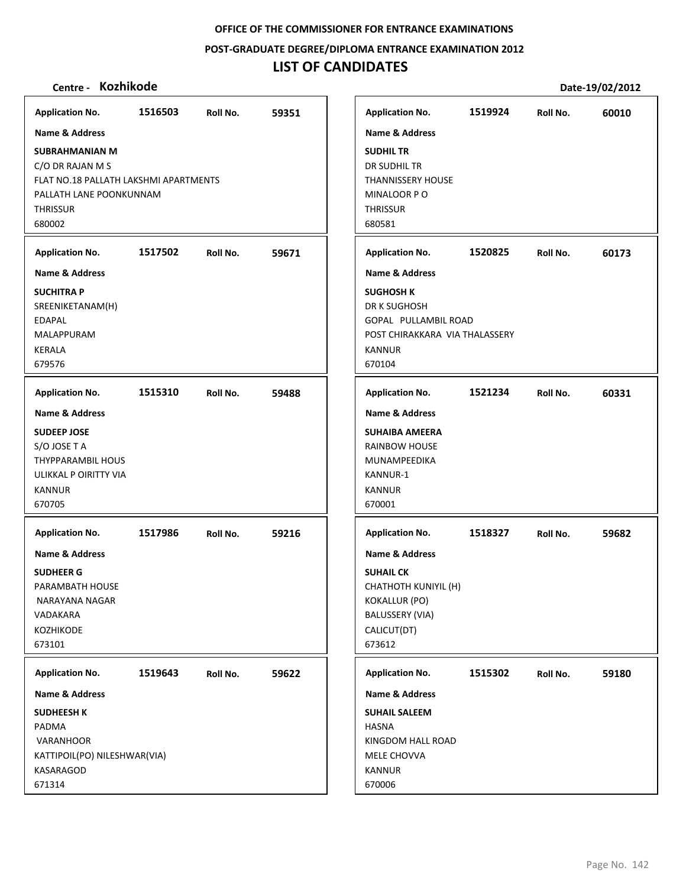**POST‐GRADUATE DEGREE/DIPLOMA ENTRANCE EXAMINATION 2012**

# **LIST OF CANDIDATES**

| <b>Application No.</b>                                                                                                                     | 1516503 | Roll No. | 59351 |  | <b>Application No.</b>                                                                                                                           | 1519924 | Roll No. | 60010 |
|--------------------------------------------------------------------------------------------------------------------------------------------|---------|----------|-------|--|--------------------------------------------------------------------------------------------------------------------------------------------------|---------|----------|-------|
| <b>Name &amp; Address</b>                                                                                                                  |         |          |       |  | <b>Name &amp; Address</b>                                                                                                                        |         |          |       |
| <b>SUBRAHMANIAN M</b><br>C/O DR RAJAN M S<br>FLAT NO.18 PALLATH LAKSHMI APARTMENTS<br>PALLATH LANE POONKUNNAM<br><b>THRISSUR</b><br>680002 |         |          |       |  | <b>SUDHIL TR</b><br>DR SUDHIL TR<br><b>THANNISSERY HOUSE</b><br>MINALOOR PO<br><b>THRISSUR</b><br>680581                                         |         |          |       |
| <b>Application No.</b>                                                                                                                     | 1517502 | Roll No. | 59671 |  | <b>Application No.</b>                                                                                                                           | 1520825 | Roll No. | 60173 |
| Name & Address                                                                                                                             |         |          |       |  | <b>Name &amp; Address</b>                                                                                                                        |         |          |       |
| <b>SUCHITRA P</b><br>SREENIKETANAM(H)<br><b>EDAPAL</b><br>MALAPPURAM<br>KERALA<br>679576                                                   |         |          |       |  | <b>SUGHOSH K</b><br>DR K SUGHOSH<br>GOPAL PULLAMBIL ROAD<br>POST CHIRAKKARA VIA THALASSERY<br><b>KANNUR</b><br>670104                            |         |          |       |
| <b>Application No.</b>                                                                                                                     | 1515310 | Roll No. | 59488 |  | <b>Application No.</b>                                                                                                                           | 1521234 | Roll No. | 60331 |
| <b>Name &amp; Address</b><br><b>SUDEEP JOSE</b><br>S/O JOSE T A<br>THYPPARAMBIL HOUS<br>ULIKKAL P OIRITTY VIA<br><b>KANNUR</b><br>670705   |         |          |       |  | <b>Name &amp; Address</b><br><b>SUHAIBA AMEERA</b><br>RAINBOW HOUSE<br>MUNAMPEEDIKA<br>KANNUR-1<br><b>KANNUR</b><br>670001                       |         |          |       |
| <b>Application No.</b>                                                                                                                     | 1517986 | Roll No. | 59216 |  | <b>Application No.</b>                                                                                                                           | 1518327 | Roll No. | 59682 |
| Name & Address<br><b>SUDHEER G</b><br>PARAMBATH HOUSE<br>NARAYANA NAGAR<br>VADAKARA<br>KOZHIKODE<br>673101                                 |         |          |       |  | <b>Name &amp; Address</b><br><b>SUHAIL CK</b><br>CHATHOTH KUNIYIL (H)<br><b>KOKALLUR (PO)</b><br><b>BALUSSERY (VIA)</b><br>CALICUT(DT)<br>673612 |         |          |       |
| <b>Application No.</b>                                                                                                                     | 1519643 | Roll No. | 59622 |  | <b>Application No.</b>                                                                                                                           | 1515302 | Roll No. | 59180 |
| Name & Address                                                                                                                             |         |          |       |  | Name & Address                                                                                                                                   |         |          |       |
| <b>SUDHEESH K</b><br>PADMA<br>VARANHOOR<br>KATTIPOIL(PO) NILESHWAR(VIA)<br>KASARAGOD<br>671314                                             |         |          |       |  | <b>SUHAIL SALEEM</b><br><b>HASNA</b><br>KINGDOM HALL ROAD<br>MELE CHOVVA<br>KANNUR<br>670006                                                     |         |          |       |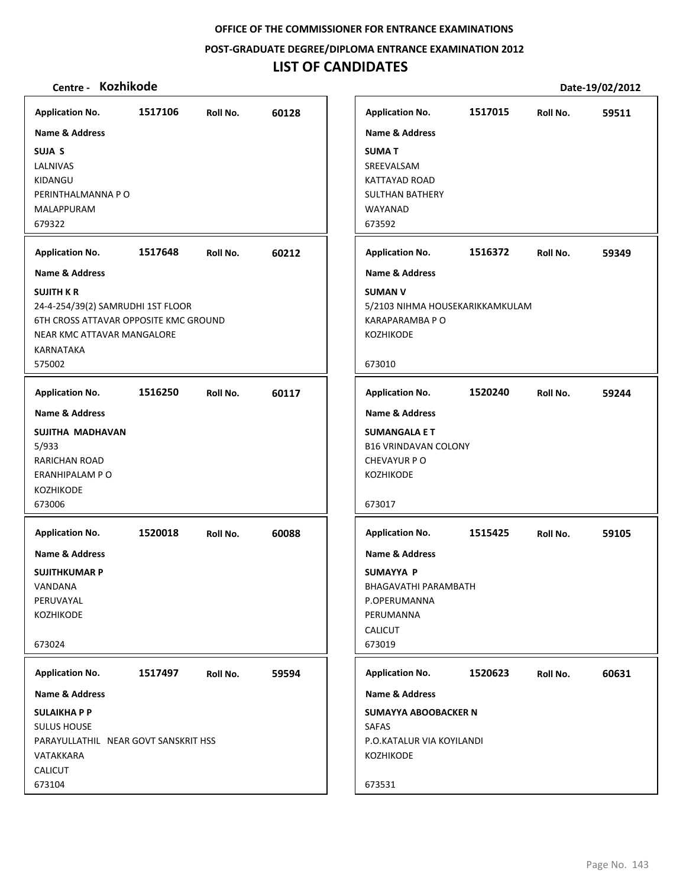**POST‐GRADUATE DEGREE/DIPLOMA ENTRANCE EXAMINATION 2012**

# **LIST OF CANDIDATES**

| <b>Application No.</b>                | 1517106 | Roll No. | 60128 |
|---------------------------------------|---------|----------|-------|
| Name & Address                        |         |          |       |
| SUJA S<br>LALNIVAS                    |         |          |       |
| KIDANGU                               |         |          |       |
| PERINTHALMANNA P O                    |         |          |       |
| MALAPPURAM                            |         |          |       |
| 679322                                |         |          |       |
| <b>Application No.</b>                | 1517648 | Roll No. | 60212 |
| Name & Address                        |         |          |       |
| <b>SUJITH KR</b>                      |         |          |       |
| 24-4-254/39(2) SAMRUDHI 1ST FLOOR     |         |          |       |
| 6TH CROSS ATTAVAR OPPOSITE KMC GROUND |         |          |       |
| NEAR KMC ATTAVAR MANGALORE            |         |          |       |
| KARNATAKA<br>575002                   |         |          |       |
| <b>Application No.</b>                | 1516250 | Roll No. | 60117 |
| Name & Address                        |         |          |       |
| SUJITHA MADHAVAN                      |         |          |       |
| 5/933                                 |         |          |       |
| RARICHAN ROAD                         |         |          |       |
| ERANHIPALAM P O                       |         |          |       |
| KOZHIKODE                             |         |          |       |
| 673006                                |         |          |       |
| <b>Application No.</b>                | 1520018 | Roll No. | 60088 |
| <b>Name &amp; Address</b>             |         |          |       |
| <b>SUJITHKUMAR P</b>                  |         |          |       |
| VANDANA                               |         |          |       |
| PERUVAYAL<br>KOZHIKODE                |         |          |       |
|                                       |         |          |       |
| 673024                                |         |          |       |
| <b>Application No.</b>                | 1517497 | Roll No. | 59594 |
| Name & Address                        |         |          |       |
| <b>SULAIKHAPP</b>                     |         |          |       |
| <b>SULUS HOUSE</b>                    |         |          |       |
| PARAYULLATHIL NEAR GOVT SANSKRIT HSS  |         |          |       |
| VATAKKARA                             |         |          |       |
| CALICUT                               |         |          |       |
| 673104                                |         |          |       |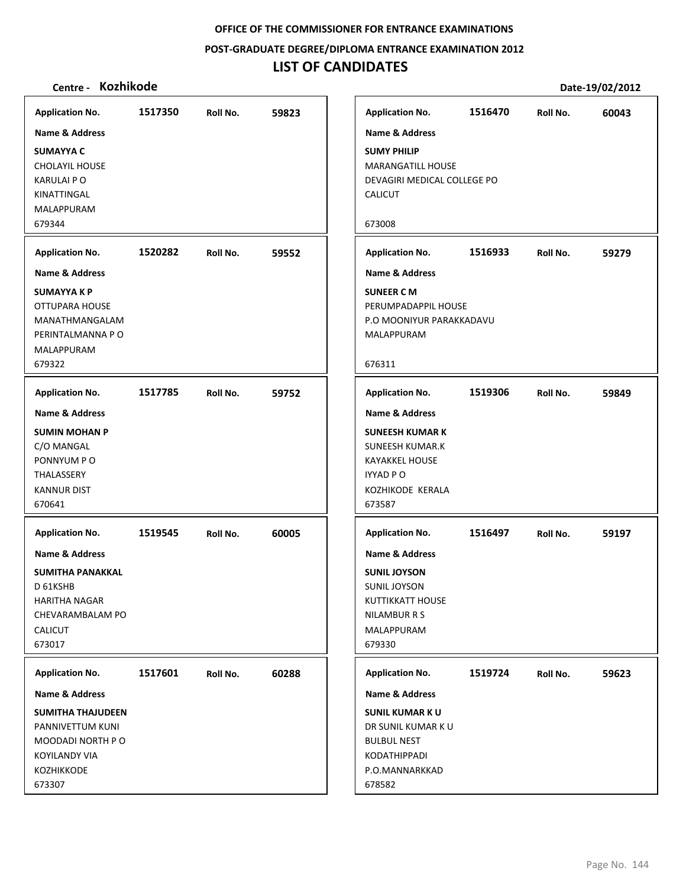**POST‐GRADUATE DEGREE/DIPLOMA ENTRANCE EXAMINATION 2012**

## **LIST OF CANDIDATES**

| <b>Application No.</b>    | 1517350 | Roll No. | 59823 | <b>Application No.</b>      | 1516470 | Roll No. | 60043 |
|---------------------------|---------|----------|-------|-----------------------------|---------|----------|-------|
| <b>Name &amp; Address</b> |         |          |       | <b>Name &amp; Address</b>   |         |          |       |
| <b>SUMAYYA C</b>          |         |          |       | <b>SUMY PHILIP</b>          |         |          |       |
| <b>CHOLAYIL HOUSE</b>     |         |          |       | <b>MARANGATILL HOUSE</b>    |         |          |       |
| KARULAI P O               |         |          |       | DEVAGIRI MEDICAL COLLEGE PO |         |          |       |
| KINATTINGAL               |         |          |       | <b>CALICUT</b>              |         |          |       |
| MALAPPURAM                |         |          |       |                             |         |          |       |
| 679344                    |         |          |       | 673008                      |         |          |       |
| <b>Application No.</b>    | 1520282 | Roll No. | 59552 | <b>Application No.</b>      | 1516933 | Roll No. | 59279 |
| <b>Name &amp; Address</b> |         |          |       | <b>Name &amp; Address</b>   |         |          |       |
| SUMAYYA K P               |         |          |       | <b>SUNEER CM</b>            |         |          |       |
| OTTUPARA HOUSE            |         |          |       | PERUMPADAPPIL HOUSE         |         |          |       |
| MANATHMANGALAM            |         |          |       | P.O MOONIYUR PARAKKADAVU    |         |          |       |
| PERINTALMANNA P O         |         |          |       | MALAPPURAM                  |         |          |       |
| MALAPPURAM                |         |          |       |                             |         |          |       |
| 679322                    |         |          |       | 676311                      |         |          |       |
| <b>Application No.</b>    | 1517785 | Roll No. | 59752 | <b>Application No.</b>      | 1519306 | Roll No. | 59849 |
| <b>Name &amp; Address</b> |         |          |       | <b>Name &amp; Address</b>   |         |          |       |
| <b>SUMIN MOHAN P</b>      |         |          |       | <b>SUNEESH KUMAR K</b>      |         |          |       |
| C/O MANGAL                |         |          |       | <b>SUNEESH KUMAR.K</b>      |         |          |       |
| PONNYUM PO                |         |          |       | <b>KAYAKKEL HOUSE</b>       |         |          |       |
| THALASSERY                |         |          |       | <b>IYYAD P O</b>            |         |          |       |
| <b>KANNUR DIST</b>        |         |          |       | KOZHIKODE KERALA            |         |          |       |
| 670641                    |         |          |       | 673587                      |         |          |       |
| <b>Application No.</b>    | 1519545 | Roll No. | 60005 | <b>Application No.</b>      | 1516497 | Roll No. | 59197 |
| <b>Name &amp; Address</b> |         |          |       | <b>Name &amp; Address</b>   |         |          |       |
| SUMITHA PANAKKAL          |         |          |       | <b>SUNIL JOYSON</b>         |         |          |       |
| D 61KSHB                  |         |          |       | <b>SUNIL JOYSON</b>         |         |          |       |
| HARITHA NAGAR             |         |          |       | KUTTIKKATT HOUSE            |         |          |       |
| CHEVARAMBALAM PO          |         |          |       | <b>NILAMBUR R S</b>         |         |          |       |
| <b>CALICUT</b>            |         |          |       | MALAPPURAM                  |         |          |       |
| 673017                    |         |          |       | 679330                      |         |          |       |
| <b>Application No.</b>    | 1517601 | Roll No. | 60288 | <b>Application No.</b>      | 1519724 | Roll No. | 59623 |
| <b>Name &amp; Address</b> |         |          |       | <b>Name &amp; Address</b>   |         |          |       |
| SUMITHA THAJUDEEN         |         |          |       | <b>SUNIL KUMAR KU</b>       |         |          |       |
| PANNIVETTUM KUNI          |         |          |       | DR SUNIL KUMAR K U          |         |          |       |
| MOODADI NORTH P O         |         |          |       | <b>BULBUL NEST</b>          |         |          |       |
| KOYILANDY VIA             |         |          |       | KODATHIPPADI                |         |          |       |
| <b>KOZHIKKODE</b>         |         |          |       | P.O.MANNARKKAD              |         |          |       |
| 673307                    |         |          |       | 678582                      |         |          |       |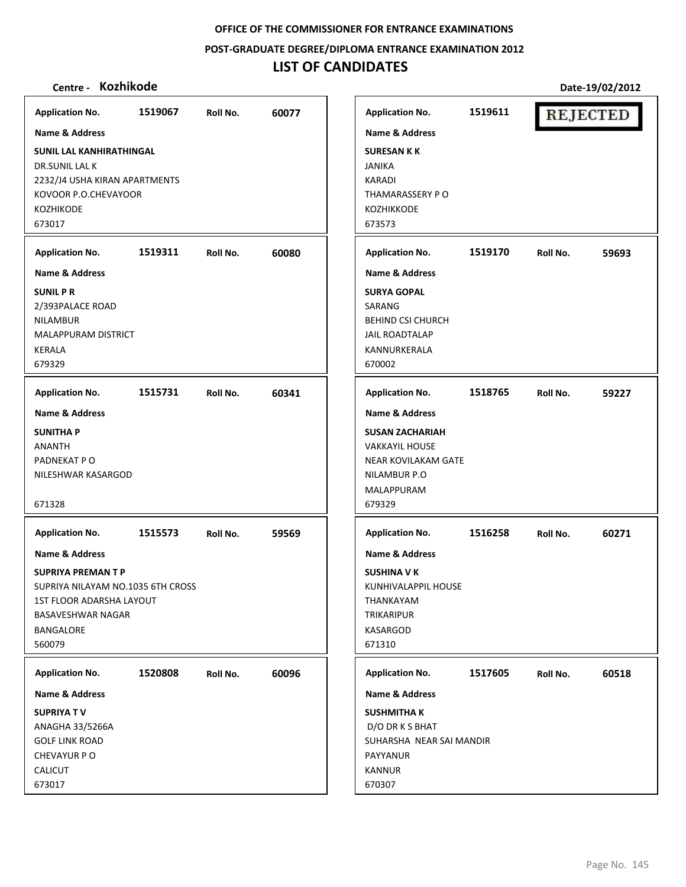**POST‐GRADUATE DEGREE/DIPLOMA ENTRANCE EXAMINATION 2012**

### **LIST OF CANDIDATES**

### **Centre ‐ Kozhikode Date‐19/02/2012**

**Application No. 1519067 60077 Application No. 1519611 REJECTED Name & Address Name & Address SUNIL LAL KANHIRATHINGAL SURESAN K K** DR.SUNIL LAL K JANIKA 2232/J4 USHA KIRAN APARTMENTS KARADI KOVOOR P.O.CHEVAYOOR THAMARASSERY P O KOZHIKODE KOZHIKKODE 673017 673573 **Application No. 1519311 60080 Application No. 1519170 59693 Name & Address Name & Address SUNIL P R SURYA GOPAL** 2/393PALACE ROAD SARANG NILAMBUR BEHIND CSI CHURCH MALAPPURAM DISTRICT JAIL ROADTALAP KERALA KANNURKERALA 679329 670002 **Application No. 1515731 60341 Application No. 1518765 59227 Name & Address Name & Address SUNITHA P SUSAN ZACHARIAH** ANANTH VAKKAYIL HOUSE PADNEKAT P O NEAR KOVILAKAM GATE NILESHWAR KASARGOD NILAMBUR P.O MALAPPURAM 671328 679329 **Application No. Application No. 1515573 59569 1516258 60271 Name & Address Name & Address SUPRIYA PREMAN T P SUSHINA V K** SUPRIYA NILAYAM NO.1035 6TH CROSS KUNHIVALAPPIL HOUSE 1ST FLOOR ADARSHA LAYOUT THANKAYAM BASAVESHWAR NAGAR TRIKARIPUR BANGALORE KASARGOD 560079 671310 **Application No. 1520808 60096 Application No. 1517605 60518 Name & Address Name & Address SUPRIYA T V SUSHMITHA K** ANAGHA 33/5266A D/O DR K S BHAT GOLF LINK ROAD SUHARSHA NEAR SAI MANDIR CHEVAYUR P O PAYYANUR CALICUT KANNUR 673017 670307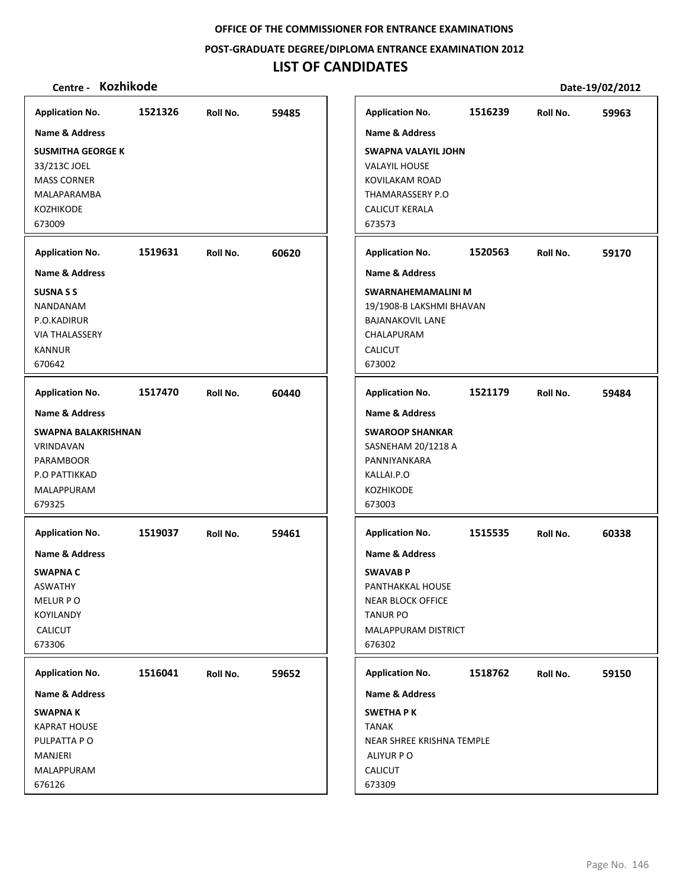#### **POST‐GRADUATE DEGREE/DIPLOMA ENTRANCE EXAMINATION 2012**

# **LIST OF CANDIDATES**

| <b>Application No.</b>    | 1521326 | Roll No. | 59485 |
|---------------------------|---------|----------|-------|
| <b>Name &amp; Address</b> |         |          |       |
| <b>SUSMITHA GEORGE K</b>  |         |          |       |
| 33/213C JOEL              |         |          |       |
| <b>MASS CORNER</b>        |         |          |       |
| MALAPARAMBA               |         |          |       |
| <b>KOZHIKODE</b>          |         |          |       |
| 673009                    |         |          |       |
| <b>Application No.</b>    | 1519631 | Roll No. | 60620 |
| <b>Name &amp; Address</b> |         |          |       |
| <b>SUSNA S S</b>          |         |          |       |
| NANDANAM                  |         |          |       |
| P.O.KADIRUR               |         |          |       |
| <b>VIA THALASSERY</b>     |         |          |       |
| <b>KANNUR</b>             |         |          |       |
| 670642                    |         |          |       |
| <b>Application No.</b>    | 1517470 | Roll No. | 60440 |
| <b>Name &amp; Address</b> |         |          |       |
| SWAPNA BALAKRISHNAN       |         |          |       |
| VRINDAVAN                 |         |          |       |
| <b>PARAMBOOR</b>          |         |          |       |
| P.O PATTIKKAD             |         |          |       |
| MALAPPURAM                |         |          |       |
| 679325                    |         |          |       |
| <b>Application No.</b>    | 1519037 | Roll No. | 59461 |
| Name & Address            |         |          |       |
| SWAPNA C                  |         |          |       |
| <b>ASWATHY</b>            |         |          |       |
| MELUR PO                  |         |          |       |
| KOYILANDY                 |         |          |       |
| <b>CALICUT</b>            |         |          |       |
| 673306                    |         |          |       |
| <b>Application No.</b>    | 1516041 | Roll No. | 59652 |
| <b>Name &amp; Address</b> |         |          |       |
| <b>SWAPNAK</b>            |         |          |       |
| <b>KAPRAT HOUSE</b>       |         |          |       |
| PULPATTA PO               |         |          |       |
| MANJERI                   |         |          |       |
| MALAPPURAM                |         |          |       |
| 676126                    |         |          |       |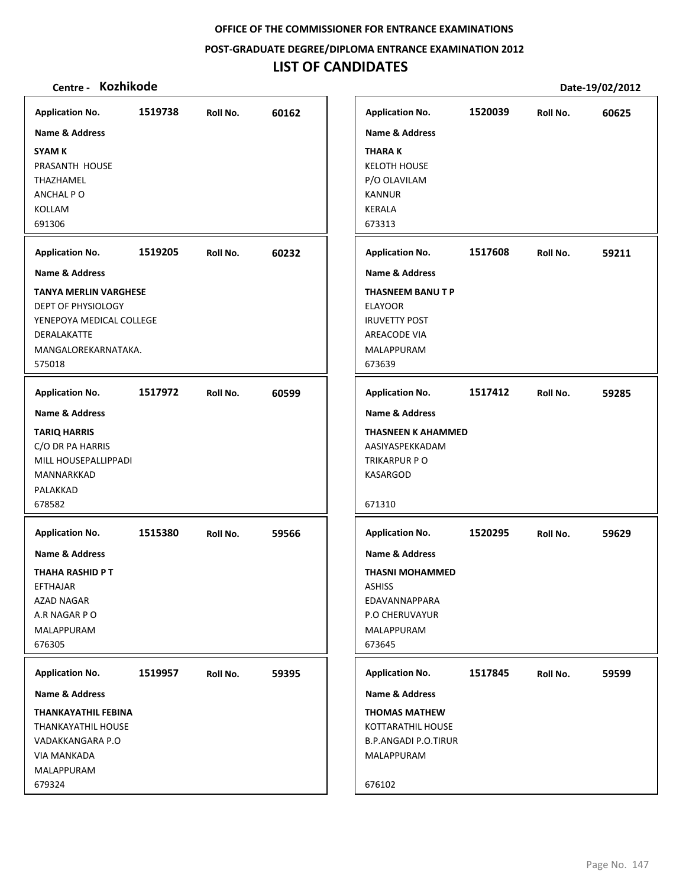**POST‐GRADUATE DEGREE/DIPLOMA ENTRANCE EXAMINATION 2012**

## **LIST OF CANDIDATES**

| <b>Application No.</b>       | 1519738 | Roll No. | 60162 |
|------------------------------|---------|----------|-------|
| <b>Name &amp; Address</b>    |         |          |       |
| <b>SYAM K</b>                |         |          |       |
| PRASANTH HOUSE               |         |          |       |
| THAZHAMEL                    |         |          |       |
| ANCHAL PO                    |         |          |       |
| KOLLAM                       |         |          |       |
| 691306                       |         |          |       |
| <b>Application No.</b>       | 1519205 | Roll No. | 60232 |
| Name & Address               |         |          |       |
| <b>TANYA MERLIN VARGHESE</b> |         |          |       |
| DEPT OF PHYSIOLOGY           |         |          |       |
| YENEPOYA MEDICAL COLLEGE     |         |          |       |
| DERALAKATTE                  |         |          |       |
| MANGALOREKARNATAKA.          |         |          |       |
| 575018                       |         |          |       |
| <b>Application No.</b>       | 1517972 | Roll No. | 60599 |
| <b>Name &amp; Address</b>    |         |          |       |
| <b>TARIQ HARRIS</b>          |         |          |       |
| C/O DR PA HARRIS             |         |          |       |
| MILL HOUSEPALLIPPADI         |         |          |       |
| MANNARKKAD                   |         |          |       |
| PALAKKAD                     |         |          |       |
| 678582                       |         |          |       |
| <b>Application No.</b>       | 1515380 | Roll No. | 59566 |
| Name & Address               |         |          |       |
| THAHA RASHID P T             |         |          |       |
| EFTHAJAR                     |         |          |       |
| AZAD NAGAR                   |         |          |       |
| A.R NAGAR P O                |         |          |       |
| MALAPPURAM                   |         |          |       |
| 676305                       |         |          |       |
| <b>Application No.</b>       | 1519957 | Roll No. | 59395 |
| Name & Address               |         |          |       |
| <b>THANKAYATHIL FEBINA</b>   |         |          |       |
| THANKAYATHIL HOUSE           |         |          |       |
| VADAKKANGARA P.O             |         |          |       |
| <b>VIA MANKADA</b>           |         |          |       |
| MALAPPURAM                   |         |          |       |
| 679324                       |         |          |       |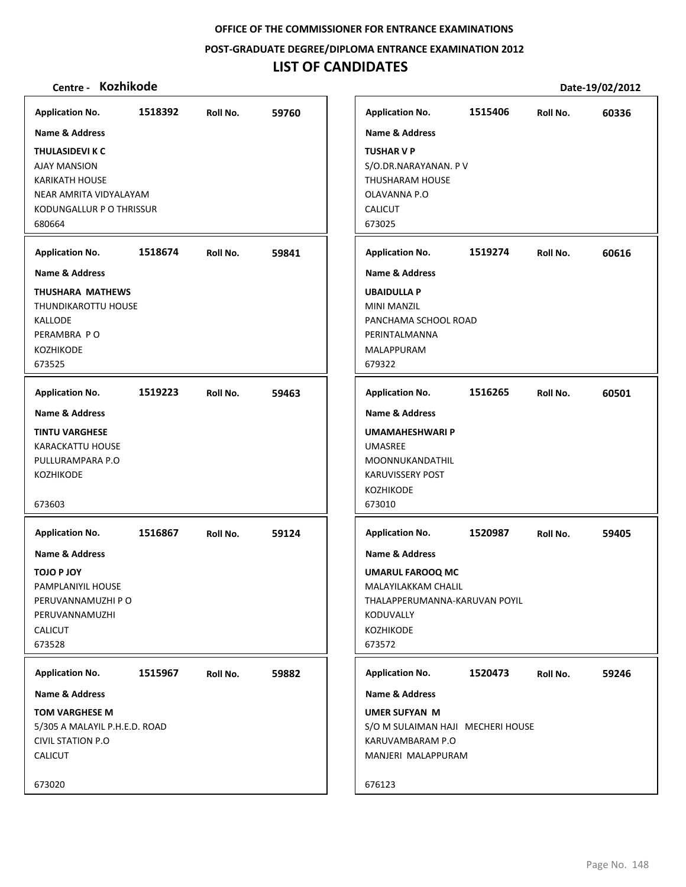**POST‐GRADUATE DEGREE/DIPLOMA ENTRANCE EXAMINATION 2012**

# **LIST OF CANDIDATES**

| <b>Application No.</b>        | 1518392 | Roll No. | 59760 | <b>Application No.</b>            | 1515406 | Roll No. | 60336 |
|-------------------------------|---------|----------|-------|-----------------------------------|---------|----------|-------|
| Name & Address                |         |          |       | <b>Name &amp; Address</b>         |         |          |       |
| THULASIDEVI K C               |         |          |       | <b>TUSHAR V P</b>                 |         |          |       |
| <b>AJAY MANSION</b>           |         |          |       | S/O.DR.NARAYANAN. PV              |         |          |       |
| <b>KARIKATH HOUSE</b>         |         |          |       | <b>THUSHARAM HOUSE</b>            |         |          |       |
| NEAR AMRITA VIDYALAYAM        |         |          |       | OLAVANNA P.O                      |         |          |       |
| KODUNGALLUR P O THRISSUR      |         |          |       | <b>CALICUT</b>                    |         |          |       |
| 680664                        |         |          |       | 673025                            |         |          |       |
|                               |         |          |       |                                   |         |          |       |
| <b>Application No.</b>        | 1518674 | Roll No. | 59841 | <b>Application No.</b>            | 1519274 | Roll No. | 60616 |
| <b>Name &amp; Address</b>     |         |          |       | <b>Name &amp; Address</b>         |         |          |       |
| THUSHARA MATHEWS              |         |          |       | <b>UBAIDULLA P</b>                |         |          |       |
| THUNDIKAROTTU HOUSE           |         |          |       | <b>MINI MANZIL</b>                |         |          |       |
| <b>KALLODE</b>                |         |          |       | PANCHAMA SCHOOL ROAD              |         |          |       |
| PERAMBRA PO                   |         |          |       | PERINTALMANNA                     |         |          |       |
| <b>KOZHIKODE</b>              |         |          |       | MALAPPURAM                        |         |          |       |
| 673525                        |         |          |       | 679322                            |         |          |       |
| <b>Application No.</b>        | 1519223 | Roll No. | 59463 | <b>Application No.</b>            | 1516265 | Roll No. | 60501 |
| Name & Address                |         |          |       | <b>Name &amp; Address</b>         |         |          |       |
| <b>TINTU VARGHESE</b>         |         |          |       | <b>UMAMAHESHWARI P</b>            |         |          |       |
| <b>KARACKATTU HOUSE</b>       |         |          |       | <b>UMASREE</b>                    |         |          |       |
| PULLURAMPARA P.O              |         |          |       | MOONNUKANDATHIL                   |         |          |       |
| <b>KOZHIKODE</b>              |         |          |       | <b>KARUVISSERY POST</b>           |         |          |       |
|                               |         |          |       | KOZHIKODE                         |         |          |       |
| 673603                        |         |          |       | 673010                            |         |          |       |
| <b>Application No.</b>        | 1516867 | Roll No. | 59124 | <b>Application No.</b>            | 1520987 | Roll No. | 59405 |
| <b>Name &amp; Address</b>     |         |          |       | <b>Name &amp; Address</b>         |         |          |       |
| <b>TOJO P JOY</b>             |         |          |       | <b>UMARUL FAROOQ MC</b>           |         |          |       |
| PAMPLANIYIL HOUSE             |         |          |       | MALAYILAKKAM CHALIL               |         |          |       |
| PERUVANNAMUZHI P O            |         |          |       | THALAPPERUMANNA-KARUVAN POYIL     |         |          |       |
| PERUVANNAMUZHI                |         |          |       | KODUVALLY                         |         |          |       |
| <b>CALICUT</b>                |         |          |       | <b>KOZHIKODE</b>                  |         |          |       |
| 673528                        |         |          |       | 673572                            |         |          |       |
| <b>Application No.</b>        | 1515967 | Roll No. | 59882 | <b>Application No.</b>            | 1520473 | Roll No. | 59246 |
| Name & Address                |         |          |       | Name & Address                    |         |          |       |
| <b>TOM VARGHESE M</b>         |         |          |       | <b>UMER SUFYAN M</b>              |         |          |       |
| 5/305 A MALAYIL P.H.E.D. ROAD |         |          |       | S/O M SULAIMAN HAJI MECHERI HOUSE |         |          |       |
| <b>CIVIL STATION P.O</b>      |         |          |       | KARUVAMBARAM P.O                  |         |          |       |
| <b>CALICUT</b>                |         |          |       | MANJERI MALAPPURAM                |         |          |       |
|                               |         |          |       |                                   |         |          |       |
| 673020                        |         |          |       | 676123                            |         |          |       |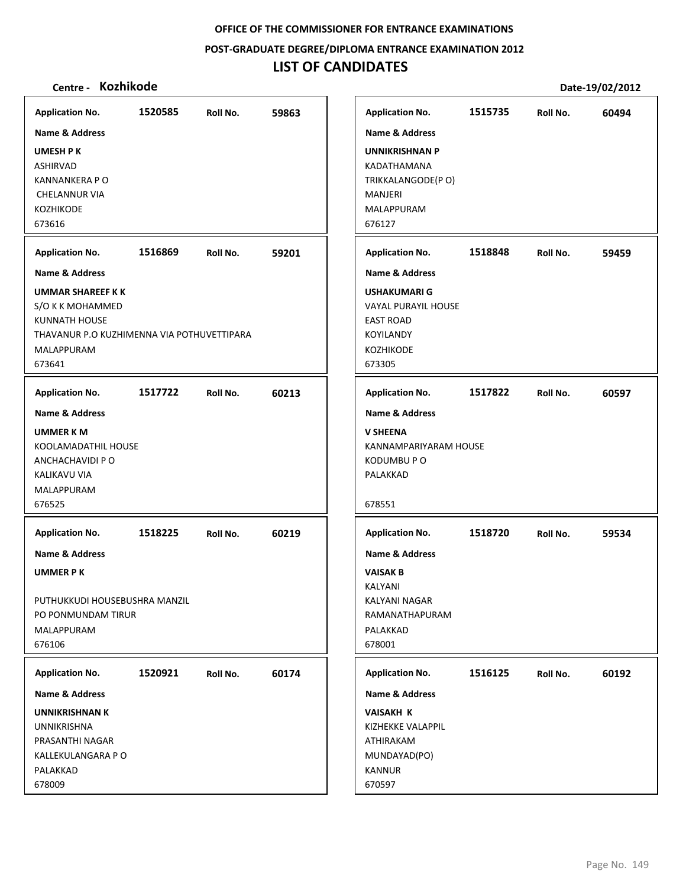**POST‐GRADUATE DEGREE/DIPLOMA ENTRANCE EXAMINATION 2012**

# **LIST OF CANDIDATES**

| <b>Application No.</b>                                             | 1520585 | Roll No. | 59863 |
|--------------------------------------------------------------------|---------|----------|-------|
| <b>Name &amp; Address</b>                                          |         |          |       |
| <b>UMESH PK</b>                                                    |         |          |       |
| <b>ASHIRVAD</b>                                                    |         |          |       |
| <b>KANNANKERA P O</b>                                              |         |          |       |
| <b>CHELANNUR VIA</b>                                               |         |          |       |
| <b>KOZHIKODE</b><br>673616                                         |         |          |       |
|                                                                    |         |          |       |
| <b>Application No.</b>                                             | 1516869 | Roll No. | 59201 |
| Name & Address                                                     |         |          |       |
| <b>UMMAR SHAREEF KK</b>                                            |         |          |       |
| S/O K K MOHAMMED                                                   |         |          |       |
| <b>KUNNATH HOUSE</b><br>THAVANUR P.O KUZHIMENNA VIA POTHUVETTIPARA |         |          |       |
| <b>MALAPPURAM</b>                                                  |         |          |       |
| 673641                                                             |         |          |       |
| <b>Application No.</b>                                             | 1517722 | Roll No. | 60213 |
| <b>Name &amp; Address</b>                                          |         |          |       |
|                                                                    |         |          |       |
| <b>UMMER KM</b><br>KOOLAMADATHIL HOUSE                             |         |          |       |
| ANCHACHAVIDI P O                                                   |         |          |       |
| KALIKAVU VIA                                                       |         |          |       |
| MALAPPURAM                                                         |         |          |       |
| 676525                                                             |         |          |       |
| <b>Application No.</b>                                             | 1518225 | Roll No. | 60219 |
| Name & Address                                                     |         |          |       |
|                                                                    |         |          |       |
| <b>UMMER PK</b>                                                    |         |          |       |
| PUTHUKKUDI HOUSEBUSHRA MANZIL                                      |         |          |       |
| PO PONMUNDAM TIRUR                                                 |         |          |       |
| MALAPPURAM                                                         |         |          |       |
| 676106                                                             |         |          |       |
| <b>Application No.</b>                                             | 1520921 | Roll No. | 60174 |
| Name & Address                                                     |         |          |       |
| <b>UNNIKRISHNAN K</b>                                              |         |          |       |
| <b>UNNIKRISHNA</b>                                                 |         |          |       |
| PRASANTHI NAGAR                                                    |         |          |       |
| KALLEKULANGARA P O                                                 |         |          |       |
| PALAKKAD                                                           |         |          |       |
| 678009                                                             |         |          |       |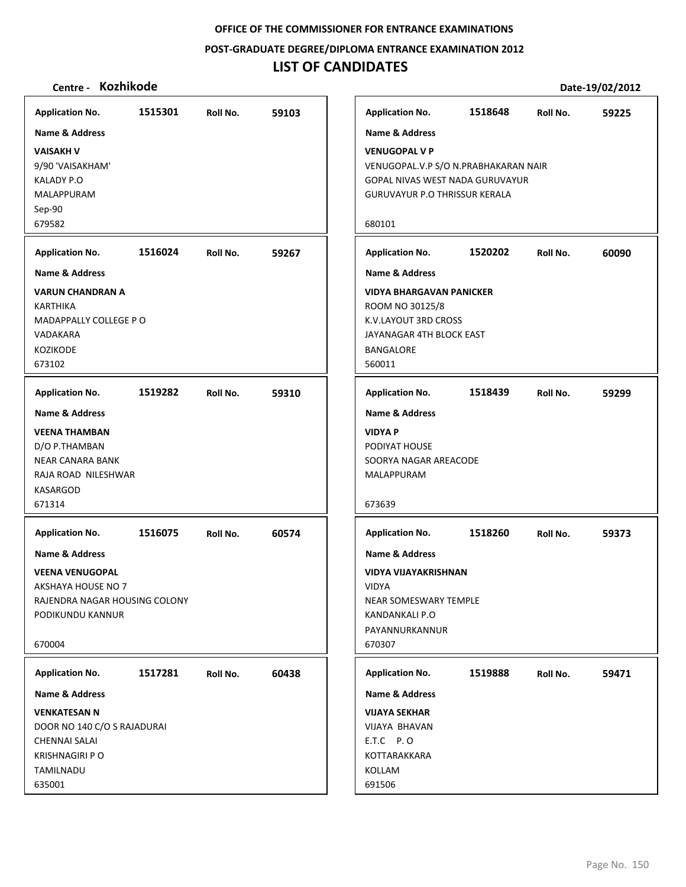**POST‐GRADUATE DEGREE/DIPLOMA ENTRANCE EXAMINATION 2012**

## **LIST OF CANDIDATES**

| 1515301<br>1518648<br><b>Application No.</b><br>59103<br><b>Application No.</b><br>Roll No.<br>Roll No. |       |
|---------------------------------------------------------------------------------------------------------|-------|
|                                                                                                         | 59225 |
| <b>Name &amp; Address</b><br><b>Name &amp; Address</b>                                                  |       |
| <b>VAISAKH V</b><br><b>VENUGOPAL V P</b>                                                                |       |
| 9/90 'VAISAKHAM'<br>VENUGOPAL.V.P S/O N.PRABHAKARAN NAIR                                                |       |
| KALADY P.O<br>GOPAL NIVAS WEST NADA GURUVAYUR                                                           |       |
| <b>MALAPPURAM</b><br><b>GURUVAYUR P.O THRISSUR KERALA</b>                                               |       |
| Sep-90                                                                                                  |       |
| 679582<br>680101                                                                                        |       |
| 1516024<br>1520202<br><b>Application No.</b><br>Roll No.<br>59267<br><b>Application No.</b><br>Roll No. | 60090 |
| <b>Name &amp; Address</b><br><b>Name &amp; Address</b>                                                  |       |
| <b>VARUN CHANDRAN A</b><br><b>VIDYA BHARGAVAN PANICKER</b>                                              |       |
| ROOM NO 30125/8<br>KARTHIKA                                                                             |       |
| MADAPPALLY COLLEGE PO<br>K.V.LAYOUT 3RD CROSS                                                           |       |
| VADAKARA<br>JAYANAGAR 4TH BLOCK EAST<br><b>KOZIKODE</b><br><b>BANGALORE</b>                             |       |
| 673102<br>560011                                                                                        |       |
|                                                                                                         |       |
| 1519282<br>1518439<br><b>Application No.</b><br>59310<br><b>Application No.</b><br>Roll No.<br>Roll No. | 59299 |
| <b>Name &amp; Address</b><br><b>Name &amp; Address</b>                                                  |       |
| <b>VEENA THAMBAN</b><br><b>VIDYA P</b>                                                                  |       |
| D/O P.THAMBAN<br>PODIYAT HOUSE                                                                          |       |
| <b>NEAR CANARA BANK</b><br>SOORYA NAGAR AREACODE<br>RAJA ROAD NILESHWAR<br>MALAPPURAM                   |       |
| KASARGOD                                                                                                |       |
| 671314<br>673639                                                                                        |       |
| 1516075<br>60574<br>1518260<br><b>Application No.</b><br>Roll No.<br><b>Application No.</b><br>Roll No. | 59373 |
| <b>Name &amp; Address</b><br><b>Name &amp; Address</b>                                                  |       |
| <b>VEENA VENUGOPAL</b><br><b>VIDYA VIJAYAKRISHNAN</b>                                                   |       |
| AKSHAYA HOUSE NO 7<br>VIDYA                                                                             |       |
| RAJENDRA NAGAR HOUSING COLONY<br>NEAR SOMESWARY TEMPLE                                                  |       |
| PODIKUNDU KANNUR<br>KANDANKALI P.O                                                                      |       |
| PAYANNURKANNUR<br>670004<br>670307                                                                      |       |
|                                                                                                         |       |
| 1517281<br>60438<br>1519888<br><b>Application No.</b><br>Roll No.<br><b>Application No.</b><br>Roll No. | 59471 |
| <b>Name &amp; Address</b><br>Name & Address                                                             |       |
| <b>VENKATESAN N</b><br><b>VIJAYA SEKHAR</b>                                                             |       |
| DOOR NO 140 C/O S RAJADURAI<br><b>VIJAYA BHAVAN</b>                                                     |       |
| E.T.C P.O<br><b>CHENNAI SALAI</b>                                                                       |       |
| <b>KRISHNAGIRI P O</b><br>KOTTARAKKARA<br>TAMILNADU<br>KOLLAM                                           |       |
|                                                                                                         |       |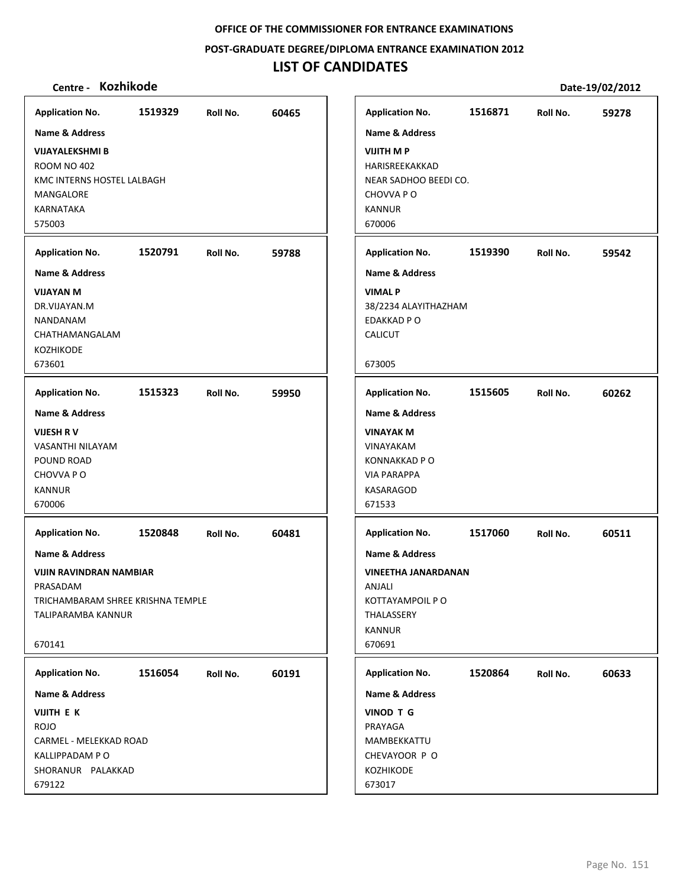**POST‐GRADUATE DEGREE/DIPLOMA ENTRANCE EXAMINATION 2012**

# **LIST OF CANDIDATES**

| Centre - Kozhikode                  |         |          |       |                                    |         |          | Date-19/02/2012 |
|-------------------------------------|---------|----------|-------|------------------------------------|---------|----------|-----------------|
| <b>Application No.</b>              | 1519329 | Roll No. | 60465 | <b>Application No.</b>             | 1516871 | Roll No. | 59278           |
| <b>Name &amp; Address</b>           |         |          |       | <b>Name &amp; Address</b>          |         |          |                 |
| <b>VIJAYALEKSHMI B</b>              |         |          |       | <b>VIJITH MP</b>                   |         |          |                 |
| <b>ROOM NO 402</b>                  |         |          |       | HARISREEKAKKAD                     |         |          |                 |
| KMC INTERNS HOSTEL LALBAGH          |         |          |       | NEAR SADHOO BEEDI CO.              |         |          |                 |
| MANGALORE                           |         |          |       | CHOVVA PO                          |         |          |                 |
| KARNATAKA                           |         |          |       | <b>KANNUR</b>                      |         |          |                 |
| 575003                              |         |          |       | 670006                             |         |          |                 |
| <b>Application No.</b>              | 1520791 | Roll No. | 59788 | <b>Application No.</b>             | 1519390 | Roll No. | 59542           |
| <b>Name &amp; Address</b>           |         |          |       | <b>Name &amp; Address</b>          |         |          |                 |
| <b>VIJAYAN M</b>                    |         |          |       | <b>VIMAL P</b>                     |         |          |                 |
| DR.VIJAYAN.M                        |         |          |       | 38/2234 ALAYITHAZHAM               |         |          |                 |
| NANDANAM                            |         |          |       | EDAKKAD P O                        |         |          |                 |
| CHATHAMANGALAM                      |         |          |       | CALICUT                            |         |          |                 |
| KOZHIKODE                           |         |          |       |                                    |         |          |                 |
| 673601                              |         |          |       | 673005                             |         |          |                 |
| <b>Application No.</b>              | 1515323 | Roll No. | 59950 | <b>Application No.</b>             | 1515605 | Roll No. | 60262           |
| Name & Address                      |         |          |       | <b>Name &amp; Address</b>          |         |          |                 |
| <b>VIJESH RV</b>                    |         |          |       | <b>VINAYAK M</b>                   |         |          |                 |
| VASANTHI NILAYAM                    |         |          |       | VINAYAKAM                          |         |          |                 |
| POUND ROAD                          |         |          |       | <b>KONNAKKAD PO</b>                |         |          |                 |
| CHOVVA PO                           |         |          |       | <b>VIA PARAPPA</b>                 |         |          |                 |
| <b>KANNUR</b>                       |         |          |       | KASARAGOD                          |         |          |                 |
| 670006                              |         |          |       | 671533                             |         |          |                 |
| <b>Application No.</b>              | 1520848 | Roll No. | 60481 | <b>Application No.</b>             | 1517060 | Roll No. | 60511           |
| Name & Address                      |         |          |       | <b>Name &amp; Address</b>          |         |          |                 |
| <b>VIJIN RAVINDRAN NAMBIAR</b>      |         |          |       | <b>VINEETHA JANARDANAN</b>         |         |          |                 |
| PRASADAM                            |         |          |       | ANJALI                             |         |          |                 |
| TRICHAMBARAM SHREE KRISHNA TEMPLE   |         |          |       | KOTTAYAMPOIL P O                   |         |          |                 |
| <b>TALIPARAMBA KANNUR</b>           |         |          |       | <b>THALASSERY</b><br><b>KANNUR</b> |         |          |                 |
| 670141                              |         |          |       | 670691                             |         |          |                 |
|                                     |         |          |       |                                    |         |          |                 |
| <b>Application No.</b>              | 1516054 | Roll No. | 60191 | <b>Application No.</b>             | 1520864 | Roll No. | 60633           |
| Name & Address                      |         |          |       | Name & Address                     |         |          |                 |
| VIJITH E K                          |         |          |       | VINOD T G                          |         |          |                 |
| <b>ROJO</b>                         |         |          |       | PRAYAGA                            |         |          |                 |
| CARMEL - MELEKKAD ROAD              |         |          |       | MAMBEKKATTU                        |         |          |                 |
| KALLIPPADAM PO<br>SHORANUR PALAKKAD |         |          |       | CHEVAYOOR P O<br><b>KOZHIKODE</b>  |         |          |                 |
| 679122                              |         |          |       | 673017                             |         |          |                 |
|                                     |         |          |       |                                    |         |          |                 |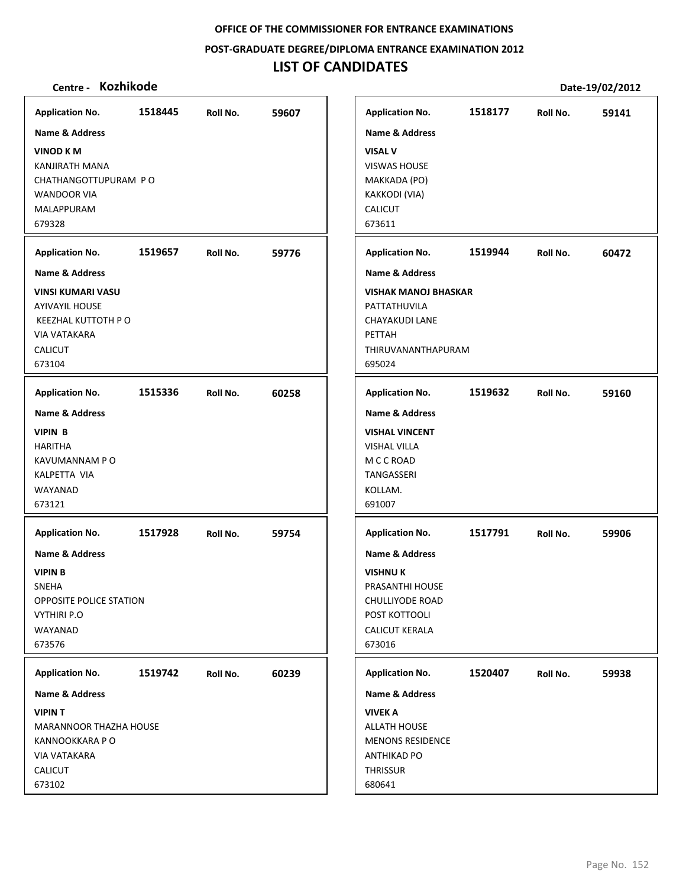**POST‐GRADUATE DEGREE/DIPLOMA ENTRANCE EXAMINATION 2012**

# **LIST OF CANDIDATES**

| <b>Application No.</b>                                                                                                                                    | 1518445 | Roll No. | 59607 | <b>Application No.</b>                                                                                                                                              | 1518177 | Roll No. | 59141 |
|-----------------------------------------------------------------------------------------------------------------------------------------------------------|---------|----------|-------|---------------------------------------------------------------------------------------------------------------------------------------------------------------------|---------|----------|-------|
| Name & Address<br><b>VINOD KM</b><br>KANJIRATH MANA<br>CHATHANGOTTUPURAM PO<br><b>WANDOOR VIA</b><br>MALAPPURAM<br>679328                                 |         |          |       | <b>Name &amp; Address</b><br><b>VISAL V</b><br><b>VISWAS HOUSE</b><br>MAKKADA (PO)<br>KAKKODI (VIA)<br><b>CALICUT</b><br>673611                                     |         |          |       |
| <b>Application No.</b>                                                                                                                                    | 1519657 | Roll No. | 59776 | <b>Application No.</b>                                                                                                                                              | 1519944 | Roll No. | 60472 |
| <b>Name &amp; Address</b><br><b>VINSI KUMARI VASU</b><br><b>AYIVAYIL HOUSE</b><br>KEEZHAL KUTTOTH P O<br><b>VIA VATAKARA</b><br>CALICUT<br>673104         |         |          |       | <b>Name &amp; Address</b><br><b>VISHAK MANOJ BHASKAR</b><br>PATTATHUVILA<br>CHAYAKUDI LANE<br>PETTAH<br>THIRUVANANTHAPURAM<br>695024                                |         |          |       |
| <b>Application No.</b>                                                                                                                                    | 1515336 | Roll No. | 60258 | <b>Application No.</b>                                                                                                                                              | 1519632 | Roll No. | 59160 |
| <b>Name &amp; Address</b><br><b>VIPIN B</b><br><b>HARITHA</b><br>KAVUMANNAM P O<br><b>KALPETTA VIA</b><br>WAYANAD<br>673121                               |         |          |       | <b>Name &amp; Address</b><br><b>VISHAL VINCENT</b><br><b>VISHAL VILLA</b><br>M C C ROAD<br><b>TANGASSERI</b><br>KOLLAM.<br>691007                                   |         |          |       |
| <b>Application No.</b><br><b>Name &amp; Address</b><br><b>VIPIN B</b><br>SNEHA<br>OPPOSITE POLICE STATION<br><b>VYTHIRI P.O</b><br>WAYANAD<br>673576      | 1517928 | Roll No. | 59754 | <b>Application No.</b><br><b>Name &amp; Address</b><br><b>VISHNUK</b><br>PRASANTHI HOUSE<br>CHULLIYODE ROAD<br>POST KOTTOOLI<br><b>CALICUT KERALA</b><br>673016     | 1517791 | Roll No. | 59906 |
| <b>Application No.</b><br>Name & Address<br><b>VIPINT</b><br>MARANNOOR THAZHA HOUSE<br>KANNOOKKARA P O<br><b>VIA VATAKARA</b><br><b>CALICUT</b><br>673102 | 1519742 | Roll No. | 60239 | <b>Application No.</b><br><b>Name &amp; Address</b><br><b>VIVEK A</b><br><b>ALLATH HOUSE</b><br><b>MENONS RESIDENCE</b><br><b>ANTHIKAD PO</b><br>THRISSUR<br>680641 | 1520407 | Roll No. | 59938 |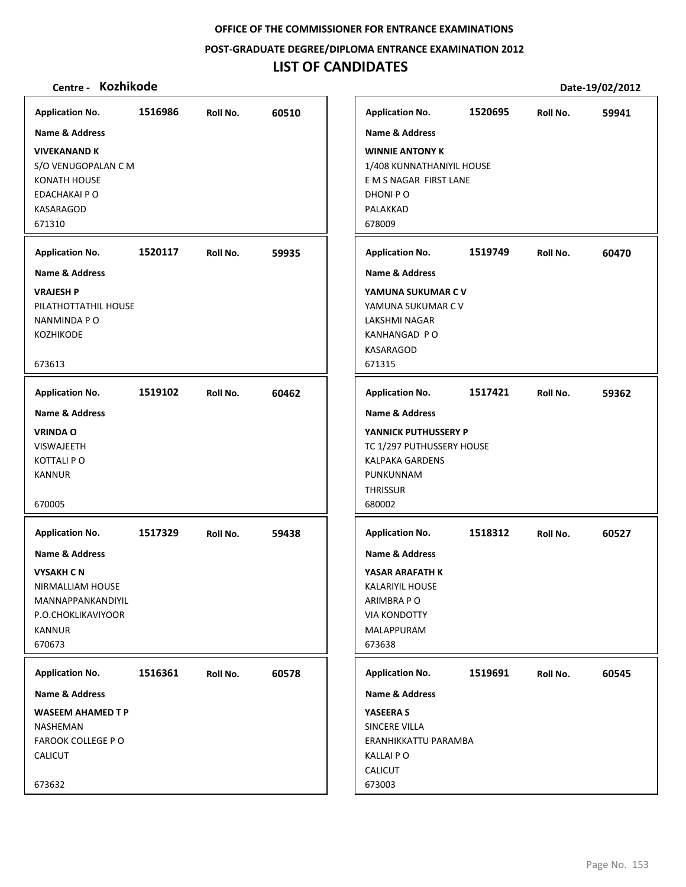**POST‐GRADUATE DEGREE/DIPLOMA ENTRANCE EXAMINATION 2012**

# **LIST OF CANDIDATES**

| <b>Application No.</b>                                                                                                                                        | 1516986 | Roll No. | 60510 |
|---------------------------------------------------------------------------------------------------------------------------------------------------------------|---------|----------|-------|
| <b>Name &amp; Address</b>                                                                                                                                     |         |          |       |
| <b>VIVEKANAND K</b><br>S/O VENUGOPALAN C M<br>KONATH HOUSE<br>EDACHAKAI P O<br>KASARAGOD<br>671310                                                            |         |          |       |
| <b>Application No.</b>                                                                                                                                        | 1520117 | Roll No. | 59935 |
| <b>Name &amp; Address</b>                                                                                                                                     |         |          |       |
| <b>VRAJESH P</b><br>PILATHOTTATHIL HOUSE<br>NANMINDA P O<br>KOZHIKODE<br>673613                                                                               |         |          |       |
| <b>Application No.</b>                                                                                                                                        | 1519102 | Roll No. | 60462 |
| <b>Name &amp; Address</b><br><b>VRINDA O</b><br><b>VISWAJEETH</b><br><b>KOTTALI PO</b><br><b>KANNUR</b><br>670005<br><b>Application No.</b><br>Name & Address | 1517329 | Roll No. | 59438 |
| <b>VYSAKH CN</b><br>NIRMALLIAM HOUSE<br>MANNAPPANKANDIYIL<br>P.O.CHOKLIKAVIYOOR<br><b>KANNUR</b><br>670673                                                    |         |          |       |
| <b>Application No.</b>                                                                                                                                        | 1516361 | Roll No. | 60578 |
| Name & Address                                                                                                                                                |         |          |       |
| <b>WASEEM AHAMED T P</b><br><b>NASHEMAN</b><br><b>FAROOK COLLEGE PO</b><br><b>CALICUT</b><br>673632                                                           |         |          |       |